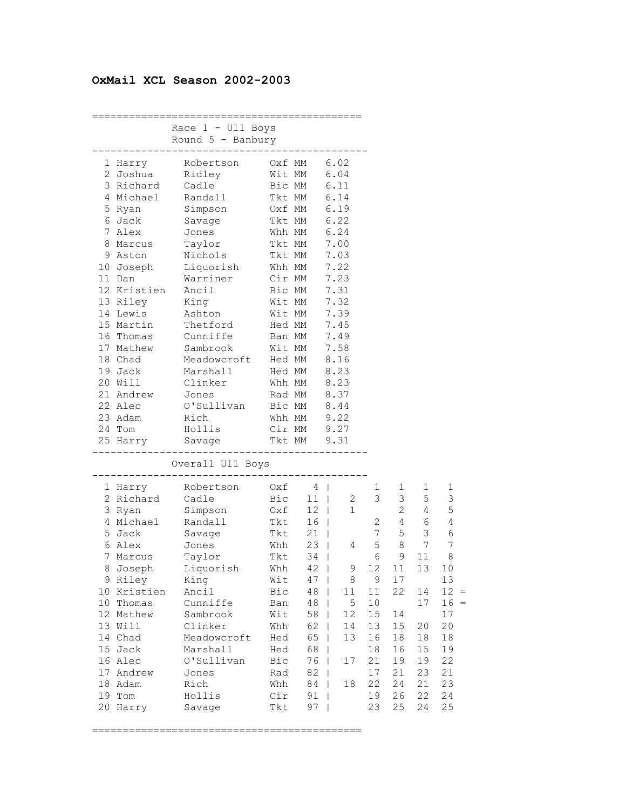## **OxMail XCL Season 2002-2003**

|                   |                     |        |                 | .==================== |        |                                  |                |            |
|-------------------|---------------------|--------|-----------------|-----------------------|--------|----------------------------------|----------------|------------|
|                   | Race $1 - U11$ Boys |        |                 |                       |        |                                  |                |            |
|                   | Round $5$ - Banbury |        |                 |                       |        |                                  |                |            |
|                   |                     |        |                 |                       |        |                                  |                |            |
| 1 Harry           | Robertson           |        | Oxf MM          | 6.02                  |        |                                  |                |            |
| 2 Joshua          | Ridley              |        | Wit MM          | 6.04                  |        |                                  |                |            |
|                   | 3 Richard Cadle     |        | Bic MM          | 6.11                  |        |                                  |                |            |
| 4 Michael         | Randall             |        | Tkt MM 6.14     |                       |        |                                  |                |            |
| 5 Ryan            | Simpson             |        | Oxf MM 6.19     |                       |        |                                  |                |            |
| 6 Jack            | Savage              |        | Tkt MM          | 6.22                  |        |                                  |                |            |
| 7 Alex            | Jones               |        | Whh MM 6.24     |                       |        |                                  |                |            |
| 8 Marcus          | Taylor              |        | Tkt MM          | 7.00                  |        |                                  |                |            |
| 9 Aston           | Nichols             |        | Tkt MM          | 7.03                  |        |                                  |                |            |
| 10 Joseph         | Liquorish           |        | Whh MM          | 7.22                  |        |                                  |                |            |
| 11 Dan            | Warriner            |        | Cir MM          | 7.23                  |        |                                  |                |            |
| 12 Kristien Ancil |                     |        | Bic MM          | 7.31                  |        |                                  |                |            |
| 13 Riley          | King                | Wit MM |                 | 7.32                  |        |                                  |                |            |
| 14 Lewis          | Ashton              | Wit MM |                 | 7.39                  |        |                                  |                |            |
| 15 Martin         | Thetford            | Hed MM |                 | 7.45                  |        |                                  |                |            |
| 16 Thomas         | Cunniffe            |        | Ban MM          | 7.49                  |        |                                  |                |            |
| 17 Mathew         | Sambrook            |        | Wit MM          | 7.58                  |        |                                  |                |            |
| 18 Chad           | Meadowcroft         |        | Hed MM          | 8.16                  |        |                                  |                |            |
| 19 Jack           | Marshall            |        | Hed MM          | 8.23                  |        |                                  |                |            |
| 20 Will           | Clinker             |        | Whh MM 8.23     |                       |        |                                  |                |            |
| 21 Andrew         | Jones               |        | Rad MM 8.37     |                       |        |                                  |                |            |
| 22 Alec           | O'Sullivan          |        | Bic MM 8.44     |                       |        |                                  |                |            |
| 23 Adam           | Rich                |        | Whh MM          | 9.22                  |        |                                  |                |            |
| 24 Tom            | Hollis              |        | $Cir$ MM $9.27$ |                       |        |                                  |                |            |
| 25 Harry          | Savage              |        | Tkt MM 9.31     |                       |        |                                  |                |            |
|                   |                     |        | ------------    |                       |        |                                  |                |            |
|                   | Overall U11 Boys    |        |                 |                       |        |                                  |                |            |
|                   |                     |        |                 |                       |        |                                  |                |            |
| 1 Harry           | Robertson           |        | $Oxf \t4$       |                       | ı      | 1                                | 1              | 1          |
| 2 Richard         | Cadle               | Bic    | $11 \quad  $    | 2                     | 3      | 3                                | 5              | 3          |
| 3 Ryan            | Simpson             |        | Oxf 12          | 1                     |        | $\mathbf{2}^{\prime}$            | 4              | 5          |
| 4 Michael         | Randall             | Tkt    | 16 <sup>1</sup> |                       |        | $\frac{2}{7}$<br>$4\overline{ }$ | 6              | $\sqrt{4}$ |
| 5 Jack            | Savage              | Tkt    | $21 \mid$       |                       |        | 5                                | $\mathfrak{Z}$ | $\sqrt{6}$ |
| 6 Alex            | Jones               | Whh    | $23 \mid$       | 4                     | 5      | 8                                | 7              | 7          |
| 7 Marcus          | Taylor              | Tkt    | $34$            |                       | 6      | 9                                | 11             | 8          |
| 8 Joseph          | Liquorish           | Whh    | $42 \mid$       | 9                     | 12     | 11                               | 13             | 10         |
| 9 Riley           | King                | Wit    | $47 \mid$       | $\,8\,$               | 9      | 17                               |                | 13         |
| 10 Kristien       | Ancil               | Bic    | 48              | 11                    | 11     | 22                               | 14             | $12 =$     |
| 10 Thomas         | Cunniffe            | Ban    | 48              | $\mathsf S$           | 10     |                                  | 17             | $16 =$     |
| 12 Mathew         | Sambrook            | Wit    | 58              | 12                    | $15\,$ | 14                               |                | 17         |
| 13 Will           | Clinker             | Whh    | 62              | 14                    | 13     | 15                               | 20             | 20         |
| 14 Chad           | Meadowcroft         | Hed    | 65              | 13                    | 16     | 18                               | 18             | $18\,$     |
| 15 Jack           | Marshall            | Hed    | 68              |                       | 18     | 16                               | 15             | 19         |
| 16 Alec           | O'Sullivan          | Bic    | 76              | 17<br>$\mathbf{I}$    | 21     | 19                               | 19             | 22         |
| 17 Andrew         | Jones               | Rad    | 82              |                       | 17     | 21                               | 23             | 21         |
| 18 Adam           | Rich                | Whh    | 84              | 18                    | 22     | 24                               | 21             | 23         |
| 19 Tom            | Hollis              | Cir    | 91              |                       | 19     | 26                               | 22             | 24         |
| 20 Harry          | Savage              | Tkt    | 97              |                       | 23     | 25                               | 24             | 25         |

============================================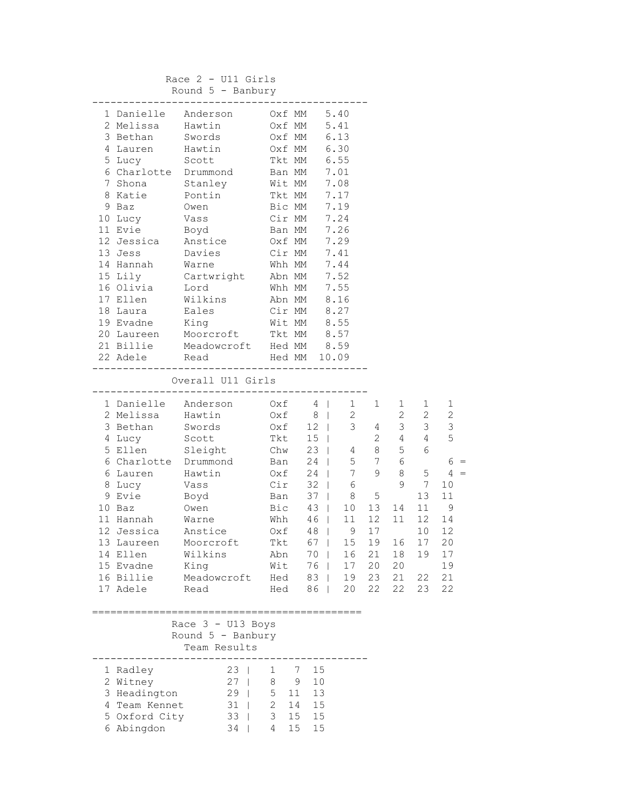Race 2 - U11 Girls Round 5 - Banbury

|                    | 1 Danielle Anderson 0xf MM 5.40   |              |              |                                                                       |                                                  |    |                |                 |                |
|--------------------|-----------------------------------|--------------|--------------|-----------------------------------------------------------------------|--------------------------------------------------|----|----------------|-----------------|----------------|
| 2 Melissa Hawtin   |                                   |              | Oxf MM       |                                                                       | 5.41                                             |    |                |                 |                |
| 3 Bethan           | Swords                            |              |              | Oxf MM 6.13                                                           |                                                  |    |                |                 |                |
| 4 Lauren Hawtin    |                                   |              |              | Oxf MM 6.30                                                           |                                                  |    |                |                 |                |
| 5 Lucy Scott       |                                   |              |              | Tkt MM 6.55                                                           |                                                  |    |                |                 |                |
|                    | 6 Charlotte Drummond              |              |              | Ban MM 7.01                                                           |                                                  |    |                |                 |                |
|                    | 7 Shona Stanley Wit MM 7.08       |              |              |                                                                       |                                                  |    |                |                 |                |
| 8 Katie Pontin     |                                   |              |              | Tkt MM 7.17                                                           |                                                  |    |                |                 |                |
| 9 Baz              | Owen                              |              |              | Bic MM 7.19                                                           |                                                  |    |                |                 |                |
| 10 Lucy            |                                   | Cir MM       |              |                                                                       | 7.24                                             |    |                |                 |                |
| 11 Evie            | Vass<br>Boyd                      | Ban MM       |              |                                                                       | 7.26                                             |    |                |                 |                |
| 12 Jessica Anstice |                                   | Oxf MM       |              |                                                                       | 7.29                                             |    |                |                 |                |
| 13 Jess            | Davies Cir MM 7.41                |              |              |                                                                       |                                                  |    |                |                 |                |
|                    | 14 Hannah Warne                   |              |              | Whh MM 7.44                                                           |                                                  |    |                |                 |                |
|                    | 15 Lily Cartwright Abn MM 7.52    |              |              |                                                                       |                                                  |    |                |                 |                |
| 16 Olivia Lord     |                                   |              |              | Whh MM 7.55                                                           |                                                  |    |                |                 |                |
| 17 Ellen           | Wilkins                           |              |              | Abn MM 8.16                                                           |                                                  |    |                |                 |                |
| 18 Laura           | Eales                             |              |              | Cir MM 8.27                                                           |                                                  |    |                |                 |                |
| 19 Evadne          | King                              |              |              |                                                                       |                                                  |    |                |                 |                |
| 20 Laureen         |                                   |              |              |                                                                       |                                                  |    |                |                 |                |
| 21 Billie          | Meadowcroft Hed MM 8.59           |              |              |                                                                       |                                                  |    |                |                 |                |
| 22 Adele           | Read Hed MM 10.09                 |              |              |                                                                       |                                                  |    |                |                 |                |
|                    |                                   |              |              |                                                                       |                                                  |    |                |                 |                |
|                    | Overall U11 Girls                 |              |              |                                                                       |                                                  |    |                |                 |                |
|                    | --------------------------------- |              |              |                                                                       |                                                  |    |                |                 |                |
|                    | 1 Danielle Anderson               |              |              | $Oxf \t4$                                                             | $1 \quad$                                        | 1  | 1              | $\mathbf{1}$    | 1              |
| 2 Melissa          | Hawtin                            |              |              |                                                                       |                                                  |    | $\overline{a}$ | $2\overline{ }$ | $\mathbf{2}$   |
| 3 Bethan           | Swords                            |              |              |                                                                       | $\begin{array}{c} 2 \\ 3 \end{array}$            |    |                | 3 <sup>7</sup>  | $\mathfrak{Z}$ |
| 4 Lucy             | Scott                             |              |              | 0xf 8  <br>0xf 12  <br>Tkt 15                                         |                                                  |    |                | 4               | 5              |
| 5 Ellen Sleight    |                                   |              |              |                                                                       | 0xf 12   3 4 3<br>Tkt 15   2 4<br>Chw 23   4 8 5 |    |                | 6               |                |
|                    | 6 Charlotte Drummond              | Ban          |              |                                                                       | 24   5 7 6                                       |    |                |                 | $6 =$          |
| 6 Lauren Hawtin    |                                   |              | Oxf          |                                                                       | 24   7 9                                         |    | 8              | 5               | $4 =$          |
| 8 Lucy             | Vass                              |              | Cir          | $32 \mid$                                                             | 6                                                |    | 9              | $\overline{7}$  | 10             |
|                    | 9 Evie Boyd                       |              | Ban          |                                                                       | $37 \mid 8$                                      | 5  |                | 13              | 11             |
| 10 Baz             | Owen                              |              |              | Bic 43                                                                | 10 <sup>°</sup>                                  | 13 | 14             | 11              | - 9            |
| 11 Hannah          | Warne                             |              |              | Whh $46$                                                              | 11                                               | 12 | 11             | 12              | 14             |
| 12 Jessica         | Anstice                           |              |              | $Oxf \t 48$                                                           | $\overline{9}$                                   | 17 |                | 10              | 12             |
| 13 Laureen         | Moorcroft                         |              |              | $\begin{array}{ccc}\n\text{Sht} & 10 \\ \text{Tkt} & 67\n\end{array}$ | 15                                               | 19 | 16             | 17              | 20             |
| 14 Ellen           | Wilkins                           | Abn          |              |                                                                       | 70   16                                          | 21 |                | 18  19  17      |                |
| 15 Evadne          | King                              | Wit          |              | 76                                                                    | 17                                               | 20 | 20             |                 | 19             |
| 16 Billie          | Meadowcroft                       |              | Hed          | 83                                                                    | 19                                               | 23 | 21             | 22              | 21             |
| 17 Adele           | Read                              |              |              | Hed 86                                                                | 20                                               | 22 | 22             | 23              | 22             |
|                    |                                   |              |              |                                                                       |                                                  |    |                |                 |                |
|                    |                                   |              |              |                                                                       |                                                  |    |                |                 |                |
|                    | Race 3 - U13 Boys                 |              |              |                                                                       |                                                  |    |                |                 |                |
|                    | Round $5$ - Banbury               |              |              |                                                                       |                                                  |    |                |                 |                |
|                    | Team Results                      |              |              |                                                                       |                                                  |    |                |                 |                |
|                    |                                   |              |              |                                                                       |                                                  |    |                |                 |                |
| 1 Radley           | $23 \mid$                         | $\mathbf{1}$ | 7            | 15                                                                    |                                                  |    |                |                 |                |
| 2 Witney           | $27 \mid$                         | 8            | 9            | 10                                                                    |                                                  |    |                |                 |                |
| 3 Headington       | $29$                              |              | $5\quad 11$  | 13                                                                    |                                                  |    |                |                 |                |
| 4 Team Kennet      | $31$                              |              | $2 \quad 14$ | 15                                                                    |                                                  |    |                |                 |                |
| 5 Oxford City      | $33 \mid$                         |              | $3 \quad 15$ | 15                                                                    |                                                  |    |                |                 |                |
| 6 Abingdon         | $34$                              | 4            | 15           | 15                                                                    |                                                  |    |                |                 |                |
|                    |                                   |              |              |                                                                       |                                                  |    |                |                 |                |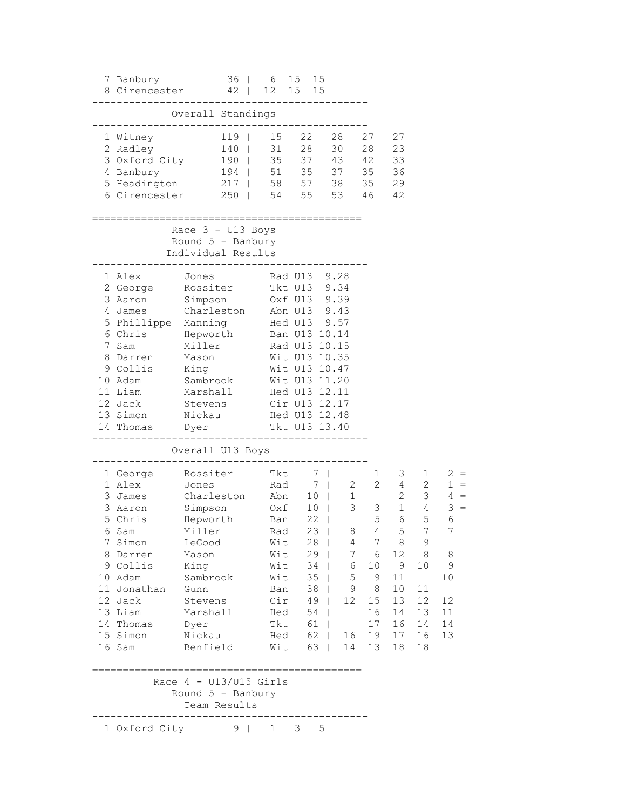| 7 Banbury                                                                                                                                                                          | 36 <sup>1</sup><br>8 Cirencester 42                                                                                                                                  | 6<br>12                                              | 15 15<br>15 15                                             |                                                                                                                                                                                                                                                 |                                                                                                   |                                                                                                                                                              |                                                                                                                                                        |                                                                                    |
|------------------------------------------------------------------------------------------------------------------------------------------------------------------------------------|----------------------------------------------------------------------------------------------------------------------------------------------------------------------|------------------------------------------------------|------------------------------------------------------------|-------------------------------------------------------------------------------------------------------------------------------------------------------------------------------------------------------------------------------------------------|---------------------------------------------------------------------------------------------------|--------------------------------------------------------------------------------------------------------------------------------------------------------------|--------------------------------------------------------------------------------------------------------------------------------------------------------|------------------------------------------------------------------------------------|
|                                                                                                                                                                                    | Overall Standings                                                                                                                                                    |                                                      |                                                            |                                                                                                                                                                                                                                                 |                                                                                                   |                                                                                                                                                              |                                                                                                                                                        |                                                                                    |
| 1 Witney<br>2 Radley<br>3 Oxford City<br>4 Banbury<br>5 Headington<br>6 Cirencester                                                                                                | $119$  <br>$140$  <br>$190$  <br>194  <br>$217$  <br>250<br>$\Box$<br>======================================                                                         | 15<br>31<br>35<br>51 35<br>58 57                     | 22<br>54 55                                                | 28<br>28<br>30<br>37<br>43<br>37<br>38<br>53                                                                                                                                                                                                    | 27<br>28<br>42<br>35<br>35<br>46                                                                  | 27<br>23<br>33<br>36<br>29<br>42                                                                                                                             |                                                                                                                                                        |                                                                                    |
|                                                                                                                                                                                    | Race 3 - U13 Boys<br>Round $5$ - Banbury<br>Individual Results                                                                                                       |                                                      |                                                            |                                                                                                                                                                                                                                                 |                                                                                                   |                                                                                                                                                              |                                                                                                                                                        |                                                                                    |
| 1 Alex<br>2 George<br>3 Aaron<br>4 James<br>5 Phillippe<br>6 Chris<br>7 Sam<br>8 Darren<br>9 Collis<br>10 Adam<br>11 Liam<br>12 Jack<br>13 Simon<br>14 Thomas                      | Jones<br>Rossiter<br>Simpson<br>Charleston<br>Manning<br>Hepworth<br>Miller<br>Mason<br>King<br>Sambrook<br>Marshall<br>Stevens<br>Nickau<br>Dyer                    |                                                      |                                                            | Rad U13 9.28<br>Tkt U13 9.34<br>Oxf U13 9.39<br>Abn U13 9.43<br>Hed U13 9.57<br>Ban U13 10.14<br>Rad U13 10.15<br>Wit U13 10.35<br>Wit U13 10.47<br>Wit U13 11.20<br>Hed U13 12.11<br>Cir U13 12.17<br>Hed U13 12.48<br>Tkt U13 13.40           |                                                                                                   |                                                                                                                                                              |                                                                                                                                                        |                                                                                    |
|                                                                                                                                                                                    | Overall U13 Boys                                                                                                                                                     |                                                      |                                                            |                                                                                                                                                                                                                                                 |                                                                                                   |                                                                                                                                                              |                                                                                                                                                        |                                                                                    |
| 1 George<br>1 Alex<br>3 James<br>3 Aaron<br>5 Chris<br>6 Sam<br>7 Simon<br>8 Darren<br>9 Collis<br>10 Adam<br>11 Jonathan<br>12 Jack<br>13 Liam<br>14 Thomas<br>15 Simon<br>16 Sam | Rossiter<br>Jones<br>Charleston<br>Simpson<br>Hepworth<br>Miller<br>LeGood<br>Mason<br>King<br>Sambrook<br>Gunn<br>Stevens<br>Marshall<br>Dyer<br>Nickau<br>Benfield | Tkt<br>Oxf<br>Ban<br>Rad<br>Wit<br>Hed<br>Tkt<br>Hed | Rad<br>Abn<br>10<br>Wit<br>Wit<br>Wit<br>Ban<br>Cir<br>Wit | 7<br>- 7<br>2<br>$\mathbf 1$<br>10<br>3<br>22<br>$\mathbf{I}$<br>$23 \mid$<br>8<br>$28 \mid$<br>4<br>$29$  <br>$6\overline{6}$<br>34  <br>$35$  <br>$38$  <br>9<br>12 <sup>°</sup><br>49  <br>$54$  <br>$61$  <br>$62 \mid$<br>16<br>63  <br>14 | 1<br>3<br>5<br>$4\overline{ }$<br>7<br>7 6<br>10<br>$5 -$<br>9<br>8<br>15<br>16<br>17<br>19<br>13 | 3<br>$2 \left( \frac{1}{2} \right)$<br>$4\degree$<br>$\mathbf{2}$<br>$\mathbf{1}$<br>6<br>5 <sup>5</sup><br>8<br>9<br>11<br>10<br>13<br>14<br>16<br>17<br>18 | $1 \quad \Box$<br>$2 \overline{ }$<br>3 <sup>7</sup><br>$4\overline{ }$<br>5<br>$7\phantom{.0}$<br>9<br>12 8<br>10<br>11<br>12<br>13<br>14<br>16<br>18 | $2 =$<br>$1 =$<br>$4 =$<br>$3 =$<br>6<br>7<br>8<br>9<br>10<br>12<br>11<br>14<br>13 |
|                                                                                                                                                                                    | Race $4 - U13/U15$ Girls<br>Round $5$ - Banbury<br>Team Results                                                                                                      |                                                      |                                                            |                                                                                                                                                                                                                                                 |                                                                                                   |                                                                                                                                                              |                                                                                                                                                        |                                                                                    |
|                                                                                                                                                                                    | 1 Oxford City 9                                                                                                                                                      | 1                                                    | 3                                                          | 5                                                                                                                                                                                                                                               |                                                                                                   |                                                                                                                                                              |                                                                                                                                                        |                                                                                    |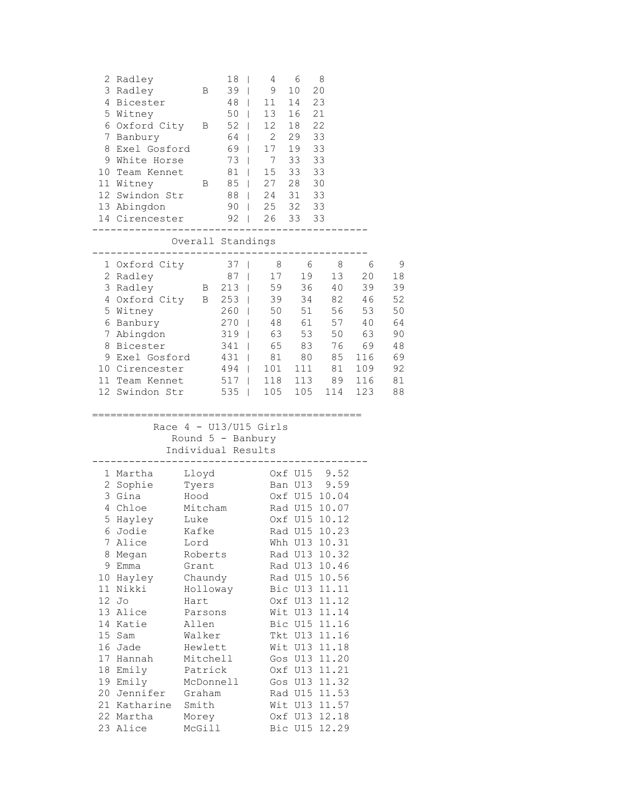| 2 Radley<br>3 Radley<br>5 Witney<br>8.<br>11 Witney                                                                                                                                                                                | 4 Bicester<br>6 Oxford City<br>7 Banbury<br>Exel Gosford<br>9 White Horse<br>10 Team Kennet<br>12 Swindon Str<br>13 Abingdon<br>14 Cirencester<br>-------- | В<br>Β<br>Β                                                                                                                                                                                                                      | 18<br>39<br>48<br>$\mathbf{I}$<br>$50$  <br>$52$  <br>64<br>69  <br>73<br>$\blacksquare$<br>81<br>85<br>$\mathbf{I}$<br>88<br>$\Box$<br>90 <sub>1</sub><br>92<br>$\Box$ | I<br>T<br>$\mathbf{I}$<br>L | 4<br>9.<br>11<br>13<br>12<br>$\overline{2}$<br>17<br>7<br>15<br>27<br>24 | 6<br>10<br>14<br>16<br>18<br>29<br>19<br>33<br>33<br>28<br>31<br>$25$ $32$ $33$<br>26 33 33 | 8<br>20<br>23<br>21<br>22<br>33<br>33<br>33<br>33<br>30<br>33                                                                                                                                                                                                                                                                                                                     |                                                                         |                                                                     |
|------------------------------------------------------------------------------------------------------------------------------------------------------------------------------------------------------------------------------------|------------------------------------------------------------------------------------------------------------------------------------------------------------|----------------------------------------------------------------------------------------------------------------------------------------------------------------------------------------------------------------------------------|-------------------------------------------------------------------------------------------------------------------------------------------------------------------------|-----------------------------|--------------------------------------------------------------------------|---------------------------------------------------------------------------------------------|-----------------------------------------------------------------------------------------------------------------------------------------------------------------------------------------------------------------------------------------------------------------------------------------------------------------------------------------------------------------------------------|-------------------------------------------------------------------------|---------------------------------------------------------------------|
|                                                                                                                                                                                                                                    |                                                                                                                                                            | Overall Standings                                                                                                                                                                                                                |                                                                                                                                                                         |                             |                                                                          |                                                                                             |                                                                                                                                                                                                                                                                                                                                                                                   |                                                                         |                                                                     |
| 2 Radley<br>3 Radley<br>5 Witney                                                                                                                                                                                                   | 1 Oxford City<br>4 Oxford City<br>6 Banbury<br>7 Abingdon<br>8 Bicester<br>9 Exel Gosford<br>10 Cirencester<br>11 Team Kennet<br>12 Swindon Str            | $\mathbf{B}$                                                                                                                                                                                                                     | 37<br>87<br>213<br>B 253<br>$260$  <br>270<br>$319$  <br>341<br>$\blacksquare$<br>431  <br>494  <br>517  <br>535                                                        | T<br>T                      | 8<br>17<br>59<br>39<br>50<br>48<br>63<br>65<br>81<br>101<br>105          | 6<br>19<br>36<br>34<br>51<br>61<br>53<br>83<br>80<br>111<br>118 113<br>105                  | 8<br>13<br>40<br>82<br>56<br>57<br>50<br>76<br>85<br>81<br>89<br>114                                                                                                                                                                                                                                                                                                              | 6<br>20<br>39<br>46<br>53<br>40<br>63<br>69<br>116<br>109<br>116<br>123 | 9<br>18<br>39<br>52<br>50<br>64<br>90<br>48<br>69<br>92<br>81<br>88 |
|                                                                                                                                                                                                                                    |                                                                                                                                                            | Race $4 - U13/U15$ Girls<br>Round $5$ - Banbury<br>Individual Results                                                                                                                                                            |                                                                                                                                                                         |                             |                                                                          |                                                                                             |                                                                                                                                                                                                                                                                                                                                                                                   |                                                                         |                                                                     |
| 1 Martha<br>2 Sophie<br>3 Gina<br>4 Chloe<br>5 Hayley<br>7 Alice<br>8 Megan<br>9 Emma<br>10 Hayley<br>11 Nikki<br>12 Jo<br>13 Alice<br>14 Katie<br>15 Sam<br>16 Jade<br>17 Hannah<br>18 Emily<br>19 Emily<br>22 Martha<br>23 Alice | 6 Jodie<br>20 Jennifer<br>21 Katharine                                                                                                                     | Lloyd<br>Tyers<br>Hood<br>Mitcham<br>Luke<br>Kafke<br>Lord<br>Roberts<br>Grant<br>Chaundy<br>Holloway<br>Hart<br>Parsons<br>Allen<br>Walker<br>Hewlett<br>Mitchell<br>Patrick<br>McDonnell<br>Graham<br>Smith<br>Morey<br>McGill |                                                                                                                                                                         |                             |                                                                          | Oxf U15<br>Ban U13                                                                          | 9.52<br>9.59<br>Oxf U15 10.04<br>Rad U15 10.07<br>Oxf U15 10.12<br>Rad U15 10.23<br>Whh U13 10.31<br>Rad U13 10.32<br>Rad U13 10.46<br>Rad U15 10.56<br>Bic U13 11.11<br>Oxf U13 11.12<br>Wit U13 11.14<br>Bic U15 11.16<br>Tkt U13 11.16<br>Wit U13 11.18<br>Gos U13 11.20<br>Oxf U13 11.21<br>Gos U13 11.32<br>Rad U15 11.53<br>Wit U13 11.57<br>Oxf U13 12.18<br>Bic U15 12.29 |                                                                         |                                                                     |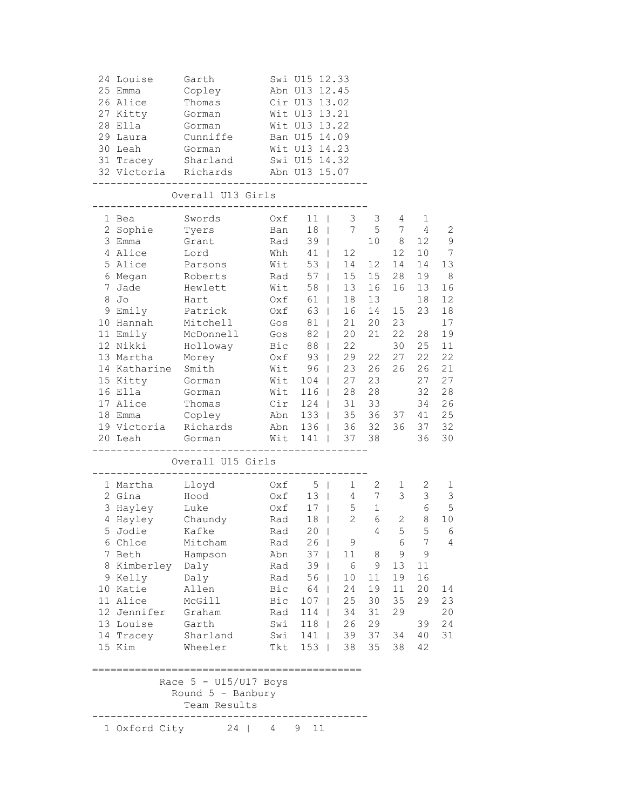| 24 Louise<br>25 Emma<br>26 Alice<br>27 Kitty<br>28 Ella<br>29 Laura<br>30 Leah                                                                                                                                                        | Garth<br>Copley<br>Thomas<br>Gorman<br>Gorman<br>Cunniffe<br>Gorman<br>31 Tracey Sharland<br>32 Victoria Richards                                                            |                                                                                                | Swi U15 12.33<br>Abn U13 12.45<br>Cir U13 13.02<br>Wit U13 13.21<br>Wit U13 13.22<br>Ban U15 14.09<br>Wit U13 14.23<br>Swi U15 14.32<br>Abn U13 15.07                                                        |                                                                                                                 |                                                                                                                |                                                                                               |                                                                                                        |                                                                                                                |
|---------------------------------------------------------------------------------------------------------------------------------------------------------------------------------------------------------------------------------------|------------------------------------------------------------------------------------------------------------------------------------------------------------------------------|------------------------------------------------------------------------------------------------|--------------------------------------------------------------------------------------------------------------------------------------------------------------------------------------------------------------|-----------------------------------------------------------------------------------------------------------------|----------------------------------------------------------------------------------------------------------------|-----------------------------------------------------------------------------------------------|--------------------------------------------------------------------------------------------------------|----------------------------------------------------------------------------------------------------------------|
|                                                                                                                                                                                                                                       | Overall U13 Girls                                                                                                                                                            |                                                                                                |                                                                                                                                                                                                              |                                                                                                                 |                                                                                                                |                                                                                               |                                                                                                        |                                                                                                                |
| 1 Bea<br>2 Sophie<br>3 Emma<br>4 Alice<br>5 Alice<br>6 Megan<br>7 Jade<br>8 Jo<br>9 Emily<br>10 Hannah<br>11 Emily<br>12 Nikki<br>13 Martha<br>14 Katharine Smith<br>15 Kitty Gorman<br>16 Ella<br>17 Alice<br>18 Emma<br>19 Victoria | Swords<br>Tyers<br>Grant<br>Lord<br>Parsons<br>Roberts<br>Hewlett<br>Hart<br>Patrick<br>Mitchell<br>McDonnell<br>Holloway<br>Morey<br>Gorman<br>Thomas<br>Copley<br>Richards | Oxf<br>Ban<br>Rad<br>Whh<br>Wit<br>Rad<br>Wit<br>Oxf<br>Oxf<br>Gos<br>Gos<br>Bic<br>Oxf<br>Wit | $11$  <br>$18$  <br>$39$  <br>41<br>$53 \mid$<br>$57 \mid$<br>58  <br>61  <br>63  <br>81  <br>82  <br>88  <br>93<br>$96$  <br>Wit 104  <br>Wit 116  <br>$Cir$ 124   31<br>Abn 133   35 36<br>Abn 136   36 32 | 3<br>7<br>12<br>14<br>15<br>13<br>18<br>16<br>21<br>20<br>22<br>29<br>23<br>27<br>28                            | 3<br>5<br>10 <sup>°</sup><br>12 <sup>°</sup><br>15<br>16<br>13<br>14<br>20<br>21<br>22<br>26<br>23<br>28<br>33 | 4<br>7<br>8<br>12<br>14<br>28<br>16<br>15<br>23<br>22<br>30<br>27<br>26<br>37<br>36           | 1<br>4<br>12<br>10<br>14<br>19<br>13<br>18<br>23<br>28<br>25<br>22<br>26<br>27<br>32<br>34<br>41<br>37 | 2<br>$\mathsf 9$<br>7<br>13<br>8<br>16<br>12<br>18<br>17<br>19<br>11<br>22<br>21<br>27<br>28<br>26<br>25<br>32 |
| 20 Leah                                                                                                                                                                                                                               | Gorman<br>Overall U15 Girls                                                                                                                                                  |                                                                                                | Wit 141   37 38<br>. <u>.</u> .                                                                                                                                                                              |                                                                                                                 |                                                                                                                |                                                                                               | 36                                                                                                     | 30                                                                                                             |
| 1 Martha                                                                                                                                                                                                                              | Lloyd                                                                                                                                                                        |                                                                                                | 0xf 5                                                                                                                                                                                                        | $1 \quad \blacksquare$                                                                                          | $2^{\circ}$                                                                                                    |                                                                                               | 2                                                                                                      |                                                                                                                |
| 2 Gina<br>3 Hayley Luke<br>4 Hayley Chaundy<br>5 Jodie Kafke<br>6 Chloe<br>7 Beth<br>8 Kimberley Daly<br>9 Kelly<br>10 Katie<br>11 Alice<br>12 Jennifer<br>13 Louise<br>14 Tracey<br>15 Kim                                           | Hood<br>Mitcham<br>Hampson<br>Daly<br>Allen<br>McGill<br>Graham<br>Garth<br>Sharland<br>Wheeler                                                                              | Oxf<br>Oxf<br>Rad<br>Rad<br>Rad<br>Abn<br>Rad<br>Rad<br>Rad<br>Swi<br>Swi                      | $13 \mid$<br>$17 \mid$<br>18 <sup>1</sup><br>$20$  <br>$26$  <br>$37 \mid$<br>$39 \mid$<br>56  <br>Bic $64$  <br>Bic 107  <br>$114$  <br>$118$  <br>141  <br>Tkt 153                                         | $4\overline{ }$<br>5 <sub>5</sub><br>$\overline{2}$<br>9<br>11 8<br>6<br>10<br>24<br>25<br>34<br>26<br>39<br>38 | 7<br>$\mathbf{1}$<br>6<br>4<br>9<br>11<br>19<br>30<br>31<br>29<br>37<br>35                                     | ı,<br>3<br>$\mathbf{2}$<br>5 <sub>5</sub><br>6<br>9<br>13<br>19<br>11<br>35<br>29<br>34<br>38 | $\mathfrak{Z}$<br>$6\,$<br>8<br>5 <sup>1</sup><br>7<br>9<br>11<br>16<br>20<br>29<br>39<br>40<br>42     | ı<br>$\mathfrak{Z}$<br>5<br>10<br>6<br>4<br>14<br>23<br>20<br>24<br>31                                         |
|                                                                                                                                                                                                                                       | Race $5 - U15/U17$ Boys<br>Round $5$ - Banbury<br>Team Results                                                                                                               |                                                                                                |                                                                                                                                                                                                              |                                                                                                                 |                                                                                                                |                                                                                               |                                                                                                        |                                                                                                                |
|                                                                                                                                                                                                                                       | 1 Oxford City 24   4 9                                                                                                                                                       |                                                                                                | 11                                                                                                                                                                                                           |                                                                                                                 |                                                                                                                |                                                                                               |                                                                                                        |                                                                                                                |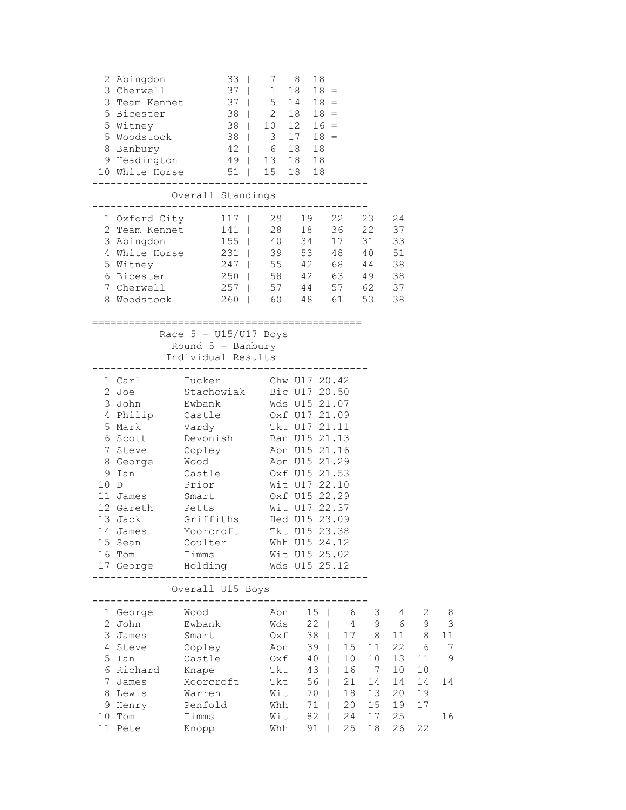|      | 2 Abingdon<br>3 Cherwell<br>3 Team Kennet<br>5 Bicester<br>5 Witney<br>5 Woodstock<br>8 Banbury                                                       | $33 \mid$<br>$37 \mid$<br>37   5 14<br>$38$  <br>9 Headington 49   13 18 18<br>10 White Horse 51   15 18 18                                                                                                                                                                                                                     | 7<br>$1 \quad 18$<br>$38$   2 18 18 =<br>$38$   10 12 16 =<br>$3 \t17 \t18 =$<br>42   6 18 18                                                        | 8<br>18<br>$18 =$<br>$18 =$                                                                                         |                                                           |                                                                                      |                                                                                    |                                                         |                                    |
|------|-------------------------------------------------------------------------------------------------------------------------------------------------------|---------------------------------------------------------------------------------------------------------------------------------------------------------------------------------------------------------------------------------------------------------------------------------------------------------------------------------|------------------------------------------------------------------------------------------------------------------------------------------------------|---------------------------------------------------------------------------------------------------------------------|-----------------------------------------------------------|--------------------------------------------------------------------------------------|------------------------------------------------------------------------------------|---------------------------------------------------------|------------------------------------|
|      |                                                                                                                                                       | Overall Standings                                                                                                                                                                                                                                                                                                               |                                                                                                                                                      |                                                                                                                     |                                                           |                                                                                      |                                                                                    |                                                         |                                    |
|      | 3 Abingdon<br>4 White Horse<br>5 Witney<br>6 Bicester<br>7 Cherwell<br>8 Woodstock                                                                    | 1 Oxford City 117   29<br>2 Team Kennet 141   28                                                                                                                                                                                                                                                                                | 155   40 34<br>231   39<br>231   39 53 48 40<br>247   55 42 68 44<br>250   58 42 63 49<br>$257$   57 44<br>260   60 48 61<br>;====================== | 19<br>18                                                                                                            | 22<br>36 22<br>17<br>57 62                                | 23<br>31<br>53                                                                       | 24<br>37<br>33<br>51<br>38<br>38<br>37<br>38                                       |                                                         |                                    |
|      |                                                                                                                                                       | Race $5 - U15/U17$ Boys<br>Round $5$ - Banbury<br>Individual Results<br>----------------------------                                                                                                                                                                                                                            |                                                                                                                                                      |                                                                                                                     |                                                           |                                                                                      |                                                                                    |                                                         |                                    |
| 10 D | 1 Carl<br>2 Joe<br>3 John<br>5 Mark<br>6 Scott 6<br>7 Steve<br>8 George<br>9 Ian<br>11 James<br>12 Gareth<br>13 Jack<br>14 James<br>15 Sean<br>16 Tom | Tucker<br>Stachowiak Bic U17 20.50<br>Ewbank<br>4 Philip Castle 0xf U17 21.09<br>Vardy Tkt U17 21.11<br>Devonish Ban U15 21.13<br>Copley<br>Wood<br>Castle<br>Prior<br>Smart<br>Petts<br>Griffiths Hed U15 23.09<br>Moorcroft<br>Coulter Whh U15 24.12<br>Timms<br>17 George Holding Mds U15 25.12<br>------------------------- | Wds U15 21.07<br>Abn U15 21.16<br>Wit U15 25.02<br>--------------------                                                                              | Chw U17 20.42<br>Abn U15 21.29<br>Oxf U15 21.53<br>Wit U17 22.10<br>Oxf U15 22.29<br>Wit U17 22.37<br>Tkt U15 23.38 |                                                           |                                                                                      |                                                                                    |                                                         |                                    |
|      |                                                                                                                                                       | Overall U15 Boys                                                                                                                                                                                                                                                                                                                |                                                                                                                                                      |                                                                                                                     |                                                           |                                                                                      |                                                                                    |                                                         |                                    |
|      | 1 George Wood<br>2 John<br>3 James<br>5 Ian<br>6 Richard<br>7 James<br>8 Lewis<br>9 Henry<br>10 Tom<br>11 Pete                                        | Ewbank<br>Smart<br>4 Steve Copley<br>Castle<br>Knape<br>Moorcroft<br>Warren<br>Penfold<br>Timms<br>Knopp                                                                                                                                                                                                                        | Abn<br>Wds<br>Oxf<br>Oxf<br>Tkt<br>Tkt<br>Wit<br>Whh<br>Wit<br>Whh                                                                                   | $15 \mid$<br>$22 \mid$<br>Abn 39  <br>$40 \mid$<br>43  <br>$56$  <br>$70$  <br>71  <br>$82 \mid$<br>$91$            | 38   17 8<br>15<br>10<br>16<br>21<br>18<br>20<br>24<br>25 | 6 3<br>4 9<br>11<br>10 <sub>1</sub><br>$7\overline{ }$<br>14<br>13<br>15<br>17<br>18 | $4\overline{ }$<br>$6\overline{6}$<br>22<br>13<br>10<br>14<br>20<br>19<br>25<br>26 | 2<br>9<br>11 8<br>6<br>11<br>10<br>14<br>19<br>17<br>22 | 8<br>3<br>11<br>7<br>9<br>14<br>16 |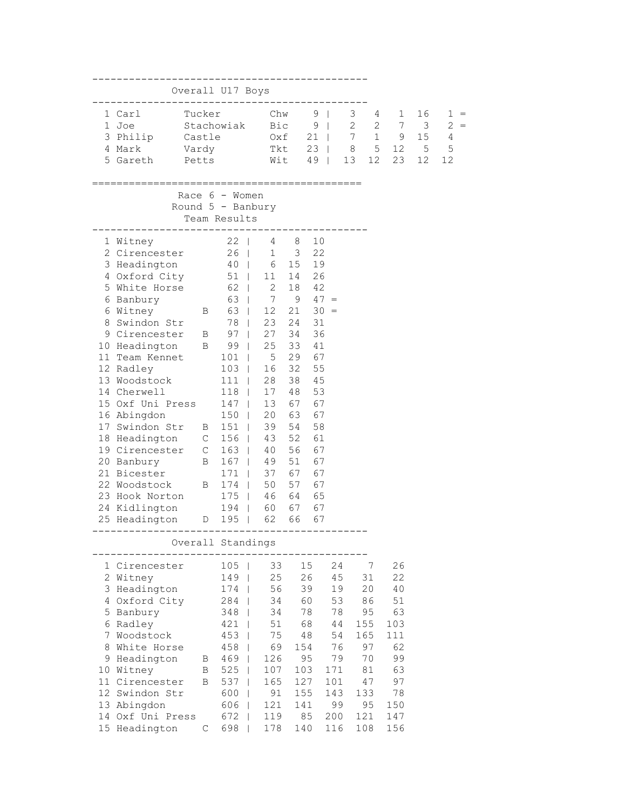|             |                                        |        | Overall U17 Boys                    |                 |             |                            |          |                             |             |         |                                 |
|-------------|----------------------------------------|--------|-------------------------------------|-----------------|-------------|----------------------------|----------|-----------------------------|-------------|---------|---------------------------------|
|             | 1 Carl<br>1 Joe                        | Tucker | Stachowiak                          |                 | Chw<br>Bic  | $9 \mid$<br>9 <sub>1</sub> |          | $3^{\circ}$<br>$2 \qquad 2$ | 4<br>1<br>7 | 16<br>3 | $1 =$<br>2<br>$\qquad \qquad =$ |
|             | 3 Philip                               | Castle |                                     |                 | 0xf 21      |                            |          | $7\quad1$                   | 9           | 15      | 4                               |
|             | 4 Mark<br>Vardy                        |        |                                     |                 | Tkt 23      |                            |          | 8                           | 5 12        | 5       | 5                               |
|             | 5 Gareth<br>Petts                      |        |                                     |                 | Wit         | 49                         | $\Box$   | 12<br>13                    | 23          | 12      | 12                              |
|             |                                        |        | Race $6 -$ Women                    |                 |             |                            |          |                             |             |         |                                 |
|             |                                        |        | Round $5$ - Banbury<br>Team Results |                 |             |                            |          |                             |             |         |                                 |
|             | 1 Witney                               |        | $22$                                | 4               | 8           | 10                         |          |                             |             |         |                                 |
|             | 2 Cirencester                          |        | 26                                  |                 | $1 \quad 3$ | 22                         |          |                             |             |         |                                 |
|             | 3 Headington                           |        | 40                                  | 6               |             | 15 19                      |          |                             |             |         |                                 |
|             | 4 Oxford City                          |        | $51$                                | 11              |             | 14 26                      |          |                             |             |         |                                 |
|             | 5 White Horse                          |        | 62                                  | $\overline{2}$  |             | 18 42                      |          |                             |             |         |                                 |
|             | 6 Banbury                              |        | 63                                  | $7\overline{ }$ | $9 \t 47 =$ |                            |          |                             |             |         |                                 |
|             | 6 Witney                               |        | B 63                                | 12              |             | $21 \t 30 =$               |          |                             |             |         |                                 |
| 8           | Swindon Str                            |        |                                     | 78   23         | 24          | 31                         |          |                             |             |         |                                 |
|             | 9 Cirencester B                        |        | $97 \mid$                           | 27              | 34          | 36                         |          |                             |             |         |                                 |
|             | 10 Headington B 99  <br>11 Team Kennet |        |                                     | 25<br>5         | 33<br>29    | 41<br>67                   |          |                             |             |         |                                 |
|             | 12 Radley                              |        | $101$  <br>$103$                    | 16              | 32          | 55                         |          |                             |             |         |                                 |
|             | 13 Woodstock                           |        | 111<br>$\overline{\phantom{0}}$     | 28              | 38          | 45                         |          |                             |             |         |                                 |
|             | 14 Cherwell                            |        | $118$                               | 17              | 48          | 53                         |          |                             |             |         |                                 |
|             | 15 Oxf Uni Press                       |        | $147$                               | 13              | 67          | 67                         |          |                             |             |         |                                 |
|             | 16 Abingdon                            |        | $150$                               | 20              | 63          | 67                         |          |                             |             |         |                                 |
|             | 17 Swindon Str B                       |        | $151$                               | 39              | 54          | 58                         |          |                             |             |         |                                 |
|             | 18 Headington C                        |        | $156$                               | 43              | 52          | 61                         |          |                             |             |         |                                 |
|             | 19 Cirencester C                       |        | $163$                               | 40              | 56          | 67                         |          |                             |             |         |                                 |
|             | 20 Banbury                             | B      | $167$                               | 49              | 51          | 67                         |          |                             |             |         |                                 |
|             | 21 Bicester                            |        | 171                                 | 37              | 67          | 67                         |          |                             |             |         |                                 |
|             | 22 Woodstock                           | B      | $174$                               | 50              | 57          | 67                         |          |                             |             |         |                                 |
|             | 23 Hook Norton                         |        | $175$                               | 46              | 64          | 65                         |          |                             |             |         |                                 |
|             | 24 Kidlington                          |        | 194                                 | 60              | 67          | 67                         |          |                             |             |         |                                 |
|             | 25 Headington D 195                    |        | $\Box$                              | 62              | 66          | 67                         |          |                             |             |         |                                 |
|             |                                        |        | Overall Standings                   |                 |             |                            |          |                             |             |         |                                 |
|             | 1 Cirencester                          |        | 105                                 | 33              |             | 15                         | 24       | 7                           | 26          |         |                                 |
|             | 2 Witney                               |        | 149                                 | 25              |             | 26                         | 45       | 31                          | 22          |         |                                 |
|             | 3 Headington<br>4 Oxford City          |        | 174<br>284                          | 56<br>34        |             | 39<br>60                   | 19<br>53 | 20<br>86                    | 40<br>51    |         |                                 |
|             | 5 Banbury                              |        | 348                                 | 34              |             | 78                         | 78       | 95                          | 63          |         |                                 |
|             | 6 Radley                               |        | 421                                 | 51              |             | 68                         | 44       | 155                         | 103         |         |                                 |
| $7^{\circ}$ | Woodstock                              |        | 453                                 | 75              |             | 48                         | 54       | 165                         | 111         |         |                                 |
| 8           | White Horse                            |        | 458                                 | 69              | 154         |                            | 76       | 97                          | 62          |         |                                 |
|             | 9 Headington                           | B      | 469                                 | 126             |             | 95                         | 79       | 70                          | 99          |         |                                 |
|             | 10 Witney                              | B      | 525                                 | 107             | 103         |                            | 171      | 81                          | 63          |         |                                 |
|             | 11 Cirencester                         | B      | 537                                 | 165             | 127         |                            | 101      | 47                          | 97          |         |                                 |
|             | 12 Swindon Str                         |        | 600                                 | 91              | 155         |                            | 143      | 133                         | 78          |         |                                 |
|             | 13 Abingdon                            |        | 606                                 | 121             | 141         |                            | 99       | 95                          | 150         |         |                                 |
|             | 14 Oxf Uni Press                       |        | 672                                 | 119             |             | 85                         | 200      | 121                         | 147         |         |                                 |
|             | 15 Headington                          | С      | 698                                 | 178             | 140         |                            | 116      | 108                         | 156         |         |                                 |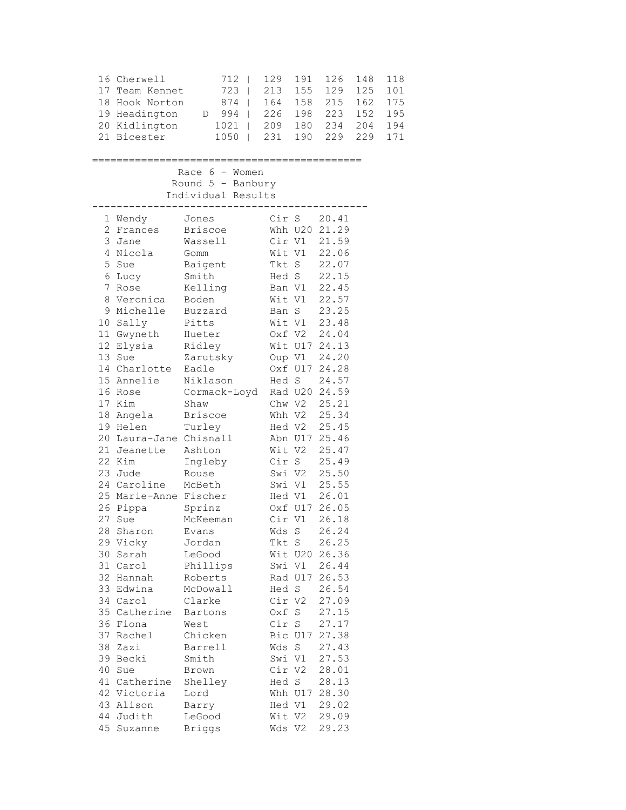| 17 | 16 Cherwell<br>Team Kennet<br>18 Hook Norton<br>19 Headington<br>20 Kidlington<br>21 Bicester | 712<br>$\mathbf{I}$<br>723<br>T<br>874<br>994<br>D<br>T<br>1021<br>T<br>1050<br>$\overline{\phantom{a}}$ | 129<br>213<br>164 158<br>226 198<br>209<br>231 | 191<br>155<br>180<br>190 | 126<br>129<br>215<br>223<br>234<br>229 | 148<br>125<br>162<br>152<br>204<br>229 | 118<br>101<br>175<br>195<br>194<br>171 |
|----|-----------------------------------------------------------------------------------------------|----------------------------------------------------------------------------------------------------------|------------------------------------------------|--------------------------|----------------------------------------|----------------------------------------|----------------------------------------|
|    |                                                                                               | Race $6 -$ Women<br>Round 5 - Banbury                                                                    |                                                |                          |                                        |                                        |                                        |
|    |                                                                                               | Individual Results                                                                                       |                                                |                          |                                        |                                        |                                        |
|    | 1 Wendy                                                                                       | Jones                                                                                                    | Cir S                                          |                          | 20.41                                  |                                        |                                        |
| 2  | Frances                                                                                       | <b>Briscoe</b>                                                                                           |                                                |                          | Whh U20 21.29                          |                                        |                                        |
| 3  | Jane                                                                                          | Wassell                                                                                                  |                                                | Cir V1                   | 21.59                                  |                                        |                                        |
| 4  | Nicola                                                                                        | Gomm                                                                                                     | Wit V1                                         |                          | 22.06                                  |                                        |                                        |
| 5  | Sue                                                                                           | Baigent                                                                                                  |                                                | Tkt S                    | 22.07                                  |                                        |                                        |
| 6  | Lucy                                                                                          | Smith                                                                                                    |                                                | Hed S                    | 22.15                                  |                                        |                                        |
| 7  | Rose                                                                                          | Kelling                                                                                                  |                                                | Ban V1                   | 22.45                                  |                                        |                                        |
| 8  | Veronica                                                                                      | Boden                                                                                                    |                                                | Wit V1                   | 22.57                                  |                                        |                                        |
|    | 9 Michelle                                                                                    | Buzzard                                                                                                  |                                                | Ban S                    | 23.25                                  |                                        |                                        |
| 10 | Sally                                                                                         | Pitts                                                                                                    | Wit V1                                         |                          | 23.48                                  |                                        |                                        |
|    | 11 Gwyneth                                                                                    | Hueter                                                                                                   |                                                | Oxf V2                   | 24.04                                  |                                        |                                        |
|    | 12 Elysia                                                                                     | Ridley                                                                                                   |                                                |                          | Wit U17 24.13                          |                                        |                                        |
|    | 13 Sue                                                                                        | Zarutsky                                                                                                 |                                                | Oup V1                   | 24.20                                  |                                        |                                        |
|    | 14 Charlotte                                                                                  | Eadle                                                                                                    |                                                |                          | Oxf U17 24.28                          |                                        |                                        |
|    | 15 Annelie                                                                                    | Niklason                                                                                                 | Hed S                                          |                          | 24.57                                  |                                        |                                        |
|    | 16 Rose                                                                                       | Cormack-Loyd Rad U20 24.59                                                                               |                                                |                          |                                        |                                        |                                        |
|    | 17 Kim<br>18 Angela                                                                           | Shaw<br><b>Briscoe</b>                                                                                   |                                                | Chw V2<br>Whh V2         | 25.21<br>25.34                         |                                        |                                        |
|    | 19 Helen                                                                                      | Turley                                                                                                   |                                                | Hed V2                   | 25.45                                  |                                        |                                        |
|    | 20 Laura-Jane Chisnall                                                                        |                                                                                                          |                                                |                          | Abn U17 25.46                          |                                        |                                        |
|    | 21 Jeanette                                                                                   | Ashton                                                                                                   |                                                | Wit V2                   | 25.47                                  |                                        |                                        |
|    | 22 Kim                                                                                        | Ingleby                                                                                                  | Cir S                                          |                          | 25.49                                  |                                        |                                        |
|    | 23 Jude                                                                                       | Rouse                                                                                                    | Swi V2                                         |                          | 25.50                                  |                                        |                                        |
|    | 24 Caroline                                                                                   | McBeth                                                                                                   |                                                | Swi V1                   | 25.55                                  |                                        |                                        |
|    | 25 Marie-Anne Fischer                                                                         |                                                                                                          |                                                | Hed V1                   | 26.01                                  |                                        |                                        |
| 26 | Pippa                                                                                         | Sprinz                                                                                                   |                                                |                          | Oxf U17 26.05                          |                                        |                                        |
| 27 | Sue                                                                                           | McKeeman                                                                                                 | Cir V1                                         |                          | 26.18                                  |                                        |                                        |
| 28 | Sharon                                                                                        | Evans                                                                                                    | Wds S                                          |                          | 26.24                                  |                                        |                                        |
|    | 29 Vicky                                                                                      | Jordan                                                                                                   | Tkt S                                          |                          | 26.25                                  |                                        |                                        |
| 30 | Sarah                                                                                         | LeGood                                                                                                   |                                                |                          | Wit U20 26.36                          |                                        |                                        |
|    | 31 Carol                                                                                      | Phillips                                                                                                 |                                                | Swi V1                   | 26.44                                  |                                        |                                        |
|    | 32 Hannah                                                                                     | Roberts                                                                                                  |                                                |                          | Rad U17 26.53                          |                                        |                                        |
| 33 | Edwina                                                                                        | McDowall                                                                                                 | Hed S                                          |                          | 26.54                                  |                                        |                                        |
|    | 34 Carol                                                                                      | Clarke                                                                                                   |                                                | Cir V2                   | 27.09                                  |                                        |                                        |
|    | 35 Catherine                                                                                  | Bartons                                                                                                  | Oxf S                                          |                          | 27.15                                  |                                        |                                        |
|    | 36 Fiona                                                                                      | West                                                                                                     | Cir S                                          |                          | 27.17                                  |                                        |                                        |
| 37 | Rachel                                                                                        | Chicken                                                                                                  |                                                |                          | Bic U17 27.38                          |                                        |                                        |
| 38 | Zazi                                                                                          | Barrell                                                                                                  | Wds S                                          |                          | 27.43                                  |                                        |                                        |
|    | 39 Becki                                                                                      | Smith                                                                                                    | Swi V1                                         |                          | 27.53                                  |                                        |                                        |
| 40 | Sue                                                                                           | Brown                                                                                                    | Cir V2                                         |                          | 28.01                                  |                                        |                                        |
|    | 41 Catherine                                                                                  | Shelley                                                                                                  | Hed S                                          |                          | 28.13                                  |                                        |                                        |
| 43 | 42 Victoria                                                                                   | Lord                                                                                                     |                                                |                          | Whh U17 28.30                          |                                        |                                        |
| 44 | Alison<br>Judith                                                                              | Barry<br>LeGood                                                                                          |                                                | Hed V1<br>Wit V2         | 29.02<br>29.09                         |                                        |                                        |
|    | 45 Suzanne                                                                                    | <b>Briggs</b>                                                                                            |                                                | Wds V2                   | 29.23                                  |                                        |                                        |
|    |                                                                                               |                                                                                                          |                                                |                          |                                        |                                        |                                        |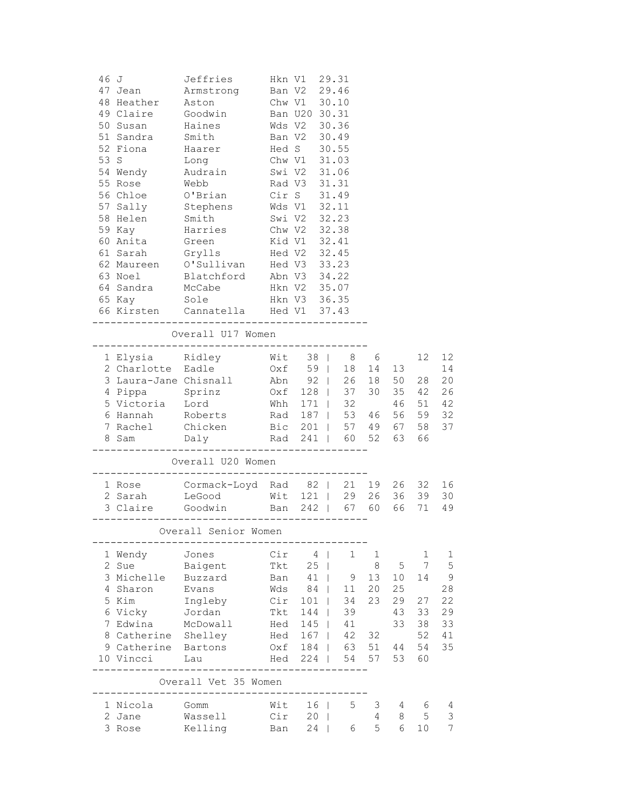| 46 J |                       | Jeffries                                           |     | Hkn V1                                       |              | 29.31                                  |              |    |                |                |
|------|-----------------------|----------------------------------------------------|-----|----------------------------------------------|--------------|----------------------------------------|--------------|----|----------------|----------------|
|      | 47 Jean               | Armstrong                                          |     | Ban V2 29.46                                 |              |                                        |              |    |                |                |
|      | 48 Heather            | Aston                                              |     | Chw V1 30.10                                 |              |                                        |              |    |                |                |
|      | 49 Claire Goodwin     |                                                    |     | Ban U20 30.31                                |              |                                        |              |    |                |                |
|      | 50 Susan              | Haines                                             |     | Wds V2 30.36                                 |              |                                        |              |    |                |                |
|      | 51 Sandra             | Smith                                              |     | Ban V2 30.49                                 |              |                                        |              |    |                |                |
|      | 52 Fiona              | Haarer                                             |     | Hed S 30.55                                  |              |                                        |              |    |                |                |
|      | 53 S                  | Long                                               |     | Chw V1 31.03                                 |              |                                        |              |    |                |                |
|      | 54 Wendy              | Audrain                                            |     | Swi V2 31.06                                 |              |                                        |              |    |                |                |
|      | 55 Rose               | Webb                                               |     | Rad V3 31.31                                 |              |                                        |              |    |                |                |
|      | 56 Chloe              | O'Brian                                            |     | Cir S 31.49                                  |              |                                        |              |    |                |                |
|      | 57 Sally Stephens     |                                                    |     | Wds V1 32.11                                 |              |                                        |              |    |                |                |
|      | 58 Helen Smith        |                                                    |     | Swi V2 32.23                                 |              |                                        |              |    |                |                |
|      | 59 Kay                | Harries                                            |     | Chw V2 32.38                                 |              |                                        |              |    |                |                |
|      | 60 Anita              | Green                                              |     | Kid V1 32.41                                 |              |                                        |              |    |                |                |
|      | 61 Sarah              | Grylls                                             |     | Hed V2 32.45                                 |              |                                        |              |    |                |                |
|      | 62 Maureen            | O'Sullivan                                         |     | Hed V3 33.23<br>Abn V3 34.22<br>Hkn V2 35.07 |              |                                        |              |    |                |                |
|      | 63 Noel               | Blatchford                                         |     |                                              |              |                                        |              |    |                |                |
|      | 64 Sandra             | McCabe                                             |     |                                              |              |                                        |              |    |                |                |
|      | 65 Kay                | Sole                                               |     | Hkn V3 36.35                                 |              |                                        |              |    |                |                |
|      |                       | 66 Kirsten Cannatella Hed V1 37.43                 |     |                                              |              |                                        |              |    |                |                |
|      |                       | ------------------------------                     |     |                                              |              |                                        |              |    |                |                |
|      |                       | Overall U17 Women<br>_____________________________ |     |                                              |              |                                        |              |    |                |                |
|      | 1 Elysia Ridley       |                                                    |     | Wit 38                                       |              | 8                                      | 6            |    | 12             | 12             |
|      | 2 Charlotte Eadle     |                                                    |     |                                              |              |                                        |              |    |                | 14             |
|      | 3 Laura-Jane Chisnall |                                                    |     |                                              |              | 0xf 59   18 14 13<br>Abn 92   26 18 50 |              |    | 28             | 20             |
|      | 4 Pippa Sprinz        |                                                    |     |                                              |              | Oxf 128   37 30                        |              | 35 | 42             | 26             |
|      | 5 Victoria Lord       |                                                    |     |                                              |              | Whh 171   32                           |              | 46 | 51             | 42             |
|      | 6 Hannah Roberts      |                                                    |     |                                              |              | Rad 187   53 46                        |              | 56 | 59             | 32             |
|      |                       | 7 Rachel Chicken Bic 201   57 49 67                |     |                                              |              |                                        |              |    | 58             | 37             |
|      | 8 Sam Daly            |                                                    |     |                                              |              | Rad 241   60 52                        |              | 63 | 66             |                |
|      |                       |                                                    |     |                                              |              | ----------------                       |              |    |                |                |
|      |                       | Overall U20 Women                                  |     |                                              |              |                                        |              |    |                |                |
|      | 1 Rose                | Cormack-Loyd Rad 82   21 19                        |     |                                              |              |                                        |              | 26 | 32             | 16             |
|      | 2 Sarah               | Wit 121   29 26<br>LeGood                          |     |                                              |              |                                        |              | 36 | 39             | 30             |
|      | 3 Claire              | Goodwin                                            |     |                                              |              | Ban 242   67 60                        |              | 66 | 71             | 49             |
|      |                       |                                                    |     |                                              |              |                                        |              |    |                |                |
|      |                       | Overall Senior Women                               |     |                                              |              |                                        |              |    |                |                |
|      | 1 Wendy               | Jones                                              | Cir | $4 \mid$                                     |              | 1                                      | $\mathbf{1}$ |    | 1              | 1              |
|      | 2 Sue                 | Baigent                                            | Tkt | 25                                           | $\mathbf{I}$ |                                        | 8            | 5  | $\overline{7}$ | 5              |
|      | 3 Michelle            | Buzzard                                            | Ban | 41                                           |              | 9                                      | 13           | 10 | 14             | $\overline{9}$ |
|      | 4 Sharon              | Evans                                              | Wds | 84                                           |              | 11                                     | 20           | 25 |                | 28             |
|      | 5 Kim                 | Ingleby                                            |     | Cir 101                                      |              | 34                                     | 23           | 29 | 27             | 22             |
|      | 6 Vicky               | Jordan                                             |     | Tkt 144                                      |              | 39                                     |              | 43 | 33             | 29             |
|      | 7 Edwina              | McDowall                                           |     | Hed 145                                      |              | 41                                     |              | 33 | 38             | 33             |
|      | 8 Catherine Shelley   |                                                    |     | Hed 167                                      |              |                                        | 42 32        |    | 52             | 41             |
|      | 9 Catherine Bartons   |                                                    |     |                                              |              | Oxf 184   63 51                        |              | 44 | 54             | 35             |
|      | 10 Vincci             | Lau                                                |     | Hed 224                                      |              |                                        | 54 57        | 53 | 60             |                |
|      |                       | Overall Vet 35 Women                               |     |                                              |              |                                        |              |    |                |                |
|      |                       |                                                    |     |                                              |              |                                        |              |    |                |                |
|      | 1 Nicola              | Gomm                                               | Wit | 16 <sup>1</sup>                              |              | 5                                      | 3            | 4  | - 6            | 4              |
|      | 2 Jane                | Wassell                                            |     | Cir 20                                       |              |                                        | 4            | 8  | 5              | 3              |
|      | 3 Rose                | Kelling<br>Ban 24                                  |     |                                              |              | 6                                      | 5            | 6  | 10             | $\overline{7}$ |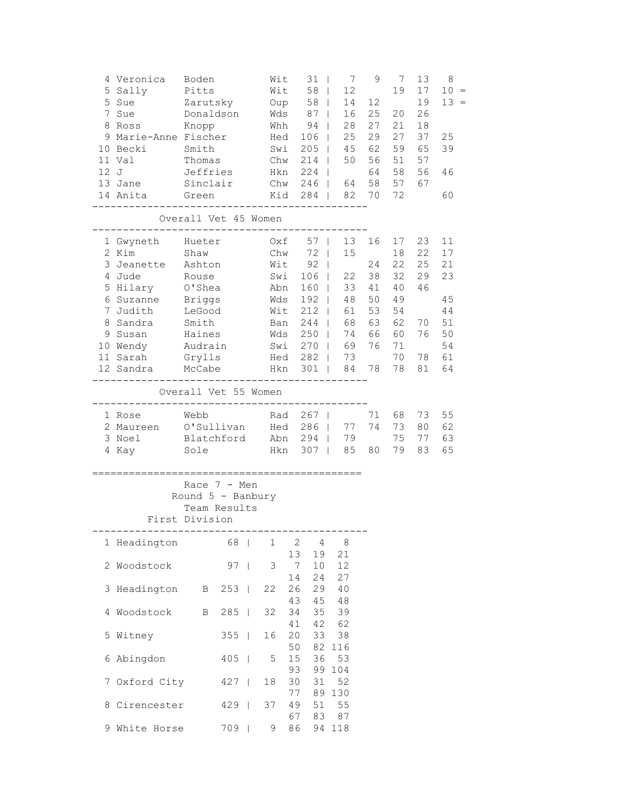|   | 4 Veronica<br>5 Sally Pitts<br>5 Suits<br>5 Sue 2 Zarutsky<br>Donaldson Wds 87  <br>7 Sue<br>8 Ross Knopp Mhh 94  <br>9 Marie-Anne Fischer Hed<br>10 Becki Smith<br>11 Val<br>12 J<br>13 Jane<br>14 Anita | Boden<br>Thomas Chw<br>Jeffries<br>Sinclair<br>Green                                          |           |              | $Oup$ 58  <br>Hkn | Swi            | Wit $31$  <br>$Wit$ 58  <br>$106$  <br>$205$  <br>214<br>224 | $7\overline{ }$<br>12<br>$\mathbb{R}$<br>$\mathbb{R}^n$<br>Chw 246   64 58<br>Kid 284   82 70 72 | 9<br>14 12<br>16 25<br>28 27<br>25 29<br>45 62<br>50 56<br>64 | $7\overline{ }$<br>19<br>21<br>27<br>59 | 13<br>17<br>19<br>20 26<br>18<br>37<br>65<br>51 57<br>58 56<br>57 67 | 8<br>$10 =$<br>13<br>$=$<br>25<br>39<br>46<br>60 |
|---|-----------------------------------------------------------------------------------------------------------------------------------------------------------------------------------------------------------|-----------------------------------------------------------------------------------------------|-----------|--------------|-------------------|----------------|--------------------------------------------------------------|--------------------------------------------------------------------------------------------------|---------------------------------------------------------------|-----------------------------------------|----------------------------------------------------------------------|--------------------------------------------------|
|   | Overall Vet 45 Women<br>__________________________________                                                                                                                                                |                                                                                               |           |              |                   |                |                                                              |                                                                                                  |                                                               |                                         |                                                                      |                                                  |
|   | 1 Gwyneth Hueter 0xf 57   13 16<br>2 Kim<br>3 Jeanette Ashton<br>4 Jude<br>5 Hilary                                                                                                                       | Shaw<br>Rouse<br>O'Shea                                                                       |           |              |                   |                | Chw 72  <br>Wit 92  <br>Swi 106  <br>$160$                   |                                                                                                  | 15<br>24<br>22 38<br>33 41                                    | 18<br>40                                | 17 23<br>22<br>22 25<br>32 29<br>46                                  | 11<br>17<br>21<br>23                             |
|   | 6 Suzanne                                                                                                                                                                                                 | Briggs                                                                                        |           |              | Abn<br>Wds        |                | $192$                                                        | 48                                                                                               | 50                                                            | 49                                      |                                                                      | 45                                               |
|   | 7 Judith<br>8 Sandra Smith<br>9 Susan Haines<br>10 Wendy Audrain Swi 270   69<br>11 Sarah Grylls Hed 282   73<br>12 Sandra McCabe                                                                         | LeGood                                                                                        |           |              | Wit<br>Ban<br>Wds | Hkn 301        | $212$  <br>$244$  <br>$250$                                  | 61<br>68<br>$\mathbb{R}^n$                                                                       | 53<br>63<br>74 66<br>76<br>84 78                              | 54<br>62<br>60                          | 70<br>76<br>71<br>70 78<br>78 81                                     | 44<br>51<br>50<br>54<br>61<br>64                 |
|   |                                                                                                                                                                                                           |                                                                                               |           |              |                   |                |                                                              |                                                                                                  |                                                               |                                         |                                                                      |                                                  |
|   |                                                                                                                                                                                                           | Overall Vet 55 Women                                                                          |           |              |                   |                |                                                              |                                                                                                  |                                                               |                                         |                                                                      |                                                  |
|   | 1 Rose Mebb Rad 267  <br>2 Maureen O'Sullivan Hed 286  <br>3 Noel Blatchford Abn 294   79<br>4 Kay 501e 50 Hkn 307   85 80                                                                                |                                                                                               |           |              |                   |                |                                                              |                                                                                                  | 71<br>77 74                                                   | 68  <br>73                              | 73<br>80<br>75 77<br>79 83                                           | 55<br>62<br>63<br>65                             |
|   | First Division                                                                                                                                                                                            | Race $7 - Men$<br>Round $5$ - Banbury<br>Team Results<br>------------------------------------ |           |              |                   |                |                                                              |                                                                                                  |                                                               |                                         |                                                                      |                                                  |
|   | 1 Headington                                                                                                                                                                                              |                                                                                               | 68        |              | 1                 | 2              | 4                                                            | 8                                                                                                |                                                               |                                         |                                                                      |                                                  |
| 2 | Woodstock                                                                                                                                                                                                 |                                                                                               | $97 \mid$ |              | 3                 | 13<br>7<br>14  | 19<br>10<br>24                                               | 21<br>12<br>27                                                                                   |                                                               |                                         |                                                                      |                                                  |
| 3 | Headington                                                                                                                                                                                                | Β                                                                                             | 253       | $\mathbf{1}$ | 22                | 26             | 29                                                           | 40                                                                                               |                                                               |                                         |                                                                      |                                                  |
| 4 | Woodstock                                                                                                                                                                                                 | Β                                                                                             | 285       | $\mathbf{I}$ | 32                | 43<br>34<br>41 | 45<br>35<br>42                                               | 48<br>39<br>62                                                                                   |                                                               |                                         |                                                                      |                                                  |
| 5 | Witney                                                                                                                                                                                                    |                                                                                               | 355       | $\perp$      | 16                | 20<br>50       | 33<br>82                                                     | 38<br>116                                                                                        |                                                               |                                         |                                                                      |                                                  |
|   | 6 Abingdon                                                                                                                                                                                                |                                                                                               | 405       | $\perp$      | 5                 | 15<br>93       | 36<br>99                                                     | 53<br>104                                                                                        |                                                               |                                         |                                                                      |                                                  |
| 7 | Oxford City                                                                                                                                                                                               |                                                                                               | 427       | $\mathbf{I}$ | 18                | 30<br>77       | 31<br>89                                                     | 52<br>130                                                                                        |                                                               |                                         |                                                                      |                                                  |
|   | 8 Cirencester                                                                                                                                                                                             |                                                                                               | 429       | $\Box$       | 37                | 49<br>67       | 51<br>83                                                     | 55<br>87                                                                                         |                                                               |                                         |                                                                      |                                                  |
|   | 9 White Horse                                                                                                                                                                                             |                                                                                               | 709       |              | $\mathsf 9$       | 86             |                                                              | 94 118                                                                                           |                                                               |                                         |                                                                      |                                                  |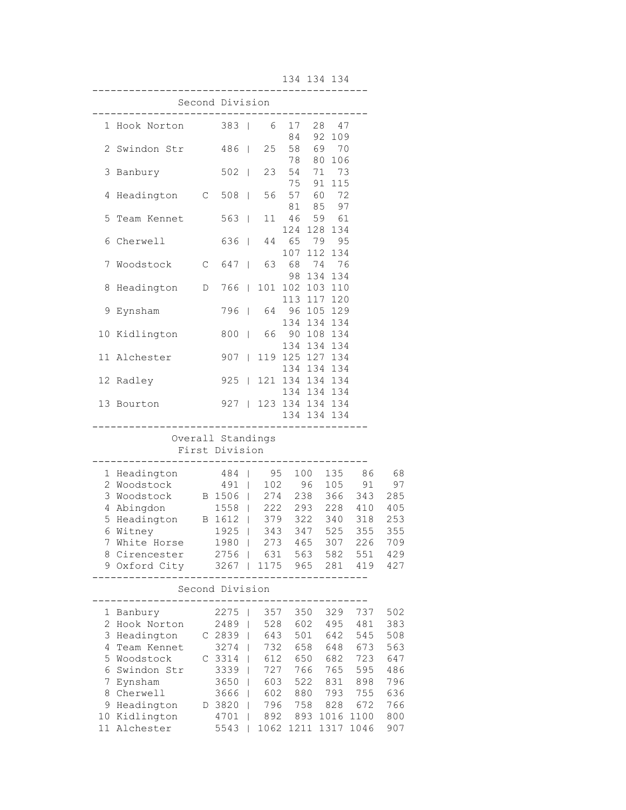134 134 134

|   |                                                         |                                |                | ---------- |                   |                                |              |                     |     |
|---|---------------------------------------------------------|--------------------------------|----------------|------------|-------------------|--------------------------------|--------------|---------------------|-----|
|   |                                                         | Second Division<br>----------- |                |            |                   |                                |              |                     |     |
|   | 1 Hook Norton 383                                       |                                |                | 6          | 17<br>84          | 28                             | 47<br>92 109 |                     |     |
|   | 2 Swindon Str                                           | 486                            |                | 25         | 78                | 58 69 70                       | 80 106       |                     |     |
| 3 | Banbury                                                 | $502$                          |                | 23         | 75                | 54 71 73<br>91                 | 115          |                     |     |
| 4 | Headington C                                            | $508$                          |                | 56         |                   | 57 60 72<br>81 85 97           |              |                     |     |
| 5 | Team Kennet                                             | $563$                          |                | 11         | 46                | 59<br>124 128 134              | 61           |                     |     |
| 6 | Cherwell                                                | 636                            |                | 44         |                   | 65 79 95<br>107 112 134        |              |                     |     |
| 7 | Woodstock C 647                                         |                                |                | 63 —       | 98                | 68 74 76<br>134                | 134          |                     |     |
| 8 | Headington D 766                                        |                                |                |            | 113               | 101 102 103 110                | 117 120      |                     |     |
| 9 | Eynsham                                                 | 796                            |                | 64         |                   | 96 105 129<br>134 134 134      |              |                     |     |
|   | 10 Kidlington                                           | 800                            | $\mathbb{R}^n$ | 66         | 134               | 90 108 134                     | 134 134      |                     |     |
|   | 11 Alchester                                            | $907$                          |                |            |                   | 119 125 127 134<br>134 134 134 |              |                     |     |
|   | 12 Radley                                               | $925$                          |                |            |                   | 121 134 134 134<br>134 134 134 |              |                     |     |
|   | 13 Bourton                                              | $927$                          |                |            |                   | 123 134 134 134<br>134 134 134 |              |                     |     |
|   |                                                         | Overall Standings              |                |            |                   | ----------                     |              |                     |     |
|   |                                                         | First Division                 |                |            |                   |                                |              |                     |     |
|   | 1 Headington                                            | 484                            |                | 95         |                   | 100                            | 135          | 86                  | 68  |
| 2 | Woodstock                                               | 491                            |                |            | 102 96<br>274 238 |                                | 105          | 91                  | 97  |
| 3 | Woodstock                                               | B 1506  <br>1558               |                |            |                   |                                | 366          | 343                 | 285 |
| 4 | Abingdon                                                | 1558                           |                |            |                   |                                |              | $222$ 293 228 410   | 405 |
| 5 | $Headington \qquad B 1612 \mid 379 \quad 322 \quad 340$ |                                |                |            |                   |                                |              | 318                 | 253 |
| 6 | Witney                                                  | 1925   343 347 525             |                |            |                   |                                |              | 355                 | 355 |
|   | 7 White Horse                                           | 1980                           |                |            | 273 465           |                                | 307          | 226                 | 709 |
|   | 8 Cirencester 2756   631 563 582 551 429                |                                |                |            |                   |                                |              |                     |     |
|   | 9 Oxford City 3267   1175 965 281 419 427               |                                |                |            |                   |                                |              |                     |     |
|   |                                                         | Second Division                |                |            |                   |                                |              |                     |     |
|   | 1 Banbury                                               | 2275                           |                |            |                   |                                |              | 357 350 329 737     | 502 |
|   | 2 Hook Norton                                           | 2489                           |                |            |                   |                                |              | 528 602 495 481     | 383 |
|   |                                                         |                                |                |            |                   |                                | 642          | 545                 | 508 |
| 4 | Team Kennet                                             | $3274$                         |                |            | 732 658           |                                | 648          | 673                 | 563 |
| 5 | Woodstock                                               | $C_3314$                       |                |            | 612 650           |                                | 682          | 723                 | 647 |
| 6 | Swindon Str                                             | 3339                           |                |            | 727 766           |                                | 765          | 595                 | 486 |
| 7 | Eynsham                                                 | 3650                           |                |            | 603 522           |                                |              | 831 898             | 796 |
| 8 | Cherwell                                                | $3666$                         |                | 602        |                   |                                |              | 880 793 755         | 636 |
|   | 9 Headington                                            | D 3820                         |                |            |                   |                                |              | 796 758 828 672     | 766 |
|   | 10 Kidlington                                           | 4701                           |                |            |                   |                                |              | 892 893 1016 1100   | 800 |
|   | 11 Alchester                                            | 5543                           |                |            |                   |                                |              | 1062 1211 1317 1046 | 907 |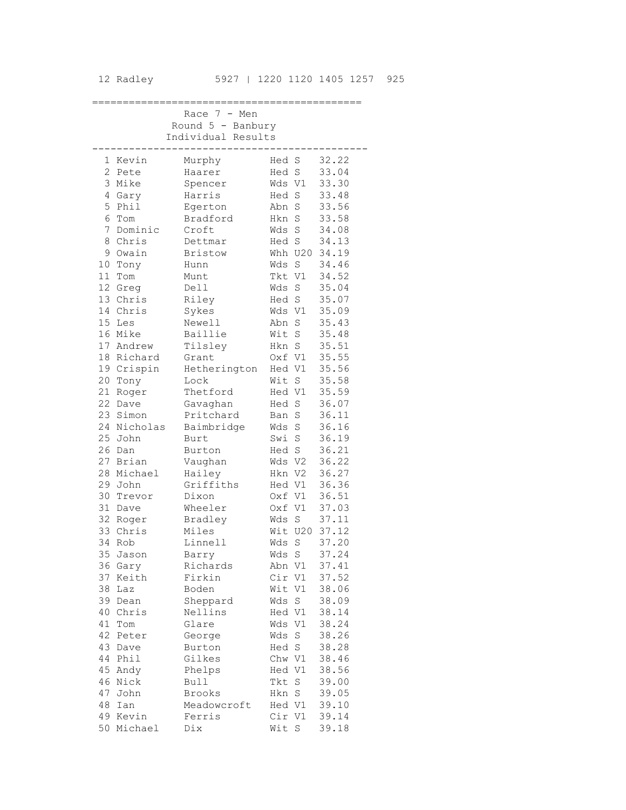|    |                   | Race 7 -<br>Men     |               |             |                |
|----|-------------------|---------------------|---------------|-------------|----------------|
|    |                   | Round $5$ - Banbury |               |             |                |
|    |                   | Individual Results  |               |             |                |
| 1  | Kevin             | Murphy              | Hed S         |             | 32.22          |
|    | 2 Pete            | Haarer              | Hed S         |             | 33.04          |
|    | 3 Mike            | Spencer             | Wds V1        |             | 33.30          |
|    | 4 Gary            | Harris              | Hed S         |             | 33.48          |
|    | 5 Phil            | Egerton             | Abn           | $\rm S$     | 33.56          |
|    | 6 Tom             | Bradford            | Hkn           | S           | 33.58          |
| 7  | Dominic           | Croft               | Wds           | $\rm S$     | 34.08          |
| 8  | Chris             | Dettmar             | Hed S         |             | 34.13          |
| 9  | Owain             | <b>Bristow</b>      |               | Whh U20     | 34.19          |
|    | 10 Tony           | Hunn                | Wds           | S           | 34.46          |
|    | 11 Tom            | Munt                | Tkt V1        |             | 34.52          |
|    | 12 Greg           | Dell                | Wds           | $\rm S$     | 35.04          |
|    | 13 Chris          | Riley               | Hed S         |             | 35.07          |
|    | 14 Chris          | Sykes               | Wds V1        |             | 35.09          |
|    | 15 Les            | Newell              | Abn           | S           | 35.43          |
|    | 16 Mike           | Baillie             | Wit           | S           | 35.48          |
|    | 17 Andrew         | Tilsley             | Hkn           | S           | 35.51          |
|    | 18 Richard        | Grant               | Oxf V1        |             | 35.55          |
|    | 19 Crispin        | Hetherington        | Hed V1        |             | 35.56          |
|    | 20 Tony           | Lock                | Wit           | $\mathbf S$ | 35.58          |
|    | 21 Roger          | Thetford            | Hed V1        |             | 35.59          |
|    | 22 Dave           | Gavaghan            | Hed           | $\rm S$     | 36.07          |
|    | 23 Simon          | Pritchard           | Ban           | S           | 36.11          |
|    | 24 Nicholas       | Baimbridge          | Wds           | S           | 36.16          |
|    | 25 John           | Burt                | Swi           | $\rm S$     | 36.19          |
| 26 | Dan               | Burton              | Hed S         |             | 36.21          |
| 27 | Brian             | Vaughan             | Wds V2        |             | 36.22          |
|    | 28 Michael        | Hailey              | Hkn V2        |             | 36.27          |
|    | 29 John           | Griffiths           | Hed V1        |             | 36.36          |
|    | 30 Trevor         | Dixon               | Oxf V1        |             | 36.51          |
| 31 | Dave              | Wheeler             | Oxf V1        |             | 37.03          |
| 33 | 32 Roger<br>Chris | Bradley<br>Miles    | Wds<br>Wit    | S<br>U20    | 37.11<br>37.12 |
| 34 | Rob               | Linnell             | Wds           | S           | 37.20          |
| 35 | Jason             |                     |               | S           |                |
|    | 36 Gary           | Barry<br>Richards   | Wds<br>Abn V1 |             | 37.24<br>37.41 |
|    | 37 Keith          | Firkin              | Cir V1        |             | 37.52          |
|    | 38 Laz            | Boden               | Wit V1        |             | 38.06          |
|    | 39 Dean           | Sheppard            | Wds           | S           | 38.09          |
|    | 40 Chris          | Nellins             | Hed V1        |             | 38.14          |
| 41 | Tom               | Glare               | Wds V1        |             | 38.24          |
| 42 | Peter             | George              | Wds           | S           | 38.26          |
| 43 | Dave              | Burton              | Hed S         |             | 38.28          |
|    | 44 Phil           | Gilkes              | Chw V1        |             | 38.46          |
|    | 45 Andy           | Phelps              | Hed V1        |             | 38.56          |
|    | 46 Nick           | <b>Bull</b>         | Tkt           | S           | 39.00          |
| 47 | John              | <b>Brooks</b>       | Hkn S         |             | 39.05          |
| 48 | Ian               | Meadowcroft         | Hed V1        |             | 39.10          |
|    | 49 Kevin          | Ferris              | Cir V1        |             | 39.14          |
| 50 | Michael           | Dix                 | Wit S         |             | 39.18          |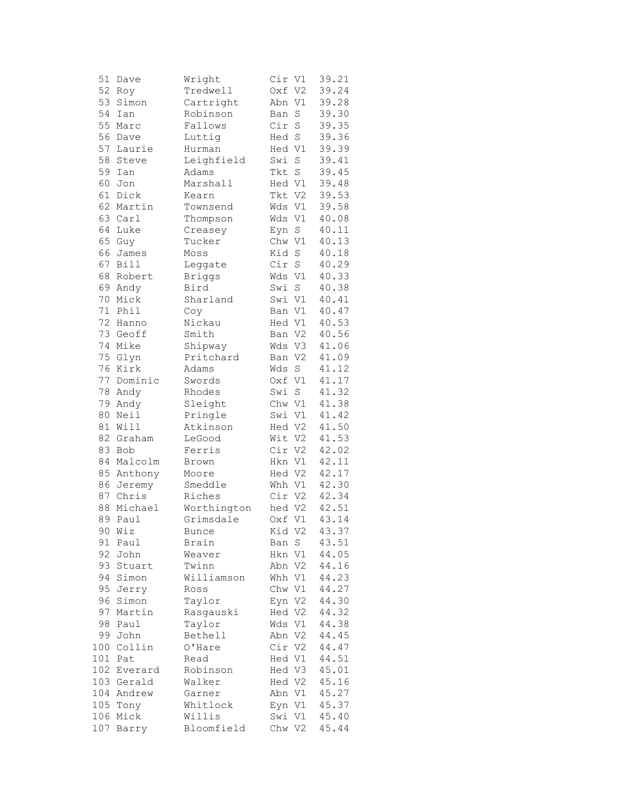| 51  | Dave       | Wright        | Cir    | V1                 | 39.21 |
|-----|------------|---------------|--------|--------------------|-------|
| 52  | Roy        | Tredwell      | Oxf V2 |                    | 39.24 |
| 53  | Simon      | Cartright     | Abn    | V1                 | 39.28 |
| 54  | Ian        | Robinson      | Ban    | $\mathbf S$        | 39.30 |
| 55  | Marc       | Fallows       | Cir    | $\mathbf S$        | 39.35 |
| 56  | Dave       | Luttig        | Hed S  |                    | 39.36 |
| 57  | Laurie     | Hurman        | Hed V1 |                    | 39.39 |
| 58  | Steve      | Leighfield    | Swi    | $\rm S$            | 39.41 |
| 59  | Ian        | Adams         | Tkt    | $\mathbb S$        | 39.45 |
| 60  | Jon        | Marshall      | Hed V1 |                    | 39.48 |
| 61  | Dick       | Kearn         | Tkt V2 |                    | 39.53 |
| 62  | Martin     | Townsend      | Wds    | V1                 | 39.58 |
| 63  | Carl       | Thompson      | Wds    | V1                 | 40.08 |
| 64  | Luke       | Creasey       | Eyn S  |                    | 40.11 |
| 65  | Guy        | Tucker        | Chw V1 |                    | 40.13 |
| 66  | James      | Moss          | Kid S  |                    | 40.18 |
| 67  | Bill       | Leggate       | Cir    | $\rm S$            | 40.29 |
| 68  | Robert     |               | Wds V1 |                    | 40.33 |
|     |            | <b>Briggs</b> |        |                    |       |
| 69  | Andy       | Bird          | Swi    | $\mathbf S$        | 40.38 |
| 70  | Mick       | Sharland      | Swi V1 |                    | 40.41 |
| 71  | Phil       | Coy           | Ban V1 |                    | 40.47 |
| 72  | Hanno      | Nickau        | Hed V1 |                    | 40.53 |
| 73  | Geoff      | Smith         | Ban    | V <sub>2</sub>     | 40.56 |
| 74  | Mike       | Shipway       | Wds    | V3                 | 41.06 |
| 75  | Glyn       | Pritchard     | Ban V2 |                    | 41.09 |
| 76  | Kirk       | Adams         | Wds    | $\rm S$            | 41.12 |
| 77  | Dominic    | Swords        | Oxf V1 |                    | 41.17 |
| 78  | Andy       | Rhodes        | Swi    | $\operatorname{S}$ | 41.32 |
| 79  | Andy       | Sleight       | Chw V1 |                    | 41.38 |
| 80  | Neil       | Pringle       | Swi    | V1                 | 41.42 |
| 81  | Will       | Atkinson      | Hed V2 |                    | 41.50 |
| 82  | Graham     | LeGood        | Wit    | V2                 | 41.53 |
| 83  | Bob        | Ferris        | Cir    | V <sub>2</sub>     | 42.02 |
| 84  | Malcolm    | Brown         | Hkn V1 |                    | 42.11 |
| 85  | Anthony    | Moore         | Hed V2 |                    | 42.17 |
| 86  | Jeremy     | Smeddle       | Whh V1 |                    | 42.30 |
| 87  | Chris      | Riches        | Cir V2 |                    | 42.34 |
| 88  | Michael    | Worthington   | hed V2 |                    | 42.51 |
| 89  | Paul       | Grimsdale     | Oxf V1 |                    | 43.14 |
| 90  | Wiz        | Bunce         | Kid V2 |                    | 43.37 |
| 91  | Paul       | Brain         | Ban S  |                    | 43.51 |
| 92  | John       | Weaver        | Hkn    | V1                 | 44.05 |
| 93  | Stuart     | Twinn         | Abn    | V <sub>2</sub>     | 44.16 |
| 94  | Simon      | Williamson    | Whh V1 |                    | 44.23 |
| 95  | Jerry      | Ross          | Chw V1 |                    | 44.27 |
| 96  | Simon      | Taylor        | Eyn V2 |                    | 44.30 |
| 97  | Martin     | Rasgauski     | Hed V2 |                    | 44.32 |
| 98  | Paul       | Taylor        | Wds    | V1                 | 44.38 |
| 99  | John       | Bethell       | Abn    | V <sub>2</sub>     | 44.45 |
| 100 | Collin     | O'Hare        | Cir    | V2                 | 44.47 |
| 101 | Pat        | Read          | Hed V1 |                    | 44.51 |
| 102 | Everard    | Robinson      | Hed V3 |                    | 45.01 |
| 103 | Gerald     | Walker        | Hed V2 |                    | 45.16 |
|     | 104 Andrew | Garner        | Abn V1 |                    | 45.27 |
| 105 | Tony       | Whitlock      | Eyn V1 |                    | 45.37 |
| 106 | Mick       | Willis        | Swi    | V1                 | 45.40 |
| 107 | Barry      | Bloomfield    | Chw V2 |                    | 45.44 |
|     |            |               |        |                    |       |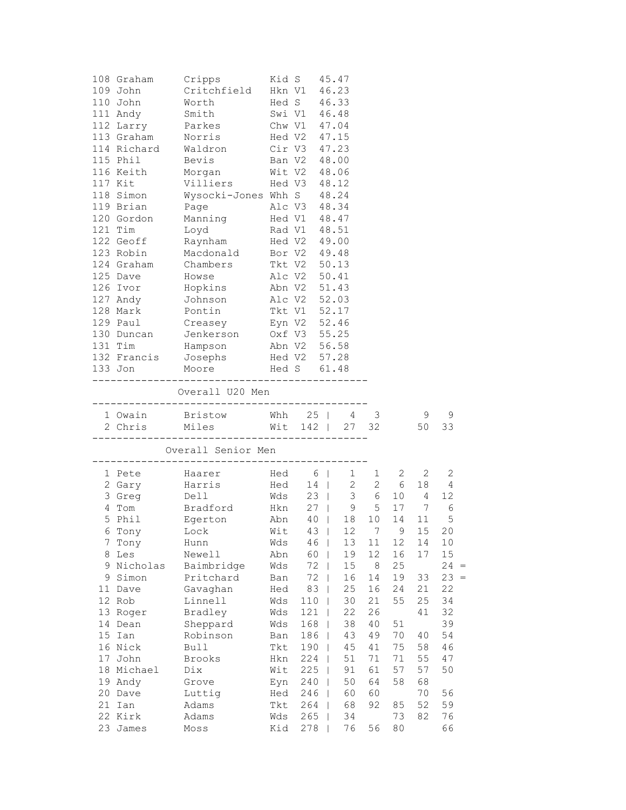|    | 108 Graham          | Cripps                           |     | Kid S             | 45.47       |         |                                                          |                                                                    |              |
|----|---------------------|----------------------------------|-----|-------------------|-------------|---------|----------------------------------------------------------|--------------------------------------------------------------------|--------------|
|    | 109 John            | Critchfield                      |     | Hkn V1            | 46.23       |         |                                                          |                                                                    |              |
|    | 110 John            | Worth                            |     | Hed S             | 46.33       |         |                                                          |                                                                    |              |
|    | 111 Andy            | Smith                            |     | Swi V1 46.48      |             |         |                                                          |                                                                    |              |
|    | 112 Larry           | Parkes                           |     | Chw V1 47.04      |             |         |                                                          |                                                                    |              |
|    | 113 Graham          | Norris                           |     | Hed V2 47.15      |             |         |                                                          |                                                                    |              |
|    | 114 Richard Waldron |                                  |     | Cir V3 47.23      |             |         |                                                          |                                                                    |              |
|    | 115 Phil            | Bevis                            |     | Ban V2 48.00      |             |         |                                                          |                                                                    |              |
|    | 116 Keith           | Morgan                           |     | Wit V2 48.06      |             |         |                                                          |                                                                    |              |
|    | 117 Kit             | Villiers                         |     | Hed V3            | 48.12       |         |                                                          |                                                                    |              |
|    | 118 Simon           | Wysocki-Jones Whh S              |     |                   | 48.24       |         |                                                          |                                                                    |              |
|    | 119 Brian           | Page                             |     | Alc V3            | 48.34       |         |                                                          |                                                                    |              |
|    | 120 Gordon          | Manning                          |     | Hed V1 48.47      |             |         |                                                          |                                                                    |              |
|    | 121 Tim             | Loyd                             |     | Rad V1 48.51      |             |         |                                                          |                                                                    |              |
|    | 122 Geoff           | Raynham Hed V2 49.00             |     |                   |             |         |                                                          |                                                                    |              |
|    | 123 Robin           | Macdonald                        |     | Bor V2 49.48      |             |         |                                                          |                                                                    |              |
|    | 124 Graham          | Chambers                         |     |                   |             |         |                                                          |                                                                    |              |
|    | 125 Dave            |                                  |     | Tkt V2            | 50.13       |         |                                                          |                                                                    |              |
|    |                     | Howse                            |     | Alc V2            | 50.41       |         |                                                          |                                                                    |              |
|    | 126 Ivor            | Hopkins                          |     | Abn V2 51.43      |             |         |                                                          |                                                                    |              |
|    | 127 Andy            | Johnson                          |     | Alc V2 52.03      |             |         |                                                          |                                                                    |              |
|    | 128 Mark            | Pontin                           |     | Tkt V1 52.17      |             |         |                                                          |                                                                    |              |
|    | 129 Paul            | Creasey                          |     | Eyn V2 52.46      |             |         |                                                          |                                                                    |              |
|    | 130 Duncan          | Jenkerson Oxf V3 55.25           |     |                   |             |         |                                                          |                                                                    |              |
|    | 131 Tim             | Hampson                          |     | Abn V2 56.58      |             |         |                                                          |                                                                    |              |
|    |                     | 132 Francis Josephs Hed V2 57.28 |     |                   |             |         |                                                          |                                                                    |              |
|    | 133 Jon             | Moore                            |     | Hed S 61.48       |             |         |                                                          |                                                                    |              |
|    |                     | Overall U20 Men                  |     |                   |             |         |                                                          |                                                                    |              |
|    |                     | 1 Owain Bristow Whh 25   4 3     |     |                   |             |         |                                                          | 9                                                                  | 9            |
|    |                     | 2 Chris Miles Wit 142   27 32    |     |                   |             |         |                                                          | 50                                                                 | 33           |
|    |                     | Overall Senior Men               |     | ____________      |             |         |                                                          |                                                                    |              |
|    | 1 Pete              | Haarer                           |     |                   |             |         | $2^{\circ}$                                              | 2                                                                  | $\mathbf{2}$ |
|    | 2 Gary              | Harris                           |     | Hed 6  <br>Hed 14 |             |         | $\begin{array}{cccc} 1 & 1 & 2 \\ 2 & 2 & 6 \end{array}$ | 18                                                                 | 4            |
|    | 3 Greg              | Dell                             |     | $Wds$ 23          |             |         |                                                          | $\begin{array}{cccc} 2 & 2 & 6 & 18 \\ 3 & 6 & 10 & 4 \end{array}$ | 12           |
|    | 4 Tom               | Bradford                         |     |                   | Hkn 27   9  |         | 5 17                                                     | 7                                                                  | 6            |
|    | 5 Phil              | Egerton                          |     |                   | Abn 40   18 | 10      | 14                                                       | 11                                                                 | 5            |
|    | 6 Tony              | Lock Wit 43                      |     |                   |             | 12 7    | 9                                                        | 15 20                                                              |              |
| 7  | Tony                | Hunn                             | Wds | 46                | 13          | 11      | 12                                                       | 14                                                                 | 10           |
| 8  | Les                 | Newell                           | Abn | 60                | 19          | 12      | 16                                                       | 17                                                                 | 15           |
|    | 9 Nicholas          | Baimbridge                       | Wds | 72                | 15          | $\,8\,$ | 25                                                       |                                                                    | 24<br>$=$    |
| 9  | Simon               | Pritchard                        | Ban | 72                | 16          | 14      | 19                                                       | 33                                                                 | $23 =$       |
| 11 |                     | Gavaghan                         |     | 83                | 25          | 16      | 24                                                       | 21                                                                 | 22           |
|    | Dave<br>12 Rob      | Linnell                          | Hed |                   | $30$        | 21      | 55                                                       |                                                                    | 34           |
|    |                     |                                  | Wds | 110               |             |         |                                                          | 25                                                                 |              |
| 13 | Roger               | Bradley                          | Wds | 121               | 22          | 26      |                                                          | 41                                                                 | 32           |
|    | 14 Dean             | Sheppard                         | Wds | 168               | 38          | 40      | 51                                                       |                                                                    | 39           |
| 15 | Ian                 | Robinson                         | Ban | 186               | 43          | 49      | 70                                                       | 40                                                                 | 54           |
|    | 16 Nick             | <b>Bull</b>                      | Tkt | 190               | 45          | 41      | 75                                                       | 58                                                                 | 46           |
| 17 | John                | Brooks                           | Hkn | 224               | 51          | 71      | 71                                                       | 55                                                                 | 47           |
|    | 18 Michael          | Dix                              | Wit | 225               | 91          | 61      | 57                                                       | 57                                                                 | 50           |
|    | 19 Andy             | Grove                            | Eyn | 240               | 50          | 64      | 58                                                       | 68                                                                 |              |
|    | 20 Dave             | Luttig                           | Hed | 246               | 60          | 60      |                                                          | 70                                                                 | 56           |
| 21 | Ian                 | Adams                            | Tkt | 264               | 68          | 92      | 85                                                       | 52                                                                 | 59           |
|    | 22 Kirk             | Adams                            | Wds | 265               | 34          |         | 73                                                       | 82                                                                 | 76           |
| 23 | James               | $M \circ s s$                    | Kid | 278               | 76          | 56      | 80                                                       |                                                                    | 66           |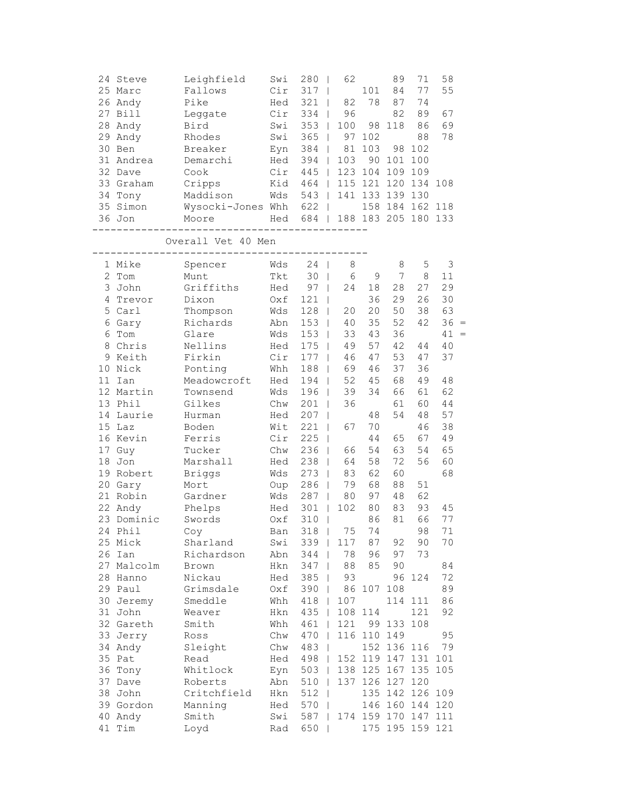|                | 24 Steve   | Leighfield         | Swi | 280                  | 62                           |                 | 89          | 71                  | 58     |     |
|----------------|------------|--------------------|-----|----------------------|------------------------------|-----------------|-------------|---------------------|--------|-----|
|                | 25 Marc    | Fallows            | Cir | 317                  | I                            | 101             | 84          | 77                  | 55     |     |
|                | 26 Andy    | Pike               | Hed | 321                  | 82<br>$\mathbf{I}$           | 78              | 87          | 74                  |        |     |
| 27             | Bill       | Leggate            | Cir | 334                  | 96<br>$\mathbf{I}$           |                 | 82          | 89                  | 67     |     |
| 28             | Andy       | Bird               | Swi | 353                  | 100<br>$\mathbf{I}$          | 98              | 118         | 86                  | 69     |     |
| 29             | Andy       | Rhodes             | Swi | 365                  | 97<br>$\mathbf{I}$           | 102             |             | 88                  | 78     |     |
| 30             | Ben        | Breaker            | Eyn | 384                  | 81                           | 103             | 98          | 102                 |        |     |
|                | 31 Andrea  | Demarchi           | Hed | 394                  | 103<br>$\mathbf{I}$          | 90              | 101         | 100                 |        |     |
|                | 32 Dave    | Cook               | Cir | 445                  | 123<br>$\mathbf{I}$          | 104             | 109         | 109                 |        |     |
|                | 33 Graham  | Cripps             | Kid | 464                  | 115<br>$\perp$               | 121 120         |             | 134 108             |        |     |
|                | 34 Tony    | Maddison           | Wds | 543<br>$\Box$        | 141                          | 133 139         |             | 130                 |        |     |
|                | 35 Simon   | Wysocki-Jones Whh  |     | 622<br>$\Box$        |                              |                 | 158 184     | 162 118             |        |     |
|                | 36 Jon     | Moore              | Hed | 684                  |                              |                 |             | 188 183 205 180 133 |        |     |
|                |            | Overall Vet 40 Men |     |                      |                              |                 |             |                     |        |     |
|                | 1 Mike     | Spencer            | Wds | 24<br>$\blacksquare$ | 8                            |                 | 8           | 5                   | 3      |     |
| $\overline{2}$ | Tom        | Munt               | Tkt | 30                   | $\epsilon$<br>$\overline{1}$ | $\mathsf 9$     | 7           | 8                   | 11     |     |
|                | 3 John     | Griffiths          | Hed | 97                   | 24<br>$\mathbf{I}$           | 18              | 28          | 27                  | 29     |     |
|                | 4 Trevor   | Dixon              | Oxf | 121                  | $\overline{\phantom{a}}$     | 36              | 29          | 26                  | 30     |     |
|                | 5 Carl     | Thompson           | Wds | 128                  | 20<br>$\perp$                | 20              | 50          | 38                  | 63     |     |
| 6              | Gary       | Richards           | Abn | 153                  | 40<br>$\mathbf{I}$           | 35              | 52          | 42                  | $36 =$ |     |
| 6              | Tom        | Glare              | Wds | 153                  | 33<br>$\mathbf{I}$           | 43              | 36          |                     | 41     | $=$ |
| 8              | Chris      | Nellins            | Hed | 175                  | 49                           | 57              | 42          | 44                  | 40     |     |
|                | 9 Keith    | Firkin             | Cir | 177                  | 46                           | 47              | 53          | 47                  | 37     |     |
| 10             | Nick       | Ponting            | Whh | 188                  | 69                           | 46              | 37          | 36                  |        |     |
| 11             | Ian        | Meadowcroft        | Hed | 194                  | 52                           | 45              | 68          | 49                  | 48     |     |
|                | 12 Martin  | Townsend           | Wds | 196                  | 39<br>$\overline{1}$         | 34              | 66          | 61                  | 62     |     |
|                | 13 Phil    | Gilkes             | Chw | 201                  | 36<br>$\overline{1}$         |                 | 61          | 60                  | 44     |     |
|                | 14 Laurie  | Hurman             | Hed | 207                  | T                            | 48              | 54          | 48                  | 57     |     |
|                | 15 Laz     | Boden              | Wit | 221                  | 67<br>$\mathbf{I}$           | 70              |             | 46                  | 38     |     |
|                | 16 Kevin   | Ferris             | Cir | 225                  |                              | 44              | 65          | 67                  | 49     |     |
| 17             | Guy        | Tucker             | Chw | 236                  | 66                           | 54              | 63          | 54                  | 65     |     |
| 18             | Jon        | Marshall           | Hed | 238                  | 64                           | 58              | 72          | 56                  | 60     |     |
| 19             | Robert     | <b>Briggs</b>      | Wds | 273                  | 83                           | 62              | 60          |                     | 68     |     |
|                | 20 Gary    | Mort               | Oup | 286                  | 79                           | 68              | 88          | 51                  |        |     |
| 21             | Robin      | Gardner            | Wds | 287                  | 80<br>$\overline{1}$         | 97              | 48          | 62                  |        |     |
|                | 22 Andy    | Phelps             | Hed | 301                  | 102<br>$\overline{1}$        | 80              | 83          | 93                  | 45     |     |
|                | 23 Dominic | Swords             | Oxf | 310                  |                              | 86              | 81          | 66                  | 77     |     |
|                | 24 Phil    | Соу                | Ban | $318$                | $7\,5$                       | 74              |             | 98                  | 71     |     |
|                | 25 Mick    | Sharland           | Swi | $339$                | 117                          | 87 92           |             | 90                  | 70     |     |
|                | 26 Ian     | Richardson         | Abn | 344                  | 78                           | 96              | 97          | 73                  |        |     |
|                | 27 Malcolm | Brown              | Hkn | 347                  | 88                           | 85              | 90          |                     | 84     |     |
|                | 28 Hanno   | Nickau             | Hed | 385                  | 93                           |                 | 96          | 124                 | 72     |     |
|                | 29 Paul    | Grimsdale          | Oxf | 390<br>$\Box$        | 86                           | 107 108         |             |                     | 89     |     |
|                | 30 Jeremy  | Smeddle            | Whh | 418<br>$\Box$        | 107                          |                 | 114         | 111                 | 86     |     |
|                | 31 John    | Weaver             | Hkn | 435<br>$\Box$        | 108                          | 114             |             | 121                 | 92     |     |
|                | 32 Gareth  | Smith              | Whh | 461<br>$\Box$        | 121                          |                 | 99 133      | 108                 |        |     |
|                | 33 Jerry   | Ross               | Chw | 470<br>$\Box$        | 116                          | 110 149         |             |                     | 95     |     |
|                | 34 Andy    | Sleight            | Chw | 483                  |                              |                 | 152 136 116 |                     | 79     |     |
|                | 35 Pat     | Read               | Hed | 498                  |                              |                 |             | 152 119 147 131 101 |        |     |
|                | 36 Tony    | Whitlock           | Eyn | $503$                |                              |                 |             | 138 125 167 135 105 |        |     |
|                | 37 Dave    | Roberts            | Abn | 510                  |                              | 137 126 127 120 |             |                     |        |     |
|                | 38 John    | Critchfield        | Hkn | 512                  |                              |                 |             | 135 142 126 109     |        |     |
|                | 39 Gordon  | Manning            | Hed | 570                  |                              |                 |             | 146 160 144 120     |        |     |
|                | 40 Andy    | Smith              | Swi | 587                  |                              |                 |             | 174 159 170 147 111 |        |     |
|                | 41 Tim     | Loyd               | Rad | 650                  |                              |                 |             | 175 195 159 121     |        |     |
|                |            |                    |     |                      |                              |                 |             |                     |        |     |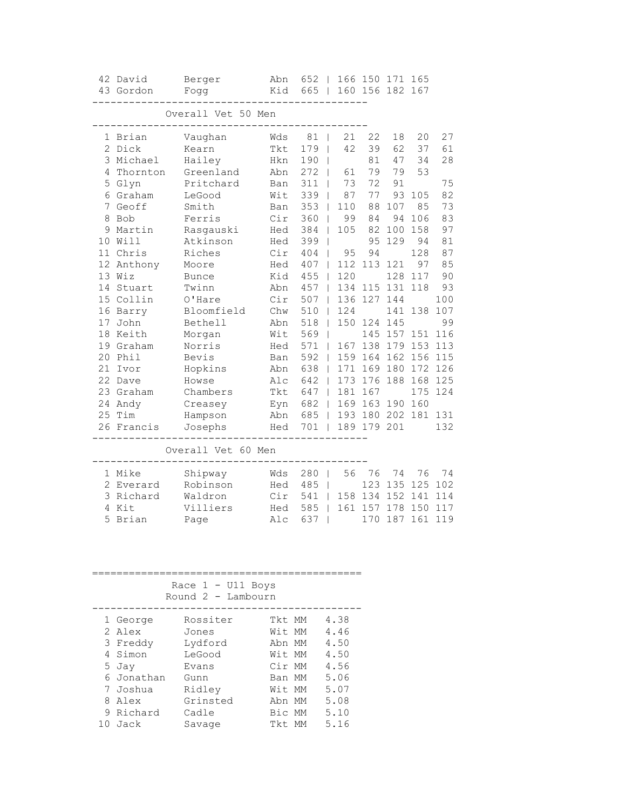|                                          | 42 David<br>43 Gordon                                                                                                                                                                                                                                 | Berger<br>Fogg                                                                                                                                                                                                                                         | Abn<br>Kid                                                                                                                                                    | $652$  <br>665                                                                                                                                               | $\mathbf{I}$                                                                            | 166 150 171 165<br>160 156 182 167                                                                                                                                       |                                                                                                              |                                                                                                                                       |                                                                                                                                          |
|------------------------------------------|-------------------------------------------------------------------------------------------------------------------------------------------------------------------------------------------------------------------------------------------------------|--------------------------------------------------------------------------------------------------------------------------------------------------------------------------------------------------------------------------------------------------------|---------------------------------------------------------------------------------------------------------------------------------------------------------------|--------------------------------------------------------------------------------------------------------------------------------------------------------------|-----------------------------------------------------------------------------------------|--------------------------------------------------------------------------------------------------------------------------------------------------------------------------|--------------------------------------------------------------------------------------------------------------|---------------------------------------------------------------------------------------------------------------------------------------|------------------------------------------------------------------------------------------------------------------------------------------|
|                                          |                                                                                                                                                                                                                                                       | Overall Vet 50 Men                                                                                                                                                                                                                                     |                                                                                                                                                               |                                                                                                                                                              |                                                                                         |                                                                                                                                                                          |                                                                                                              |                                                                                                                                       |                                                                                                                                          |
| 2<br>5<br>8<br>9<br>10<br>17<br>20<br>21 | 1 Brian<br>Dick<br>3 Michael<br>4 Thornton<br>Glyn<br>6 Graham<br>7 Geoff<br>Bob<br>Martin<br>Will<br>11 Chris<br>12 Anthony<br>13 Wiz<br>14 Stuart<br>15 Collin<br>16 Barry<br>John<br>18 Keith<br>19 Graham<br>Phil<br>Ivor<br>22 Dave<br>23 Graham | Vaughan<br>Kearn<br>Hailey<br>Greenland<br>Pritchard<br>LeGood<br>Smith<br>Ferris<br>Rasgauski<br>Atkinson<br>Riches<br>Moore<br><b>Bunce</b><br>Twinn<br>O'Hare<br>Bloomfield<br>Bethell<br>Morgan<br>Norris<br>Bevis<br>Hopkins<br>Howse<br>Chambers | Wds<br>Tkt<br>Hkn<br>Abn<br>Ban<br>Wit<br>Ban<br>Cir<br>Hed<br>Hed<br>Cir<br>Hed<br>Kid<br>Abn<br>Cir<br>Chw<br>Abn<br>Wit<br>Hed<br>Ban<br>Abn<br>Alc<br>Tkt | 81<br>179<br>190<br>272<br>311<br>339<br>353<br>360<br>384<br>399<br>404<br>407<br>455<br>457<br>507<br>510<br>518<br>569<br>571<br>592<br>638<br>642<br>647 | 21<br>42<br>61<br>73<br>87<br>110<br>99<br>105<br>95<br>112<br>120<br>124<br>171<br>173 | 22<br>39<br>81<br>79<br>72<br>77<br>88<br>84<br>82<br>95<br>94<br>113<br>134 115 131<br>136 127 144<br>150 124 145<br>145<br>167 138<br>159 164<br>169<br>176<br>181 167 | 18<br>62<br>47<br>79<br>91<br>93<br>107<br>94<br>100<br>129<br>121<br>128<br>141<br>179<br>162<br>180<br>188 | 20<br>37<br>34<br>53<br>105<br>85<br>106<br>158<br>94<br>128<br>97<br>117<br>118<br>138<br>157 151<br>153<br>156<br>172<br>168<br>175 | 27<br>61<br>28<br>75<br>82<br>73<br>83<br>97<br>81<br>87<br>85<br>90<br>93<br>100<br>107<br>99<br>116<br>113<br>115<br>126<br>125<br>124 |
|                                          | 24 Andy<br>25 Tim<br>26 Francis                                                                                                                                                                                                                       | Creasey<br>Hampson<br>Josephs                                                                                                                                                                                                                          | Eyn<br>Abn<br>Hed                                                                                                                                             | 682<br>685<br>701                                                                                                                                            |                                                                                         | 169 163 190<br>193 180 202 181<br>189 179 201                                                                                                                            |                                                                                                              | 160                                                                                                                                   | 131<br>132                                                                                                                               |
|                                          |                                                                                                                                                                                                                                                       | Overall Vet 60 Men                                                                                                                                                                                                                                     |                                                                                                                                                               |                                                                                                                                                              |                                                                                         |                                                                                                                                                                          |                                                                                                              |                                                                                                                                       |                                                                                                                                          |
| 5                                        | 1 Mike<br>2 Everard<br>3 Richard<br>4 Kit<br>Brian                                                                                                                                                                                                    | Shipway<br>Robinson<br>Waldron<br>Villiers<br>Page                                                                                                                                                                                                     | Wds<br>Hed<br>Cir<br>Hed<br>Alc                                                                                                                               | 280<br>485<br>541<br>585<br>637                                                                                                                              | 56                                                                                      | 76<br>123<br>158 134<br>161 157 178<br>170                                                                                                                               | 74<br>135<br>152                                                                                             | 76<br>125<br>141<br>150<br>187 161                                                                                                    | 74<br>102<br>114<br>117<br>119                                                                                                           |
|                                          |                                                                                                                                                                                                                                                       | Race $1 - U11$ Boys<br>Round 2 - Lambourn                                                                                                                                                                                                              |                                                                                                                                                               |                                                                                                                                                              |                                                                                         |                                                                                                                                                                          |                                                                                                              |                                                                                                                                       |                                                                                                                                          |
|                                          | 1 George<br>2 Alex<br>3 Freddy<br>4 Simon<br>5 Jay<br>6 Jonathan<br>7 Joshua<br>8 Alex<br>9 Richard<br>10 Jack                                                                                                                                        | Rossiter<br>Jones<br>Lydford<br>LeGood<br>Evans<br>Gunn<br>Ridley<br>Grinsted<br>Cadle<br>Savage                                                                                                                                                       | Tkt MM<br>Wit MM<br>Abn MM<br>Wit MM<br>Cir MM<br>Ban MM<br>Wit MM<br>Abn MM<br>Bic MM<br>Tkt MM                                                              |                                                                                                                                                              | 4.38<br>4.46<br>4.50<br>4.50<br>4.56<br>5.06<br>5.07<br>5.08<br>5.10<br>5.16            |                                                                                                                                                                          |                                                                                                              |                                                                                                                                       |                                                                                                                                          |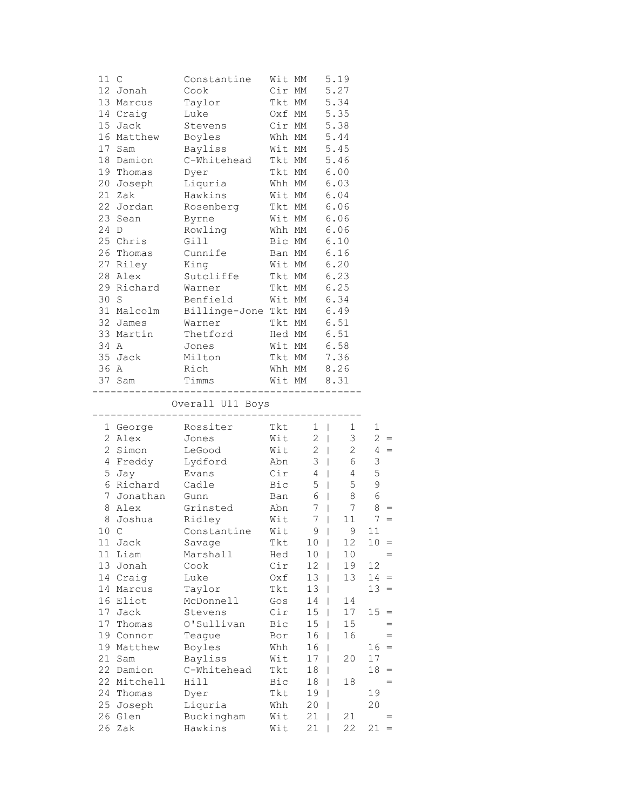|          | 11 C            | Constantine                                |            | Wit MM            | 5.19                                                                              |                |
|----------|-----------------|--------------------------------------------|------------|-------------------|-----------------------------------------------------------------------------------|----------------|
|          | 12 Jonah        | Cook                                       |            | Cir MM            | 5.27                                                                              |                |
|          | 13 Marcus       | Taylor                                     |            | Tkt MM            | 5.34                                                                              |                |
|          | 14 Craig        | Luke                                       |            | Oxf MM            | 5.35                                                                              |                |
|          | 15 Jack         | Stevens                                    |            | Cir MM 5.38       |                                                                                   |                |
|          | 16 Matthew      | Boyles                                     |            | Whh MM            | 5.44                                                                              |                |
|          | 17 Sam          | Bayliss                                    |            | Wit MM            | 5.45                                                                              |                |
|          | 18 Damion       | C-Whitehead Tkt MM                         |            |                   | 5.46                                                                              |                |
|          | 19 Thomas       | Dyer                                       |            | Tkt MM            | 6.00                                                                              |                |
|          | 20 Joseph       |                                            |            | Whh MM            | 6.03                                                                              |                |
|          | 21 Zak          | <i>u</i> rer<br>Liquria<br>Hawkins         |            | Wit MM            | 6.04                                                                              |                |
|          | 22 Jordan       | Rosenberg                                  |            | Tkt MM            | 6.06                                                                              |                |
|          | 23 Sean         | Byrne                                      |            | Wit MM            | 6.06                                                                              |                |
|          | 24 D            | Rowling Whh MM                             |            |                   | 6.06                                                                              |                |
|          | 25 Chris        | Gill                                       |            | Bic MM            | 6.10                                                                              |                |
|          | 26 Thomas       | Cunnife                                    |            | Ban MM            | 6.16                                                                              |                |
|          | 27 Riley        | King                                       | Wit MM     |                   | 6.20                                                                              |                |
|          | 28 Alex         | Sutcliffe                                  | Tkt MM     |                   | 6.23                                                                              |                |
|          | 29 Richard      |                                            |            | Tkt MM            | 6.25                                                                              |                |
| 30       | S               | Warner                                     |            | Wit MM            | 6.34                                                                              |                |
|          |                 | Benfield                                   |            |                   |                                                                                   |                |
|          | 31 Malcolm      | Billinge-Jone Tkt MM                       |            |                   | 6.49                                                                              |                |
|          | 32 James        | Tkt MM<br>Warner                           |            |                   | 6.51                                                                              |                |
|          | 33 Martin       | Thetford                                   |            | Hed MM 6.51       |                                                                                   |                |
| 34 A     |                 | Jones                                      |            | Wit MM 6.58       |                                                                                   |                |
|          | 35 Jack         | Milton                                     |            | Tkt MM            | 7.36                                                                              |                |
|          | 36 A            | Rich                                       | Whh MM     |                   | 8.26                                                                              |                |
|          | 37 Sam          | Timms                                      |            | Wit MM 8.31       |                                                                                   |                |
|          |                 |                                            |            |                   |                                                                                   |                |
|          |                 | Overall U11 Boys<br>-------------          |            | _________________ |                                                                                   |                |
|          |                 | 1 George Rossiter                          |            | Tkt 1             | $1 \quad$                                                                         | 1              |
|          | 2 Alex          | Jones                                      |            | $W$ it 2          | 3 <sup>7</sup>                                                                    | $2 =$          |
|          | 2 Simon         | LeGood                                     |            | $Wit$ 2           | $2\overline{ }$                                                                   | $4 =$          |
|          | 4 Freddy        | Lydford                                    | Abn        |                   | $6\overline{6}$                                                                   | 3              |
|          | 5 Jay           | Evans                                      | .<br>Cir   |                   | $\begin{array}{c c} 3 &   & \\ 4 &   & \\ 5 &   & \end{array}$<br>$4\overline{ }$ | 5              |
|          |                 |                                            |            |                   | $5\overline{)}$                                                                   | $\mathsf 9$    |
|          |                 |                                            |            |                   |                                                                                   |                |
|          | 6 Richard       | Cadle                                      |            |                   |                                                                                   |                |
|          | 7 Jonathan Gunn |                                            |            | Bic 5  <br>Ban 6  | 8                                                                                 | 6              |
|          | 8 Alex          | Grinsted                                   | Abn        |                   | 7 <sup>1</sup><br>7                                                               | 8              |
|          | 8 Joshua Ridley |                                            |            | $Wit$ 7           | 11                                                                                | $\overline{7}$ |
|          |                 | 10 C                   Constantine     Wit |            | 9 <sub>1</sub>    | 9                                                                                 | 11             |
| 11       | Jack            | Savage                                     | Tkt        | 10                | 12                                                                                | 10             |
| 11       | Liam            | Marshall                                   | Hed        | 10                | 10                                                                                |                |
| 13       | Jonah           | Cook                                       | Cir        | 12                | 19                                                                                | 12             |
| 14       | Craig           | Luke                                       | Oxf        | 13                | 13                                                                                | $14 =$         |
| 14       | Marcus          | Taylor                                     | Tkt        | 13                | I                                                                                 | $13 =$         |
| 16       | Eliot           | McDonnell                                  | Gos        | 14                | 14<br>T                                                                           |                |
| 17       | Jack            | Stevens                                    | Cir        | 15                | 17<br>T                                                                           | 15<br>$=$      |
| 17       | Thomas          | O'Sullivan                                 | Bic        | 15                | 15                                                                                |                |
| 19       | Connor          | Teague                                     | Bor        | 16                | 16                                                                                |                |
| 19       | Matthew         | Boyles                                     | Whh        | 16                |                                                                                   | $=$<br>16      |
| 21       | Sam             | Bayliss                                    | Wit        | 17                | 20                                                                                | 17             |
| 22       | Damion          | C-Whitehead                                | Tkt        | 18                |                                                                                   | 18             |
| 22       | Mitchell        | Hill                                       | Bic        | 18                | 18                                                                                | $=$            |
| 24       | Thomas          | Dyer                                       | Tkt        | 19                | I                                                                                 | 19             |
| 25       | Joseph          | Liquria                                    | Whh        | 20                |                                                                                   | 20             |
| 26<br>26 | Glen<br>Zak     | Buckingham<br>Hawkins                      | Wit<br>Wit | 21<br>21          | 21<br>22                                                                          | 21<br>$=$      |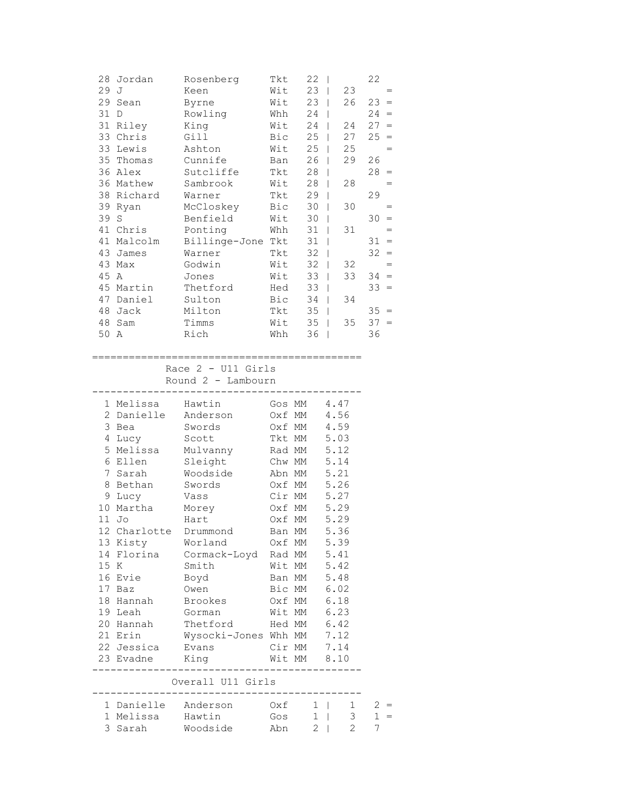| 28 | Jordan  | Rosenberg     | Tkt | 22 |    | 22                      |
|----|---------|---------------|-----|----|----|-------------------------|
| 29 | J       | Keen          | Wit | 23 | 23 | $=$                     |
| 29 | Sean    | Byrne         | Wit | 23 | 26 | 23<br>$=$               |
| 31 | D       | Rowling       | Whh | 24 |    | 24<br>$=$               |
| 31 | Riley   | King          | Wit | 24 | 24 | 27<br>$=$               |
| 33 | Chris   | Gill          | Bic | 25 | 27 | 25<br>$\qquad \qquad =$ |
| 33 | Lewis   | Ashton        | Wit | 25 | 25 | $=$                     |
| 35 | Thomas  | Cunnife       | Ban | 26 | 29 | 26                      |
| 36 | Alex    | Sutcliffe     | Tkt | 28 |    | 28<br>$=$               |
| 36 | Mathew  | Sambrook      | Wit | 28 | 28 | $=$                     |
| 38 | Richard | Warner        | Tkt | 29 |    | 29                      |
| 39 | Ryan    | McCloskey     | Bic | 30 | 30 | $=$                     |
| 39 | S       | Benfield      | Wit | 30 |    | 30<br>$=$               |
| 41 | Chris   | Ponting       | Whh | 31 | 31 | $=$                     |
| 41 | Malcolm | Billinge-Jone | Tkt | 31 |    | 31<br>$=$               |
| 43 | James   | Warner        | Tkt | 32 |    | 32<br>$=$               |
| 43 | Max     | Godwin        | Wit | 32 | 32 | $=$                     |
| 45 | Α       | Jones         | Wit | 33 | 33 | 34<br>$=$               |
| 45 | Martin  | Thetford      | Hed | 33 |    | 33<br>$\qquad \qquad =$ |
| 47 | Daniel  | Sulton        | Bic | 34 | 34 |                         |
| 48 | Jack    | Milton        | Tkt | 35 |    | 35<br>$=$               |
| 48 | Sam     | Timms         | Wit | 35 | 35 | 37<br>$=$               |
| 50 | Α       | Rich          | Whh | 36 |    | 36                      |

============================================

Race 2 - U11 Girls

Round 2 - Lambourn

|      | 1 Melissa - Hawtin  |                                  | Gos MM 4.47   |              |      |                |
|------|---------------------|----------------------------------|---------------|--------------|------|----------------|
|      |                     | 2 Danielle Anderson              | Oxf MM        |              | 4.56 |                |
|      | 3 Bea               | Swords                           | Oxf MM        |              | 4.59 |                |
|      |                     | 4 Lucy Scott                     | Tkt MM        |              | 5.03 |                |
|      |                     | 5 Melissa Mulvanny               | Rad MM 5.12   |              |      |                |
|      |                     | 6 Ellen Sleight Chw MM           |               |              | 5.14 |                |
|      |                     | 7 Sarah Woodside                 | Abn MM        |              | 5.21 |                |
|      |                     | 8 Bethan Swords Oxf MM           |               |              | 5.26 |                |
|      | 9 Lucy              | Vass                             | Cir MM        |              | 5.27 |                |
|      | 10 Martha Morey     |                                  | Oxf MM        |              | 5.29 |                |
|      | $11$ Jo             | Hart                             | Oxf MM        |              | 5.29 |                |
|      |                     | 12 Charlotte Drummond            | Ban MM 5.36   |              |      |                |
|      | 13 Kisty Worland    |                                  | Oxf MM        |              | 5.39 |                |
|      |                     | 14 Florina   Cormack-Loyd Rad MM |               |              | 5.41 |                |
| 15 K | Smith               |                                  | Wit MM        |              | 5.42 |                |
|      | 16 Evie Boyd        |                                  | Ban MM 5.48   |              |      |                |
|      | 17 Baz              | Owen                             | Bic MM 6.02   |              |      |                |
|      |                     | 18 Hannah Brookes                | Oxf MM        |              | 6.18 |                |
|      | 19 Leah Gorman      |                                  | Wit MM        |              | 6.23 |                |
|      |                     | 20 Hannah Thetford               | Hed MM $6.42$ |              |      |                |
|      | 21 Erin             | Wysocki-Jones Whh MM 7.12        |               |              |      |                |
|      | 22 Jessica Evans    | Cir MM 7.14                      |               |              |      |                |
|      | 23 Evadne King      |                                  | Wit MM 8.10   |              |      |                |
|      |                     | Overall U11 Girls                |               |              |      |                |
|      | 1 Danielle Anderson |                                  | $Oxf \t1$     |              |      | $1 \quad$      |
|      | 1 Melissa - Hawtin  |                                  | Gos 1         |              |      | 3 <sup>7</sup> |
| 3    | Sarah               | Woodside                         | Abn           | $\mathbf{2}$ |      | $\overline{2}$ |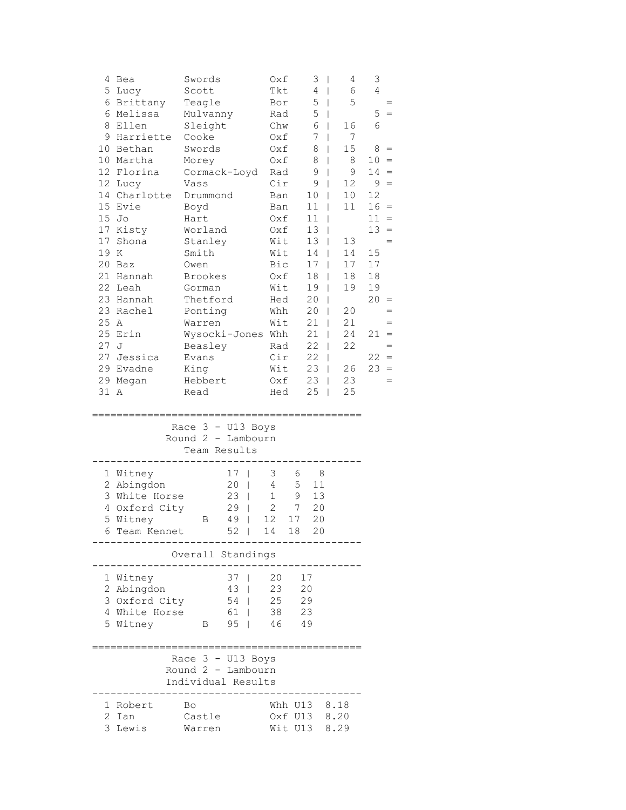| 4              | Bea            | Swords             |                                | Oxf          | 3                  | 4<br>$\overline{1}$ | 3              |
|----------------|----------------|--------------------|--------------------------------|--------------|--------------------|---------------------|----------------|
|                | 5 Lucy         | Scott              |                                | Tkt          | 4                  | 6<br>$\mathbf{I}$   | 4              |
|                | 6 Brittany     | Teagle             |                                | Bor          | 5                  | 5<br>$\mathbf{I}$   |                |
| 6              | Melissa        | Mulvanny           |                                | Rad          | 5                  | T                   | 5              |
| 8              | Ellen          | Sleight            |                                | Chw          | 6                  | 16                  | 6              |
| 9              | Harriette      | Cooke              |                                | Oxf          | 7                  | 7                   |                |
| 10             | Bethan         | Swords             |                                | Oxf          | 8                  | 15<br>L             | 8<br>$=$       |
|                | 10 Martha      | Morey              |                                | Oxf          | 8                  | 8<br>L              | $10 =$         |
|                | 12 Florina     | Cormack-Loyd       |                                | Rad          | 9                  | 9<br>T              | $14 =$         |
|                | 12 Lucy        | Vass               |                                | Cir          | 9                  | 12<br>T             | $9 =$          |
|                | 14 Charlotte   | Drummond           |                                | Ban          | 10                 | 10<br>$\mathbf{I}$  | 12             |
|                | 15 Evie        | Boyd               |                                | Ban          | 11                 | 11<br>T             | 16<br>$=$      |
| 15             | Jo             | Hart               |                                | Oxf          | 11                 |                     | 11<br>$=$      |
| 17             | Kisty          | Worland            |                                | Oxf          | 13                 |                     | 13<br>$=$      |
| 17             | Shona          | Stanley            |                                | Wit          | 13                 | 13                  | $=$            |
| 19             | K              | Smith              |                                | Wit          | 14                 | 14                  | 15             |
| 20             | Baz            | Owen               |                                | Bic          | 17                 | 17<br>T             | 17             |
| 21             | Hannah         | <b>Brookes</b>     |                                | Oxf          | 18                 | 18<br>T             | 18             |
| 22             | Leah           | Gorman             |                                | Wit          | 19                 | 19<br>T             | 19             |
|                | 23 Hannah      | Thetford           |                                | Hed          | 20                 | T                   | 20<br>$\equiv$ |
|                | 23 Rachel      | Ponting            |                                | Whh          | 20                 | 20<br>T             |                |
| 25             | A              | Warren             |                                | Wit          | 21                 | 21                  |                |
| 25             | Erin           | Wysocki-Jones      |                                | Whh          | 21                 | 24                  | 21             |
| 27             | J              | Beasley            |                                | Rad          | 22                 | 22                  | $=$            |
|                | 27 Jessica     | Evans              |                                | Cir          | 22                 |                     | $22 =$         |
|                | 29 Evadne      | King               |                                | Wit          | 23                 | 26<br>$\mathbf{I}$  | 23<br>$=$      |
|                | 29 Megan       | Hebbert            |                                | Oxf          | 23                 | 23                  | $=$            |
| 31 A           |                | Read               |                                | Hed          | 25                 | 25<br>$\mathbf{I}$  |                |
|                |                |                    |                                |              |                    |                     |                |
|                |                |                    |                                |              |                    |                     |                |
|                |                |                    |                                |              |                    |                     |                |
|                |                | Race 3 - U13 Boys  |                                |              |                    |                     |                |
|                |                | Round $2$ –        | Lambourn                       |              |                    |                     |                |
|                |                | Team Results       |                                |              |                    |                     |                |
|                |                |                    |                                |              |                    |                     |                |
|                | 1 Witney       |                    | 17<br>$\overline{1}$           | 3            | 8<br>6             |                     |                |
|                | 2 Abingdon     |                    | 20<br>$\overline{1}$           | 4            | 11<br>5            |                     |                |
|                | 3 White Horse  |                    | 23<br>$\overline{\phantom{a}}$ | $\mathbf 1$  | 9<br>13            |                     |                |
| 4              | Oxford City    |                    | 29<br>$\mathbf{I}$             | $\mathbf{2}$ | 7<br>20            |                     |                |
| 5              | Witney         | В                  | 49<br>T                        | 12           | 17<br>20           |                     |                |
| 6              | Team Kennet    |                    | 52<br>$\perp$                  | 14           | 18<br>20           |                     |                |
|                |                | Overall Standings  |                                |              |                    |                     |                |
|                |                |                    |                                |              |                    |                     |                |
| 1              | Witney         |                    | 37<br>$\blacksquare$           | 20           | 17                 |                     |                |
| 2              | Abingdon       |                    | 43<br>$\mathbf{I}$             | 23           | 20                 |                     |                |
|                | 3 Oxford City  |                    | 54<br>$\mathbf{I}$             | 25           | 29                 |                     |                |
|                | 4 White Horse  |                    | 61<br>$\mathbf{I}$             | 38           | 23                 |                     |                |
|                | 5 Witney       | В                  | 95<br>$\Box$                   | 46           | 49                 |                     |                |
|                |                |                    |                                |              |                    |                     |                |
|                |                | Race 3 - U13 Boys  |                                |              |                    |                     |                |
|                |                | Round 2 - Lambourn |                                |              |                    |                     |                |
|                |                | Individual Results |                                |              |                    |                     |                |
|                |                |                    |                                |              |                    |                     |                |
| 1              | Robert         | Bo                 |                                |              | Whh U13 8.18       |                     |                |
| $\overline{2}$ | Ian<br>3 Lewis | Castle<br>Warren   |                                |              | Oxf U13<br>Wit U13 | 8.20<br>8.29        |                |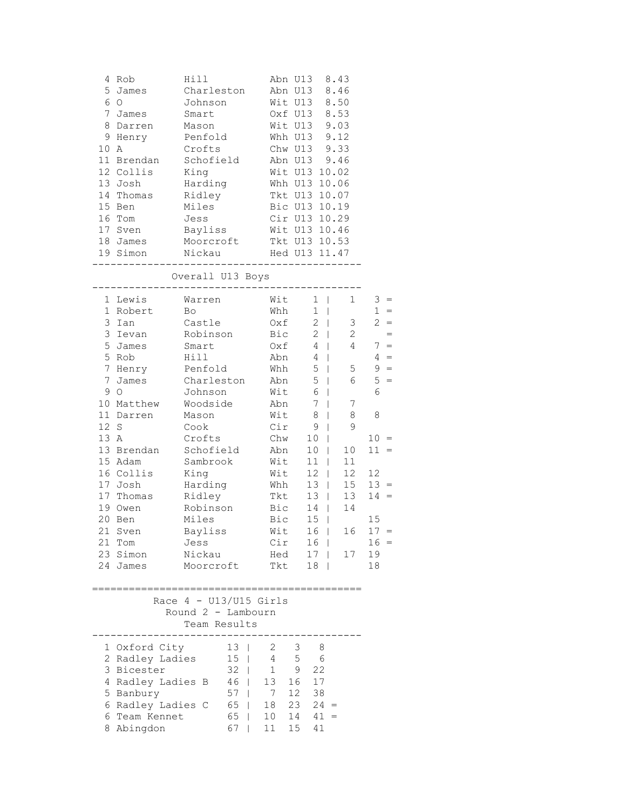| 4<br>5<br>6<br>$\overline{7}$<br>8<br>9<br>10                               | Rob<br>James<br>$\circ$<br>James<br>Darren<br>Henry<br>A<br>11 Brendan                                                                                                                                                                        | Hill<br>Charleston<br>Johnson<br>Smart<br>Mason<br>Penfold<br>Crofts<br>Schofield                                                                                                                                                                                |                                                                                                                                                                                 | Abn U13<br>Abn U13<br>Wit U13<br>Oxf U13 8.53<br>Wit U13 9.03<br>Whh U13 9.12<br>Chw U13 9.33<br>Abn U13 9.46                                                                                                                                                                                                                          | 8.43<br>8.46<br>8.50                                                                                                                                       |                                                                                                                                                                           |
|-----------------------------------------------------------------------------|-----------------------------------------------------------------------------------------------------------------------------------------------------------------------------------------------------------------------------------------------|------------------------------------------------------------------------------------------------------------------------------------------------------------------------------------------------------------------------------------------------------------------|---------------------------------------------------------------------------------------------------------------------------------------------------------------------------------|----------------------------------------------------------------------------------------------------------------------------------------------------------------------------------------------------------------------------------------------------------------------------------------------------------------------------------------|------------------------------------------------------------------------------------------------------------------------------------------------------------|---------------------------------------------------------------------------------------------------------------------------------------------------------------------------|
|                                                                             | 12 Collis<br>13 Josh<br>14 Thomas<br>15 Ben                                                                                                                                                                                                   | King<br>Harding<br>Ridley<br>Miles                                                                                                                                                                                                                               |                                                                                                                                                                                 | Wit U13 10.02<br>Whh U13 10.06<br>Tkt U13 10.07<br>Bic U13 10.19                                                                                                                                                                                                                                                                       |                                                                                                                                                            |                                                                                                                                                                           |
|                                                                             | 16 Tom<br>17 Sven<br>18 James                                                                                                                                                                                                                 | Jess<br>Bayliss<br>Moorcroft                                                                                                                                                                                                                                     | Tkt U13 10.53                                                                                                                                                                   | Cir U13 10.29<br>Wit U13 10.46                                                                                                                                                                                                                                                                                                         |                                                                                                                                                            |                                                                                                                                                                           |
|                                                                             |                                                                                                                                                                                                                                               | Overall U13 Boys<br>____________________                                                                                                                                                                                                                         |                                                                                                                                                                                 |                                                                                                                                                                                                                                                                                                                                        |                                                                                                                                                            |                                                                                                                                                                           |
| $\mathbf{1}$<br>3<br>3<br>5<br>5<br>$\overline{7}$<br>9<br>12<br>13 A<br>20 | 1 Lewis<br>Robert<br>Ian<br>Ievan<br>James<br>Rob<br>7 Henry<br>James<br>$\circ$<br>10 Matthew<br>11 Darren<br>S<br>13 Brendan<br>15 Adam<br>16 Collis<br>17 Josh<br>17 Thomas<br>19 Owen<br>Ben<br>21 Sven<br>21 Tom<br>23 Simon<br>24 James | Warren<br>Bo <sub>b</sub><br>Castle<br>Robinson<br>Smart<br>Hill<br>Penfold<br>Charleston<br>Johnson<br>Woodside<br>Mason<br>Cook<br>Crofts<br>Schofield<br>Sambrook<br>King<br>Harding<br>Ridley<br>Robinson<br>Miles<br>Bayliss<br>Jess<br>Nickau<br>Moorcroft | Wit<br>Whh<br>Oxf<br>Bic<br>Oxf<br>Abn<br>$\mathtt{Whh}$<br>Abn<br>Wit<br>Abn<br>Wit<br>Cir<br>Chw<br>Abn<br>Wit<br>Wit<br>Whh<br>Tkt<br>Bic<br>Bic<br>Wit<br>Cir<br>Hed<br>Tkt | $1 \mid$<br>$1 \mid$<br>$2 \mid$<br>$2 \mid$<br>4<br>4<br>$\Box$<br>$5\phantom{.0}$<br>$\Box$<br>5<br>$\Box$<br>6<br>$\Box$<br>$7\phantom{.0}$<br>$\Box$<br>8<br>$\mathbf{I}$<br>9<br>$\mathbf{I}$<br>10<br>$\perp$<br>10<br>$11$  <br>$12 \mid$<br>$13 \mid$<br>13<br>14<br>$15 \mid$<br>16  <br>16  <br>$17 \mid$<br>18 <sup>1</sup> | $\mathbf{1}$<br>3 <sup>7</sup><br>$\mathbf{2}$<br>$\overline{4}$<br>$\mathbb{R}^n$<br>5<br>6<br>7<br>8<br>9<br>10<br>L<br>11<br>12<br>15<br>13<br>14<br>17 | $3 =$<br>$1 =$<br>$2 =$<br>$=$<br>$7 =$<br>$4 =$<br>$9 =$<br>$5 =$<br>6<br>8<br>$10 =$<br>$11 =$<br>12<br>$13 =$<br>$14 =$<br>15<br>$16 \quad 17 =$<br>$16 =$<br>19<br>18 |
|                                                                             |                                                                                                                                                                                                                                               | Race $4 - U13/U15$ Girls<br>Round 2 - Lambourn<br>Team Results                                                                                                                                                                                                   |                                                                                                                                                                                 |                                                                                                                                                                                                                                                                                                                                        |                                                                                                                                                            |                                                                                                                                                                           |
| 4<br>5                                                                      | 1 Oxford City<br>2 Radley Ladies<br>3 Bicester<br>Radley Ladies B<br>Banbury<br>6 Radley Ladies C<br>6 Team Kennet<br>8 Abingdon                                                                                                              | ----------<br>13 <sup>1</sup><br>$32 \mid$<br>57<br>$\mathbb{R}$<br>65<br>67<br>$\pm 1$                                                                                                                                                                          | $2 \quad$<br>$15 \mid 4$<br>$1 -$<br>$46$   13<br>$\overline{7}$<br>$18$ 23 24 =<br>65   10<br>11                                                                               | 3<br>- 8<br>$5\phantom{.0}$<br>6<br>9<br>22<br>$\begin{array}{cc} 16 & 17 \\ 12 & 38 \end{array}$<br>$14 \quad 41 =$<br>15<br>41                                                                                                                                                                                                       |                                                                                                                                                            |                                                                                                                                                                           |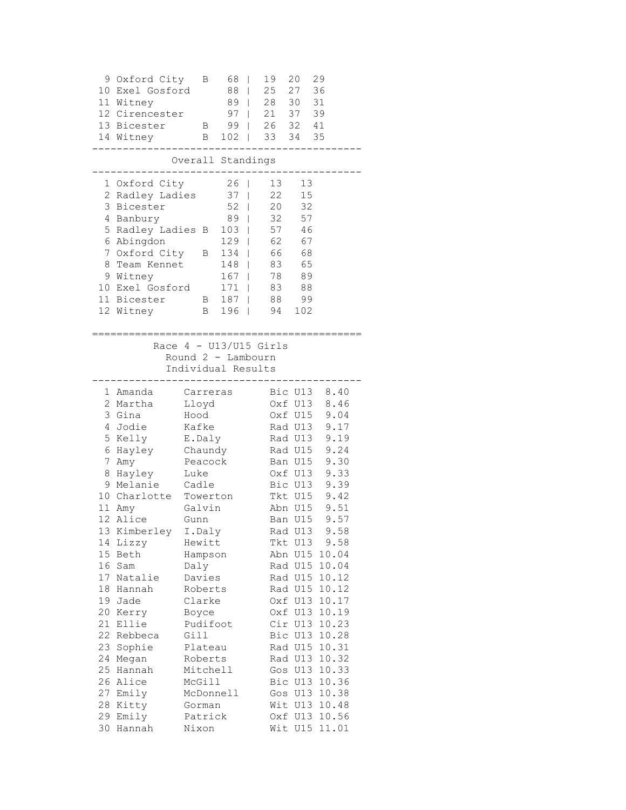|                                                          | 9 Oxford City<br>10 Exel Gosford<br>11 Witney<br>12 Cirencester<br>13 Bicester<br>14 Witney                                                                                                                                                                                                                                            | Β<br>B<br>$\mathbf{B}$                                                                                                                                                                                                                                                                 | 68<br>88<br>89<br>97 <sub>1</sub><br>$99$  <br>$102$                                     | T<br>I<br>I                                                                                             | 19<br>25                                                             | 20<br>27<br>28 30<br>21 37<br>26 32 41<br>33 34 35                                                                                                                           | 29<br>36<br>31<br>39                                                                                                                                                                                                                                                                                                                                        |
|----------------------------------------------------------|----------------------------------------------------------------------------------------------------------------------------------------------------------------------------------------------------------------------------------------------------------------------------------------------------------------------------------------|----------------------------------------------------------------------------------------------------------------------------------------------------------------------------------------------------------------------------------------------------------------------------------------|------------------------------------------------------------------------------------------|---------------------------------------------------------------------------------------------------------|----------------------------------------------------------------------|------------------------------------------------------------------------------------------------------------------------------------------------------------------------------|-------------------------------------------------------------------------------------------------------------------------------------------------------------------------------------------------------------------------------------------------------------------------------------------------------------------------------------------------------------|
|                                                          |                                                                                                                                                                                                                                                                                                                                        | Overall Standings                                                                                                                                                                                                                                                                      |                                                                                          |                                                                                                         |                                                                      |                                                                                                                                                                              |                                                                                                                                                                                                                                                                                                                                                             |
|                                                          | 1 Oxford City<br>2 Radley Ladies<br>3 Bicester<br>4 Banbury<br>5 Radley Ladies B<br>6 Abingdon<br>7 Oxford City<br>8 Team Kennet<br>9 Witney<br>10 Exel Gosford<br>11 Bicester<br>12 Witney<br>;====================================                                                                                                   | $\mathbf{B}$<br>B<br>B                                                                                                                                                                                                                                                                 | $26$  <br>37<br>52<br>$89$  <br>103<br>129<br>134<br>148<br>$167$  <br>171<br>187<br>196 | $\overline{\phantom{a}}$<br>T<br>T<br>I<br>$\overline{\phantom{a}}$<br>$\overline{1}$<br>$\overline{1}$ | 13<br>22<br>20<br>32<br>57<br>62<br>66<br>83<br>78<br>83<br>88<br>94 | 13<br>15<br>32<br>57<br>46<br>67<br>68<br>65<br>89<br>88<br>99<br>102                                                                                                        |                                                                                                                                                                                                                                                                                                                                                             |
|                                                          |                                                                                                                                                                                                                                                                                                                                        | Race $4 - U13/U15$ Girls<br>Round 2 - Lambourn<br>Individual Results                                                                                                                                                                                                                   |                                                                                          |                                                                                                         |                                                                      |                                                                                                                                                                              |                                                                                                                                                                                                                                                                                                                                                             |
| 17<br>18<br>19<br>20<br>21<br>22<br>24<br>25<br>28<br>29 | 1 Amanda<br>2 Martha<br>3 Gina<br>4 Jodie<br>5 Kelly<br>6 Hayley<br>7 Amy<br>8 Hayley<br>9 Melanie<br>10 Charlotte Towerton<br>11 Amy<br>12 Alice<br>13 Kimberley<br>14 Lizzy<br>15 Beth<br>16 Sam<br>Natalie<br>Hannah<br>Jade<br>Kerry<br>Ellie<br>Rebbeca<br>23 Sophie<br>Megan<br>Hannah<br>26 Alice<br>27 Emily<br>Kitty<br>Emily | Carreras<br>Lloyd<br>Hood<br>Kafke<br>E.Daly<br>Chaundy<br>Peacock<br>Luke<br>Cadle<br>Galvin<br>Gunn<br>I.Daly<br>Hewitt<br>Hampson<br>Daly<br>Davies<br>Roberts<br>Clarke<br>Boyce<br>Pudifoot<br>Gill<br>Plateau<br>Roberts<br>Mitchell<br>McGill<br>McDonnell<br>Gorman<br>Patrick |                                                                                          |                                                                                                         |                                                                      | Oxf U13<br>Bic U13<br>Tkt U15<br>Rad U13<br>Rad U15<br>Rad U15<br>Rad U15<br>Oxf U13<br>Oxf U13<br>Cir U13<br>Bic U13<br>Rad U15<br>Rad U13<br>Gos U13<br>Wit U13<br>Oxf U13 | Bic U13 8.40<br>8.46<br>Oxf U15 9.04<br>Rad U13 9.17<br>Rad U13 9.19<br>Rad U15 9.24<br>Ban U15 9.30<br>Oxf U13 9.33<br>9.39<br>9.42<br>Abn U15 9.51<br>Ban U15 9.57<br>9.58<br>Tkt U13 9.58<br>Abn U15 10.04<br>10.04<br>10.12<br>10.12<br>10.17<br>10.19<br>10.23<br>10.28<br>10.31<br>10.32<br>Gos U13 10.33<br>Bic U13 10.36<br>10.38<br>10.48<br>10.56 |
| 30                                                       | Hannah                                                                                                                                                                                                                                                                                                                                 | Nixon                                                                                                                                                                                                                                                                                  |                                                                                          |                                                                                                         |                                                                      |                                                                                                                                                                              | Wit U15 11.01                                                                                                                                                                                                                                                                                                                                               |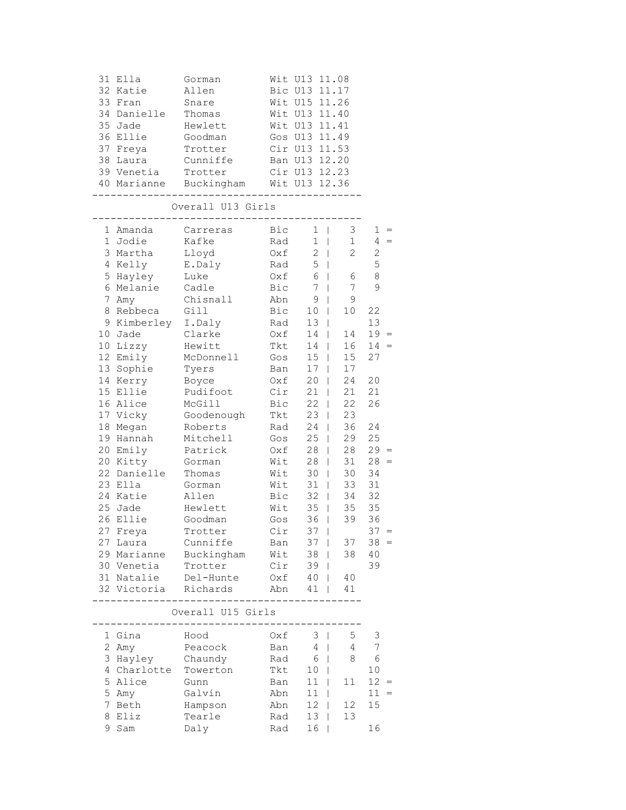| 31<br>33<br>34<br>35<br>36<br>38     | Ella<br>32 Katie<br>Fran<br>Danielle<br>Jade<br>Ellie<br>37 Freya<br>Laura                   | Gorman<br>Allen<br>Snare<br>Thomas<br>Hewlett<br>Goodman<br>Trotter<br>Cunniffe    |                                                             | Wit U13 11.08<br>Bic U13 11.17<br>Wit U15 11.26<br>Wit U13 11.40<br>Wit U13 11.41<br>Gos U13 11.49<br>Cir U13 11.53<br>Ban U13 12.20 |                                             |                                                   |  |
|--------------------------------------|----------------------------------------------------------------------------------------------|------------------------------------------------------------------------------------|-------------------------------------------------------------|--------------------------------------------------------------------------------------------------------------------------------------|---------------------------------------------|---------------------------------------------------|--|
|                                      | 39 Venetia                                                                                   | Trotter<br>40 Marianne Buckingham Wit U13 12.36                                    |                                                             | Cir U13 12.23                                                                                                                        |                                             |                                                   |  |
|                                      |                                                                                              | Overall U13 Girls                                                                  |                                                             |                                                                                                                                      |                                             |                                                   |  |
| 4                                    | 1 Amanda<br>1 Jodie<br>3 Martha<br>Kelly<br>5 Hayley                                         | Carreras<br>Kafke<br>Lloyd<br>E.Daly<br>Luke                                       | Bic<br>Rad<br>Oxf<br>Rad<br>Oxf                             | $1 \quad  $<br>$1 \mid$<br>$2 \mid$<br>$5 \mid$<br>6                                                                                 | 3<br>1<br>$\mathbf{2}$<br>$\mathbb{R}$<br>6 | $1 =$<br>$4 =$<br>$\mathbf{2}$<br>5<br>8          |  |
| 7<br>8<br>9                          | 6 Melanie<br>Amy<br>Rebbeca<br>Kimberley I.Daly                                              | Cadle<br>Chisnall<br>Gill                                                          | Bic<br>Abn<br>Bic<br>Rad                                    | 7 <sup>1</sup><br>9<br>$\overline{\phantom{a}}$<br>10  <br>13 <sup>1</sup>                                                           | 7<br>9<br>10 <sub>1</sub>                   | 9<br>22<br>13                                     |  |
| 10                                   | Jade<br>10 Lizzy<br>12 Emily<br>13 Sophie                                                    | Clarke<br>Hewitt<br>McDonnell<br>Tyers                                             | Oxf<br>Tkt<br>Gos<br>Ban                                    | $14$  <br>$14$  <br>$15 \mid$<br>$17 \mid$                                                                                           | 14<br>16<br>15<br>17                        | $19 =$<br>$14 =$<br>27                            |  |
| 18                                   | 14 Kerry<br>15 Ellie<br>16 Alice<br>17 Vicky<br>Megan                                        | Boyce<br>Pudifoot<br>McGill<br>Goodenough<br>Roberts                               | 0xf<br>Cir<br>Bic<br>Tkt<br>Rad                             | $20$  <br>21<br>$22 \mid$<br>$23 \mid$<br>$24$                                                                                       | 24<br>21<br>22<br>23<br>36                  | 20<br>21<br>26<br>24                              |  |
|                                      | 19 Hannah<br>20 Emily<br>20 Kitty<br>22 Danielle<br>23 Ella                                  | Mitchell<br>Patrick<br>Gorman<br>Thomas<br>Gorman                                  | Gos<br>Oxf<br>Wit<br>Wit<br>Wit                             | $25 \mid$<br>28  <br>$28$  <br>$30 \mid$<br>31                                                                                       | 29<br>28<br>31<br>30<br>33                  | 25<br>$29 =$<br>$28 =$<br>34<br>31                |  |
|                                      | 24 Katie<br>25 Jade<br>26 Ellie<br>27 Freya                                                  | Allen<br>Hewlett<br>Goodman<br>Trotter                                             | Bic<br>Wit<br>Gos<br>Cir                                    | $32 \mid$<br>$35$  <br>$36$  <br>$37 \mid$                                                                                           | 34<br>35<br>39                              | 32<br>35<br>36<br>$37 =$                          |  |
|                                      | 27 Laura<br>30 Venetia<br>31 Natalie                                                         | Cunniffe<br>29 Marianne Buckingham<br>Trotter<br>Del-Hunte<br>32 Victoria Richards | Ban<br>Cir<br>Abn                                           | $37 \mid$<br>Wit 38   38 40<br>39 <sub>1</sub><br>$0xf 40$  <br>$41 \mid$                                                            | 37<br>- 40<br>41                            | $38 =$<br>39                                      |  |
|                                      |                                                                                              | Overall U15 Girls<br>_________________                                             |                                                             |                                                                                                                                      |                                             |                                                   |  |
| 2<br>3<br>4<br>5<br>5<br>7<br>8<br>9 | 1 Gina<br>Amy<br>Hayley Chaundy<br>Charlotte Towerton<br>Alice<br>Amy<br>Beth<br>Eliz<br>Sam | Hood<br>Peacock<br>Gunn<br>Galvin<br>Hampson<br>Tearle<br>Daly                     | Oxf<br>Ban<br>Rad<br>Tkt<br>Ban<br>Abn<br>Abn<br>Rad<br>Rad | $3 \mid$<br>$4 \mid$<br>$6 \mid$<br>10  <br>$11$  <br>$11 \quad  $<br>$12 \mid$<br>$13 \mid$<br>16<br>L                              | 5<br>4<br>8<br>11<br>12<br>13               | 3<br>7<br>6<br>10<br>$12 =$<br>$11 =$<br>15<br>16 |  |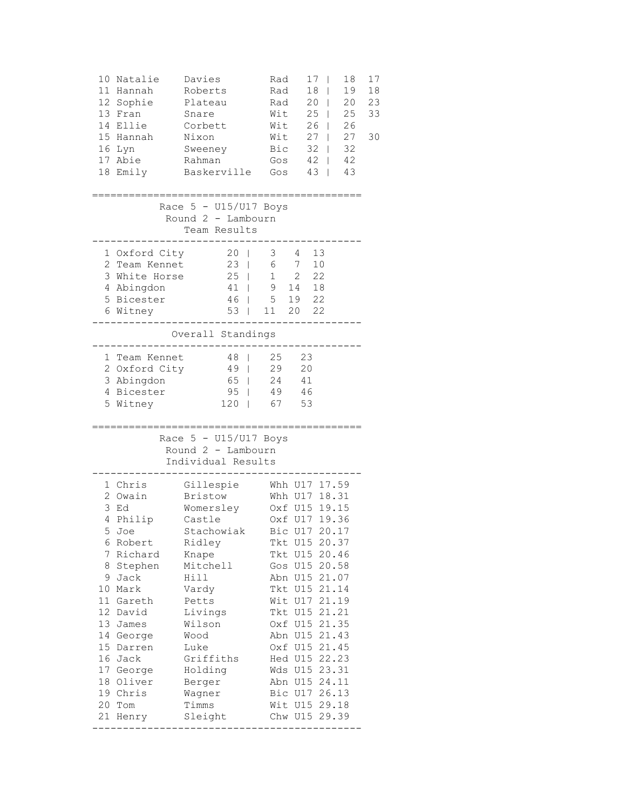| 10<br>18                                                                  | Natalie<br>11 Hannah<br>12 Sophie<br>13 Fran<br>14 Ellie<br>15 Hannah<br>16 Lyn<br>17 Abie<br>Emily                                                                                                                      | Davies<br>Roberts<br>Plateau<br>Snare<br>Corbett<br>Nixon<br>Sweeney<br>Rahman<br>Baskerville                                                                                                                           |                                                                                           | Rad<br>Rad<br>Rad<br>Wit<br>Wit<br>Wit<br>Bic<br>Gos<br>Gos |                                                     | 17<br>I<br>18<br>I<br>20<br>I<br>25<br>I<br>26<br>I<br>27<br>32<br>T<br>$42 \mid$<br>43<br>T                                                                                                                                                                                 | 18<br>19<br>20<br>25<br>26<br>27<br>32<br>42<br>43 | 17<br>18<br>23<br>33<br>30 |
|---------------------------------------------------------------------------|--------------------------------------------------------------------------------------------------------------------------------------------------------------------------------------------------------------------------|-------------------------------------------------------------------------------------------------------------------------------------------------------------------------------------------------------------------------|-------------------------------------------------------------------------------------------|-------------------------------------------------------------|-----------------------------------------------------|------------------------------------------------------------------------------------------------------------------------------------------------------------------------------------------------------------------------------------------------------------------------------|----------------------------------------------------|----------------------------|
|                                                                           |                                                                                                                                                                                                                          | Race $5 - U15/U17$ Boys<br>Round 2 - Lambourn<br>Team Results                                                                                                                                                           |                                                                                           |                                                             |                                                     |                                                                                                                                                                                                                                                                              |                                                    |                            |
|                                                                           | 1 Oxford City<br>2 Team Kennet<br>3 White Horse<br>4 Abingdon<br>5 Bicester<br>6 Witney                                                                                                                                  |                                                                                                                                                                                                                         | 20<br>23<br>$\Box$<br>25<br>$\Box$<br>41<br>$\Box$<br>46<br>$\Box$<br>53<br>$\mathbf{L}$  | 3 <sup>7</sup><br>6<br>1<br>5 <sup>5</sup><br>11            | 4<br>7<br>2<br>$9$ 14<br>19<br>20                   | 13<br>10<br>22<br>18<br>22<br>22                                                                                                                                                                                                                                             |                                                    |                            |
|                                                                           |                                                                                                                                                                                                                          | Overall Standings                                                                                                                                                                                                       |                                                                                           |                                                             |                                                     |                                                                                                                                                                                                                                                                              |                                                    |                            |
|                                                                           | 1 Team Kennet<br>2 Oxford City<br>3 Abingdon<br>4 Bicester<br>5 Witney                                                                                                                                                   |                                                                                                                                                                                                                         | $4\,8$<br>49<br>$\mathbb{R}$<br>65<br>$\mathbf{L}$<br>95<br>$\mathbf{1}$<br>120<br>$\Box$ | 25<br>29<br>24<br>49<br>67                                  | 23<br>20<br>41<br>-46<br>53                         |                                                                                                                                                                                                                                                                              |                                                    |                            |
|                                                                           |                                                                                                                                                                                                                          | Race $5 - U15/U17$ Boys<br>Round 2 - Lambourn<br>Individual Results                                                                                                                                                     |                                                                                           |                                                             |                                                     |                                                                                                                                                                                                                                                                              |                                                    |                            |
| 6<br>7<br>8<br>12 <sup>7</sup><br>13<br>14<br>15 <sub>1</sub><br>20<br>21 | 1 Chris<br>2 Owain<br>3 Ed<br>4 Philip<br>5 Joe<br>Robert<br>Richard<br>Stephen<br>9 Jack<br>10 Mark<br>11 Gareth<br>David<br>James<br>George<br>Darren<br>16 Jack<br>17 George<br>18 Oliver<br>19 Chris<br>Tom<br>Henry | Gillespie<br>Bristow<br>Womersley<br>Castle<br>Stachowiak<br>Ridley<br>Knape<br>Mitchell<br>Hill<br>Vardy<br>Petts<br>Livings<br>Wilson<br>Wood<br>Luke<br>Griffiths<br>Holding<br>Berger<br>Wagner<br>Timms<br>Sleight |                                                                                           |                                                             | Tkt U15<br>Tkt U15<br>Oxf U15<br>Abn U15<br>Oxf U15 | Whh U17 17.59<br>Whh U17 18.31<br>Oxf U15 19.15<br>Oxf U17 19.36<br>Bic U17 20.17<br>Tkt U15 20.37<br>Tkt U15 20.46<br>Gos U15 20.58<br>Abn U15 21.07<br>Wit U17 21.19<br>Hed U15 22.23<br>Wds U15 23.31<br>Abn U15 24.11<br>Bic U17 26.13<br>Wit U15 29.18<br>Chw U15 29.39 | 21.14<br>21.21<br>21.35<br>21.43<br>21.45          |                            |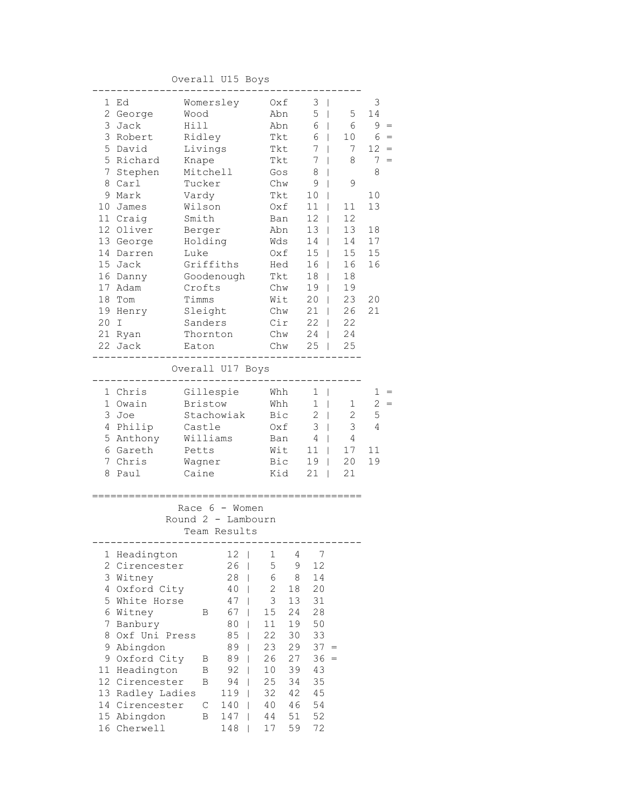## Overall U15 Boys

| 1  | Ed             | Womersley                                              | Oxf                  | 3<br>$\overline{\phantom{a}}$           |              | 3               |
|----|----------------|--------------------------------------------------------|----------------------|-----------------------------------------|--------------|-----------------|
|    | 2 George       | Wood                                                   | Abn                  | 5<br>$\Box$                             | 5            | 14              |
|    | 3 Jack         | Hill                                                   | Abn                  | 6<br>$\mathbf{I}$                       | 6            | 9               |
|    | 3 Robert       | Ridley                                                 | Tkt                  | 6                                       | 10           | 6               |
|    | 5 David        | Livings                                                | Tkt                  | 7                                       | 7            | 12 <sup>°</sup> |
|    | 5 Richard      | Knape                                                  | Tkt                  | 7                                       | 8            | 7<br>$=$        |
|    | 7 Stephen      | Mitchell                                               | Gos                  | 8<br>L                                  |              | 8               |
| 8  | Carl           | Tucker                                                 | Chw                  | 9<br>T                                  | 9            |                 |
|    | 9 Mark         | Vardy                                                  | Tkt                  | 10                                      |              | 10              |
|    | 10 James       | Wilson                                                 | 0xf                  | 11<br>L                                 | 11           | 13              |
|    | 11 Craig       | Smith                                                  | Ban                  | 12<br>L                                 | 12           |                 |
|    | 12 Oliver      | Berger                                                 | Abn                  | 13                                      | 13           | 18              |
|    | 13 George      | Holding                                                | Wds                  | 14                                      | 14           | 17              |
|    | 14 Darren      | Luke                                                   | Oxf                  | 15                                      | 15           | 15              |
|    | 15 Jack        | Griffiths                                              | Hed                  | 16<br>L                                 | 16           | 16              |
|    | 16 Danny       | Goodenough                                             | Tkt                  | 18                                      | 18           |                 |
|    | 17 Adam        | Crofts                                                 | Chw                  | 19<br>T                                 | 19           |                 |
| 18 | Tom            | Timms                                                  | Wit                  | 20<br>$\mathbf{I}$                      | 23           | 20              |
|    | 19 Henry       | Sleight                                                | Chw                  | 21<br>$\mathbf{I}$                      | 26           | 21              |
| 20 | I              | Sanders                                                | Cir                  | 22<br>$\mathbf{I}$                      | 22           |                 |
|    | 21 Ryan        | Thornton                                               | Chw                  | 24                                      | 24           |                 |
|    | 22 Jack        | Eaton                                                  | Chw                  | 25<br>L                                 | 25           |                 |
|    |                |                                                        |                      |                                         |              |                 |
|    |                | Overall U17 Boys                                       |                      |                                         |              |                 |
|    | 1 Chris        | Gillespie                                              | Whh                  | 1<br>$\overline{\phantom{a}}$           |              | 1               |
|    | 1 Owain        | <b>Bristow</b>                                         | Whh                  | 1<br>$\Box$                             | 1            | $\overline{c}$  |
|    | 3 Joe          | Stachowiak                                             | Bic                  | $\overline{c}$<br>$\perp$               | $\mathbf{2}$ | 5               |
|    | 4 Philip       | Castle                                                 | Oxf                  | 3<br>$\overline{\phantom{a}}$           | 3            | 4               |
|    | 5 Anthony      | Williams                                               | Ban                  | 4<br>$\mathbf{I}$                       | 4            |                 |
|    | 6 Gareth       | Petts                                                  | Wit                  | 11                                      | 17           | 11              |
|    | 7 Chris        | Wagner                                                 | Bic                  | 19                                      | 20           | 19              |
| 8  | Paul           | Caine                                                  | Kid                  | 21<br>L                                 | 21           |                 |
|    |                | Race $6 -$ Women<br>Round 2 - Lambourn<br>Team Results |                      |                                         |              |                 |
|    |                |                                                        |                      |                                         |              |                 |
| 1  | Headington     | 12<br>I                                                | 1<br>4               | 7                                       |              |                 |
| 2  | Cirencester    | 26<br>I                                                | 5<br>9               | 12                                      |              |                 |
| 3  | Witney         | 28<br>I                                                | 6<br>8               | 14                                      |              |                 |
|    | 4 Oxford City  | 40<br>I                                                | $\overline{c}$<br>18 | 20                                      |              |                 |
| 5  | White Horse    | 47<br>I                                                | 3<br>13              | 31                                      |              |                 |
|    | 6 Witney       | 67<br>I<br>Β                                           | 24<br>15             | 28                                      |              |                 |
| 7  | Banbury        | 80<br>I                                                | 11<br>19             | 50                                      |              |                 |
| 8  | Oxf Uni Press  | 85<br>I                                                | 22<br>30             | 33                                      |              |                 |
| 9  | Abingdon       | 89                                                     | 23<br>29             | $37 =$                                  |              |                 |
| 9  | Oxford City    | 89<br>В                                                | 26<br>27             | 36<br>$\hspace{1.6cm} = \hspace{1.6cm}$ |              |                 |
| 11 | Headington     | 92<br>B                                                | 39<br>10             | 43                                      |              |                 |
| 12 | Cirencester    | 94<br>В<br>L                                           | 25<br>34             | 35                                      |              |                 |
| 13 | Radley Ladies  | 119<br>I                                               | 32<br>42             | 45                                      |              |                 |
|    | 14 Cirencester | $\mathsf C$<br>140<br>I                                | 40<br>46             | 54                                      |              |                 |
| 15 | Abingdon       | 147<br>В<br>I                                          | 51<br>44             | 52                                      |              |                 |
| 16 | Cherwell       | 148                                                    | 59<br>17             | 72                                      |              |                 |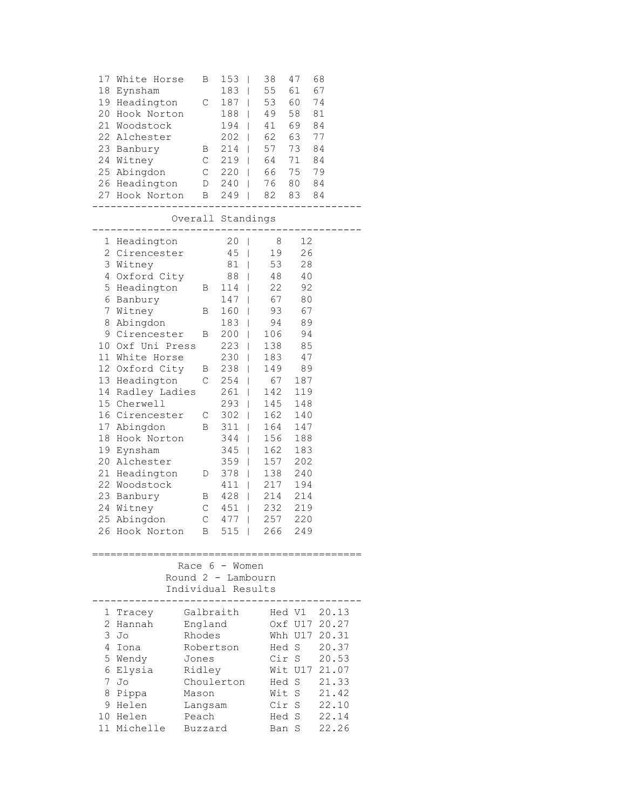| 17<br>18                                  | White Horse<br>Eynsham<br>19 Headington<br>20 Hook Norton<br>21 Woodstock<br>22 Alchester<br>23 Banbury B<br>24 Witney<br>25 Abingdon                                                                                                                                                                                                                                                                                              | Β<br>$\mathsf C$                                                                                                     | $153$  <br>$183$  <br>$187$                                                                                                                                                               | 38<br>55<br>53<br>188   49<br>194   41<br>202   62<br>214   57<br>$C$ 219   64<br>C 220   66 75                                                                                                        | 47<br>61<br>60<br>58<br>69<br>63<br>73<br>71                                                                                                             | 68<br>67<br>74<br>81<br>84<br>77<br>84<br>84<br>79                                              |
|-------------------------------------------|------------------------------------------------------------------------------------------------------------------------------------------------------------------------------------------------------------------------------------------------------------------------------------------------------------------------------------------------------------------------------------------------------------------------------------|----------------------------------------------------------------------------------------------------------------------|-------------------------------------------------------------------------------------------------------------------------------------------------------------------------------------------|--------------------------------------------------------------------------------------------------------------------------------------------------------------------------------------------------------|----------------------------------------------------------------------------------------------------------------------------------------------------------|-------------------------------------------------------------------------------------------------|
|                                           | $- - - -$<br>__________________<br>---------------<br>Overall Standings                                                                                                                                                                                                                                                                                                                                                            |                                                                                                                      |                                                                                                                                                                                           |                                                                                                                                                                                                        |                                                                                                                                                          |                                                                                                 |
| 8<br>18<br>19                             | 1 Headington<br>2 Cirencester<br>3 Witney<br>4 Oxford City<br>5 Headington B 114  <br>6 Banbury<br>7 Witney<br>Abingdon<br>9 Cirencester<br>10 Oxf Uni Press<br>11 White Horse<br>12 Oxford City<br>13 Headington<br>14 Radley Ladies<br>15 Cherwell<br>16 Cirencester C<br>17 Abingdon<br>Hook Norton<br>Eynsham<br>20 Alchester<br>21 Headington D<br>22 Woodstock<br>23 Banbury<br>24 Witney<br>25 Abingdon<br>26 Hook Norton B | В<br>B<br>$\mathbf{B}$<br>$\mathsf{C}$<br>$\,$ B<br>$\mathbb{C}$<br>$\mathbb{C}$                                     | 20 <sub>1</sub><br>$45$  <br>81  <br>88  <br>$147$  <br>$160$  <br>200  <br>$223$  <br>$230$  <br>238  <br>$261$  <br>293  <br>302  <br>B 311  <br>$344$  <br>$345$  <br>$411$  <br>$515$ | 8 <sup>8</sup><br>19<br>53<br>48<br>22<br>67<br>93<br>183   94<br>106<br>254   67 187<br>142<br>145<br>162<br>359   157 202<br>378   138 240<br>428   214 214<br>451   232 219<br>477   257 220<br>266 | 12<br>26<br>28<br>40<br>92<br>80<br>67<br>89<br>94<br>138 85<br>183 47<br>149 89<br>119<br>148<br>140<br>164 147<br>156 188<br>162 183<br>217 194<br>249 |                                                                                                 |
|                                           |                                                                                                                                                                                                                                                                                                                                                                                                                                    | Race 6 - Women<br>Round $2$ - Lambourn<br>Individual Results                                                         |                                                                                                                                                                                           |                                                                                                                                                                                                        |                                                                                                                                                          |                                                                                                 |
| 1<br>2<br>3<br>4<br>5<br>6<br>7<br>8<br>9 | Tracey<br>Hannah<br>Jo<br>Iona<br>Wendy<br>Elysia<br>Jo<br>Pippa<br>Helen<br>10 Helen<br>11 Michelle                                                                                                                                                                                                                                                                                                                               | Galbraith<br>England<br>Rhodes<br>Robertson<br>Jones<br>Ridley<br>Choulerton<br>Mason<br>Langsam<br>Peach<br>Buzzard |                                                                                                                                                                                           | Hed S<br>Cir S<br>Hed<br>Wit S<br>Cir S<br>Hed<br>Ban                                                                                                                                                  | Hed V1<br>Oxf U17<br>Whh U17<br>Wit U17<br>S<br>S<br>S                                                                                                   | 20.13<br>20.27<br>20.31<br>20.37<br>20.53<br>21.07<br>21.33<br>21.42<br>22.10<br>22.14<br>22.26 |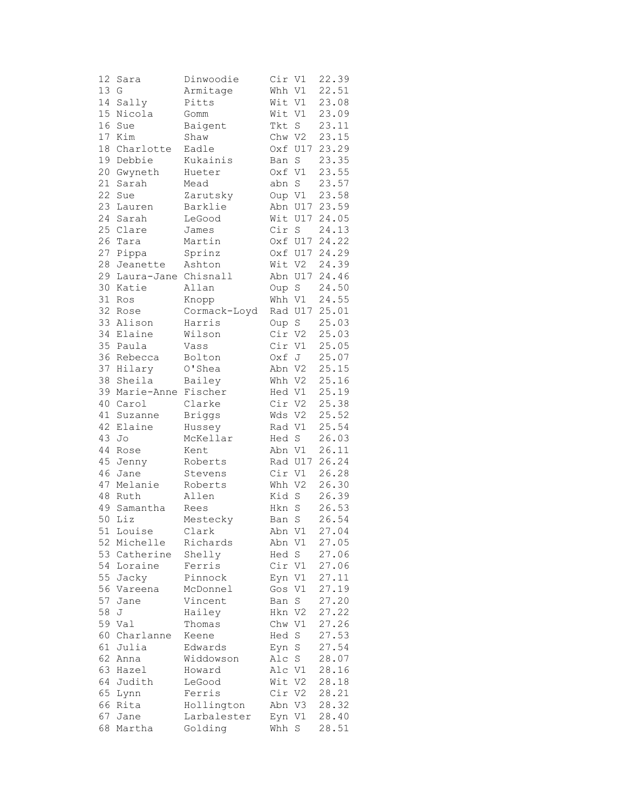| 22.51<br>13<br>G<br>Whh V1<br>Armitage<br>14<br>Sally<br>Pitts<br>Wit V1<br>23.08<br>15<br>23.09<br>Nicola<br>Wit V1<br>Gomm<br>16<br>23.11<br>Baigent<br>Tkt<br>S<br>Sue<br>17<br>23.15<br>Kim<br>Chw V2<br>Shaw<br>18<br>23.29<br>Oxf U17<br>Charlotte<br>Eadle<br>19 Debbie<br>23.35<br>Kukainis<br>$\mathbf S$<br>Ban<br>20 Gwyneth<br>Oxf V1<br>23.55<br>Hueter<br>21<br>23.57<br>$\operatorname{S}$<br>Sarah<br>Mead<br>abn<br>22<br>23.58<br>Zarutsky<br>Oup V1<br>Sue<br>23<br>Barklie<br>Abn U17<br>23.59<br>Lauren<br>24<br>Sarah<br>Wit U17<br>24.05<br>LeGood<br>25<br>Clare<br>Cir S<br>24.13<br>James<br>26<br>24.22<br>Martin<br>Oxf U17<br>Tara<br>27<br>24.29<br>Pippa<br>Sprinz<br>Oxf U17<br>28<br>Wit V2<br>24.39<br>Jeanette<br>Ashton<br>29 Laura-Jane Chisnall<br>Abn U17<br>24.46<br>24.50<br>30 Katie<br>Oup S<br>Allan<br>31<br>24.55<br>Whh V1<br>Ros<br>Knopp<br>32<br>25.01<br>Cormack-Loyd<br>Rad U17<br>Rose<br>33<br>Alison<br>Harris<br>$\mathbf S$<br>25.03<br>Oup<br>34<br>Elaine<br>Wilson<br>Cir<br>25.03<br>V2<br>35 Paula<br>Cir<br>25.05<br>V1<br>Vass<br>36 Rebecca<br>25.07<br>Bolton<br>Oxf J<br>37<br>0'Shea<br>25.15<br>Hilary<br>Abn V2<br>25.16<br>38<br>Bailey<br>Sheila<br>Whh V2<br>39 Marie-Anne Fischer<br>25.19<br>Hed V1<br>40<br>Cir V2<br>25.38<br>Clarke<br>Carol<br>41<br>25.52<br><b>Briggs</b><br>Wds V2<br>Suzanne<br>25.54<br>42<br>Elaine<br>Rad V1<br>Hussey<br>43<br>Hed S<br>26.03<br>Jo<br>McKellar<br>44<br>26.11<br>Rose<br>Kent<br>Abn V1<br>45<br>26.24<br>Rad U17<br>Jenny<br>Roberts<br>46<br>Cir V1<br>26.28<br>Jane<br>Stevens<br>26.30<br>47<br>Melanie<br>Roberts<br>Whh V2<br>26.39<br>Kid<br>$\rm S$<br>48<br>Ruth<br>Allen<br>49<br>26.53<br>Samantha<br>Hkn<br>$\rm S$<br>Rees<br>50<br>$\rm S$<br>26.54<br>Liz<br>Mestecky<br>Ban<br>51<br>Clark<br>27.04<br>Abn V1<br>Louise<br>52<br>Michelle<br>Richards<br>Abn V1<br>27.05<br>53<br>S<br>27.06<br>Catherine<br>Shelly<br>Hed<br>Cir<br>54<br>Loraine<br>Ferris<br>V1<br>27.06<br>55<br>27.11<br>Jacky<br>Pinnock<br>Eyn V1<br>27.19<br>56<br>V1<br>Vareena<br>McDonnel<br>Gos<br>27.20<br>57<br>S<br>Vincent<br>Jane<br>Ban<br>58<br>27.22<br>Hailey<br>V <sub>2</sub><br>J<br>Hkn<br>59<br>V1<br>27.26<br>Val<br>Thomas<br>Chw<br>60<br>27.53<br>Charlanne<br>Hed<br>S<br>Keene<br>61<br>Julia<br>Edwards<br>S<br>27.54<br>Eyn<br>62<br>$\rm S$<br>Widdowson<br>Alc<br>28.07<br>Anna<br>63<br>Hazel<br>Alc V1<br>28.16<br>Howard<br>64<br>Judith<br>Wit V2<br>28.18<br>LeGood<br>65<br>Cir<br>28.21<br>Ferris<br>V <sub>2</sub><br>Lynn<br>28.32<br>66<br>Rita<br>Hollington<br>Abn V3<br>28.40<br>67<br>Larbalester<br>V1<br>Jane<br>Eyn<br>$\mathbf S$<br>28.51<br>68<br>Martha<br>Golding<br>Whh | 12 | Sara | Dinwoodie | Cir V1 | 22.39 |
|--------------------------------------------------------------------------------------------------------------------------------------------------------------------------------------------------------------------------------------------------------------------------------------------------------------------------------------------------------------------------------------------------------------------------------------------------------------------------------------------------------------------------------------------------------------------------------------------------------------------------------------------------------------------------------------------------------------------------------------------------------------------------------------------------------------------------------------------------------------------------------------------------------------------------------------------------------------------------------------------------------------------------------------------------------------------------------------------------------------------------------------------------------------------------------------------------------------------------------------------------------------------------------------------------------------------------------------------------------------------------------------------------------------------------------------------------------------------------------------------------------------------------------------------------------------------------------------------------------------------------------------------------------------------------------------------------------------------------------------------------------------------------------------------------------------------------------------------------------------------------------------------------------------------------------------------------------------------------------------------------------------------------------------------------------------------------------------------------------------------------------------------------------------------------------------------------------------------------------------------------------------------------------------------------------------------------------------------------------------------------------------------------------------------------------------------------------------------------------------------------------------------------------------------------------------------------------------------------------------------------------------------------------------------------------------------------------------------------------------------|----|------|-----------|--------|-------|
|                                                                                                                                                                                                                                                                                                                                                                                                                                                                                                                                                                                                                                                                                                                                                                                                                                                                                                                                                                                                                                                                                                                                                                                                                                                                                                                                                                                                                                                                                                                                                                                                                                                                                                                                                                                                                                                                                                                                                                                                                                                                                                                                                                                                                                                                                                                                                                                                                                                                                                                                                                                                                                                                                                                                            |    |      |           |        |       |
|                                                                                                                                                                                                                                                                                                                                                                                                                                                                                                                                                                                                                                                                                                                                                                                                                                                                                                                                                                                                                                                                                                                                                                                                                                                                                                                                                                                                                                                                                                                                                                                                                                                                                                                                                                                                                                                                                                                                                                                                                                                                                                                                                                                                                                                                                                                                                                                                                                                                                                                                                                                                                                                                                                                                            |    |      |           |        |       |
|                                                                                                                                                                                                                                                                                                                                                                                                                                                                                                                                                                                                                                                                                                                                                                                                                                                                                                                                                                                                                                                                                                                                                                                                                                                                                                                                                                                                                                                                                                                                                                                                                                                                                                                                                                                                                                                                                                                                                                                                                                                                                                                                                                                                                                                                                                                                                                                                                                                                                                                                                                                                                                                                                                                                            |    |      |           |        |       |
|                                                                                                                                                                                                                                                                                                                                                                                                                                                                                                                                                                                                                                                                                                                                                                                                                                                                                                                                                                                                                                                                                                                                                                                                                                                                                                                                                                                                                                                                                                                                                                                                                                                                                                                                                                                                                                                                                                                                                                                                                                                                                                                                                                                                                                                                                                                                                                                                                                                                                                                                                                                                                                                                                                                                            |    |      |           |        |       |
|                                                                                                                                                                                                                                                                                                                                                                                                                                                                                                                                                                                                                                                                                                                                                                                                                                                                                                                                                                                                                                                                                                                                                                                                                                                                                                                                                                                                                                                                                                                                                                                                                                                                                                                                                                                                                                                                                                                                                                                                                                                                                                                                                                                                                                                                                                                                                                                                                                                                                                                                                                                                                                                                                                                                            |    |      |           |        |       |
|                                                                                                                                                                                                                                                                                                                                                                                                                                                                                                                                                                                                                                                                                                                                                                                                                                                                                                                                                                                                                                                                                                                                                                                                                                                                                                                                                                                                                                                                                                                                                                                                                                                                                                                                                                                                                                                                                                                                                                                                                                                                                                                                                                                                                                                                                                                                                                                                                                                                                                                                                                                                                                                                                                                                            |    |      |           |        |       |
|                                                                                                                                                                                                                                                                                                                                                                                                                                                                                                                                                                                                                                                                                                                                                                                                                                                                                                                                                                                                                                                                                                                                                                                                                                                                                                                                                                                                                                                                                                                                                                                                                                                                                                                                                                                                                                                                                                                                                                                                                                                                                                                                                                                                                                                                                                                                                                                                                                                                                                                                                                                                                                                                                                                                            |    |      |           |        |       |
|                                                                                                                                                                                                                                                                                                                                                                                                                                                                                                                                                                                                                                                                                                                                                                                                                                                                                                                                                                                                                                                                                                                                                                                                                                                                                                                                                                                                                                                                                                                                                                                                                                                                                                                                                                                                                                                                                                                                                                                                                                                                                                                                                                                                                                                                                                                                                                                                                                                                                                                                                                                                                                                                                                                                            |    |      |           |        |       |
|                                                                                                                                                                                                                                                                                                                                                                                                                                                                                                                                                                                                                                                                                                                                                                                                                                                                                                                                                                                                                                                                                                                                                                                                                                                                                                                                                                                                                                                                                                                                                                                                                                                                                                                                                                                                                                                                                                                                                                                                                                                                                                                                                                                                                                                                                                                                                                                                                                                                                                                                                                                                                                                                                                                                            |    |      |           |        |       |
|                                                                                                                                                                                                                                                                                                                                                                                                                                                                                                                                                                                                                                                                                                                                                                                                                                                                                                                                                                                                                                                                                                                                                                                                                                                                                                                                                                                                                                                                                                                                                                                                                                                                                                                                                                                                                                                                                                                                                                                                                                                                                                                                                                                                                                                                                                                                                                                                                                                                                                                                                                                                                                                                                                                                            |    |      |           |        |       |
|                                                                                                                                                                                                                                                                                                                                                                                                                                                                                                                                                                                                                                                                                                                                                                                                                                                                                                                                                                                                                                                                                                                                                                                                                                                                                                                                                                                                                                                                                                                                                                                                                                                                                                                                                                                                                                                                                                                                                                                                                                                                                                                                                                                                                                                                                                                                                                                                                                                                                                                                                                                                                                                                                                                                            |    |      |           |        |       |
|                                                                                                                                                                                                                                                                                                                                                                                                                                                                                                                                                                                                                                                                                                                                                                                                                                                                                                                                                                                                                                                                                                                                                                                                                                                                                                                                                                                                                                                                                                                                                                                                                                                                                                                                                                                                                                                                                                                                                                                                                                                                                                                                                                                                                                                                                                                                                                                                                                                                                                                                                                                                                                                                                                                                            |    |      |           |        |       |
|                                                                                                                                                                                                                                                                                                                                                                                                                                                                                                                                                                                                                                                                                                                                                                                                                                                                                                                                                                                                                                                                                                                                                                                                                                                                                                                                                                                                                                                                                                                                                                                                                                                                                                                                                                                                                                                                                                                                                                                                                                                                                                                                                                                                                                                                                                                                                                                                                                                                                                                                                                                                                                                                                                                                            |    |      |           |        |       |
|                                                                                                                                                                                                                                                                                                                                                                                                                                                                                                                                                                                                                                                                                                                                                                                                                                                                                                                                                                                                                                                                                                                                                                                                                                                                                                                                                                                                                                                                                                                                                                                                                                                                                                                                                                                                                                                                                                                                                                                                                                                                                                                                                                                                                                                                                                                                                                                                                                                                                                                                                                                                                                                                                                                                            |    |      |           |        |       |
|                                                                                                                                                                                                                                                                                                                                                                                                                                                                                                                                                                                                                                                                                                                                                                                                                                                                                                                                                                                                                                                                                                                                                                                                                                                                                                                                                                                                                                                                                                                                                                                                                                                                                                                                                                                                                                                                                                                                                                                                                                                                                                                                                                                                                                                                                                                                                                                                                                                                                                                                                                                                                                                                                                                                            |    |      |           |        |       |
|                                                                                                                                                                                                                                                                                                                                                                                                                                                                                                                                                                                                                                                                                                                                                                                                                                                                                                                                                                                                                                                                                                                                                                                                                                                                                                                                                                                                                                                                                                                                                                                                                                                                                                                                                                                                                                                                                                                                                                                                                                                                                                                                                                                                                                                                                                                                                                                                                                                                                                                                                                                                                                                                                                                                            |    |      |           |        |       |
|                                                                                                                                                                                                                                                                                                                                                                                                                                                                                                                                                                                                                                                                                                                                                                                                                                                                                                                                                                                                                                                                                                                                                                                                                                                                                                                                                                                                                                                                                                                                                                                                                                                                                                                                                                                                                                                                                                                                                                                                                                                                                                                                                                                                                                                                                                                                                                                                                                                                                                                                                                                                                                                                                                                                            |    |      |           |        |       |
|                                                                                                                                                                                                                                                                                                                                                                                                                                                                                                                                                                                                                                                                                                                                                                                                                                                                                                                                                                                                                                                                                                                                                                                                                                                                                                                                                                                                                                                                                                                                                                                                                                                                                                                                                                                                                                                                                                                                                                                                                                                                                                                                                                                                                                                                                                                                                                                                                                                                                                                                                                                                                                                                                                                                            |    |      |           |        |       |
|                                                                                                                                                                                                                                                                                                                                                                                                                                                                                                                                                                                                                                                                                                                                                                                                                                                                                                                                                                                                                                                                                                                                                                                                                                                                                                                                                                                                                                                                                                                                                                                                                                                                                                                                                                                                                                                                                                                                                                                                                                                                                                                                                                                                                                                                                                                                                                                                                                                                                                                                                                                                                                                                                                                                            |    |      |           |        |       |
|                                                                                                                                                                                                                                                                                                                                                                                                                                                                                                                                                                                                                                                                                                                                                                                                                                                                                                                                                                                                                                                                                                                                                                                                                                                                                                                                                                                                                                                                                                                                                                                                                                                                                                                                                                                                                                                                                                                                                                                                                                                                                                                                                                                                                                                                                                                                                                                                                                                                                                                                                                                                                                                                                                                                            |    |      |           |        |       |
|                                                                                                                                                                                                                                                                                                                                                                                                                                                                                                                                                                                                                                                                                                                                                                                                                                                                                                                                                                                                                                                                                                                                                                                                                                                                                                                                                                                                                                                                                                                                                                                                                                                                                                                                                                                                                                                                                                                                                                                                                                                                                                                                                                                                                                                                                                                                                                                                                                                                                                                                                                                                                                                                                                                                            |    |      |           |        |       |
|                                                                                                                                                                                                                                                                                                                                                                                                                                                                                                                                                                                                                                                                                                                                                                                                                                                                                                                                                                                                                                                                                                                                                                                                                                                                                                                                                                                                                                                                                                                                                                                                                                                                                                                                                                                                                                                                                                                                                                                                                                                                                                                                                                                                                                                                                                                                                                                                                                                                                                                                                                                                                                                                                                                                            |    |      |           |        |       |
|                                                                                                                                                                                                                                                                                                                                                                                                                                                                                                                                                                                                                                                                                                                                                                                                                                                                                                                                                                                                                                                                                                                                                                                                                                                                                                                                                                                                                                                                                                                                                                                                                                                                                                                                                                                                                                                                                                                                                                                                                                                                                                                                                                                                                                                                                                                                                                                                                                                                                                                                                                                                                                                                                                                                            |    |      |           |        |       |
|                                                                                                                                                                                                                                                                                                                                                                                                                                                                                                                                                                                                                                                                                                                                                                                                                                                                                                                                                                                                                                                                                                                                                                                                                                                                                                                                                                                                                                                                                                                                                                                                                                                                                                                                                                                                                                                                                                                                                                                                                                                                                                                                                                                                                                                                                                                                                                                                                                                                                                                                                                                                                                                                                                                                            |    |      |           |        |       |
|                                                                                                                                                                                                                                                                                                                                                                                                                                                                                                                                                                                                                                                                                                                                                                                                                                                                                                                                                                                                                                                                                                                                                                                                                                                                                                                                                                                                                                                                                                                                                                                                                                                                                                                                                                                                                                                                                                                                                                                                                                                                                                                                                                                                                                                                                                                                                                                                                                                                                                                                                                                                                                                                                                                                            |    |      |           |        |       |
|                                                                                                                                                                                                                                                                                                                                                                                                                                                                                                                                                                                                                                                                                                                                                                                                                                                                                                                                                                                                                                                                                                                                                                                                                                                                                                                                                                                                                                                                                                                                                                                                                                                                                                                                                                                                                                                                                                                                                                                                                                                                                                                                                                                                                                                                                                                                                                                                                                                                                                                                                                                                                                                                                                                                            |    |      |           |        |       |
|                                                                                                                                                                                                                                                                                                                                                                                                                                                                                                                                                                                                                                                                                                                                                                                                                                                                                                                                                                                                                                                                                                                                                                                                                                                                                                                                                                                                                                                                                                                                                                                                                                                                                                                                                                                                                                                                                                                                                                                                                                                                                                                                                                                                                                                                                                                                                                                                                                                                                                                                                                                                                                                                                                                                            |    |      |           |        |       |
|                                                                                                                                                                                                                                                                                                                                                                                                                                                                                                                                                                                                                                                                                                                                                                                                                                                                                                                                                                                                                                                                                                                                                                                                                                                                                                                                                                                                                                                                                                                                                                                                                                                                                                                                                                                                                                                                                                                                                                                                                                                                                                                                                                                                                                                                                                                                                                                                                                                                                                                                                                                                                                                                                                                                            |    |      |           |        |       |
|                                                                                                                                                                                                                                                                                                                                                                                                                                                                                                                                                                                                                                                                                                                                                                                                                                                                                                                                                                                                                                                                                                                                                                                                                                                                                                                                                                                                                                                                                                                                                                                                                                                                                                                                                                                                                                                                                                                                                                                                                                                                                                                                                                                                                                                                                                                                                                                                                                                                                                                                                                                                                                                                                                                                            |    |      |           |        |       |
|                                                                                                                                                                                                                                                                                                                                                                                                                                                                                                                                                                                                                                                                                                                                                                                                                                                                                                                                                                                                                                                                                                                                                                                                                                                                                                                                                                                                                                                                                                                                                                                                                                                                                                                                                                                                                                                                                                                                                                                                                                                                                                                                                                                                                                                                                                                                                                                                                                                                                                                                                                                                                                                                                                                                            |    |      |           |        |       |
|                                                                                                                                                                                                                                                                                                                                                                                                                                                                                                                                                                                                                                                                                                                                                                                                                                                                                                                                                                                                                                                                                                                                                                                                                                                                                                                                                                                                                                                                                                                                                                                                                                                                                                                                                                                                                                                                                                                                                                                                                                                                                                                                                                                                                                                                                                                                                                                                                                                                                                                                                                                                                                                                                                                                            |    |      |           |        |       |
|                                                                                                                                                                                                                                                                                                                                                                                                                                                                                                                                                                                                                                                                                                                                                                                                                                                                                                                                                                                                                                                                                                                                                                                                                                                                                                                                                                                                                                                                                                                                                                                                                                                                                                                                                                                                                                                                                                                                                                                                                                                                                                                                                                                                                                                                                                                                                                                                                                                                                                                                                                                                                                                                                                                                            |    |      |           |        |       |
|                                                                                                                                                                                                                                                                                                                                                                                                                                                                                                                                                                                                                                                                                                                                                                                                                                                                                                                                                                                                                                                                                                                                                                                                                                                                                                                                                                                                                                                                                                                                                                                                                                                                                                                                                                                                                                                                                                                                                                                                                                                                                                                                                                                                                                                                                                                                                                                                                                                                                                                                                                                                                                                                                                                                            |    |      |           |        |       |
|                                                                                                                                                                                                                                                                                                                                                                                                                                                                                                                                                                                                                                                                                                                                                                                                                                                                                                                                                                                                                                                                                                                                                                                                                                                                                                                                                                                                                                                                                                                                                                                                                                                                                                                                                                                                                                                                                                                                                                                                                                                                                                                                                                                                                                                                                                                                                                                                                                                                                                                                                                                                                                                                                                                                            |    |      |           |        |       |
|                                                                                                                                                                                                                                                                                                                                                                                                                                                                                                                                                                                                                                                                                                                                                                                                                                                                                                                                                                                                                                                                                                                                                                                                                                                                                                                                                                                                                                                                                                                                                                                                                                                                                                                                                                                                                                                                                                                                                                                                                                                                                                                                                                                                                                                                                                                                                                                                                                                                                                                                                                                                                                                                                                                                            |    |      |           |        |       |
|                                                                                                                                                                                                                                                                                                                                                                                                                                                                                                                                                                                                                                                                                                                                                                                                                                                                                                                                                                                                                                                                                                                                                                                                                                                                                                                                                                                                                                                                                                                                                                                                                                                                                                                                                                                                                                                                                                                                                                                                                                                                                                                                                                                                                                                                                                                                                                                                                                                                                                                                                                                                                                                                                                                                            |    |      |           |        |       |
|                                                                                                                                                                                                                                                                                                                                                                                                                                                                                                                                                                                                                                                                                                                                                                                                                                                                                                                                                                                                                                                                                                                                                                                                                                                                                                                                                                                                                                                                                                                                                                                                                                                                                                                                                                                                                                                                                                                                                                                                                                                                                                                                                                                                                                                                                                                                                                                                                                                                                                                                                                                                                                                                                                                                            |    |      |           |        |       |
|                                                                                                                                                                                                                                                                                                                                                                                                                                                                                                                                                                                                                                                                                                                                                                                                                                                                                                                                                                                                                                                                                                                                                                                                                                                                                                                                                                                                                                                                                                                                                                                                                                                                                                                                                                                                                                                                                                                                                                                                                                                                                                                                                                                                                                                                                                                                                                                                                                                                                                                                                                                                                                                                                                                                            |    |      |           |        |       |
|                                                                                                                                                                                                                                                                                                                                                                                                                                                                                                                                                                                                                                                                                                                                                                                                                                                                                                                                                                                                                                                                                                                                                                                                                                                                                                                                                                                                                                                                                                                                                                                                                                                                                                                                                                                                                                                                                                                                                                                                                                                                                                                                                                                                                                                                                                                                                                                                                                                                                                                                                                                                                                                                                                                                            |    |      |           |        |       |
|                                                                                                                                                                                                                                                                                                                                                                                                                                                                                                                                                                                                                                                                                                                                                                                                                                                                                                                                                                                                                                                                                                                                                                                                                                                                                                                                                                                                                                                                                                                                                                                                                                                                                                                                                                                                                                                                                                                                                                                                                                                                                                                                                                                                                                                                                                                                                                                                                                                                                                                                                                                                                                                                                                                                            |    |      |           |        |       |
|                                                                                                                                                                                                                                                                                                                                                                                                                                                                                                                                                                                                                                                                                                                                                                                                                                                                                                                                                                                                                                                                                                                                                                                                                                                                                                                                                                                                                                                                                                                                                                                                                                                                                                                                                                                                                                                                                                                                                                                                                                                                                                                                                                                                                                                                                                                                                                                                                                                                                                                                                                                                                                                                                                                                            |    |      |           |        |       |
|                                                                                                                                                                                                                                                                                                                                                                                                                                                                                                                                                                                                                                                                                                                                                                                                                                                                                                                                                                                                                                                                                                                                                                                                                                                                                                                                                                                                                                                                                                                                                                                                                                                                                                                                                                                                                                                                                                                                                                                                                                                                                                                                                                                                                                                                                                                                                                                                                                                                                                                                                                                                                                                                                                                                            |    |      |           |        |       |
|                                                                                                                                                                                                                                                                                                                                                                                                                                                                                                                                                                                                                                                                                                                                                                                                                                                                                                                                                                                                                                                                                                                                                                                                                                                                                                                                                                                                                                                                                                                                                                                                                                                                                                                                                                                                                                                                                                                                                                                                                                                                                                                                                                                                                                                                                                                                                                                                                                                                                                                                                                                                                                                                                                                                            |    |      |           |        |       |
|                                                                                                                                                                                                                                                                                                                                                                                                                                                                                                                                                                                                                                                                                                                                                                                                                                                                                                                                                                                                                                                                                                                                                                                                                                                                                                                                                                                                                                                                                                                                                                                                                                                                                                                                                                                                                                                                                                                                                                                                                                                                                                                                                                                                                                                                                                                                                                                                                                                                                                                                                                                                                                                                                                                                            |    |      |           |        |       |
|                                                                                                                                                                                                                                                                                                                                                                                                                                                                                                                                                                                                                                                                                                                                                                                                                                                                                                                                                                                                                                                                                                                                                                                                                                                                                                                                                                                                                                                                                                                                                                                                                                                                                                                                                                                                                                                                                                                                                                                                                                                                                                                                                                                                                                                                                                                                                                                                                                                                                                                                                                                                                                                                                                                                            |    |      |           |        |       |
|                                                                                                                                                                                                                                                                                                                                                                                                                                                                                                                                                                                                                                                                                                                                                                                                                                                                                                                                                                                                                                                                                                                                                                                                                                                                                                                                                                                                                                                                                                                                                                                                                                                                                                                                                                                                                                                                                                                                                                                                                                                                                                                                                                                                                                                                                                                                                                                                                                                                                                                                                                                                                                                                                                                                            |    |      |           |        |       |
|                                                                                                                                                                                                                                                                                                                                                                                                                                                                                                                                                                                                                                                                                                                                                                                                                                                                                                                                                                                                                                                                                                                                                                                                                                                                                                                                                                                                                                                                                                                                                                                                                                                                                                                                                                                                                                                                                                                                                                                                                                                                                                                                                                                                                                                                                                                                                                                                                                                                                                                                                                                                                                                                                                                                            |    |      |           |        |       |
|                                                                                                                                                                                                                                                                                                                                                                                                                                                                                                                                                                                                                                                                                                                                                                                                                                                                                                                                                                                                                                                                                                                                                                                                                                                                                                                                                                                                                                                                                                                                                                                                                                                                                                                                                                                                                                                                                                                                                                                                                                                                                                                                                                                                                                                                                                                                                                                                                                                                                                                                                                                                                                                                                                                                            |    |      |           |        |       |
|                                                                                                                                                                                                                                                                                                                                                                                                                                                                                                                                                                                                                                                                                                                                                                                                                                                                                                                                                                                                                                                                                                                                                                                                                                                                                                                                                                                                                                                                                                                                                                                                                                                                                                                                                                                                                                                                                                                                                                                                                                                                                                                                                                                                                                                                                                                                                                                                                                                                                                                                                                                                                                                                                                                                            |    |      |           |        |       |
|                                                                                                                                                                                                                                                                                                                                                                                                                                                                                                                                                                                                                                                                                                                                                                                                                                                                                                                                                                                                                                                                                                                                                                                                                                                                                                                                                                                                                                                                                                                                                                                                                                                                                                                                                                                                                                                                                                                                                                                                                                                                                                                                                                                                                                                                                                                                                                                                                                                                                                                                                                                                                                                                                                                                            |    |      |           |        |       |
|                                                                                                                                                                                                                                                                                                                                                                                                                                                                                                                                                                                                                                                                                                                                                                                                                                                                                                                                                                                                                                                                                                                                                                                                                                                                                                                                                                                                                                                                                                                                                                                                                                                                                                                                                                                                                                                                                                                                                                                                                                                                                                                                                                                                                                                                                                                                                                                                                                                                                                                                                                                                                                                                                                                                            |    |      |           |        |       |
|                                                                                                                                                                                                                                                                                                                                                                                                                                                                                                                                                                                                                                                                                                                                                                                                                                                                                                                                                                                                                                                                                                                                                                                                                                                                                                                                                                                                                                                                                                                                                                                                                                                                                                                                                                                                                                                                                                                                                                                                                                                                                                                                                                                                                                                                                                                                                                                                                                                                                                                                                                                                                                                                                                                                            |    |      |           |        |       |
|                                                                                                                                                                                                                                                                                                                                                                                                                                                                                                                                                                                                                                                                                                                                                                                                                                                                                                                                                                                                                                                                                                                                                                                                                                                                                                                                                                                                                                                                                                                                                                                                                                                                                                                                                                                                                                                                                                                                                                                                                                                                                                                                                                                                                                                                                                                                                                                                                                                                                                                                                                                                                                                                                                                                            |    |      |           |        |       |
|                                                                                                                                                                                                                                                                                                                                                                                                                                                                                                                                                                                                                                                                                                                                                                                                                                                                                                                                                                                                                                                                                                                                                                                                                                                                                                                                                                                                                                                                                                                                                                                                                                                                                                                                                                                                                                                                                                                                                                                                                                                                                                                                                                                                                                                                                                                                                                                                                                                                                                                                                                                                                                                                                                                                            |    |      |           |        |       |
|                                                                                                                                                                                                                                                                                                                                                                                                                                                                                                                                                                                                                                                                                                                                                                                                                                                                                                                                                                                                                                                                                                                                                                                                                                                                                                                                                                                                                                                                                                                                                                                                                                                                                                                                                                                                                                                                                                                                                                                                                                                                                                                                                                                                                                                                                                                                                                                                                                                                                                                                                                                                                                                                                                                                            |    |      |           |        |       |
|                                                                                                                                                                                                                                                                                                                                                                                                                                                                                                                                                                                                                                                                                                                                                                                                                                                                                                                                                                                                                                                                                                                                                                                                                                                                                                                                                                                                                                                                                                                                                                                                                                                                                                                                                                                                                                                                                                                                                                                                                                                                                                                                                                                                                                                                                                                                                                                                                                                                                                                                                                                                                                                                                                                                            |    |      |           |        |       |
|                                                                                                                                                                                                                                                                                                                                                                                                                                                                                                                                                                                                                                                                                                                                                                                                                                                                                                                                                                                                                                                                                                                                                                                                                                                                                                                                                                                                                                                                                                                                                                                                                                                                                                                                                                                                                                                                                                                                                                                                                                                                                                                                                                                                                                                                                                                                                                                                                                                                                                                                                                                                                                                                                                                                            |    |      |           |        |       |
|                                                                                                                                                                                                                                                                                                                                                                                                                                                                                                                                                                                                                                                                                                                                                                                                                                                                                                                                                                                                                                                                                                                                                                                                                                                                                                                                                                                                                                                                                                                                                                                                                                                                                                                                                                                                                                                                                                                                                                                                                                                                                                                                                                                                                                                                                                                                                                                                                                                                                                                                                                                                                                                                                                                                            |    |      |           |        |       |
|                                                                                                                                                                                                                                                                                                                                                                                                                                                                                                                                                                                                                                                                                                                                                                                                                                                                                                                                                                                                                                                                                                                                                                                                                                                                                                                                                                                                                                                                                                                                                                                                                                                                                                                                                                                                                                                                                                                                                                                                                                                                                                                                                                                                                                                                                                                                                                                                                                                                                                                                                                                                                                                                                                                                            |    |      |           |        |       |
|                                                                                                                                                                                                                                                                                                                                                                                                                                                                                                                                                                                                                                                                                                                                                                                                                                                                                                                                                                                                                                                                                                                                                                                                                                                                                                                                                                                                                                                                                                                                                                                                                                                                                                                                                                                                                                                                                                                                                                                                                                                                                                                                                                                                                                                                                                                                                                                                                                                                                                                                                                                                                                                                                                                                            |    |      |           |        |       |
|                                                                                                                                                                                                                                                                                                                                                                                                                                                                                                                                                                                                                                                                                                                                                                                                                                                                                                                                                                                                                                                                                                                                                                                                                                                                                                                                                                                                                                                                                                                                                                                                                                                                                                                                                                                                                                                                                                                                                                                                                                                                                                                                                                                                                                                                                                                                                                                                                                                                                                                                                                                                                                                                                                                                            |    |      |           |        |       |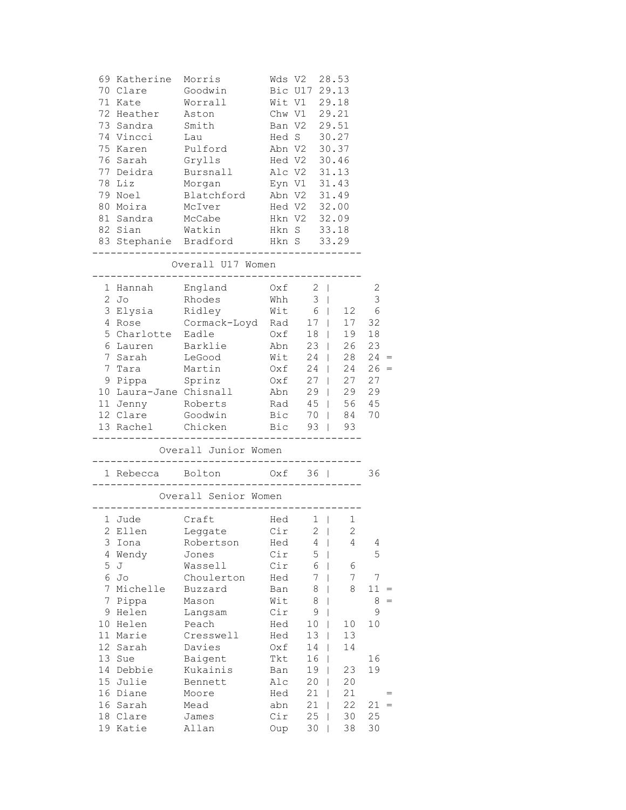| 78           | 69 Katherine<br>70 Clare<br>71 Kate<br>72 Heather<br>73 Sandra Smith<br>74 Vincci<br>75 Karen<br>76 Sarah<br>77 Deidra<br>Liz | Morris<br>Goodwin<br>Worrall<br>Aston<br>Lau<br>Pulford<br>Grylls<br>Bursnall<br>Morgan |            | Wds V2<br>Bic U17 29.13<br>Wit V1 29.18<br>Chw V1 29.21<br>Ban V2 29.51<br>Hed S 30.27<br>Abn V2 30.37<br>Hed V2<br>Alc V2<br>Eyn V1 | 28.53<br>30.46<br>31.13<br>31.43 |                 |
|--------------|-------------------------------------------------------------------------------------------------------------------------------|-----------------------------------------------------------------------------------------|------------|--------------------------------------------------------------------------------------------------------------------------------------|----------------------------------|-----------------|
|              | 79 Noel                                                                                                                       | Blatchford                                                                              |            | Abn V2 31.49                                                                                                                         |                                  |                 |
| 80           | Moira<br>81 Sandra                                                                                                            | McIver<br>McCabe                                                                        |            | Hed V2 32.00<br>Hkn V2 32.09                                                                                                         |                                  |                 |
|              | 82 Sian                                                                                                                       | Watkin                                                                                  |            | Hkn S 33.18                                                                                                                          |                                  |                 |
|              |                                                                                                                               | 83 Stephanie Bradford Hkn S 33.29                                                       |            |                                                                                                                                      |                                  |                 |
|              |                                                                                                                               | Overall U17 Women                                                                       |            | _____________.                                                                                                                       |                                  |                 |
|              | 1 Hannah                                                                                                                      | England                                                                                 |            | $0xf \t2$                                                                                                                            |                                  | 2               |
| $\mathbf{2}$ | Jo                                                                                                                            | Rhodes                                                                                  | Whh        | $3 \mid$                                                                                                                             |                                  | $\mathsf 3$     |
|              | 3 Elysia Ridley                                                                                                               |                                                                                         |            | $Wit$ 6                                                                                                                              | 12                               | 6               |
| 4            |                                                                                                                               | Rose Cormack-Loyd Rad                                                                   |            |                                                                                                                                      | 17   17                          | 32              |
| 5            | Charlotte Eadle                                                                                                               |                                                                                         | Oxf        | $18$                                                                                                                                 | 19                               | 18              |
| 6            | Lauren Barklie                                                                                                                |                                                                                         | Abn        | $23 \mid$                                                                                                                            | 26                               | 23              |
| 7<br>7       | Sarah                                                                                                                         | LeGood                                                                                  | Wit        | $24$                                                                                                                                 | 28<br>24                         | 24<br>$26 =$    |
|              | Tara<br>9 Pippa                                                                                                               | Martin<br>Sprinz                                                                        | Oxf<br>Oxf | $24$  <br>$27 \mid$                                                                                                                  | 27                               | 27              |
|              | 10 Laura-Jane Chisnall                                                                                                        |                                                                                         | Abn        |                                                                                                                                      | $29$   29 29                     |                 |
|              | 11 Jenny Roberts                                                                                                              |                                                                                         |            | Rad 45   56 45                                                                                                                       |                                  |                 |
|              | 12 Clare                                                                                                                      | Goodwin                                                                                 |            | Bic 70   84                                                                                                                          |                                  | 70              |
|              | 13 Rachel Chicken                                                                                                             |                                                                                         |            | Bic 93   93                                                                                                                          |                                  |                 |
|              |                                                                                                                               | Overall Junior Women                                                                    |            |                                                                                                                                      |                                  |                 |
|              | 1 Rebecca Bolton                                                                                                              | -------------------                                                                     |            | $Oxf = 36$                                                                                                                           |                                  | 36              |
|              |                                                                                                                               | __________________<br>Overall Senior Women                                              |            |                                                                                                                                      |                                  |                 |
|              | 1 Jude                                                                                                                        | . _ _ _ _ _ _ _ _ _ _ _ _ _ _ _ _<br>Craft                                              |            | $Hed \t1$                                                                                                                            | 1                                |                 |
|              |                                                                                                                               | 2 Ellen Leggate Cir 2                                                                   |            |                                                                                                                                      | $\overline{2}$                   |                 |
| 3            | Iona                                                                                                                          | Robertson                                                                               | Hed        | 4                                                                                                                                    | 4                                | 4               |
| 4            | Wendy                                                                                                                         | Jones                                                                                   | Cir        | 5                                                                                                                                    |                                  | 5               |
| 5<br>6       | J                                                                                                                             | Wassell                                                                                 | Cir        | 6<br>7                                                                                                                               | 6<br>7                           | 7               |
| 7            | Jo<br>Michelle                                                                                                                | Choulerton<br>Buzzard                                                                   | Hed<br>Ban | 8                                                                                                                                    | 8                                | 11              |
| 7            | Pippa                                                                                                                         | Mason                                                                                   | Wit        | 8                                                                                                                                    |                                  | 8               |
| 9            | Helen                                                                                                                         | Langsam                                                                                 | Cir        | 9                                                                                                                                    |                                  | 9               |
| 10           | Helen                                                                                                                         | Peach                                                                                   | Hed        | 10                                                                                                                                   | 10                               | 10              |
| 11           | Marie                                                                                                                         | Cresswell                                                                               | Hed        | 13                                                                                                                                   | 13                               |                 |
| 12           | Sarah                                                                                                                         | Davies                                                                                  | Oxf        | 14                                                                                                                                   | 14                               |                 |
| 13           | Sue                                                                                                                           | Baigent                                                                                 | Tkt        | 16                                                                                                                                   |                                  | 16              |
| 14           | Debbie                                                                                                                        | Kukainis                                                                                | Ban        | 19                                                                                                                                   | 23                               | 19              |
| 15           | Julie                                                                                                                         | Bennett                                                                                 | Alc        | 20                                                                                                                                   | 20                               |                 |
| 16           | Diane                                                                                                                         | Moore                                                                                   | Hed        | 21                                                                                                                                   | 21                               |                 |
| 16<br>18     | Sarah<br>Clare                                                                                                                | Mead                                                                                    | abn<br>Cir | 21<br>25                                                                                                                             | 22                               | 21<br>$=$<br>25 |
| 19           | Katie                                                                                                                         | James<br>Allan                                                                          | Oup        | 30                                                                                                                                   | 30<br>38                         | 30              |
|              |                                                                                                                               |                                                                                         |            |                                                                                                                                      |                                  |                 |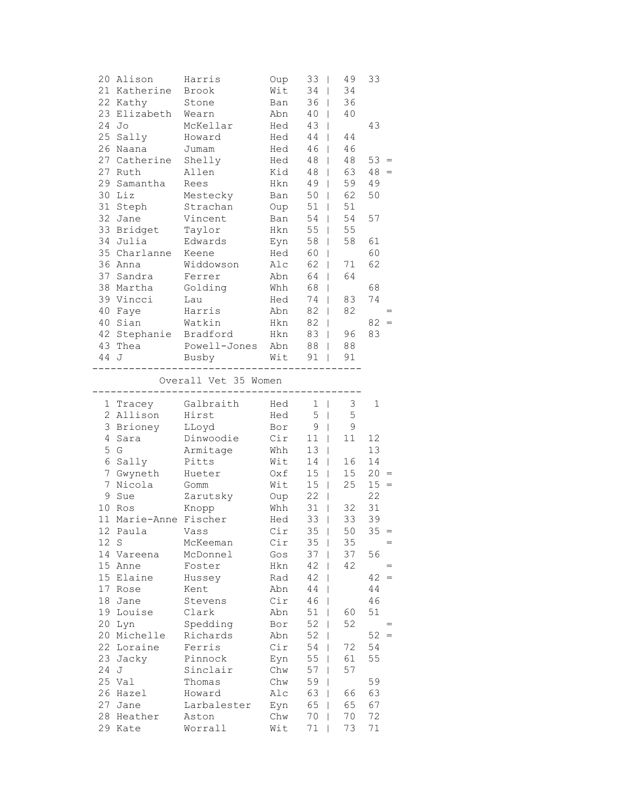|       | 20 Alison             | Harris                                                      | Oup        | $33 \mid$          | 49                 | 33                                      |     |
|-------|-----------------------|-------------------------------------------------------------|------------|--------------------|--------------------|-----------------------------------------|-----|
|       | 21 Katherine          | Brook                                                       | Wit        | 34<br>$\mathbf{I}$ | 34                 |                                         |     |
|       | 22 Kathy              | Stone                                                       | Ban        | $36$               | 36                 |                                         |     |
|       | 23 Elizabeth Wearn    |                                                             | Abn        | 40                 | 40<br>$\mathbf{I}$ |                                         |     |
| 24 Jo |                       | McKellar                                                    | Hed        | 43                 | L                  | 43                                      |     |
|       | 25 Sally              | Howard                                                      | Hed        | 44                 | 44<br>L            |                                         |     |
|       | 26 Naana              | Jumam                                                       | Hed        | 46                 | 46<br>L            |                                         |     |
|       | 27 Catherine Shelly   |                                                             | Hed        | 48                 | 48<br>L            | $53 =$                                  |     |
|       | 27 Ruth               | Allen                                                       | Kid        | 48                 | 63<br>L            | 48<br>$=$                               |     |
|       | 29 Samantha Rees      |                                                             | Hkn        | 49                 | 59<br>$\mathbf{L}$ | 49                                      |     |
|       | 30 Liz                | Mestecky                                                    | Ban        | $50 \mid$          | 62                 | 50                                      |     |
|       | 31 Steph              | -<br>Strachan                                               |            | Oup 51             | 51<br>$\mathbb{L}$ |                                         |     |
|       | 32 Jane               | Vincent                                                     |            | Ban 54             | 54<br>L            | 57                                      |     |
|       | 33 Bridget Taylor     |                                                             |            | Hkn 55             | 55<br>L            |                                         |     |
|       | 34 Julia              | Edwards                                                     | Eyn 58     |                    | 58<br>L            | 61                                      |     |
|       | 35 Charlanne Keene    |                                                             | Hed 60     |                    | L                  | 60                                      |     |
|       | 36 Anna               | Widdowson                                                   | Alc        | 62                 | 71<br>L            | 62                                      |     |
|       | 37 Sandra             | Ferrer                                                      | Abn        | 64                 | 64<br>$\mathbb{L}$ |                                         |     |
|       | 38 Martha             | Golding<br>T                                                | Whh        | 68<br>I            |                    | 68                                      |     |
|       | 39 Vincci             | Lau                                                         | Hed        | 74                 | 83<br>$\mathbf{I}$ | 74                                      |     |
|       | 40 Faye               | Harris                                                      | Abn        | $82 \mid$          | 82                 |                                         |     |
|       | 40 Sian               | Watkin                                                      |            | Hkn 82             | $\mathbf{I}$       | $82 =$                                  |     |
|       |                       | 42 Stephanie Bradford Hkn 83                                |            |                    | 96<br>$\mathbf{L}$ | 83                                      |     |
|       | 43 Thea               | Powell-Jones Abn 88                                         |            |                    | 88<br>L            |                                         |     |
| 44 J  |                       | Busby Wit 91                                                |            |                    | 91                 |                                         |     |
|       |                       | Overall Vet 35 Women<br>----------------------------------- |            |                    |                    |                                         |     |
|       |                       | 1 Tracey Galbraith Hed 1                                    |            |                    | 3                  | 1                                       |     |
|       | 2 Allison             | Hirst                                                       | Hed        | $5 \mid$           | 5                  |                                         |     |
|       | 3 Brioney             | LLoyd                                                       | Bor        |                    | $9 \mid$<br>9      |                                         |     |
| 4     | Sara                  | Dinwoodie Cir                                               |            | $11$               | 11                 | 12                                      |     |
|       | 5 G                   | Armitage                                                    | Whh        | 13                 | L                  | 13                                      |     |
|       | 6 Sally               | Pitts                                                       | Wit        | 14                 | 16<br>L            | 14                                      |     |
|       | 7 Gwyneth Hueter      |                                                             | Oxf        | 15                 | 15<br>L            | 20<br>$\hspace{0.1cm} = \hspace{0.1cm}$ |     |
|       | 7 Nicola              | Gomm                                                        | Wit        | $15 \mid$          | 25                 | $15 =$                                  |     |
|       | 9 Sue                 | Zarutsky                                                    | Oup        | $22 \mid$          |                    | 22                                      |     |
|       | 10 Ros                | Knopp                                                       | Whh        | $31$               | 32                 | 31                                      |     |
|       | 11 Marie-Anne Fischer |                                                             | Hed        | $33 \mid$          | 33                 | 39                                      |     |
|       | 12 Paula Vass         |                                                             | Cir        | $35 \mid$          | 50                 | $35 =$                                  |     |
| 12 S  |                       | McKeeman                                                    | Cir        | $35 \mid$          | 35                 |                                         | $=$ |
|       | 14 Vareena            | McDonnel                                                    | Gos        | 37                 | 37                 | 56                                      |     |
|       | 15 Anne               | Foster                                                      | Hkn        | 42                 | 42                 |                                         | $=$ |
|       | 15 Elaine             | Hussey                                                      | Rad        | 42                 |                    | 42<br>$\hspace{0.1cm} = \hspace{0.1cm}$ |     |
|       | 17 Rose               | Kent                                                        | Abn        | 44<br>L            |                    | 44                                      |     |
|       | 18 Jane               | Stevens                                                     | Cir        | 46<br>L            |                    | 46                                      |     |
|       | 19 Louise             | Clark                                                       | Abn        | 51                 | 60                 | 51                                      |     |
|       | 20 Lyn                | Spedding                                                    | Bor        | 52                 | 52                 |                                         | $=$ |
|       | 20 Michelle           | Richards<br>Ferris                                          | Abn        | 52<br>L            |                    | 52<br>$\qquad \qquad =$                 |     |
|       | 22 Loraine            |                                                             | Cir        | 54                 | 72<br>L            | 54<br>55                                |     |
| 24 J  | 23 Jacky              | Pinnock                                                     | Eyn        | 55                 | 61<br>57           |                                         |     |
|       | 25 Val                | Sinclair                                                    | Chw        | 57<br>59           |                    | 59                                      |     |
|       | 26 Hazel              | Thomas<br>Howard                                            | Chw<br>Alc | 63                 | 66<br>L            | 63                                      |     |
|       | 27 Jane               | Larbalester                                                 | Eyn        | 65<br>$\mathbf{I}$ | 65                 | 67                                      |     |
|       | 28 Heather            | Aston                                                       | Chw        | 70                 | 70                 | 72                                      |     |
|       | 29 Kate               | Worrall                                                     | Wit        | 71                 | 73                 | 71                                      |     |
|       |                       |                                                             |            |                    |                    |                                         |     |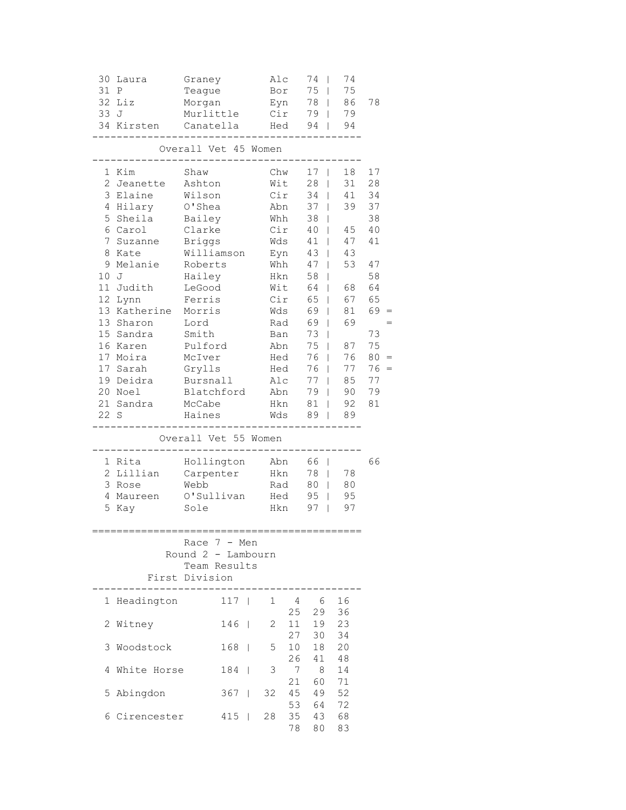| Overall Vet 45 Women<br>1 Kim<br>Chw<br>Shaw<br>17<br>18<br>2 Jeanette<br>Wit<br>28<br>31<br>Ashton<br>L<br>3<br>Elaine<br>Wilson<br>Cir<br>34<br>41<br>4 Hilary<br>O'Shea<br>Abn<br>37<br>39<br>5<br>Sheila<br>Bailey<br>Whh<br>38<br>T<br>Cir<br>6 Carol<br>Clarke<br>40<br>45<br>$\mathbb{R}$<br>7<br><b>Briggs</b><br>Wds<br>41<br>47<br>Suzanne<br>$\mathbf{I}$<br>8<br>Williamson<br>Eyn<br>43<br>L<br>43<br>Kate<br>9<br>Roberts<br>Whh<br>53<br>Melanie<br>47<br>$\perp$<br>10<br>Hailey<br>58<br>J<br>Hkn<br>L                   |                                                                                                                       |
|-------------------------------------------------------------------------------------------------------------------------------------------------------------------------------------------------------------------------------------------------------------------------------------------------------------------------------------------------------------------------------------------------------------------------------------------------------------------------------------------------------------------------------------------|-----------------------------------------------------------------------------------------------------------------------|
|                                                                                                                                                                                                                                                                                                                                                                                                                                                                                                                                           |                                                                                                                       |
| 11<br>LeGood<br>Wit<br>64<br>Judith<br>68<br>L<br>65<br>12<br>Ferris<br>Cir<br>67<br>Lynn<br>13 Katherine<br>Morris<br>Wds<br>69<br>81<br>13 Sharon<br>69<br>69<br>Lord<br>Rad<br>L<br>15 Sandra<br>Smith<br>73<br>Ban<br>T<br>16 Karen<br>Pulford<br>Abn<br>75<br>87<br>T<br>17 Moira<br>McIver<br>76<br>76<br>Hed<br>T<br>17<br>Grylls<br>76<br>Sarah<br>Hed<br>77<br>$\mathbf{I}$<br>19<br>Deidra<br>Bursnall<br>Alc<br>77<br>85<br>$\mathbf{I}$<br>20 Noel<br>Blatchford<br>Abn<br>79<br>90<br>21 Sandra<br>McCabe<br>Hkn<br>81<br>92 | 17<br>28<br>34<br>37<br>38<br>40<br>41<br>47<br>58<br>64<br>65<br>69<br>73<br>75<br>80<br>76<br>$=$<br>77<br>79<br>81 |
| 22 S<br>Haines<br>Wds<br>89<br>89<br>L<br>Overall Vet 55 Women                                                                                                                                                                                                                                                                                                                                                                                                                                                                            |                                                                                                                       |
| Hollington<br>1 Rita<br>Abn<br>66  <br>2 Lillian<br>78<br>78<br>Carpenter<br>Hkn<br>$\mathbf{I}$<br>3<br>80<br>Webb<br>Rad<br>80<br>Rose<br>$\mathbf{I}$<br>O'Sullivan<br>95<br>95<br>4<br>Maureen<br>Hed<br>5<br>97<br>97<br>Kay<br>Sole<br>Hkn<br>L                                                                                                                                                                                                                                                                                     | 66                                                                                                                    |
| Race $7 - Men$                                                                                                                                                                                                                                                                                                                                                                                                                                                                                                                            |                                                                                                                       |
| Round 2 - Lambourn<br>Team Results<br>First Division                                                                                                                                                                                                                                                                                                                                                                                                                                                                                      |                                                                                                                       |
| Headington<br>117<br>16<br>1<br>4<br>- 6<br>1<br>- 1<br>25<br>29<br>36                                                                                                                                                                                                                                                                                                                                                                                                                                                                    |                                                                                                                       |
| Witney<br>$146$  <br>11<br>19<br>23<br>2<br>2<br>30<br>34<br>27                                                                                                                                                                                                                                                                                                                                                                                                                                                                           |                                                                                                                       |
| 10 <sub>1</sub><br>18<br>20<br>Woodstock<br>168<br>5<br>3<br>$\Box$<br>26<br>41<br>48                                                                                                                                                                                                                                                                                                                                                                                                                                                     |                                                                                                                       |
| 3<br>14<br>184<br>7<br>8<br>White Horse<br>4<br>- 1<br>71<br>21<br>60                                                                                                                                                                                                                                                                                                                                                                                                                                                                     |                                                                                                                       |
| $367$  <br>45<br>49<br>52<br>Abingdon<br>32<br>5<br>53<br>64<br>72<br>35<br>68<br>6 Cirencester<br>$415$  <br>28<br>43<br>78<br>80<br>83                                                                                                                                                                                                                                                                                                                                                                                                  |                                                                                                                       |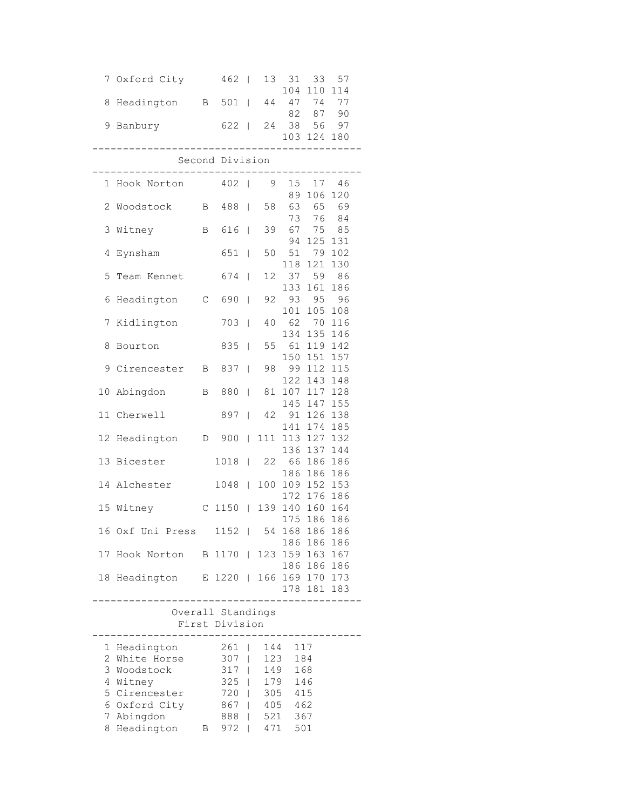|    | 7 Oxford City                          |              | 462               | $\mathbf{I}$   | 13         | 31                 | 33             | 57         |  |
|----|----------------------------------------|--------------|-------------------|----------------|------------|--------------------|----------------|------------|--|
| 8  | Headington B 501                       |              |                   | $\Box$         | 44         | 104                | 110<br>47 74   | 114<br>77  |  |
|    |                                        |              |                   |                |            | 82                 | 87             | 90         |  |
|    | 9 Banbury                              |              | 622               | $\Box$         | 24         | 38 56              |                | 97         |  |
|    |                                        |              |                   |                |            |                    | 103 124 180    |            |  |
|    |                                        |              | Second Division   |                |            |                    |                |            |  |
|    | 1 Hook Norton                          |              | 402               |                |            | 15                 | _________      |            |  |
|    |                                        |              |                   | $\overline{1}$ | 9          | 89                 | 17<br>106 120  | 46         |  |
|    | 2 Woodstock                            | В            | 488               | $\mathbf{I}$   | 58         | 63                 |                | 65 69      |  |
|    |                                        |              |                   |                |            | 73                 | 76<br>67 75 85 | 84         |  |
|    | 3 Witney                               | В            | 616               | $\Box$         | 39         | 94                 | 125            | 131        |  |
| 4  | Eynsham                                |              | 651               | $\mathbf{I}$   | 50         | 51                 | 79             | 102        |  |
|    |                                        |              |                   |                |            |                    | 118 121        | 130        |  |
| 5  | Team Kennet                            |              | 674               | $\mathbf{I}$   | 12         | 37<br>133          | 59<br>161      | 86<br>186  |  |
| 6  | Headington                             | $\mathsf{C}$ | 690               | $\mathbf{I}$   | 92         | 93                 | 95             | 96         |  |
|    |                                        |              |                   |                |            | 101                | 105            | 108        |  |
| 7  | Kidlington                             |              | 703               | $\mathbf{I}$   | 40         | 62                 | 70             | 116        |  |
| 8  |                                        |              | 835               | T              | 55         | 134<br>61          | 135<br>119     | 146<br>142 |  |
|    | Bourton                                |              |                   |                |            | 150                | 151            | 157        |  |
|    | 9 Cirencester                          | B            | 837               | T              | 98         | 99 112             |                | 115        |  |
|    |                                        |              |                   |                |            | 122                | 143            | 148        |  |
| 10 | Abingdon                               | В            | 880               | L              | 81         | 107 117            | 145 147 155    | 128        |  |
|    | 11 Cherwell                            |              | 897               | $\overline{1}$ | 42         | 91 126             |                | 138        |  |
|    |                                        |              |                   |                |            | 141                | 174            | 185        |  |
| 12 | Headington                             | D            | 900               | $\mathbf{I}$   |            | 111 113 127<br>136 | 137            | 132<br>144 |  |
|    | 13 Bicester                            |              | 1018              | L              | 22         | 66                 | 186            | 186        |  |
|    |                                        |              |                   |                |            | 186                | 186            | 186        |  |
|    | 14 Alchester                           |              | 1048              | L              | 100        | 109 152            |                | 153        |  |
|    | 15 Witney                              |              | C 1150            | $\mathbb{R}$   |            | 139 140 160 164    | 172 176 186    |            |  |
|    |                                        |              |                   |                |            |                    | 175 186        | 186        |  |
|    | 16 Oxf Uni Press 1152   54 168 186 186 |              |                   |                |            |                    |                |            |  |
| 17 | Hook Norton B 1170                     |              |                   |                |            | 123 159 163 167    | 186 186 186    |            |  |
|    |                                        |              |                   |                |            |                    | 186 186 186    |            |  |
|    | 18 Headington E 1220   166 169 170 173 |              |                   |                |            |                    |                |            |  |
|    |                                        |              |                   |                |            |                    | 178 181 183    |            |  |
|    |                                        |              | Overall Standings |                |            |                    |                |            |  |
|    |                                        |              | First Division    |                |            |                    |                |            |  |
|    | 1 Headington                           |              | 261               | $\mathbf{L}$   | 144        |                    | 117            |            |  |
|    | 2 White Horse                          |              | 307               | $\mathbf{I}$   | 123        |                    | 184            |            |  |
| 3  | Woodstock                              |              | $317$             |                | 149        |                    | 168            |            |  |
|    | 4 Witney<br>5 Cirencester              |              | $325$  <br>720    | $\mathbb{L}$   | 179<br>305 | 415                | 146            |            |  |
|    | 6 Oxford City                          |              | 867               | L              | 405        | 462                |                |            |  |
|    | 7 Abingdon                             |              | 888               | $\mathbb{L}$   | 521        |                    | 367            |            |  |
|    | 8 Headington                           | $\mathbf{B}$ | $972$             |                | 471        | 501                |                |            |  |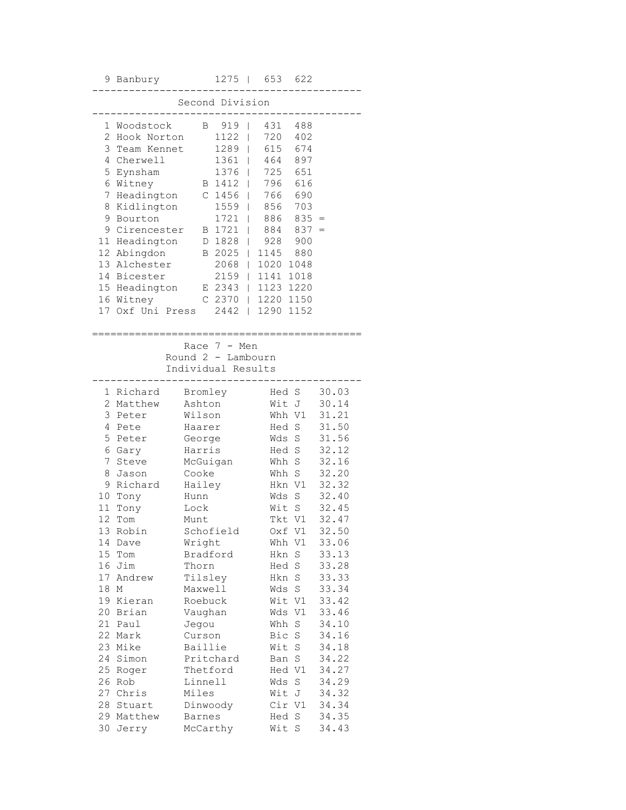|                 | 9 Banbury                                                | 1275<br>$\Box$                            | 653<br>622                  |                |  |  |  |
|-----------------|----------------------------------------------------------|-------------------------------------------|-----------------------------|----------------|--|--|--|
|                 |                                                          | Second Division                           |                             |                |  |  |  |
|                 |                                                          |                                           |                             |                |  |  |  |
| 1               | Woodstock                                                | 919<br>B                                  | 431<br>488                  |                |  |  |  |
| 2               | Hook Norton                                              | 1122                                      | 720<br>402                  |                |  |  |  |
|                 | 3 Team Kennet                                            | 1289                                      | 615<br>674                  |                |  |  |  |
|                 | 4 Cherwell                                               | $1361$                                    | 464<br>897                  |                |  |  |  |
|                 | 5 Eynsham                                                | 1376<br>$\mathbf{I}$                      | 725<br>651                  |                |  |  |  |
|                 | 6 Witney                                                 | B 1412                                    | 616<br>796                  |                |  |  |  |
| 7<br>8          | Headington<br>Kidlington                                 | C <sub>1456</sub><br>$\mathbb{R}$<br>1559 | 690<br>766<br>856<br>703    |                |  |  |  |
| 9               | Bourton                                                  | $\perp$<br>$1721$ $\pm$                   | 886<br>$835 =$              |                |  |  |  |
| 9               | Cirencester                                              | $1721$  <br>B                             | 837<br>884                  | $=$            |  |  |  |
| 11              | Headington                                               | 1828<br>D                                 | 928<br>900<br>$\mathbf{L}$  |                |  |  |  |
|                 | 12 Abingdon                                              | B 2025                                    | 1145<br>880<br>$\mathbf{L}$ |                |  |  |  |
|                 | 13 Alchester                                             | $2068$                                    | 1020<br>1048                |                |  |  |  |
|                 | 14 Bicester                                              | $2159$                                    | 1141<br>1018                |                |  |  |  |
|                 | 15 Headington                                            | E 2343                                    | 1123<br>1220                |                |  |  |  |
|                 | 16 Witney                                                | C 2370   1220                             | 1150                        |                |  |  |  |
| 17              | Oxf Uni Press                                            | $2442$                                    | 1290<br>1152                |                |  |  |  |
|                 |                                                          |                                           |                             |                |  |  |  |
|                 | Race 7 - Men<br>Round 2 - Lambourn<br>Individual Results |                                           |                             |                |  |  |  |
|                 | 1 Richard                                                | Bromley                                   | Hed S                       | 30.03          |  |  |  |
|                 | 2 Matthew                                                | Ashton                                    | Wit J                       | 30.14          |  |  |  |
| 3               | Peter                                                    | Wilson                                    | Whh V1                      | 31.21          |  |  |  |
| 4               | Pete                                                     | Haarer                                    | Hed S                       | 31.50          |  |  |  |
| 5               | Peter                                                    | George                                    | Wds<br>S                    | 31.56          |  |  |  |
|                 | 6 Gary                                                   | Harris                                    | Hed<br>S                    | 32.12          |  |  |  |
| 7<br>8          | Steve                                                    | McGuigan                                  | S<br>Whh<br>S               | 32.16<br>32.20 |  |  |  |
|                 | Jason<br>9 Richard                                       | Cooke<br>Hailey                           | Whh<br>Hkn V1               | 32.32          |  |  |  |
|                 | 10 Tony                                                  | Hunn                                      | S<br>Wds                    | 32.40          |  |  |  |
| 11 <sup>1</sup> | Tony                                                     | Lock                                      | Wit<br>S                    | 32.45          |  |  |  |
| 12              | Tom                                                      | Munt                                      | Tkt V1                      | 32.47          |  |  |  |
|                 | 13 Robin                                                 | Schofield                                 | Oxf Vl                      | 32.50          |  |  |  |
| 14              | Dave                                                     | Wright                                    | Whh V1                      | 33.06          |  |  |  |
|                 | 15 Tom                                                   | Bradford                                  | S<br>Hkn                    | 33.13          |  |  |  |
|                 | 16 Jim                                                   | Thorn                                     | Hed<br>S                    | 33.28          |  |  |  |
|                 | 17 Andrew                                                | Tilsley                                   | Hkn<br>S                    | 33.33          |  |  |  |
| 18              | $\mathbb M$                                              | Maxwell                                   | S<br>Wds                    | 33.34          |  |  |  |
|                 | 19 Kieran                                                | Roebuck                                   | Wit V1                      | 33.42          |  |  |  |
| 20              | Brian                                                    | Vaughan                                   | Wds<br>V1                   | 33.46          |  |  |  |
| 21              | Paul                                                     | Jegou                                     | Whh<br>S                    | 34.10          |  |  |  |
| 22              | Mark                                                     | Curson                                    | Bic<br>S                    | 34.16          |  |  |  |
| 23              | Mike                                                     | Baillie                                   | Wit<br>S                    | 34.18          |  |  |  |
| 24              | Simon                                                    | Pritchard                                 | $\rm S$<br>Ban              | 34.22          |  |  |  |
| 25              | Roger                                                    | Thetford                                  | Hed V1                      | 34.27          |  |  |  |
|                 | 26 Rob                                                   | Linnell                                   | Wds<br>S                    | 34.29          |  |  |  |
|                 | 27 Chris                                                 | Miles                                     | Wit J                       | 34.32          |  |  |  |
| 28              | Stuart                                                   | Dinwoody                                  | Cir V1                      | 34.34<br>34.35 |  |  |  |
|                 |                                                          |                                           |                             |                |  |  |  |
| 30              | 29 Matthew<br>Jerry                                      | Barnes<br>McCarthy                        | S<br>Hed<br>Wit<br>S        | 34.43          |  |  |  |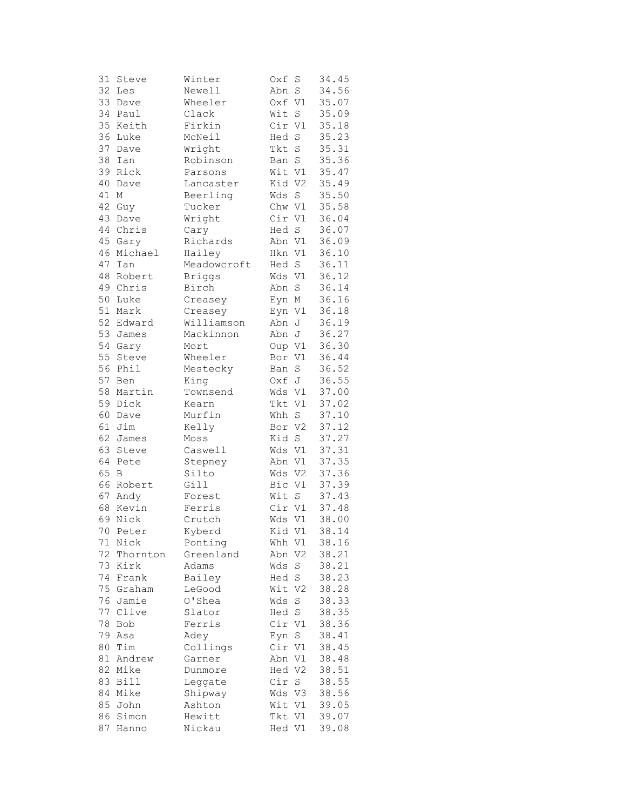| 31 | Steve         | Winter        | Oxf    | S              | 34.45 |
|----|---------------|---------------|--------|----------------|-------|
| 32 | Les           | Newell        | Abn    | $\mathbf S$    | 34.56 |
| 33 | Dave          | Wheeler       | Oxf V1 |                | 35.07 |
| 34 | Paul          | Clack         | Wit    | S              | 35.09 |
| 35 | Keith         | Firkin        | Cir    | V1             | 35.18 |
| 36 | Luke          | McNeil        | Hed    | $\mathbf S$    | 35.23 |
| 37 | Dave          | Wright        | Tkt    | $\rm S$        | 35.31 |
| 38 | Ian           | Robinson      | Ban    | S              | 35.36 |
|    | 39 Rick       | Parsons       | Wit V1 |                | 35.47 |
| 40 | Dave          | Lancaster     | Kid V2 |                | 35.49 |
| 41 | М             | Beerling      | Wds    | S              | 35.50 |
| 42 | Guy           | Tucker        | Chw V1 |                | 35.58 |
| 43 | Dave          | Wright        | Cir V1 |                | 36.04 |
| 44 | Chris         | Cary          | Hed S  |                | 36.07 |
| 45 | Gary          | Richards      | Abn    | V1             | 36.09 |
| 46 | Michael       | Hailey        | Hkn V1 |                | 36.10 |
| 47 |               |               | Hed    | S              | 36.11 |
| 48 | Ian<br>Robert | Meadowcroft   |        |                | 36.12 |
|    |               | <b>Briggs</b> | Wds    | V1             |       |
|    | 49 Chris      | Birch         | Abn    | $\rm S$        | 36.14 |
| 50 | Luke          | Creasey       | Eyn M  |                | 36.16 |
| 51 | Mark          | Creasey       | Eyn V1 |                | 36.18 |
| 52 | Edward        | Williamson    | Abn    | J              | 36.19 |
| 53 | James         | Mackinnon     | Abn    | J              | 36.27 |
| 54 | Gary          | Mort          | Oup V1 |                | 36.30 |
| 55 | Steve         | Wheeler       | Bor    | V1             | 36.44 |
| 56 | Phil          | Mestecky      | Ban    | S              | 36.52 |
| 57 | Ben           | King          | Oxf J  |                | 36.55 |
| 58 | Martin        | Townsend      | Wds V1 |                | 37.00 |
| 59 | Dick          | Kearn         | Tkt    | V1             | 37.02 |
| 60 | Dave          | Murfin        | Whh    | S              | 37.10 |
| 61 | Jim           | Kelly         | Bor    | V <sub>2</sub> | 37.12 |
| 62 | James         | Moss          | Kid    | S              | 37.27 |
| 63 | Steve         | Caswell       | Wds    | V1             | 37.31 |
| 64 | Pete          | Stepney       | Abn V1 |                | 37.35 |
| 65 | B             | Silto         | Wds V2 |                | 37.36 |
|    | 66 Robert     | Gill          | Bic V1 |                | 37.39 |
| 67 | Andy          | Forest        | Wit    | S              | 37.43 |
| 68 | Kevin         | Ferris        | Cir V1 |                | 37.48 |
| 69 | Nick          | Crutch        | Wds V1 |                | 38.00 |
| 70 | Peter         | Kyberd        | Kid V1 |                | 38.14 |
| 71 | Nick          | Ponting       | Whh    | V1             | 38.16 |
| 72 | Thornton      | Greenland     | Abn    | V2             | 38.21 |
| 73 | Kirk          | Adams         | Wds    | $\rm S$        | 38.21 |
| 74 | Frank         | Bailey        | Hed    | $\mathbf S$    | 38.23 |
| 75 | Graham        | LeGood        | Wit    | V <sub>2</sub> | 38.28 |
| 76 | Jamie         | O'Shea        | Wds    | S              | 38.33 |
| 77 | Clive         | Slator        | Hed    | $\mathbf S$    | 38.35 |
| 78 | Bob           | Ferris        | Cir    | V1             | 38.36 |
| 79 | Asa           | Adey          | Eyn    | S              | 38.41 |
| 80 | Tim           | Collings      | Cir    | V1             | 38.45 |
| 81 | Andrew        | Garner        | Abn    | V1             | 38.48 |
| 82 | Mike          | Dunmore       | Hed V2 |                | 38.51 |
| 83 | Bill          | Leggate       | Cir    | S              | 38.55 |
| 84 | Mike          | Shipway       | Wds V3 |                | 38.56 |
| 85 | John          | Ashton        | Wit    | V1             | 39.05 |
| 86 | Simon         | Hewitt        | Tkt    | V1             | 39.07 |
| 87 |               |               |        |                |       |
|    | Hanno         | Nickau        | Hed V1 |                | 39.08 |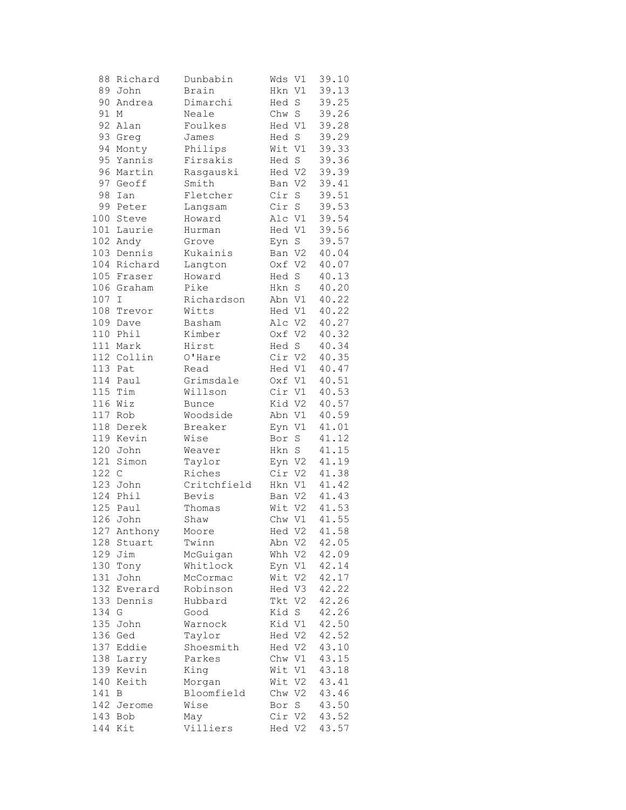| 88  | Richard     | Dunbabin     | Wds    | V1             | 39.10 |
|-----|-------------|--------------|--------|----------------|-------|
|     | 89 John     | Brain        | Hkn V1 |                | 39.13 |
| 90  | Andrea      | Dimarchi     | Hed    | $\mathbf S$    | 39.25 |
| 91  | Μ           | Neale        | Chw    | $\rm S$        | 39.26 |
| 92  | Alan        | Foulkes      | Hed V1 |                | 39.28 |
| 93  | Greg        | James        | Hed S  |                | 39.29 |
| 94  | Monty       | Philips      | Wit V1 |                | 39.33 |
| 95  | Yannis      | Firsakis     | Hed S  |                | 39.36 |
| 96  | Martin      | Rasgauski    | Hed V2 |                | 39.39 |
| 97  | Geoff       | Smith        | Ban V2 |                | 39.41 |
| 98  | Ian         | Fletcher     | Cir    | $\rm S$        | 39.51 |
| 99  | Peter       | Langsam      | Cir S  |                | 39.53 |
| 100 | Steve       | Howard       | Alc V1 |                | 39.54 |
| 101 | Laurie      | Hurman       | Hed V1 |                | 39.56 |
| 102 | Andy        | Grove        | Eyn S  |                | 39.57 |
|     | 103 Dennis  | Kukainis     | Ban V2 |                | 40.04 |
| 104 | Richard     | Langton      | Oxf V2 |                | 40.07 |
| 105 | Fraser      | Howard       | Hed S  |                | 40.13 |
|     | 106 Graham  | Pike         | Hkn S  |                | 40.20 |
|     |             |              |        |                |       |
| 107 | I           | Richardson   | Abn V1 |                | 40.22 |
| 108 | Trevor      | Witts        | Hed V1 |                | 40.22 |
| 109 | Dave        | Basham       | Alc V2 |                | 40.27 |
| 110 | Phil        | Kimber       | Oxf V2 |                | 40.32 |
|     | 111 Mark    | Hirst        | Hed S  |                | 40.34 |
|     | 112 Collin  | O'Hare       | Cir V2 |                | 40.35 |
| 113 | Pat         | Read         | Hed V1 |                | 40.47 |
|     | 114 Paul    | Grimsdale    | Oxf V1 |                | 40.51 |
| 115 | Tim         | Willson      | Cir V1 |                | 40.53 |
|     | $116$ Wiz   | <b>Bunce</b> | Kid V2 |                | 40.57 |
| 117 | Rob         | Woodside     | Abn V1 |                | 40.59 |
| 118 | Derek       | Breaker      | Eyn V1 |                | 41.01 |
|     | 119 Kevin   | Wise         | Bor    | $\mathbf S$    | 41.12 |
| 120 | John        | Weaver       | Hkn    | $\mathbf S$    | 41.15 |
| 121 | Simon       | Taylor       | Eyn V2 |                | 41.19 |
| 122 | $\mathsf C$ | Riches       | Cir V2 |                | 41.38 |
| 123 | John        | Critchfield  | Hkn V1 |                | 41.42 |
| 124 | Phil        | Bevis        | Ban V2 |                | 41.43 |
|     | 125 Paul    | Thomas       | Wit V2 |                | 41.53 |
| 126 | John        | Shaw         | Chw V1 |                | 41.55 |
|     | 127 Anthony | Moore        | Hed V2 |                | 41.58 |
| 128 | Stuart      | Twinn        | Abn V2 |                | 42.05 |
| 129 | Jim         | McGuigan     | Whh    | V2             | 42.09 |
| 130 | Tony        | Whitlock     | Eyn    | V1             | 42.14 |
| 131 | John        | McCormac     | Wit    | V <sub>2</sub> | 42.17 |
| 132 | Everard     | Robinson     | Hed V3 |                | 42.22 |
| 133 | Dennis      | Hubbard      | Tkt V2 |                | 42.26 |
| 134 | G           | Good         | Kid    | S              | 42.26 |
| 135 | John        | Warnock      | Kid V1 |                | 42.50 |
| 136 | Ged         | Taylor       | Hed V2 |                | 42.52 |
| 137 | Eddie       | Shoesmith    | Hed V2 |                | 43.10 |
| 138 | Larry       | Parkes       | Chw V1 |                | 43.15 |
| 139 | Kevin       | King         | Wit V1 |                | 43.18 |
| 140 | Keith       | Morgan       | Wit V2 |                | 43.41 |
| 141 | В           | Bloomfield   | Chw V2 |                | 43.46 |
| 142 | Jerome      | Wise         | Bor    | S              | 43.50 |
| 143 | Bob         | May          | Cir V2 |                | 43.52 |
|     | 144 Kit     | Villiers     | Hed V2 |                | 43.57 |
|     |             |              |        |                |       |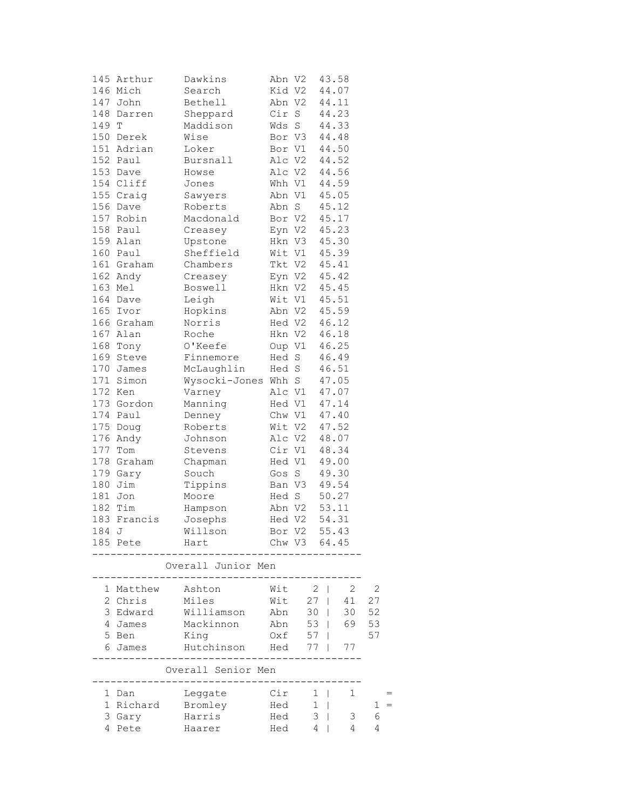| 145   | Arthur      | Dawkins             | Abn V2 |              | 43.58    |    |
|-------|-------------|---------------------|--------|--------------|----------|----|
|       | 146 Mich    | Search              | Kid V2 |              | 44.07    |    |
|       | 147 John    | Bethell             |        | Abn V2       | 44.11    |    |
| 148   | Darren      | Sheppard            |        | Cir S        | 44.23    |    |
| 149 T |             | Maddison            | Wds S  |              | 44.33    |    |
|       | 150 Derek   | Wise                | Bor V3 |              | 44.48    |    |
|       | 151 Adrian  | Loker               | Bor V1 |              | 44.50    |    |
|       | 152 Paul    | Bursnall            | Alc V2 |              | 44.52    |    |
|       | 153 Dave    | Howse               | Alc V2 |              | 44.56    |    |
|       | 154 Cliff   | Jones               | Whh V1 |              | 44.59    |    |
|       | 155 Craig   | Sawyers             | Abn V1 |              | 45.05    |    |
|       | 156 Dave    | Roberts             | Abn S  |              | 45.12    |    |
|       | 157 Robin   | Macdonald           |        | Bor V2       | 45.17    |    |
|       | 158 Paul    | Creasey             |        | Eyn V2       | 45.23    |    |
|       | 159 Alan    | Upstone             |        | Hkn V3       | 45.30    |    |
|       | 160 Paul    | Sheffield           | Wit V1 |              | 45.39    |    |
|       | 161 Graham  | Chambers            | Tkt V2 |              | 45.41    |    |
|       | 162 Andy    | Creasey             |        | Eyn V2       | 45.42    |    |
|       | 163 Mel     | Boswell             |        | Hkn V2       | 45.45    |    |
|       | 164 Dave    | Leigh               |        | Wit V1       | 45.51    |    |
|       | 165 Ivor    | Hopkins             |        | Abn V2       | 45.59    |    |
|       | 166 Graham  | Norris              |        | Hed V2       | 46.12    |    |
|       | 167 Alan    | Roche               |        | Hkn V2       | 46.18    |    |
|       | 168 Tony    | O'Keefe             |        | Oup V1       | 46.25    |    |
|       | 169 Steve   | Finnemore           | Hed S  |              | 46.49    |    |
|       | 170 James   | McLaughlin          | Hed S  |              | 46.51    |    |
|       | 171 Simon   | Wysocki-Jones Whh S |        |              | 47.05    |    |
|       | 172 Ken     | Varney              | Alc V1 |              | 47.07    |    |
|       | 173 Gordon  | Manning             | Hed V1 |              | 47.14    |    |
|       | 174 Paul    | Denney              |        | Chw V1       | 47.40    |    |
| 175   | Doug        | Roberts             |        | Wit V2       | 47.52    |    |
| 176   | Andy        | Johnson             |        | Alc V2       | 48.07    |    |
| 177   | Tom         | Stevens             | Cir V1 |              | 48.34    |    |
|       | 178 Graham  | Chapman             | Hed V1 |              | 49.00    |    |
|       | 179 Gary    | Souch               | Gos S  |              | 49.30    |    |
|       | 180 Jim     | Tippins             | Ban V3 |              | 49.54    |    |
|       | 181 Jon     | Moore               | Hed S  |              | 50.27    |    |
|       | 182 Tim     | Hampson             |        | Abn V2 53.11 |          |    |
|       | 183 Francis | Josephs             |        | Hed V2       | 54.31    |    |
| 184 J |             | Willson             | Bor V2 |              | 55.43    |    |
|       | 185 Pete    | Hart                |        | Chw V3 64.45 |          |    |
|       |             | Overall Junior Men  |        |              |          |    |
|       |             |                     |        |              |          |    |
|       | 1 Matthew   | Ashton              | Wit    | 2            | 2        | 2  |
|       | 2 Chris     | Miles               | Wit    | $27 \mid$    | 41       | 27 |
|       | 3 Edward    | Williamson          | Abn    | 30           | 30<br>L  | 52 |
|       | 4 James     | Mackinnon           | Abn    | 53           | 69       | 53 |
|       | 5 Ben       | King                | Oxf    | 57           |          | 57 |
|       | 6 James     | Hutchinson          | Hed    | 77           | 77       |    |
|       |             | Overall Senior Men  |        |              |          |    |
|       | 1 Dan       | Leggate             | Cir    | 1            | 1<br>- 1 |    |
|       | 1 Richard   | Bromley             | Hed    | 1            |          | 1  |
|       | 3 Gary      | Harris              | Hed    | 3            | 3        | 6  |
|       | 4 Pete      | Haarer              | Hed    | 4            | 4        | 4  |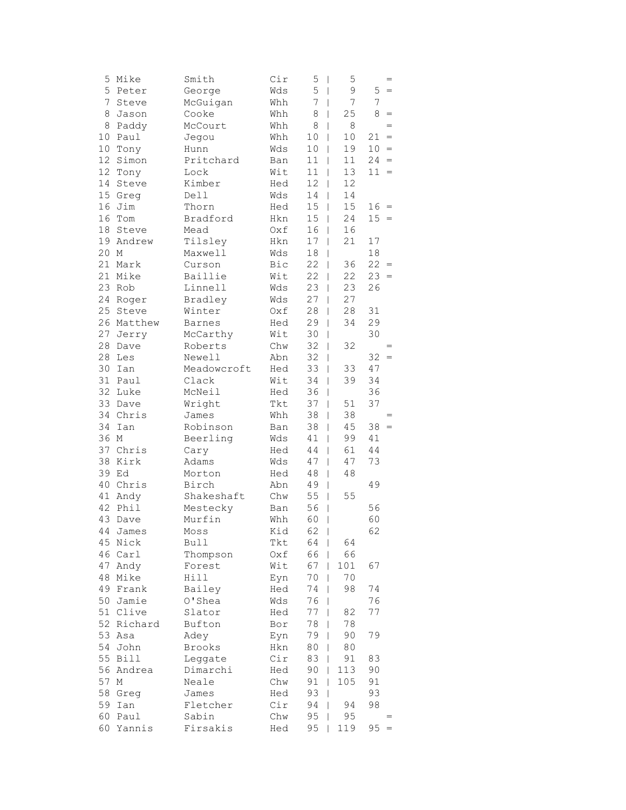| 5               | Mike      | Smith       | Cir | 5<br>I    | 5       |    | $=$     |
|-----------------|-----------|-------------|-----|-----------|---------|----|---------|
| 5               | Peter     | George      | Wds | 5<br>I    | 9       | 5  | $=$     |
| $\overline{7}$  | Steve     | McGuigan    | Whh | 7<br>I    | 7       | 7  |         |
| 8               | Jason     | Cooke       | Whh | 8<br>L    | 25      | 8  | $=$     |
| 8               | Paddy     | McCourt     | Whh | 8<br>I    | $\,8\,$ |    | $=$     |
| 10              | Paul      | Jegou       | Whh | 10<br>I   | 10      | 21 | $=$     |
| 10              | Tony      | Hunn        | Wds | 10<br>I   | 19      | 10 | $=$     |
| 12 <sup>°</sup> | Simon     | Pritchard   | Ban | 11<br>I   | 11      | 24 | $=$     |
| 12              | Tony      | Lock        | Wit | 11<br>I   | 13      | 11 | $=$     |
| 14              | Steve     | Kimber      | Hed | 12<br>I   | 12      |    |         |
|                 | 15 Greg   | Dell        | Wds | 14<br>I   | 14      |    |         |
| 16              | Jim       | Thorn       | Hed | 15<br>L   | 15      | 16 | $=$     |
| 16              | Tom       | Bradford    | Hkn | 15<br>L   | 24      | 15 | $\,=\,$ |
| 18              | Steve     | Mead        | Oxf | 16<br>L   | 16      |    |         |
|                 | 19 Andrew | Tilsley     | Hkn | 17<br>I   | 21      | 17 |         |
| 20 M            |           | Maxwell     | Wds | 18<br>I   |         | 18 |         |
|                 | 21 Mark   | Curson      | Bic | 22<br>I   | 36      | 22 | $\, =$  |
| 21              | Mike      | Baillie     | Wit | 22<br>I   | 22      | 23 | $\, =$  |
|                 | 23 Rob    | Linnell     | Wds | 23<br>I   | 23      | 26 |         |
| 24              | Roger     | Bradley     | Wds | 27<br>I   | 27      |    |         |
| 25              | Steve     | Winter      | Oxf | 28<br>I   | 28      | 31 |         |
| 26              | Matthew   | Barnes      | Hed | 29<br>L   | 34      | 29 |         |
| 27              | Jerry     | McCarthy    | Wit | 30<br>I   |         | 30 |         |
| 28              | Dave      | Roberts     | Chw | 32<br>I   | 32      |    | $=$     |
| 28              | Les       | Newell      | Abn | 32<br>I   |         | 32 | $=$     |
| 30              | Ian       | Meadowcroft | Hed | 33<br>I   | 33      | 47 |         |
| 31              | Paul      | Clack       | Wit | 34<br>I   | 39      | 34 |         |
|                 | 32 Luke   | McNeil      | Hed | 36<br>I   |         | 36 |         |
|                 | 33 Dave   | Wright      | Tkt | 37<br>I   | 51      | 37 |         |
| 34              | Chris     | James       | Whh | 38<br>I   | 38      |    | $=$     |
| 34              | Ian       | Robinson    | Ban | 38<br>I   | 45      | 38 | $\, =$  |
| 36 M            |           | Beerling    | Wds | 41<br>I   | 99      | 41 |         |
| 37              | Chris     | Cary        | Hed | 44<br>L   | 61      | 44 |         |
|                 | 38 Kirk   | Adams       | Wds | 47<br>I   | 47      | 73 |         |
|                 | 39 Ed     | Morton      | Hed | 48<br>L   | 48      |    |         |
|                 | 40 Chris  | Birch       | Abn | 49<br>I   |         | 49 |         |
| 41              | Andy      | Shakeshaft  | Chw | 55<br>L   | 55      |    |         |
| 42              | Phil      | Mestecky    | Ban | 56<br>I   |         | 56 |         |
| 43              | Dave      | Murfin      | Whh | 60<br>I   |         | 60 |         |
|                 | 44 James  | Moss        | Kid | $62 \mid$ |         | 62 |         |
| 45              | Nick      | Bull        | Tkt | 64        | 64      |    |         |
|                 | 46 Carl   | Thompson    | Oxf | 66        | 66      |    |         |
| 47              | Andy      | Forest      | Wit | 67        | $101$   | 67 |         |
|                 | 48 Mike   | Hill        | Eyn | 70        | 70      |    |         |
|                 | 49 Frank  | Bailey      | Hed | 74        | 98      | 74 |         |
| 50              | Jamie     | O'Shea      | Wds | 76<br>I   |         | 76 |         |
| 51              | Clive     | Slator      | Hed | 77<br>I   | 82      | 77 |         |
| 52              | Richard   | Bufton      | Bor | 78        | 78      |    |         |
| 53              | Asa       | Adey        | Eyn | 79        | 90      | 79 |         |
| 54              | John      | Brooks      | Hkn | 80        | 80      |    |         |
| 55              | Bill      | Leggate     | Cir | 83        | 91      | 83 |         |
| 56              | Andrea    | Dimarchi    | Hed | 90        | 113     | 90 |         |
| 57              | М         | Neale       | Chw | 91<br>I   | 105     | 91 |         |
| 58              | Greg      | James       | Hed | 93<br>I   |         | 93 |         |
| 59              | Ian       | Fletcher    | Cir | 94<br>I   | 94      | 98 |         |
| 60              | Paul      | Sabin       | Chw | 95        | 95      |    |         |
| 60              | Yannis    | Firsakis    | Hed | 95        | 119     | 95 | $=$     |
|                 |           |             |     |           |         |    |         |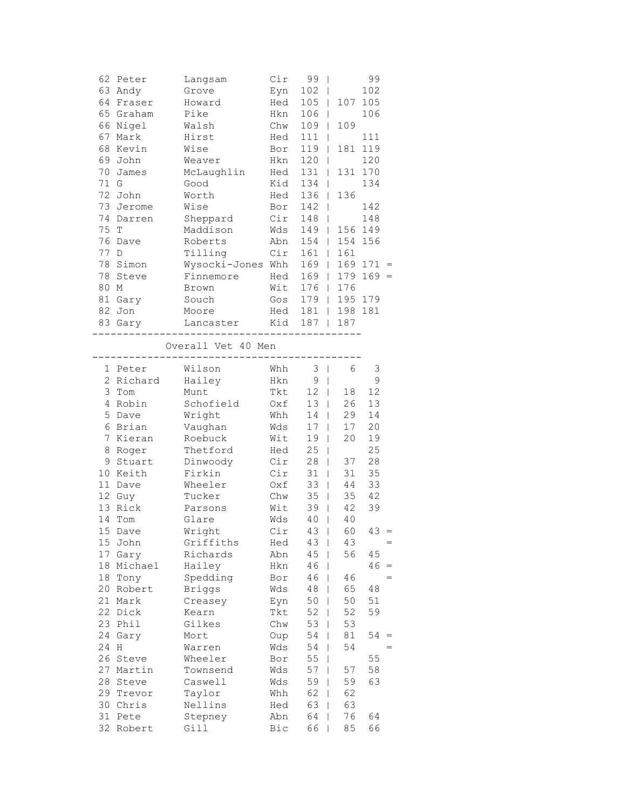|                | 62 Peter  | Langsam                        | Cir      | 99<br>$\overline{\phantom{a}}$ |                     | 99            |                                   |
|----------------|-----------|--------------------------------|----------|--------------------------------|---------------------|---------------|-----------------------------------|
|                | 63 Andy   | Grove                          | Eyn      | $102$                          |                     | 102           |                                   |
|                | 64 Fraser | Howard                         | Hed      | 105<br>$\Box$                  |                     | 107 105       |                                   |
|                | 65 Graham | Pike                           | Hkn      | $106$                          |                     | 106           |                                   |
|                | 66 Nigel  | Walsh                          | Chw      | 109                            | 109<br>$\mathbf{I}$ |               |                                   |
| 67             | Mark      | Hirst                          | Hed      | 111<br>T                       |                     | 111           |                                   |
|                | 68 Kevin  | Wise                           | Bor      | 119                            | L                   | 181 119       |                                   |
|                | 69 John   | Weaver                         | Hkn      | 120<br>T                       |                     | 120           |                                   |
|                | 70 James  | McLaughlin                     | Hed      | $131$                          |                     | 131 170       |                                   |
| 71 G           |           | Good                           | Kid      | 134<br>$\blacksquare$          |                     | 134           |                                   |
|                | 72 John   | Worth                          | Hed      | 136                            | 136                 |               |                                   |
|                | 73 Jerome | Wise                           | Bor      | 142<br>-1                      |                     | 142           |                                   |
|                | 74 Darren | Sheppard                       | Cir      | $148$                          |                     | 148           |                                   |
| 75 T           |           | Maddison                       | Wds      | 149                            |                     | 156 149       |                                   |
|                | 76 Dave   | Roberts                        | Abn      | $154$                          | 154 156             |               |                                   |
| 77             | D         | Tilling                        | Cir      | $161$                          | 161                 |               |                                   |
|                | 78 Simon  |                                |          |                                |                     | $169$ $171 =$ |                                   |
|                |           | Wysocki-Jones Whh              |          | $169$                          |                     |               |                                   |
|                | 78 Steve  | Finnemore                      | Hed      | $169$                          | 179                 | $169 =$       |                                   |
| 80 M           |           | Brown                          | Wit      | 176                            | 176                 |               |                                   |
|                | 81 Gary   | Souch                          | Gos      | $179$                          | 195 179             |               |                                   |
|                | 82 Jon    | Moore                          | Hed      | $181$                          | 198 181             |               |                                   |
|                | 83 Gary   | Lancaster Kid                  |          | $187$                          | 187                 |               |                                   |
|                |           | --------<br>Overall Vet 40 Men |          |                                |                     |               |                                   |
|                |           |                                | -------- |                                |                     |               |                                   |
|                | 1 Peter   | Wilson                         | Whh      | 3 <sup>1</sup>                 | 6                   | 3             |                                   |
|                | 2 Richard | Hailey                         | Hkn      | 9 <sub>1</sub>                 |                     | 9             |                                   |
|                | 3 Tom     | Munt                           | Tkt      | $12$                           | 18                  | 12            |                                   |
|                | 4 Robin   | Schofield                      | Oxf      | 13 <sup>1</sup>                | 26                  | 13            |                                   |
|                | 5 Dave    | Wright                         | Whh      | 14                             | 29                  | 14            |                                   |
|                | 6 Brian   | Vaughan                        | Wds      | 17 <sup>1</sup>                | 17                  | 20            |                                   |
| 7 <sup>1</sup> | Kieran    | Roebuck                        | Wit      | 19<br>$\overline{\phantom{a}}$ | 20                  | 19            |                                   |
|                | 8 Roger   | Thetford                       | Hed      | 25<br>I                        |                     | 25            |                                   |
|                | 9 Stuart  | Dinwoody                       | Cir      | 28<br>I                        | 37                  | 28            |                                   |
|                | 10 Keith  | Firkin                         | Cir      | 31<br>$\overline{\phantom{a}}$ | 31                  | 35            |                                   |
|                | 11 Dave   | Wheeler                        | Oxf      | 33<br>$\overline{\phantom{a}}$ | 44                  | 33            |                                   |
|                | 12 Guy    | Tucker                         | Chw      | 35<br>$\overline{\phantom{0}}$ | 35                  | 42            |                                   |
|                | 13 Rick   | Parsons                        | Wit      | 39<br>$\overline{\phantom{a}}$ | 42                  | 39            |                                   |
|                | 14 Tom    | Glare                          | Wds      | 40<br>$\overline{\phantom{a}}$ | 40                  |               |                                   |
|                | 15 Dave   | Wright                         | Cir      | $43 \quad \square$             | 60                  | $43 =$        |                                   |
|                | 15 John   | Griffiths                      | Hed      | $43 \mid$                      | 43                  |               | $=$                               |
| 17             | Gary      | Richards                       | Abn      | 45<br>I                        | 56                  | 45            |                                   |
| 18             | Michael   | Hailey                         | Hkn      | 46                             |                     | 46            | $\hspace{0.1cm} = \hspace{0.1cm}$ |
|                | 18 Tony   | Spedding                       |          | 46<br>I                        | 46                  |               |                                   |
|                | 20 Robert | <b>Briggs</b>                  | Bor      | 48                             | 65                  | 48            |                                   |
| 21             |           |                                | Wds      | I                              |                     |               |                                   |
|                | Mark      | Creasey                        | Eyn      | 50<br>I                        | 50                  | 51            |                                   |
|                | 22 Dick   | Kearn                          | Tkt      | 52<br>I                        | 52                  | 59            |                                   |
| 23             | Phil      | Gilkes                         | Chw      | 53<br>I                        | 53                  |               |                                   |
| 24             | Gary      | Mort                           | Oup      | 54<br>I                        | 81                  | 54            | =                                 |
| 24             | Η         | Warren                         | Wds      | 54                             | 54                  |               | $=$                               |
| 26             | Steve     | Wheeler                        | Bor      | 55                             |                     | 55            |                                   |
| 27             | Martin    | Townsend                       | Wds      | 57<br>I                        | 57                  | 58            |                                   |
| 28             | Steve     | Caswell                        | Wds      | 59<br>I                        | 59                  | 63            |                                   |
|                | 29 Trevor | Taylor                         | Whh      | 62<br>I                        | 62                  |               |                                   |
|                | 30 Chris  | Nellins                        | Hed      | 63<br>I                        | 63                  |               |                                   |
| 31             | Pete      | Stepney                        | Abn      | 64<br>I                        | 76                  | 64            |                                   |
|                | 32 Robert | Gill                           | Bic      | 66                             | 85                  | 66            |                                   |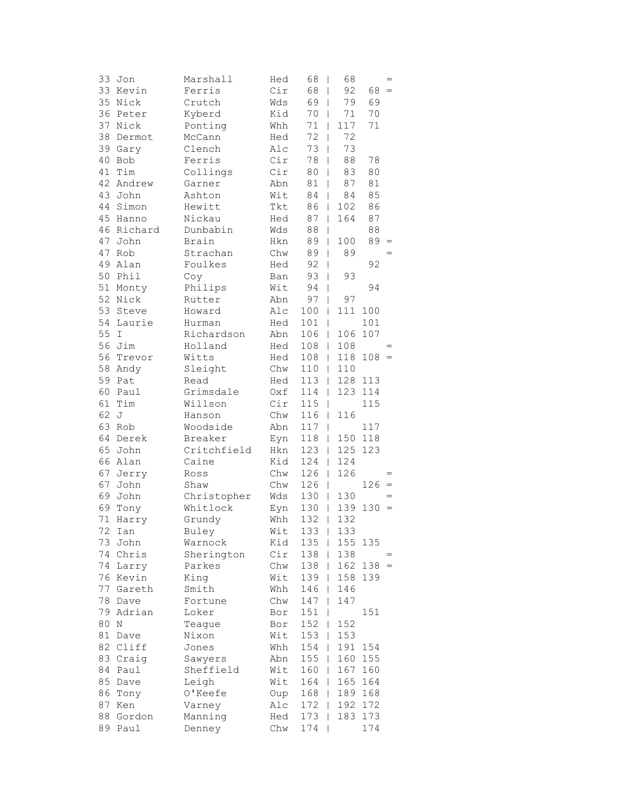| 33      | Jon      | Marshall    | Hed | 68<br>- 1                       | 68                             |         | $=$       |
|---------|----------|-------------|-----|---------------------------------|--------------------------------|---------|-----------|
|         | 33 Kevin | Ferris      | Cir | 68                              | 92<br>T                        | 68      | $\, =$    |
| 35      | Nick     | Crutch      | Wds | 69                              | 79<br>$\overline{1}$           | 69      |           |
| 36      | Peter    | Kyberd      | Kid | 70                              | 71<br>T                        | 70      |           |
| 37      | Nick     | Ponting     | Whh | 71                              | 117<br>I                       | 71      |           |
| 38      | Dermot   | McCann      | Hed | 72                              | 72                             |         |           |
| 39      | Gary     | Clench      | Alc | 73                              | 73<br>I                        |         |           |
| 40      | Bob      | Ferris      | Cir | 78                              | 88<br>I                        | 78      |           |
| 41      | Tim      | Collings    | Cir | 80                              | 83<br>$\overline{\phantom{a}}$ | 80      |           |
| 42      | Andrew   | Garner      | Abn | 81<br>$\overline{\phantom{0}}$  | 87                             | $8\,1$  |           |
|         | 43 John  | Ashton      | Wit | 84                              | 84<br>$\overline{\phantom{a}}$ | 85      |           |
| 44      | Simon    | Hewitt      | Tkt | 86                              | 102<br>$\mathbf{I}$            | 86      |           |
| 45      | Hanno    | Nickau      | Hed | 87<br>$\mathbf{I}$              | 164                            | 87      |           |
| 46      | Richard  | Dunbabin    | Wds | 88                              | $\mathbf{I}$                   | 88      |           |
| 47      | John     | Brain       | Hkn | 89                              | 100<br>T                       | 89      | $=$       |
| 47      | Rob      | Strachan    | Chw | 89                              | 89<br>L                        |         |           |
| 49      | Alan     | Foulkes     | Hed | 92                              | I                              | 92      |           |
| 50      | Phil     | Coy         | Ban | 93<br>$\overline{1}$            | 93                             |         |           |
| 51      | Monty    | Philips     | Wit | 94<br>$\overline{\phantom{a}}$  |                                | 94      |           |
|         | 52 Nick  | Rutter      | Abn | 97                              | 97<br>I                        |         |           |
| 53      | Steve    | Howard      | Alc | 100                             | 111<br>$\mathbf{I}$            | 100     |           |
| 54      | Laurie   | Hurman      | Hed | 101                             | T                              | 101     |           |
| 55      | I        | Richardson  | Abn | 106                             | 106<br>L                       | 107     |           |
| 56      | Jim      | Holland     | Hed | 108                             | 108<br>L                       |         |           |
| 56      | Trevor   | Witts       | Hed | 108                             | 118<br>L                       | 108     | $\, = \,$ |
| 58      | Andy     | Sleight     | Chw | 110<br>$\mathbf{I}$             | 110                            |         |           |
|         | 59 Pat   | Read        | Hed | 113<br>$\overline{\phantom{a}}$ | 128                            | 113     |           |
| 60      | Paul     | Grimsdale   | Oxf | 114<br>$\overline{\phantom{0}}$ | 123                            | 114     |           |
| 61      | Tim      | Willson     | Cir | 115                             | I                              | 115     |           |
| 62      | J        | Hanson      | Chw | 116                             | 116<br>$\mathbf{I}$            |         |           |
| 63      | Rob      | Woodside    | Abn | 117<br>$\perp$                  |                                | 117     |           |
| 64      | Derek    | Breaker     | Eyn | 118                             | 150<br>$\mathbf{I}$            | 118     |           |
| 65      | John     | Critchfield | Hkn | 123                             | 125<br>L                       | 123     |           |
| 66      | Alan     | Caine       | Kid | 124                             | 124<br>L                       |         |           |
| 67      | Jerry    | Ross        | Chw | 126                             | 126<br>L                       |         |           |
| 67      | John     | Shaw        | Chw | 126                             | L                              | 126     | $\,=\,$   |
| 69      | John     | Christopher | Wds | 130<br>$\mathbb{R}$             | 130                            |         |           |
| 69      | Tony     | Whitlock    | Eyn | 130<br>$\Box$                   |                                | 139 130 | $=$       |
| $71 \,$ | Harry    | Grundy      | Whh | 132<br>$\overline{\phantom{a}}$ | 132                            |         |           |
| 72      | Ian      | Buley       | Wit | 133                             | 133                            |         |           |
| 73      | John     | Warnock     | Kid | 135<br>$\mathbf{I}$             | 155                            | 135     |           |
| 74      | Chris    | Sherington  | Cir | 138                             | 138                            |         | $=$       |
| 74      | Larry    | Parkes      | Chw | 138                             | 162                            | 138     | $=$       |
|         | 76 Kevin | King        | Wit | 139                             | 158                            | 139     |           |
| 77      | Gareth   | Smith       | Whh | 146                             | 146                            |         |           |
| 78      | Dave     | Fortune     | Chw | 147                             | 147                            |         |           |
| 79      | Adrian   | Loker       | Bor | 151                             |                                | 151     |           |
| 80      | Ν        | Teague      | Bor | 152                             | 152<br>L                       |         |           |
| 81      | Dave     | Nixon       | Wit | 153                             | 153<br>L                       |         |           |
| 82      | Cliff    | Jones       | Whh | 154                             | 191<br>$\mathbf{I}$            | 154     |           |
| 83      | Craig    | Sawyers     | Abn | 155                             | 160<br>L                       | 155     |           |
| 84      | Paul     | Sheffield   | Wit | 160                             | 167<br>L                       | 160     |           |
| 85      | Dave     | Leigh       | Wit | 164                             | 165<br>L                       | 164     |           |
| 86      | Tony     | O'Keefe     | Oup | 168                             | 189<br>L                       | 168     |           |
| 87      | Ken      | Varney      | Alc | 172                             | 192                            | 172     |           |
| 88      | Gordon   | Manning     | Hed | 173                             | 183                            | 173     |           |
| 89      | Paul     | Denney      | Chw | 174                             |                                | 174     |           |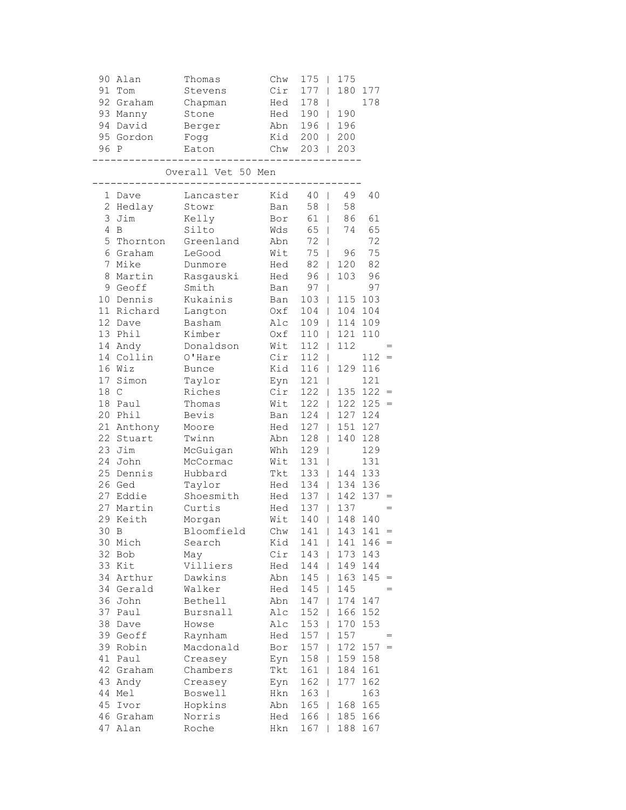| 90             | Alan       | Thomas                      | Chw | 175<br>$\mathbf{I}$ | 175                 |             |  |
|----------------|------------|-----------------------------|-----|---------------------|---------------------|-------------|--|
| 91             | Tom        | Stevens                     | Cir | $177$               |                     | 180 177     |  |
|                | 92 Graham  | Chapman                     | Hed | 178<br>$\Box$       |                     | 178         |  |
|                | 93 Manny   | Stone                       | Hed | $190$               | 190                 |             |  |
| 94             | David      | Berger                      | Abn | $196$               | 196                 |             |  |
|                | 95 Gordon  | Fogg                        | Kid | $200$               | 200                 |             |  |
| 96 P           |            | Eaton                       | Chw | 203                 | 203<br>$\Box$       |             |  |
|                |            | --------                    |     |                     |                     |             |  |
|                |            | Overall Vet 50 Men<br>----- |     |                     |                     |             |  |
|                | 1 Dave     | Lancaster                   | Kid | 40 <sub>1</sub>     | 49                  | 40          |  |
|                | 2 Hedlay   | Stowr                       | Ban | 58<br>$\Box$        | 58                  |             |  |
| 3              | Jim        | Kelly                       | Bor | 61                  | 86                  | 61          |  |
| $\overline{4}$ | B          | Silto                       | Wds | 65<br>$\Box$        | 74                  | 65          |  |
| 5              | Thornton   | Greenland                   | Abn | 72                  | L                   | 72          |  |
|                | 6 Graham   | LeGood                      | Wit | 75<br>$\Box$        | 96                  | 75          |  |
|                | 7 Mike     | Dunmore                     | Hed | 82                  | 120<br>$\Box$       | 82          |  |
| 8              | Martin     | Rasgauski                   | Hed | 96                  | 103<br>$\Box$       | 96          |  |
|                | 9 Geoff    | Smith                       | Ban | 97<br>$\mathbb{R}$  |                     | 97          |  |
|                | 10 Dennis  | Kukainis                    | Ban | 103                 | 115<br>$\Box$       | 103         |  |
|                | 11 Richard | Langton                     | Oxf | 104                 | 104<br>$\Box$       | 104         |  |
|                | 12 Dave    | Basham                      | Alc | $109$               | 114                 | 109         |  |
|                | 13 Phil    | Kimber                      | Oxf | 110<br>$\Box$       | 121                 | 110         |  |
|                | 14 Andy    | Donaldson                   | Wit | 112<br>$\mathbf{L}$ | 112                 |             |  |
|                | 14 Collin  | O'Hare                      | Cir | 112<br>$\mathbb{R}$ |                     | $112 =$     |  |
|                | 16 Wiz     | <b>Bunce</b>                | Kid | 116                 | $\Box$              | 129 116     |  |
|                | 17 Simon   | Taylor                      | Eyn | $121$               |                     | 121         |  |
| 18 C           |            | Riches                      | Cir | $122$               |                     | $135 122 =$ |  |
|                | 18 Paul    | Thomas                      | Wit | 122                 | 122<br>$\mathbb{R}$ | $125 =$     |  |
| 20             | Phil       | Bevis                       | Ban | 124                 | 127<br>$\mathbb{R}$ | 124         |  |
|                | 21 Anthony | Moore                       | Hed | $127$               | 151                 | 127         |  |
|                | 22 Stuart  | Twinn                       | Abn | $128$               | 140                 | 128         |  |
|                | 23 Jim     | McGuigan                    | Whh | 129<br>$\mathbf{I}$ |                     | 129         |  |
|                | 24 John    | McCormac                    | Wit | 131<br>$\mathbf{1}$ |                     | 131         |  |
|                | 25 Dennis  | Hubbard                     | Tkt | 133                 | 144<br>$\mathbb{R}$ | 133         |  |
|                | 26 Ged     | Taylor                      | Hed | 134                 | 134                 | 136         |  |
|                | 27 Eddie   | Shoesmith                   | Hed | $137 \quad  $       | 142                 | 137         |  |
|                | 27 Martin  | Curtis                      | Hed | $137 \mid$          | 137                 |             |  |
|                | 29 Keith   | Morgan                      | Wit | 140                 | 148<br>$\Box$       | 140         |  |
|                | 30 B       | Bloomfield                  |     | Chw 141   143 141   |                     |             |  |
| 30             | Mich       | Search                      | Kid | 141                 | 141                 | 146         |  |
| 32             | Bob        | May                         | Cir | 143                 | 173                 | 143         |  |
| 33             | Kit        | Villiers                    | Hed | 144                 | 149                 | 144         |  |
| 34             | Arthur     | Dawkins                     | Abn | 145                 | 163                 | 145         |  |
| 34             | Gerald     | Walker                      | Hed | 145                 | 145<br>T            |             |  |
| 36             | John       | Bethell                     | Abn | 147                 | 174<br>L            | 147         |  |
| 37             | Paul       | Bursnall                    | Alc | 152                 | 166<br>L            | 152         |  |
| 38             | Dave       | Howse                       | Alc | 153                 | 170<br>L            | 153         |  |
| 39             | Geoff      | Raynham                     | Hed | 157                 | 157<br>L            |             |  |
| 39             | Robin      | Macdonald                   | Bor | 157                 | 172                 | 157         |  |
| 41             | Paul       | Creasey                     | Eyn | 158                 | 159                 | 158         |  |
| 42             | Graham     | Chambers                    | Tkt | 161                 | 184                 | 161         |  |
| 43             | Andy       | Creasey                     | Eyn | 162                 | 177<br>L            | 162         |  |
| 44             | Mel        | Boswell                     | Hkn | 163                 | T                   | 163         |  |
| 45             | Ivor       | Hopkins                     | Abn | 165                 | 168<br>L            | 165         |  |
| 46             | Graham     | Norris                      | Hed | 166                 | 185                 | 166         |  |
|                | 47 Alan    | Roche                       | Hkn | 167                 | 188                 | 167         |  |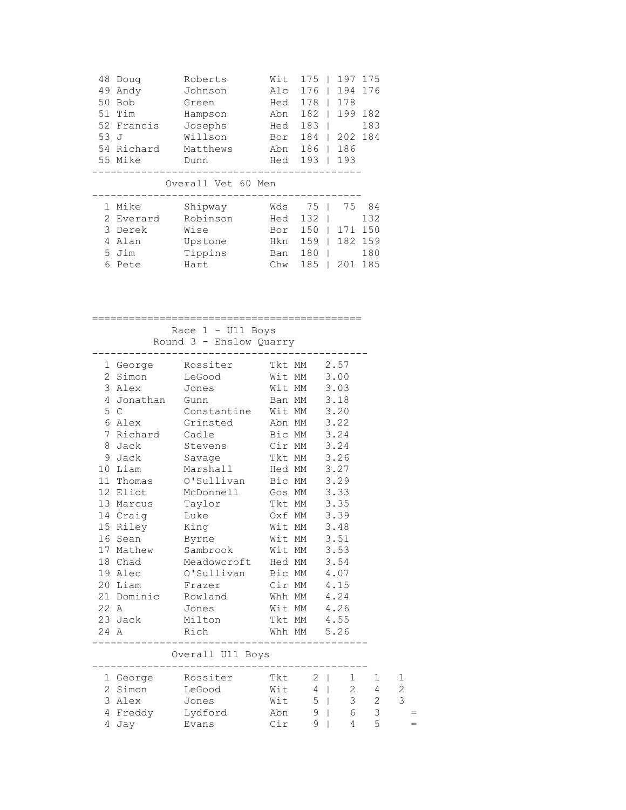| 48 | Doug       | Roberts        | Wit | 175 | 197 | 175 |
|----|------------|----------------|-----|-----|-----|-----|
| 49 | Andy       | Johnson        | Alc | 176 | 194 | 176 |
| 50 | <b>Bob</b> | Green          | Hed | 178 | 178 |     |
| 51 | Tim        | Hampson        | Abn | 182 | 199 | 182 |
|    | 52 Francis | Josephs        | Hed | 183 |     | 183 |
| 53 | - J        | Willson        | Bor | 184 | 202 | 184 |
| 54 | Richard    | Matthews       | Abn | 186 | 186 |     |
|    | 55 Mike    | Dunn           | Hed | 193 | 193 |     |
|    |            |                |     |     |     |     |
|    |            | Overall Vet 60 | Men |     |     |     |
|    | Mike       | Shipway        | Wds | 75  | 75  | 84  |
| 2  | Everard    | Robinson       | Hed | 132 |     | 132 |

|  | 2 2 v C 2 2 2 3 | - 02 - 11 03 11 |                   |  | -- |
|--|-----------------|-----------------|-------------------|--|----|
|  | 3 Derek         | Wise            | Bor 150   171 150 |  |    |
|  | 4 Alan          | Upstone         | Hkn 159   182 159 |  |    |
|  | 5 Jim           | Tippins         | Ban 180   180     |  |    |
|  | 6 Pete          | Hart            | Chw 185   201 185 |  |    |

### ============================================

 Race 1 - U11 Boys Round 3 - Enslow Quarry

|  | 1 George Rossiter Tkt MM 2.57                                  |  |  |  |
|--|----------------------------------------------------------------|--|--|--|
|  | 2 Simon LeGood Wit MM 3.00<br>3 Alex Jones Wit MM 3.03         |  |  |  |
|  |                                                                |  |  |  |
|  | 4 Jonathan Gunn Ban MM 3.18                                    |  |  |  |
|  | 5 C Constantine Wit MM 3.20                                    |  |  |  |
|  | 6 Alex Grinsted Abn MM 3.22                                    |  |  |  |
|  | 7 Richard Cadle Bic MM 3.24                                    |  |  |  |
|  | 8 Jack Stevens Cir MM 3.24                                     |  |  |  |
|  | 9 Jack Savage Tkt MM 3.26                                      |  |  |  |
|  | 10 Liam Marshall Hed MM 3.27                                   |  |  |  |
|  | 11 Thomas O'Sullivan Bic MM 3.29                               |  |  |  |
|  | 12 Eliot McDonnell Gos MM 3.33                                 |  |  |  |
|  | 13 Marcus Taylor Tkt MM 3.35                                   |  |  |  |
|  | 14 Craig Luke 0xf MM 3.39                                      |  |  |  |
|  | 15 Riley King Mit MM 3.48                                      |  |  |  |
|  | 16 Sean Byrne Wit MM 3.51                                      |  |  |  |
|  | 17 Mathew Sambrook Wit MM 3.53                                 |  |  |  |
|  | 18 Chad Meadowcroft Hed MM 3.54                                |  |  |  |
|  |                                                                |  |  |  |
|  | 20 Liam Frazer Cir MM 4.15                                     |  |  |  |
|  | 21 Dominic Rowland Whh MM 4.24                                 |  |  |  |
|  | 22 A Jones Wit MM 4.26                                         |  |  |  |
|  | 23 Jack Milton Tkt MM 4.55                                     |  |  |  |
|  | 24 A Rich Whh MM 5.26<br>------------------------------------- |  |  |  |
|  | Overall U11 Boys                                               |  |  |  |
|  | 1 George Rossiter Tkt 2   1 1 1                                |  |  |  |
|  | 2 Simon LeGood Wit 4   2 4                                     |  |  |  |
|  | 3 Alex Jones Wit 5   3 2 3                                     |  |  |  |
|  | 4 Freddy Lydford Abn 9   6 3                                   |  |  |  |

4 Jay Evans Cir 9 | 4 5 =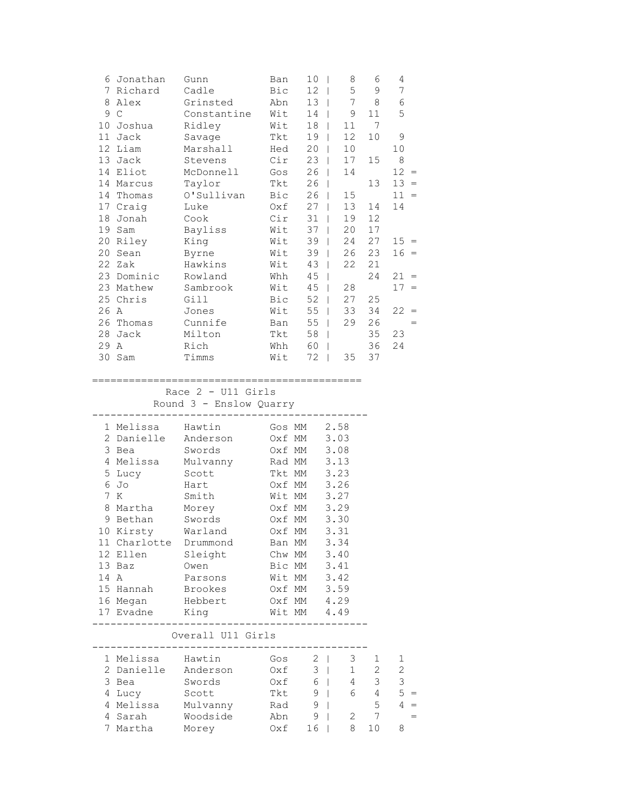|    | 6 Jonathan   | Gunn        | Ban | 10 | 8  | 6  | 4      |     |
|----|--------------|-------------|-----|----|----|----|--------|-----|
| 7  | Richard      | Cadle       | Bic | 12 | 5  | 9  | 7      |     |
| 8  | Alex         | Grinsted    | Abn | 13 | 7  | 8  | 6      |     |
| 9  | $\mathsf{C}$ | Constantine | Wit | 14 | 9  | 11 | 5      |     |
| 10 | Joshua       | Ridley      | Wit | 18 | 11 | 7  |        |     |
| 11 | Jack         | Savage      | Tkt | 19 | 12 | 10 | 9      |     |
| 12 | Liam         | Marshall    | Hed | 20 | 10 |    | 10     |     |
| 13 | Jack         | Stevens     | Cir | 23 | 17 | 15 | 8      |     |
| 14 | Eliot        | McDonnell   | Gos | 26 | 14 |    | 12     | $=$ |
| 14 | Marcus       | Taylor      | Tkt | 26 |    | 13 | 13     | $=$ |
| 14 | Thomas       | O'Sullivan  | Bic | 26 | 15 |    | 11     | $=$ |
| 17 | Craig        | Luke        | Oxf | 27 | 13 | 14 | 14     |     |
| 18 | Jonah        | Cook        | Cir | 31 | 19 | 12 |        |     |
| 19 | Sam          | Bayliss     | Wit | 37 | 20 | 17 |        |     |
| 20 | Riley        | King        | Wit | 39 | 24 | 27 | $15 =$ |     |
| 20 | Sean         | Byrne       | Wit | 39 | 26 | 23 | $16 =$ |     |
| 22 | Zak          | Hawkins     | Wit | 43 | 22 | 21 |        |     |
| 23 | Dominic      | Rowland     | Whh | 45 |    | 24 | 21     | $=$ |
| 23 | Mathew       | Sambrook    | Wit | 45 | 28 |    | 17     | $=$ |
|    | 25 Chris     | Gill        | Bic | 52 | 27 | 25 |        |     |
| 26 | Α            | Jones       | Wit | 55 | 33 | 34 | 22     | $=$ |
| 26 | Thomas       | Cunnife     | Ban | 55 | 29 | 26 |        | $=$ |
| 28 | Jack         | Milton      | Tkt | 58 |    | 35 | 23     |     |
| 29 | Α            | Rich        | Whh | 60 |    | 36 | 24     |     |
| 30 | Sam          | Timms       | Wit | 72 | 35 | 37 |        |     |
|    |              |             |     |    |    |    |        |     |

### ============================================

Race 2 - U11 Girls

Round 3 - Enslow Quarry

|                 | 1 Melissa    | Hawtin   | Gos MM | 2.58 |
|-----------------|--------------|----------|--------|------|
| $\mathcal{L}$   | Danielle     | Anderson | Oxf MM | 3.03 |
| 3               | Bea          | Swords   | Oxf MM | 3.08 |
| 4               | Melissa      | Mulvanny | Rad MM | 3.13 |
|                 | 5 Lucy       | Scott    | Tkt MM | 3.23 |
| 6               | Jo           | Hart     | Oxf MM | 3.26 |
|                 | 7 K          | Smith    | Wit MM | 3.27 |
| 8               | Martha       | Morey    | Oxf MM | 3.29 |
| 9               | Bethan       | Swords   | Oxf MM | 3.30 |
| 10              | Kirsty       | Warland  | Oxf MM | 3.31 |
|                 | 11 Charlotte | Drummond | Ban MM | 3.34 |
| 12 <sup>1</sup> | Ellen        | Sleight  | Chw MM | 3.40 |
|                 | $13$ Baz     | Owen     | Bic MM | 3.41 |
| 14 A            |              | Parsons  | Wit MM | 3.42 |
|                 | 15 Hannah    | Brookes  | Oxf MM | 3.59 |
| 16              | Megan        | Hebbert  | Oxf MM | 4.29 |
|                 | 17 Evadne    | King     | Wit MM | 4.49 |
|                 |              |          |        |      |

# Overall U11 Girls

|    | 1 Melissa  | Hawtin   | Gos  |    |   |    |   |       |
|----|------------|----------|------|----|---|----|---|-------|
|    | 2 Danielle | Anderson | 0xf  | 3  |   |    | 2 |       |
| 3. | Bea        | Swords   | 0xf  | 6  | 4 | 3  | 3 |       |
|    | 4 Lucy     | Scott    | Tkt. | 9  | 6 | 4  |   | $5 =$ |
|    | 4 Melissa  | Mulvanny | Rad  | 9  |   | 5  |   | $=$   |
|    | 4 Sarah    | Woodside | Abn  | 9  |   |    |   |       |
|    | Martha     | Morey    | ∩xf  | 16 | 8 | 10 | Χ |       |
|    |            |          |      |    |   |    |   |       |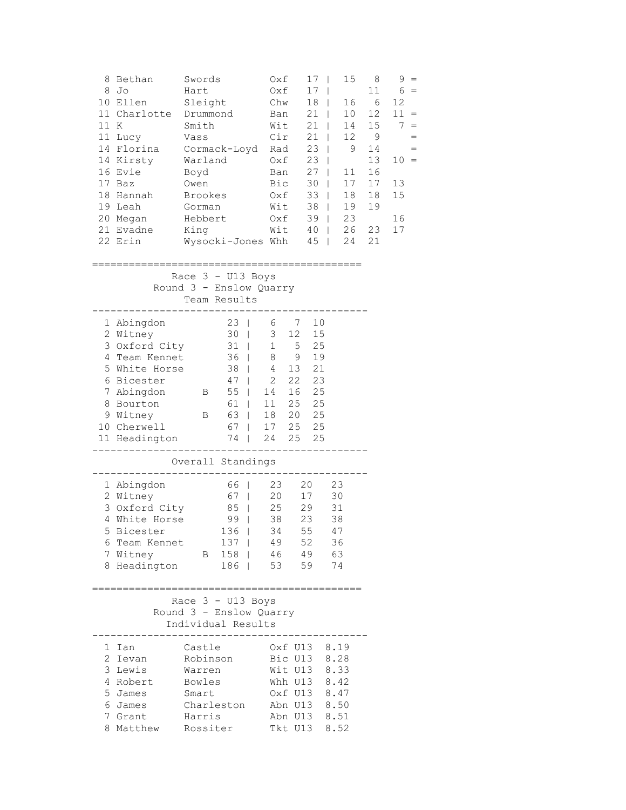| 11 K | 8 Bethan<br>8 Jo<br>10 Ellen<br>11 Lucy<br>14 Kirsty<br>16 Evie<br>17 Baz<br>18 Hannah<br>19 Leah<br>20 Megan                                                  | Swords<br>Hart<br>Sleight<br>11 Charlotte Drummond<br>Smith<br>Vass<br>14 Florina Cormack-Loyd Rad<br>Warland<br>Boyd<br>Owen<br>Brookes<br>Gorman<br>Hebbert                                         | Oxf<br>Oxf<br>Chw<br>Ban<br>Wit<br>Cir<br>Oxf<br>Ban<br>Bic<br>Oxf<br>Wit<br>Oxf                     | 17 <sub>1</sub><br>17 <sub>1</sub><br>$18$  <br>$21$  <br>$21$  <br>$21$  <br>$23 \mid$<br>$23 \mid$<br>$27 \mid$<br>$30$  <br>$33 \mid$<br>$38$  <br>$39$ | 15<br>16<br>10<br>14<br>12<br>9<br>11<br>17<br>18<br>19<br>23 | 8<br>11<br>- 6<br>12<br>15<br>9<br>14<br>13<br>16<br>17<br>18<br>19 | $9 =$<br>$6 =$<br>12<br>$11 =$<br>$7 =$<br>$=$<br>$=$<br>$10 =$<br>13<br>15<br>16 |
|------|----------------------------------------------------------------------------------------------------------------------------------------------------------------|-------------------------------------------------------------------------------------------------------------------------------------------------------------------------------------------------------|------------------------------------------------------------------------------------------------------|------------------------------------------------------------------------------------------------------------------------------------------------------------|---------------------------------------------------------------|---------------------------------------------------------------------|-----------------------------------------------------------------------------------|
|      | 21 Evadne King<br>22 Erin                                                                                                                                      | Wysocki-Jones Whh 45   24<br>Race $3 - U13$ Boys                                                                                                                                                      |                                                                                                      | $Wit$ 40                                                                                                                                                   | 26                                                            | 23<br>21                                                            | 17                                                                                |
|      |                                                                                                                                                                | Round 3 - Enslow Quarry<br>Team Results                                                                                                                                                               |                                                                                                      |                                                                                                                                                            |                                                               |                                                                     |                                                                                   |
|      | 1 Abingdon<br>2 Witney<br>3 Oxford City<br>4 Team Kennet<br>5 White Horse<br>6 Bicester<br>7 Abingdon<br>8 Bourton<br>9 Witney<br>10 Cherwell<br>11 Headington | -----------------<br>23   6 7 10<br>30   3 12 15<br>31   1 5 25<br>$\overline{B}$ 55<br>61  <br>B 63  <br>67   17 25 25                                                                               | 36   8 9 19<br>38   4 13 21<br>47   2 22 23<br>14 16 25<br>11  25  25<br>18  20  25<br>74   24 25 25 |                                                                                                                                                            | ----------------                                              |                                                                     |                                                                                   |
|      |                                                                                                                                                                | Overall Standings                                                                                                                                                                                     |                                                                                                      |                                                                                                                                                            |                                                               |                                                                     |                                                                                   |
|      | 1 Abingdon<br>2 Witney<br>3 Oxford City<br>4 White Horse<br>5 Bicester – January 1986<br>7 Witney<br>8 Headington                                              | 99   38 23<br>6 Team Kennet 137   49 52 36<br>B 158   46 49 63                                                                                                                                        | 66   23 20 23<br>$67$   20 17<br>85   25 29<br>136   34<br>186   53 59 74                            | 55                                                                                                                                                         | 30<br>31<br>38<br>47                                          |                                                                     |                                                                                   |
|      |                                                                                                                                                                | Race $3 - U13$ Boys<br>Round 3 - Enslow Quarry<br>Individual Results                                                                                                                                  |                                                                                                      |                                                                                                                                                            |                                                               |                                                                     |                                                                                   |
|      | 1 Ian<br>3 Lewis<br>4 Robert<br>5 James<br>6 James<br>7 Grant                                                                                                  | ---------------------------<br>Castle<br>2 Ievan Robinson Bic U13 8.28<br>Warren<br>Bowles Whh U13 8.42<br>Smart 0xf U13 8.47<br>Charleston Abn U13 8.50<br>Harris<br>8 Matthew Rossiter Tkt U13 8.52 | Oxf U13 8.19<br>Wit U13 8.33<br>Abn U13 8.51                                                         |                                                                                                                                                            |                                                               |                                                                     |                                                                                   |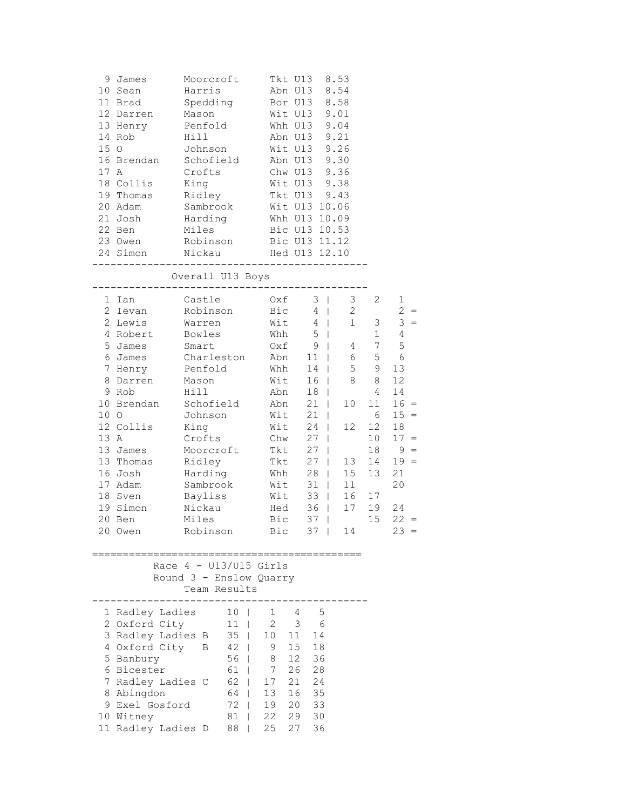| 15 O         | 9 James<br>10 Sean<br>11 Brad<br>12 Darren<br>13 Henry Penfold<br>14 Rob<br>16 Brendan<br>17 A<br>18 Collis                                                                                           | Moorcroft<br>Harris<br>Spedding<br>Mason<br>Hill<br>Johnson<br>Schofield<br>Crofts<br>King                                                                                                                                                 | Tkt U13 8.53<br>Abn U13 8.54<br>Bor U13 8.58<br>Wit U13 9.01<br>Whh U13 9.04<br>Abn U13 9.21<br>Wit U13 9.26<br>Abn U13 9.30<br>Chw U13 9.36<br>Wit U13 9.38                   |                                                                                                                                                                                     |                                                                                                                                |                                                                                                                                       |                                                                                                                                                                           |
|--------------|-------------------------------------------------------------------------------------------------------------------------------------------------------------------------------------------------------|--------------------------------------------------------------------------------------------------------------------------------------------------------------------------------------------------------------------------------------------|--------------------------------------------------------------------------------------------------------------------------------------------------------------------------------|-------------------------------------------------------------------------------------------------------------------------------------------------------------------------------------|--------------------------------------------------------------------------------------------------------------------------------|---------------------------------------------------------------------------------------------------------------------------------------|---------------------------------------------------------------------------------------------------------------------------------------------------------------------------|
|              | 19 Thomas<br>20 Adam                                                                                                                                                                                  | Ridley<br>Sambrook                                                                                                                                                                                                                         | Tkt U13 9.43<br>Wit U13 10.06                                                                                                                                                  |                                                                                                                                                                                     |                                                                                                                                |                                                                                                                                       |                                                                                                                                                                           |
|              | 21 Josh<br>22 Ben                                                                                                                                                                                     | Harding Whh U13 10.09<br>Miles<br>23 Owen Robinson Bic U13 11.12<br>24 Simon Nickau Hed U13 12.10                                                                                                                                          | Bic U13 10.53                                                                                                                                                                  |                                                                                                                                                                                     |                                                                                                                                |                                                                                                                                       |                                                                                                                                                                           |
|              | -----------------                                                                                                                                                                                     | Overall U13 Boys                                                                                                                                                                                                                           |                                                                                                                                                                                |                                                                                                                                                                                     |                                                                                                                                |                                                                                                                                       |                                                                                                                                                                           |
| 10 O<br>13 A | 1 Ian<br>2 Ievan<br>2 Lewis<br>4 Robert<br>5 James<br>6 James<br>7 Henry<br>8 Darren<br>9 Rob<br>12 Collis<br>13 James<br>13 Thomas<br>16 Josh<br>17 Adam<br>18 Sven<br>19 Simon<br>20 Ben<br>20 Owen | Castle<br>Robinson<br>Warren<br>Bowles<br>Smart<br>Charleston Abn<br>Penfold<br>Mason<br>Hill<br>10 Brendan Schofield<br>Johnson<br>King<br>Crofts<br>Moorcroft<br>Ridley<br>Harding<br>Sambrook<br>Bayliss<br>Nickau<br>Miles<br>Robinson | $Oxf \t3$<br>$Bic$ 4  <br>$W$ it 4  <br>Whh $5 \mid$<br>$0xf 9$  <br>Whh<br><br>Wit<br>Abn<br>Abn<br>Wit<br>Wit<br>Chw<br>Tkt<br>Tkt<br>Whh<br>Wit<br>Wit<br>Hed<br>Bic<br>Bic | $11 \quad   \quad$<br>14<br>$16$  <br>$18$  <br>$21$  <br>$21$  <br>$24$  <br>$27 \mid$<br>$27 \mid$<br>$27 \mid$<br>$28$  <br>$31$  <br>$33 \mid$<br>$36$  <br>$37$  <br>$37 \mid$ | 3 <sup>7</sup><br>2<br>$1 \quad \blacksquare$<br>4<br>6<br>5<br>8<br>10<br>12 <sup>°</sup><br>13<br>15<br>11<br>16<br>17<br>14 | $\mathbf{2}$<br>3<br>1<br>$7\phantom{.0}$<br>5<br>9<br>8<br>$\overline{4}$<br>11<br>6<br>12<br>10<br>18<br>14<br>13<br>17<br>19<br>15 | $\mathbf{1}$<br>$2 =$<br>$3 =$<br>$\overline{4}$<br>5<br>6<br>13<br>12<br>14<br>$16 =$<br>$15 =$<br>18<br>$17 =$<br>$9 =$<br>$19 =$<br>21<br>20<br>24<br>$22 =$<br>$23 =$ |
|              |                                                                                                                                                                                                       | Race $4 - U13/U15$ Girls<br>Round 3 - Enslow Quarry<br>Team Results                                                                                                                                                                        |                                                                                                                                                                                |                                                                                                                                                                                     |                                                                                                                                |                                                                                                                                       |                                                                                                                                                                           |
|              | 1 Radley Ladies<br>2 Oxford City<br>4 Oxford City<br>5 Banbury<br>6 Bicester<br>7 Radley Ladies C<br>8 Abingdon<br>9 Exel Gosford<br>10 Witney<br>11 Radley Ladies D                                  | $10$  <br>$11$  <br>3 Radley Ladies B 35  <br>B 42  <br>56<br>61<br>$\mathbf{I}$<br>62<br>L<br>64  <br>$72 \quad  $<br>81<br>$\mathbf{I}$<br>88<br>L                                                                                       | 1 4<br>$2 \qquad 3 \qquad 6$<br>10 11<br>9<br>8<br>$\overline{7}$<br>17<br>13<br>19<br>22<br>27<br>25                                                                          | $-5$<br>14<br>15 18<br>12 36<br>26 28<br>21 24<br>16 35<br>$\begin{array}{c} 20 \\ 20 \\ 33 \end{array}$<br>29 30<br>36                                                             |                                                                                                                                |                                                                                                                                       |                                                                                                                                                                           |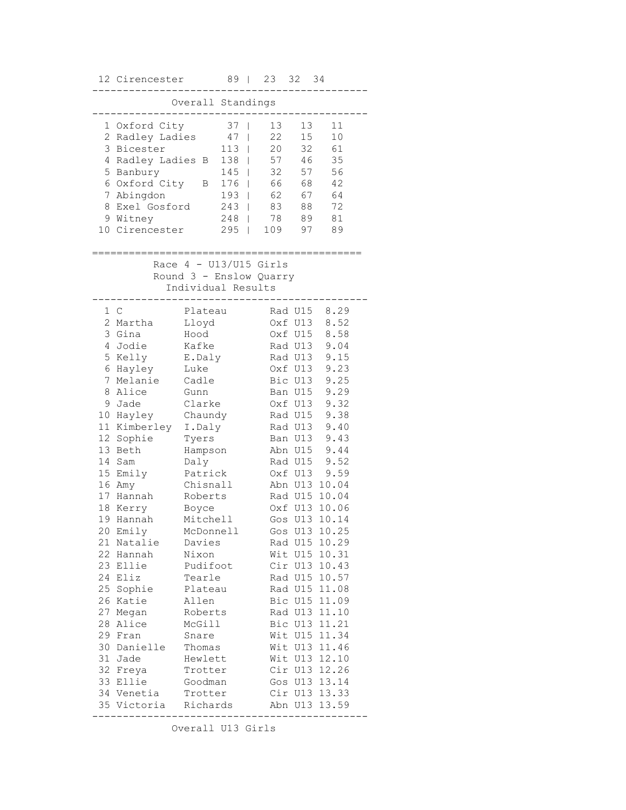|                                                    | 12 Cirencester                                                                                                                                                                                   |                                                                                                                                                                                               | 89<br>$\overline{\phantom{0}}$    |                                                                | 23                          | 32                                                                                                                                                                                                 | 34                                                                                                                                                                                    |
|----------------------------------------------------|--------------------------------------------------------------------------------------------------------------------------------------------------------------------------------------------------|-----------------------------------------------------------------------------------------------------------------------------------------------------------------------------------------------|-----------------------------------|----------------------------------------------------------------|-----------------------------|----------------------------------------------------------------------------------------------------------------------------------------------------------------------------------------------------|---------------------------------------------------------------------------------------------------------------------------------------------------------------------------------------|
|                                                    |                                                                                                                                                                                                  | Overall Standings                                                                                                                                                                             |                                   |                                                                |                             |                                                                                                                                                                                                    |                                                                                                                                                                                       |
| 5                                                  | 1 Oxford City<br>2 Radley Ladies<br>3 Bicester<br>4 Radley Ladies B<br>Banbury                                                                                                                   |                                                                                                                                                                                               | 37<br>47<br>113<br>138<br>145     | T<br>$\mathbf{I}$<br>$\overline{1}$                            | 13<br>22<br>20<br>57<br>32  | 13<br>15<br>32<br>46<br>57                                                                                                                                                                         | 11<br>10<br>61<br>35<br>56                                                                                                                                                            |
| 8                                                  | 6 Oxford City<br>7 Abingdon<br>Exel Gosford<br>9 Witney<br>10 Cirencester                                                                                                                        | В                                                                                                                                                                                             | 176<br>193<br>243<br>248<br>$295$ | $\overline{1}$<br>$\mathbf{I}$<br>$\mathbf{I}$<br>$\mathbf{I}$ | 66<br>62<br>83<br>78<br>109 | 68<br>67<br>88<br>89<br>97                                                                                                                                                                         | 42<br>64<br>72<br>81<br>89                                                                                                                                                            |
|                                                    |                                                                                                                                                                                                  | Race $4 - U13/U15$ Girls<br>Round 3 - Enslow Quarry<br>Individual Results                                                                                                                     |                                   |                                                                |                             |                                                                                                                                                                                                    |                                                                                                                                                                                       |
| 7<br>8<br>11 <sup>1</sup><br>12<br>13<br>14        | 1 C<br>2 Martha<br>3 Gina<br>4 Jodie<br>5 Kelly<br>6 Hayley<br>Melanie<br>Alice<br>9 Jade<br>10 Hayley<br>Kimberley<br>Sophie<br>Beth<br>Sam<br>15 Emily<br>16 Amy<br>17 Hannah<br>18 Kerry      | Plateau<br>Lloyd<br>Hood<br>Kafke<br>E.Daly<br>Luke<br>Cadle<br>Gunn<br>Clarke<br>Chaundy<br>I.Daly<br>Tyers<br>Hampson<br>Daly<br>Patrick<br>Chisnall<br>Roberts<br>Boyce                    |                                   |                                                                |                             | Rad U15<br>Oxf U13<br>Oxf U15<br>Rad U13<br>Rad U13<br>Oxf U13<br>Bic U13<br>Ban U15<br>Oxf U13<br>Rad U15<br>Rad U13<br>Ban U13<br>Abn U15<br>Rad U15<br>Oxf U13<br>Abn U13<br>Rad U15<br>Oxf U13 | 8.29<br>8.52<br>8.58<br>9.04<br>9.15<br>9.23<br>9.25<br>9.29<br>9.32<br>9.38<br>9.40<br>9.43<br>9.44<br>9.52<br>9.59<br>10.04<br>10.04<br>10.06                                       |
| 21<br>22<br>25<br>26<br>27<br>28<br>29<br>30<br>31 | 19 Hannah<br>20 Emily<br>Natalie<br>Hannah<br>23 Ellie<br>24 Eliz<br>Sophie<br>Katie<br>Megan<br>Alice<br>Fran<br>Danielle<br>Jade<br>32 Freya<br>33 Ellie<br>34 Venetia<br>35 Victoria<br>----- | Mitchell<br>McDonnell<br>Davies<br>Nixon<br>Pudifoot<br>Tearle<br>Plateau<br>Allen<br>Roberts<br>McGill<br>Snare<br>Thomas<br>Hewlett<br>Trotter<br>Goodman<br>Trotter<br>Richards<br>------- |                                   |                                                                |                             | Gos U13<br>Rad U15<br>Cir U13<br>Rad U15<br>Rad U15<br>Bic U15<br>Rad U13<br>Bic U13<br>Wit U15<br>Wit U13<br>Wit U13<br>Cir U13<br>Gos U13                                                        | 10.14<br>Gos U13 10.25<br>10.29<br>Wit U15 10.31<br>10.43<br>10.57<br>11.08<br>11.09<br>11.10<br>11.21<br>11.34<br>11.46<br>12.10<br>12.26<br>13.14<br>Cir U13 13.33<br>Abn U13 13.59 |

Overall U13 Girls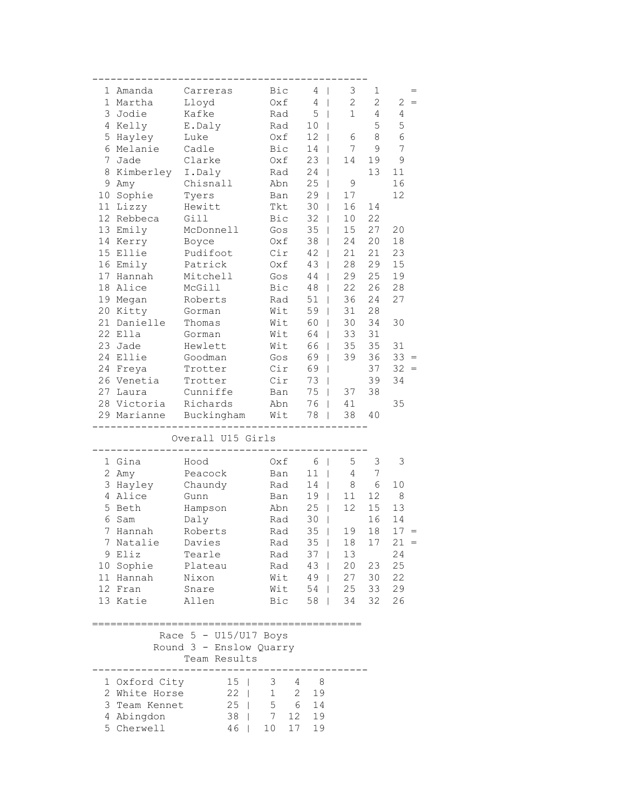|                 | 1 Amanda      | Carreras                | Bic               | 4                         | 3<br>$\mathbf{I}$           | 1              |               |
|-----------------|---------------|-------------------------|-------------------|---------------------------|-----------------------------|----------------|---------------|
| 1               | Martha        | Lloyd                   | Oxf               | $\overline{4}$<br>$\perp$ | $\mathbf{2}$                | $\overline{2}$ | 2             |
| 3               | Jodie         | Kafke                   | Rad               | 5                         | $\mathbf 1$<br>$\mathbf{I}$ | 4              | 4             |
| 4               | Kelly         | E.Daly                  | Rad               | 10                        |                             | 5              | 5             |
| 5               | Hayley        | Luke                    | Oxf               | 12                        | 6                           | 8              | 6             |
| 6               | Melanie       | Cadle                   | Bic               | 14                        | 7                           | 9              | 7             |
| 7               | Jade          | Clarke                  | Oxf               | 23                        | 14<br>$\mathbf{I}$          | 19             | $\mathcal{G}$ |
| 8               | Kimberley     | I.Daly                  | Rad               | 24                        | $\mathbf{I}$                | 13             | 11            |
| 9               | Amy           | Chisnall                | Abn               | 25                        | 9<br>$\overline{1}$         |                | 16            |
| 10              | Sophie        | Tyers                   | Ban               | 29                        | 17<br>$\overline{1}$        |                | 12            |
| 11              | Lizzy         | Hewitt                  | Tkt               | 30                        | 16<br>$\mathbf{I}$          | 14             |               |
| 12 <sup>2</sup> | Rebbeca       | Gill                    | Bic               | 32                        | 10<br>L                     | 22             |               |
| 13              | Emily         | McDonnell               | Gos               | 35                        | 15<br>T                     | 27             | 20            |
| 14              | Kerry         | Boyce                   | Oxf               | 38                        | 24                          | 20             | 18            |
| 15              | Ellie         | Pudifoot                | Cir               | 42                        | 21<br>L                     | 21             | 23            |
|                 | 16 Emily      | Patrick                 | Oxf               | 43                        | 28<br>T                     | 29             | 15            |
|                 | 17 Hannah     | Mitchell                | Gos               | 44                        | 29<br>$\overline{1}$        | 25             | 19            |
| 18              | Alice         | McGill                  | Bic               | 48                        | 22<br>$\overline{1}$        | 26             | 28            |
|                 | 19 Megan      | Roberts                 | Rad               | 51                        | 36<br>$\overline{1}$        | 24             | 27            |
| 20              | Kitty         | Gorman                  | Wit               | 59                        | 31<br>$\overline{1}$        | 28             |               |
| 21              | Danielle      | Thomas                  | Wit               | 60                        | 30<br>L                     | 34             | 30            |
| 22              | Ella          | Gorman                  | Wit               | 64                        | 33                          | 31             |               |
| 23              | Jade          | Hewlett                 | Wit               | 66                        | 35                          | 35             | 31            |
| 24              | Ellie         | Goodman                 | Gos               | 69                        | 39<br>L                     | 36             | 33<br>$=$     |
| 24              | Freya         | Trotter                 | Cir               | 69                        | $\mathbf{I}$                | 37             | 32<br>$=$     |
|                 | 26 Venetia    | Trotter                 | Cir               | 73                        | $\mathbf{I}$                | 39             | 34            |
| 27              | Laura         | Cunniffe                | Ban               | 75                        | 37<br>L                     | 38             |               |
|                 | 28 Victoria   | Richards                | Abn               | 76                        | 41<br>T                     |                | 35            |
|                 | 29 Marianne   | Buckingham              | Wit               | 78                        | 38                          | 40             |               |
|                 |               | Overall U15 Girls       |                   |                           |                             |                |               |
|                 |               |                         |                   |                           |                             |                |               |
|                 | 1 Gina        | Hood                    | Oxf               | 6                         | 5<br>$\mathbf{I}$           | 3              | 3             |
| $\overline{c}$  | Amy           | Peacock                 | Ban               | 11                        | 4<br>$\mathbf{I}$           | 7              |               |
| 3               | Hayley        | Chaundy                 | Rad               | 14                        | 8<br>$\mathsf{I}$           | 6              | 10            |
| 4               | Alice         | Gunn                    | Ban               | 19                        | 11<br>$\overline{1}$        | 12             | 8             |
| 5               | Beth          | Hampson                 | Abn               | 25                        | 12<br>$\overline{1}$        | 15             | 13            |
| 6               | Sam           | Daly                    | Rad               | 30                        | T                           | 16             | 14            |
| 7               | Hannah        | Roberts                 | Rad               | $35$                      | 19                          | 18             | 17            |
| 7               | Natalie       | Davies                  | Rad               | 35                        | 18                          | 17             | 21            |
| 9               | Eliz          | Tearle                  | Rad               | 37                        | 13                          |                | 24            |
| 10              | Sophie        | Plateau                 | Rad               | 43                        | 20                          | 23             | 25            |
|                 | 11 Hannah     | Nixon                   | Wit               | 49                        | 27<br>$\mathbf{I}$          | 30             | 22            |
|                 | 12 Fran       | Snare                   | Wit               | 54                        | 25<br>$\mathbf{I}$          | 33             | 29            |
|                 | 13 Katie      | Allen                   | Bic               | 58                        | 34<br>$\mathbf{I}$          | 32             | 26            |
|                 |               |                         |                   |                           |                             |                |               |
|                 |               | Race $5 - U15/U17$ Boys |                   |                           |                             |                |               |
|                 |               | Round 3 - Enslow Quarry |                   |                           |                             |                |               |
|                 |               | Team Results            |                   |                           |                             |                |               |
|                 |               |                         |                   |                           |                             |                |               |
|                 | 1 Oxford City | 15 <sub>1</sub>         | 3                 | 4<br>8                    |                             |                |               |
|                 | 2 White Horse | $22 \mid$               | $\mathbf 1$       | $\mathbf{2}$<br>19        |                             |                |               |
| 3               | Team Kennet   | $25$                    | 5                 | 6<br>14                   |                             |                |               |
| 4               | Abingdon      | 38                      | 7<br>$\mathbf{I}$ | 12 <sup>°</sup><br>19     |                             |                |               |
|                 | 5 Cherwell    | 46                      | 10                | 17<br>19                  |                             |                |               |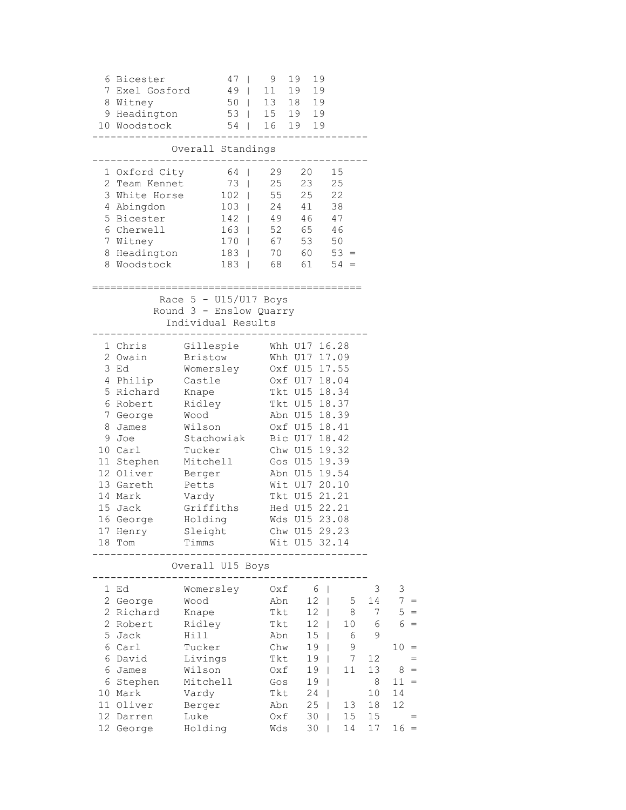|                                         | 6 Bicester<br>7 Exel Gosford<br>8 Witney<br>10 Woodstock<br>1 Oxford City<br>2 Team Kennet<br>3 White Horse<br>4 Abingdon<br>5 Bicester                                                                                                        | $47 \mid$<br>9 Headington 53   15 19 19<br>54   16 19 19<br>Overall Standings<br>64   29 20 15<br>$102$   55 25 22                                                                                                                                         | 9<br>49   11 19 19<br>50   13 18 19<br>73   25 23 25<br>103   24 41 38<br>142   49      | 19<br>19<br>46 47                                                                                                                                                                                        |                                                                                                                                   |                                                                 |                                                                                                                                         |
|-----------------------------------------|------------------------------------------------------------------------------------------------------------------------------------------------------------------------------------------------------------------------------------------------|------------------------------------------------------------------------------------------------------------------------------------------------------------------------------------------------------------------------------------------------------------|-----------------------------------------------------------------------------------------|----------------------------------------------------------------------------------------------------------------------------------------------------------------------------------------------------------|-----------------------------------------------------------------------------------------------------------------------------------|-----------------------------------------------------------------|-----------------------------------------------------------------------------------------------------------------------------------------|
|                                         | 6 Cherwell<br>7 Witney<br>8 Headington<br>8 Woodstock                                                                                                                                                                                          | 170   67 53 50<br>Race $5 - U15/U17$ Boys<br>Round 3 - Enslow Quarry                                                                                                                                                                                       | 163   52 65 46<br>$183$   70 60 53 =<br>$183$   68 61 54 =                              |                                                                                                                                                                                                          |                                                                                                                                   |                                                                 |                                                                                                                                         |
|                                         | 1 Chris<br>2 Owain<br>3 Ed<br>4 Philip<br>5 Richard Knape<br>6 Robert<br>7 George Wood<br>8 James Wilson<br>9 Joe<br>10 Carl<br>11 Stephen Mitchell<br>12 Oliver<br>13 Gareth<br>14 Mark<br>15 Jack<br>16 George Holding<br>17 Henry<br>18 Tom | Individual Results<br>----------------<br>Gillespie Whh U17 16.28<br>Bristow Whh U17 17.09<br>Womersley<br>Castle<br>Ridley<br>Stachowiak Bic U17 18.42<br>Tucker<br>Berger<br>Petts<br>Vardy<br>Griffiths Hed U15 22.21<br>Sleight Chw U15 29.23<br>Timms | Wds U15 23.08                                                                           | Oxf U15 17.55<br>Oxf U17 18.04<br>Tkt U15 18.34<br>Tkt U15 18.37<br>Abn U15 18.39<br>Oxf U15 18.41<br>Chw U15 19.32<br>Gos U15 19.39<br>Abn U15 19.54<br>Wit U17 20.10<br>Tkt U15 21.21<br>Wit U15 32.14 |                                                                                                                                   |                                                                 |                                                                                                                                         |
| 1<br>5<br>6<br>6<br>6<br>11<br>12<br>12 | Ed<br>2 George<br>2 Richard<br>2 Robert<br>Jack<br>6 Carl<br>David<br>James<br>Stephen<br>10 Mark<br>Oliver<br>Darren<br>George                                                                                                                | Overall U15 Boys<br>Womersley<br>Wood<br>Knape<br>Ridley<br>Hill<br>Tucker<br>Livings<br>Wilson<br>Mitchell<br>Vardy<br>Berger<br>Luke<br>Holding                                                                                                          | Oxf<br>Abn<br>Tkt<br>Tkt<br>Abn<br>Chw<br>Tkt<br>Oxf<br>Gos<br>Tkt<br>Abn<br>Oxf<br>Wds | 6<br>12<br>12<br>12<br>15<br>19<br>19<br>19<br>19<br>24<br>25<br>30<br>30                                                                                                                                | $\overline{\phantom{a}}$<br>5<br>T<br>8<br>T<br>10<br>L<br>6<br>T<br>9<br>7<br>11<br>T<br>I<br>I<br>13<br>L<br>15<br>L<br>14<br>L | 3<br>14<br>7<br>6<br>9<br>12<br>13<br>8<br>10<br>18<br>15<br>17 | 3<br>$7 =$<br>5<br>$=$<br>6<br>$\hspace{0.1cm} = \hspace{0.1cm}$<br>10<br>$=$<br>$=$<br>8<br>$=$<br>$11 =$<br>14<br>12<br>$=$<br>$16 =$ |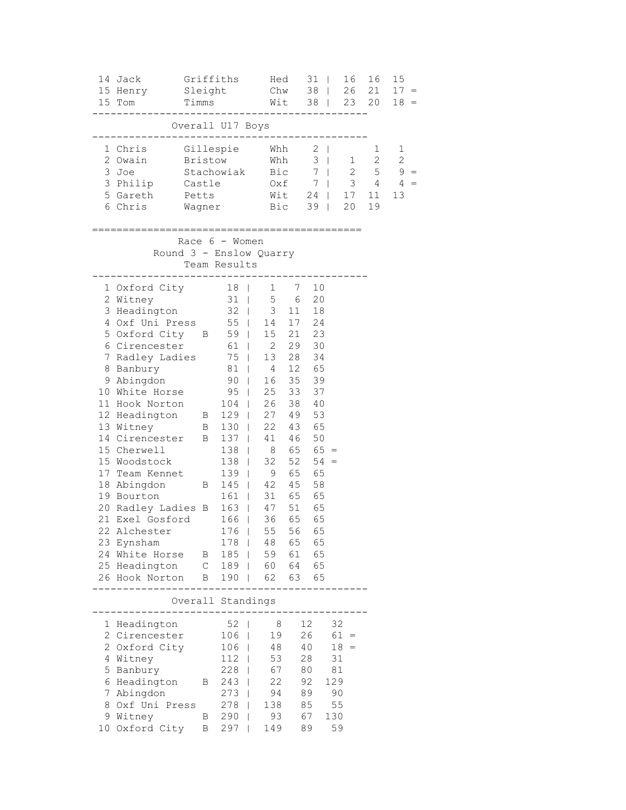|   | 14 Jack<br>15 Henry<br>15 Tom                                                                                                                                                                                                                                                                                                                                                                                                                                                                                                                                                                                  | Sleight<br>Timms | Griffiths                                                                         | Hed<br>Chw 38   26 21<br>Wit 38   23 20                                                                           |                                                                                                                                                | $31$                                                                              |                                                                    | 16 | 16                                                       | 15<br>$17 =$<br>$18 =$                              |
|---|----------------------------------------------------------------------------------------------------------------------------------------------------------------------------------------------------------------------------------------------------------------------------------------------------------------------------------------------------------------------------------------------------------------------------------------------------------------------------------------------------------------------------------------------------------------------------------------------------------------|------------------|-----------------------------------------------------------------------------------|-------------------------------------------------------------------------------------------------------------------|------------------------------------------------------------------------------------------------------------------------------------------------|-----------------------------------------------------------------------------------|--------------------------------------------------------------------|----|----------------------------------------------------------|-----------------------------------------------------|
|   |                                                                                                                                                                                                                                                                                                                                                                                                                                                                                                                                                                                                                |                  | Overall U17 Boys                                                                  |                                                                                                                   |                                                                                                                                                |                                                                                   |                                                                    |    |                                                          |                                                     |
|   | 1 Chris<br>2 Owain<br>3 Joe<br>3 Philip<br>5 Gareth<br>6 Chris                                                                                                                                                                                                                                                                                                                                                                                                                                                                                                                                                 | Petts            | Castle<br>Wagner                                                                  | Gillespie Whh 2  <br>Bristow Whh 3  <br>Stachowiak Bic 7  <br>0xf 7                                               | $Wit = 24   17$<br>Bic 39                                                                                                                      |                                                                                   |                                                                    | 20 | 1<br>$1 \quad 2$<br>$2 \qquad 5$<br>$3 \t 4$<br>11<br>19 | $\mathbf 1$<br>$\mathbf{2}$<br>$9 =$<br>$4 =$<br>13 |
|   |                                                                                                                                                                                                                                                                                                                                                                                                                                                                                                                                                                                                                |                  | Race $6 -$ Women<br>Team Results<br>------                                        | Round 3 - Enslow Quarry                                                                                           |                                                                                                                                                |                                                                                   |                                                                    |    |                                                          |                                                     |
|   | 1 Oxford City 18  <br>2 Witney<br>3 Headington<br>$4$ Oxf Uni Press 55<br>5 Oxford City B 59  <br>6 Cirencester<br>7 Radley Ladies 75  <br>8 Banbury 81   4<br>9 Abingdon<br>10 White Horse<br>104   20 33 37<br>12 Headington 104   26 38 40<br>12 Headington 129   27 49 53<br>13 Witney 14 Cirencetts<br>14 Cirencester B<br>15 Cherwell<br>15 Woodstock<br>17 Team Kennet<br>18 Abingdon<br>19 Bourton<br>20 Radley Ladies B 163   47 51 65<br>21 Exel Gosford 166   36 65 65<br>22 Alchester 176  <br>23 Eynsham<br>24 White Horse B<br>25 Headington C 189   60 64 65<br>26 Hook Norton B 190   62 63 65 | $\overline{B}$   | 31<br>$32 \mid$<br>$90$  <br>95  <br>$138$  <br>$161 \quad  $<br>$178$  <br>$185$ | $\mathbf{1}$<br>61   2 29 30<br>13<br>16<br>25<br>137   41 46<br>$138$   8 65 65 =<br>32<br>$139$   9<br>145   42 | 7 10<br>$\begin{array}{ccc} 5 & 6 \\ 3 & 11 \end{array}$<br>$14$ 17 24<br>15 21 23<br>33<br>45<br>31 65 65<br>55 56 65<br>48 65 65<br>59 61 65 | 20<br>18<br>28 34<br>12 65<br>35 39<br>37<br>50<br>$52 \quad 54 =$<br>65 65<br>58 |                                                                    |    |                                                          |                                                     |
|   |                                                                                                                                                                                                                                                                                                                                                                                                                                                                                                                                                                                                                |                  | . _ _ _ _ _ _ _ _ _ _ _ _ _ _ _ _ _ _                                             | Overall Standings                                                                                                 |                                                                                                                                                |                                                                                   |                                                                    |    |                                                          |                                                     |
| 8 | 1 Headington<br>2 Cirencester<br>2 Oxford City<br>4 Witney<br>5 Banbury<br>6 Headington B 243  <br>7 Abingdon<br>Oxf Uni Press<br>9 Witney<br>10 Oxford City B                                                                                                                                                                                                                                                                                                                                                                                                                                                 |                  | $106$  <br>$112$  <br>273  <br>278                                                | 52   8<br>19<br>106   48<br>53<br>228   67<br>22<br>94<br>138<br>B 290   93<br>B 297   149<br>149                 |                                                                                                                                                | 12<br>26<br>40<br>28<br>80 —<br>92<br>89<br>85<br>67<br>89                        | 32<br>$61 =$<br>$18 =$<br>31<br>81<br>129<br>90<br>55<br>130<br>59 |    |                                                          |                                                     |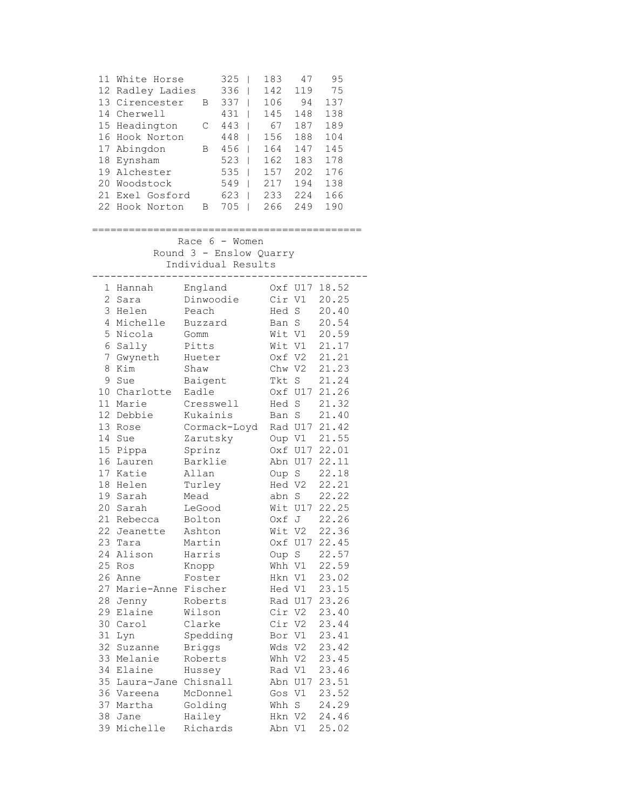| 11 | White Horse      |   | 325 | 183 | 47  | 95  |
|----|------------------|---|-----|-----|-----|-----|
|    | 12 Radley Ladies |   | 336 | 142 | 119 | 75  |
|    | 13 Cirencester   | В | 337 | 106 | 94  | 137 |
|    | 14 Cherwell      |   | 431 | 145 | 148 | 138 |
|    | 15 Headington    | C | 443 | 67  | 187 | 189 |
|    | 16 Hook Norton   |   | 448 | 156 | 188 | 104 |
|    | 17 Abingdon      | В | 456 | 164 | 147 | 145 |
|    | 18 Eynsham       |   | 523 | 162 | 183 | 178 |
| 19 | Alchester        |   | 535 | 157 | 202 | 176 |
| 20 | Woodstock        |   | 549 | 217 | 194 | 138 |
| 21 | Exel Gosford     |   | 623 | 233 | 224 | 166 |
|    | 22 Hook Norton   | в | 705 | 266 | 249 | 190 |

### ============================================

 Race 6 - Women Round 3 - Enslow Quarry Individual Results

| 1              | Hannah             | England       |        | Oxf U17     | 18.52 |
|----------------|--------------------|---------------|--------|-------------|-------|
| $\overline{2}$ | Sara               | Dinwoodie     | Cir V1 |             | 20.25 |
| 3              | Helen              | Peach         | Hed    | $\mathbf S$ | 20.40 |
| $\overline{4}$ | Michelle           | Buzzard       | Ban S  |             | 20.54 |
| 5              | Nicola             | Gomm          | Wit V1 |             | 20.59 |
| 6              | Sally              | Pitts         | Wit V1 |             | 21.17 |
| 7              | Gwyneth            | Hueter        | Oxf V2 |             | 21.21 |
| 8              | Kim                | Shaw          | Chw V2 |             | 21.23 |
| 9              | Sue                | Baigent       | Tkt    | $\mathbf S$ | 21.24 |
|                | 10 Charlotte       | Eadle         |        | Oxf U17     | 21.26 |
| 11             | Marie              | Cresswell     | Hed S  |             | 21.32 |
| 12             | Debbie             | Kukainis      | Ban S  |             | 21.40 |
| 13             | Rose               | Cormack-Loyd  |        | Rad U17     | 21.42 |
| 14             | Sue                | Zarutsky      | Oup V1 |             | 21.55 |
| 15             | Pippa              | Sprinz        |        | Oxf U17     | 22.01 |
| 16             | Lauren             | Barklie       |        | Abn U17     | 22.11 |
| 17             | Katie              | Allan         | Oup S  |             | 22.18 |
| 18             | Helen              | Turley        | Hed V2 |             | 22.21 |
| 19             | Sarah              | Mead          | abn S  |             | 22.22 |
| 20             | Sarah              | LeGood        |        | Wit U17     | 22.25 |
| 21             | Rebecca            | Bolton        | Oxf    | J           | 22.26 |
| 22             | Jeanette           | Ashton        | Wit V2 |             | 22.36 |
| 23             | Tara               | Martin        |        | Oxf U17     | 22.45 |
| 24             | Alison             | Harris        | Oup S  |             | 22.57 |
| 25             | Ros                | Knopp         | Whh V1 |             | 22.59 |
| 26             | Anne               | Foster        | Hkn V1 |             | 23.02 |
| 27             | Marie-Anne Fischer |               | Hed V1 |             | 23.15 |
| 28             | Jenny              | Roberts       |        | Rad U17     | 23.26 |
| 29             | Elaine             | Wilson        | Cir V2 |             | 23.40 |
| 30             | Carol              | Clarke        | Cir V2 |             | 23.44 |
| 31             | Lyn                | Spedding      | Bor V1 |             | 23.41 |
| 32             | Suzanne            | <b>Briggs</b> | Wds V2 |             | 23.42 |
| 33             | Melanie            | Roberts       | Whh V2 |             | 23.45 |
| 34             | Elaine             | Hussey        | Rad V1 |             | 23.46 |
| 35             | Laura-Jane         | Chisnall      |        | Abn U17     | 23.51 |
| 36             | Vareena            | McDonnel      | Gos    | V1          | 23.52 |
| 37             | Martha             | Golding       | Whh    | S           | 24.29 |
| 38             | Jane               | Hailey        | Hkn V2 |             | 24.46 |
| 39             | Michelle           | Richards      | Abn V1 |             | 25.02 |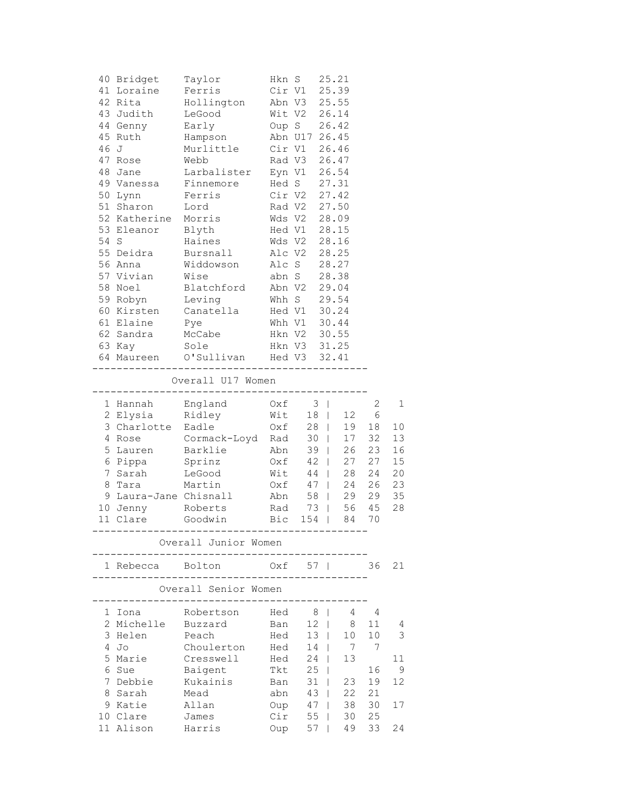|      | 40 Bridget            | Taylor                                                                 |                | Hkn S              | 25.21                                   |          |          |
|------|-----------------------|------------------------------------------------------------------------|----------------|--------------------|-----------------------------------------|----------|----------|
|      | 41 Loraine            | Ferris                                                                 | Cir V1         |                    | 25.39                                   |          |          |
|      | 42 Rita               | Hollington Abn V3 25.55                                                |                |                    |                                         |          |          |
|      | 43 Judith             | LeGood                                                                 |                | Wit V2 26.14       |                                         |          |          |
|      | 44 Genny              | Early                                                                  |                | Oup S 26.42        |                                         |          |          |
|      | 45 Ruth               | Hampson Abn U17 26.45                                                  |                |                    |                                         |          |          |
| 46 J |                       | Murlittle Cir V1 26.46                                                 |                |                    |                                         |          |          |
|      | 47 Rose               |                                                                        |                |                    |                                         |          |          |
|      | 48 Jane               | Webb Rad V3 26.47<br>Larbalister Eyn V1 26.54<br>Finnemore Hed S 27.31 |                |                    |                                         |          |          |
|      | 49 Vanessa            | Finnemore                                                              |                |                    |                                         |          |          |
|      | 50 Lynn               | Ferris                                                                 |                | Cir V2 27.42       |                                         |          |          |
|      | 51 Sharon             | Lord                                                                   |                | Rad V2             | 27.50                                   |          |          |
|      | 52 Katherine Morris   |                                                                        |                | Wds V2 28.09       |                                         |          |          |
|      | 53 Eleanor            | Blyth                                                                  |                | Hed V1 28.15       |                                         |          |          |
|      | 54 S                  | Haines                                                                 |                | Wds V2 28.16       |                                         |          |          |
|      | 55 Deidra             | Bursnall                                                               |                | Alc V2 28.25       |                                         |          |          |
|      | 56 Anna               | Widdowson                                                              |                |                    | 28.27                                   |          |          |
|      |                       | Wise                                                                   | Alc S<br>abn S |                    | 28.38                                   |          |          |
|      | 57 Vivian<br>58 Noel  | Blatchford Abn V2                                                      |                |                    | 29.04                                   |          |          |
|      | 59 Robyn              | Leving                                                                 | Whh S          |                    | 29.54                                   |          |          |
|      |                       | 60 Kirsten Canatella Hed V1 30.24                                      |                |                    |                                         |          |          |
|      | 61 Elaine Pye         |                                                                        |                | Whh V1 30.44       |                                         |          |          |
|      |                       |                                                                        |                |                    |                                         |          |          |
|      | 62 Sandra             | McCabe                                                                 |                | Hkn V2 30.55       |                                         |          |          |
|      | 63 Кау                | Sole                                                                   |                | Hkn V3 31.25       |                                         |          |          |
|      |                       | 64 Maureen O'Sullivan Hed V3 32.41                                     |                |                    |                                         |          |          |
|      |                       | Overall U17 Women                                                      |                |                    |                                         |          |          |
|      |                       |                                                                        |                |                    |                                         |          |          |
|      |                       | 1 Hannah England Oxf 3                                                 |                |                    |                                         | 2        | 1        |
|      | 2 Elysia              | Ridley                                                                 |                | Wit 18             |                                         | 12 6     |          |
|      | 3 Charlotte Eadle     |                                                                        |                | $Oxf$ 28           | 19<br>17                                | 18<br>32 | 10<br>13 |
|      |                       | 4 Rose Cormack-Loyd Rad 30                                             |                |                    |                                         |          |          |
|      |                       |                                                                        |                |                    |                                         |          |          |
|      | 5 Lauren              | Barklie Abn 39                                                         |                |                    | 26                                      | 23       | 16       |
|      | 6 Pippa Sprinz        |                                                                        |                | $Oxf$ 42           | 27                                      | 27       | 15       |
|      | 7 Sarah               | LeGood                                                                 |                |                    |                                         | 24       | 20       |
| 8    | Tara                  | Martin                                                                 |                | Wit 44  <br>Oxf 47 | $\begin{array}{c} 28 \\ 24 \end{array}$ | 26       | 23       |
|      | 9 Laura-Jane Chisnall |                                                                        |                | Abn 58             |                                         | 29 29    | 35       |
|      | 10 Jenny Roberts      |                                                                        |                |                    | Rad 73   56 45                          |          | 28       |
|      |                       | 11 Clare Goodwin Bic 154                                               |                |                    |                                         | 84 70    |          |
|      |                       | Overall Junior Women                                                   |                |                    |                                         |          |          |
|      | 1 Rebecca             | Bolton                                                                 |                | 0xf 57             |                                         | 36       | 21       |
|      |                       | Overall Senior Women                                                   |                |                    |                                         |          |          |
|      |                       |                                                                        |                |                    |                                         |          |          |
| 1    | Iona                  | Robertson                                                              | Hed            | 8                  | $\mathbf{I}$<br>4                       | 4        |          |
| 2    | Michelle              | Buzzard                                                                | Ban            | 12                 | 8<br>L                                  | 11       | 4        |
| 3    | Helen                 | Peach                                                                  | Hed            | 13 <sup>7</sup>    | 10                                      | 10       | 3        |
| 4    | Jo                    | Choulerton                                                             | Hed            | 14                 | 7                                       | 7        |          |
| 5    | Marie                 | Cresswell                                                              | Hed            | 24                 | 13                                      |          | 11       |
| 6    | Sue                   | Baigent                                                                | Tkt            | 25                 |                                         | 16       | 9        |
| 7    | Debbie                | Kukainis                                                               | Ban            | 31                 | 23<br>L                                 | 19       | 12       |
| 8    | Sarah                 | Mead                                                                   | abn            | 43                 | 22<br>$\mathbf{I}$                      | 21       |          |
| 9    | Katie                 | Allan                                                                  | Oup            | 47                 | $\mathbf{I}$<br>38                      | 30       | 17       |
|      | 10 Clare<br>11 Alison | James<br>Harris                                                        | Cir<br>Oup     | 55<br>57           | 30<br>L<br>49<br>L                      | 25<br>33 | 24       |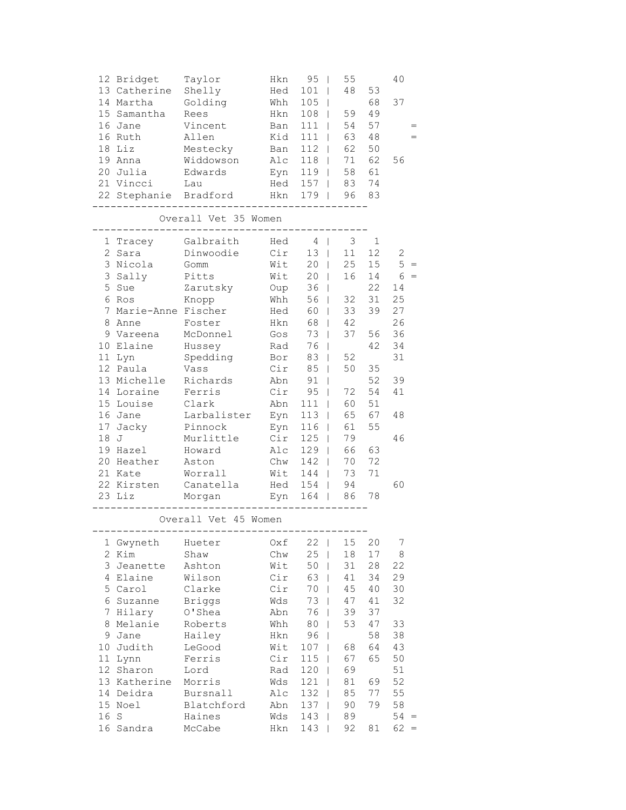| 12 Bridget   | Taylor    | Hkn          | 95  | 55 |    | 40  |
|--------------|-----------|--------------|-----|----|----|-----|
| 13 Catherine | Shelly    | Hed          | 101 | 48 | 53 |     |
| 14 Martha    | Golding   | Whh          | 105 |    | 68 | 37  |
| 15 Samantha  | Rees      | Hkn          | 108 | 59 | 49 |     |
| 16 Jane      | Vincent   | Ban          | 111 | 54 | 57 |     |
| 16 Ruth      | Allen     | Kid          | 111 | 63 | 48 | $=$ |
| $18$ Liz     | Mestecky  | Ban          | 112 | 62 | 50 |     |
| 19 Anna      | Widdowson | $\text{Alc}$ | 118 | 71 | 62 | 56  |
| 20 Julia     | Edwards   | Eyn          | 119 | 58 | 61 |     |
| 21 Vincci    | Lau       | Hed          | 157 | 83 | 74 |     |
| 22 Stephanie | Bradford  | Hkn          | 179 | 96 | 83 |     |
|              |           |              |     |    |    |     |

Overall Vet 35 Women

---------------------------------------------

| 1               | Tracey     | Galbraith   | Hed | 4   | 3  | $\mathbf{1}$ |          |
|-----------------|------------|-------------|-----|-----|----|--------------|----------|
|                 | 2<br>Sara  | Dinwoodie   | Cir | 13  | 11 | 12           | 2        |
| 3               | Nicola     | Gomm        | Wit | 20  | 25 | 15           | 5<br>$=$ |
|                 | 3<br>Sally | Pitts       | Wit | 20  | 16 | 14           | 6<br>$=$ |
|                 | 5<br>Sue   | Zarutsky    | Oup | 36  |    | 22           | 14       |
| 6               | Ros        | Knopp       | Whh | 56  | 32 | 31           | 25       |
| 7               | Marie-Anne | Fischer     | Hed | 60  | 33 | 39           | 27       |
| 8               | Anne       | Foster      | Hkn | 68  | 42 |              | 26       |
| 9               | Vareena    | McDonnel    | Gos | 73  | 37 | 56           | 36       |
| 10              | Elaine     | Hussey      | Rad | 76  |    | 42           | 34       |
| 11              | Lyn        | Spedding    | Bor | 83  | 52 |              | 31       |
| 12              | Paula      | Vass        | Cir | 85  | 50 | 35           |          |
| 13              | Michelle   | Richards    | Abn | 91  |    | 52           | 39       |
| 14              | Loraine    | Ferris      | Cir | 95  | 72 | 54           | 41       |
| 15 <sub>1</sub> | Louise     | Clark       | Abn | 111 | 60 | 51           |          |
| 16              | Jane       | Larbalister | Eyn | 113 | 65 | 67           | 48       |
| 17              | Jacky      | Pinnock     | Eyn | 116 | 61 | 55           |          |
| 18              | J          | Murlittle   | Cir | 125 | 79 |              | 46       |
| 19              | Hazel      | Howard      | Alc | 129 | 66 | 63           |          |
| 20              | Heather    | Aston       | Chw | 142 | 70 | 72           |          |
| 21              | Kate       | Worrall     | Wit | 144 | 73 | 71           |          |
| 22              | Kirsten    | Canatella   | Hed | 154 | 94 |              | 60       |
|                 | 23 Liz     | Morgan      | Eyn | 164 | 86 | 78           |          |

--------------------------------------------- Overall Vet 45 Women

| 1  | Gwyneth   | Hueter        | 0xf | 22  | 15 | 20 | 7  |
|----|-----------|---------------|-----|-----|----|----|----|
| 2  | Kim       | Shaw          | Chw | 25  | 18 | 17 | 8  |
| 3  | Jeanette  | Ashton        | Wit | 50  | 31 | 28 | 22 |
| 4  | Elaine    | Wilson        | Cir | 63  | 41 | 34 | 29 |
| 5. | Carol     | Clarke        | Cir | 70  | 45 | 40 | 30 |
| 6  | Suzanne   | <b>Briggs</b> | Wds | 73  | 47 | 41 | 32 |
| 7  | Hilary    | 0'Shea        | Abn | 76  | 39 | 37 |    |
| 8  | Melanie   | Roberts       | Whh | 80  | 53 | 47 | 33 |
| 9  | Jane      | Hailey        | Hkn | 96  |    | 58 | 38 |
| 10 | Judith    | LeGood        | Wit | 107 | 68 | 64 | 43 |
| 11 | Lynn      | Ferris        | Cir | 115 | 67 | 65 | 50 |
| 12 | Sharon    | Lord          | Rad | 120 | 69 |    | 51 |
| 13 | Katherine | Morris        | Wds | 121 | 81 | 69 | 52 |
| 14 | Deidra    | Bursnall      | Alc | 132 | 85 | 77 | 55 |
| 15 | Noel      | Blatchford    | Abn | 137 | 90 | 79 | 58 |
| 16 | S         | Haines        | Wds | 143 | 89 |    | 54 |
| 16 | Sandra    | McCabe        | Hkn | 143 | 92 | 81 | 62 |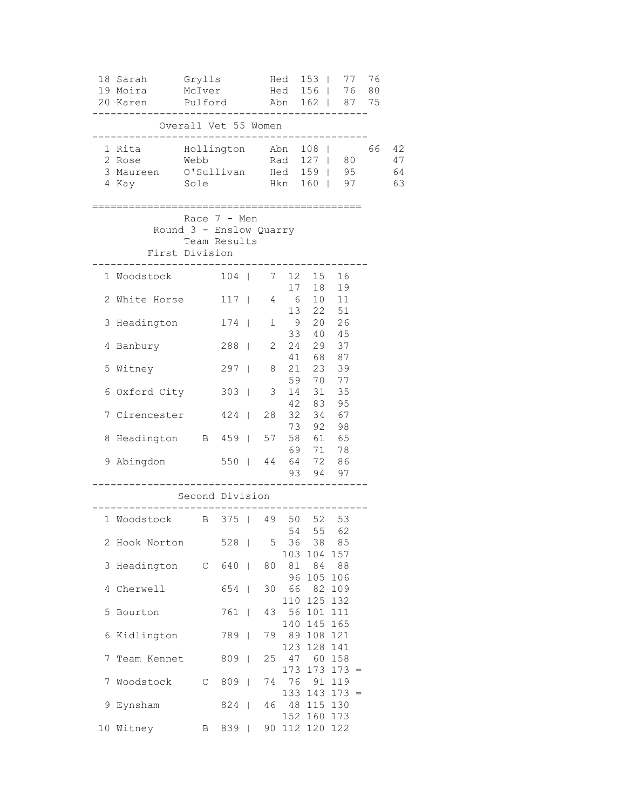|   | 18 Sarah<br>19 Moira<br>20 Karen       | Grylls<br>McIver<br>Pulford                                                 |       |                | Hed<br>Hed | $153$  <br>156   76 80<br>Abn 162   87 75 | 77             | 76 |                      |
|---|----------------------------------------|-----------------------------------------------------------------------------|-------|----------------|------------|-------------------------------------------|----------------|----|----------------------|
|   |                                        | Overall Vet 55 Women                                                        |       |                |            |                                           |                |    |                      |
|   | 1 Rita<br>2 Rose<br>3 Maureen<br>4 Kay | Hollington Abn<br>Webb<br>O'Sullivan Hed 159   95<br>Sole                   |       |                | Hkn        | $108$  <br>Rad 127   80<br>160   97       |                | 66 | 42<br>47<br>64<br>63 |
|   |                                        | Race $7 - Men$<br>Round 3 - Enslow Quarry<br>Team Results<br>First Division |       |                |            |                                           |                |    |                      |
|   | 1 Woodstock                            |                                                                             | $104$ |                | 17         | 7 12 15 16                                | 18 19          |    |                      |
|   | 2 White Horse                          |                                                                             | $117$ | 4              | 6          | 10<br>13  22  51                          | 11             |    |                      |
|   | 3 Headington                           |                                                                             | $174$ | 1              | 9          | 33 40 45                                  | 20 26          |    |                      |
|   | 4 Banbury                              |                                                                             | 288   | 2              |            | 24 29 37<br>41 68 87                      |                |    |                      |
|   | 5 Witney                               |                                                                             | $297$ | 8              |            | 21  23  39<br>59 70 77                    |                |    |                      |
|   | 6 Oxford City                          |                                                                             | $303$ | 3              | 14<br>42   | 31<br>83                                  | 35<br>95       |    |                      |
|   | 7 Cirencester                          |                                                                             | $424$ | 28             |            | 32 34<br>73 92 98                         | 67             |    |                      |
|   | 8 Headington B 459                     |                                                                             |       | 57             |            | 58 61 65<br>69 71 78                      |                |    |                      |
|   | 9 Abingdon                             |                                                                             | 550   | 44             |            | 64 72 86<br>93 94 97                      |                |    |                      |
|   |                                        | Second Division                                                             |       |                |            |                                           |                |    |                      |
|   | 1 Woodstock B 375   49 50 52           |                                                                             |       |                | 54         |                                           | 53<br>55 62    |    |                      |
|   | 2 Hook Norton                          |                                                                             | 528   | 5 <sup>5</sup> | 36         | 38<br>103 104 157                         | 85             |    |                      |
| 3 | Headington C 640                       |                                                                             |       | 80             |            | 81 84 88<br>96 105 106                    |                |    |                      |
|   | 4 Cherwell                             |                                                                             | 654   |                |            | 30 66 82<br>110 125 132                   | 109            |    |                      |
|   | 5 Bourton                              |                                                                             | 761   | 43             |            | 56 101<br>140 145 165                     | 111            |    |                      |
|   | 6 Kidlington                           |                                                                             | 789   | 79             |            | 89 108 121<br>123 128                     | 141            |    |                      |
|   | 7 Team Kennet                          |                                                                             | $809$ | 25             | 47         | 60<br>173 173                             | 158<br>$173 =$ |    |                      |
| 7 | Woodstock                              | $\mathbb C$                                                                 | $809$ |                |            | 74 76 91<br>$133$ 143 173 =               | 119            |    |                      |
|   | 9 Eynsham                              |                                                                             | 824   |                |            | 46 48 115 130<br>152 160 173              |                |    |                      |
|   | 10 Witney                              | B                                                                           | 839   |                |            | 90 112 120 122                            |                |    |                      |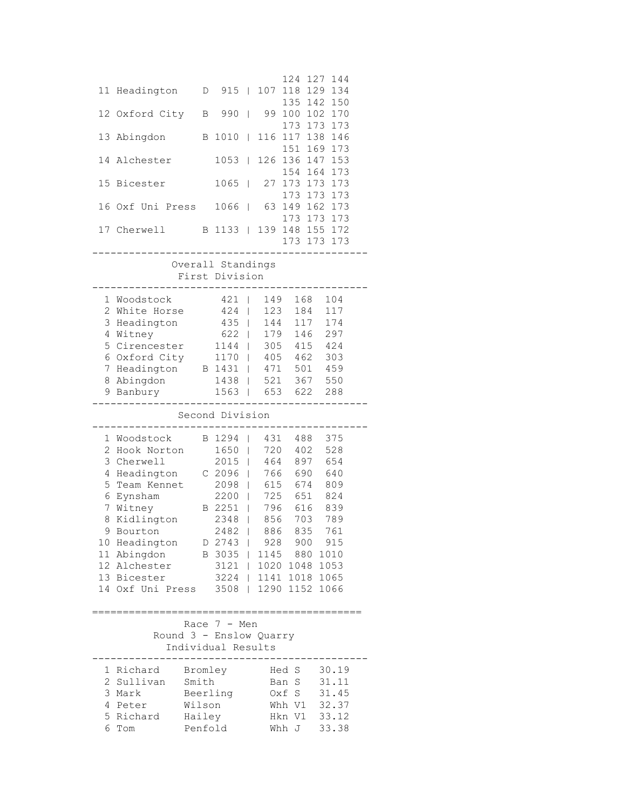|                 |                           |                  |                    |                |            | 124<br>118      | 127        | 144            |  |
|-----------------|---------------------------|------------------|--------------------|----------------|------------|-----------------|------------|----------------|--|
| 11              | Headington                | D                | 915                | $\Box$         | 107        | 135             | 129<br>142 | 134<br>150     |  |
| 12 <sup>°</sup> | Oxford City               | В                | 990                | I              | 99         | 100             | 102        | 170            |  |
|                 |                           |                  |                    |                |            | 173             | 173        | 173            |  |
| 13              | Abingdon                  |                  | B 1010             | T              | 116        | 117             | 138        | 146            |  |
| 14              | Alchester                 |                  | 1053               | L              | 126        | 151<br>136      | 169<br>147 | 173<br>153     |  |
|                 |                           |                  |                    |                |            | 154             | 164        | 173            |  |
| 15              | Bicester                  |                  | 1065               | $\mathbf{I}$   | 27         | 173             | 173        | 173            |  |
|                 |                           |                  |                    |                |            | 173             | 173        | 173            |  |
| 16              | Oxf Uni Press             |                  | 1066               | T              | 63         | 149             | 162        | 173            |  |
| 17              | Cherwell                  |                  | B 1133             | $\mathbf{I}$   | 139        | 173<br>148      | 173        | 173<br>155 172 |  |
|                 |                           |                  |                    |                |            | 173 173         |            | 173            |  |
|                 |                           |                  |                    |                |            |                 |            |                |  |
|                 |                           |                  | Overall Standings  |                |            |                 |            |                |  |
|                 |                           |                  | First Division     |                |            |                 |            |                |  |
|                 | 1 Woodstock               |                  | 421                | $\mathbf{I}$   | 149        | 168             |            | 104            |  |
| 2               | White Horse               |                  | 424                | L              | 123        | 184             |            | 117            |  |
| 3               | Headington                |                  | 435                | L              | 144        |                 | 117        | 174            |  |
| 4               | Witney                    |                  | 622                | L              | 179        | 146             |            | 297            |  |
| 5               | Cirencester               |                  | 1144               | L              | 305        | 415             |            | 424            |  |
|                 | 6 Oxford City             |                  | 1170               | L              | 405        | 462             |            | 303            |  |
| 7               | Headington                |                  | B 1431             | L              | 471        | 501             |            | 459            |  |
| 8               | Abingdon                  |                  | 1438               | T              | 521        | 367             |            | 550            |  |
|                 | 9 Banbury                 |                  | 1563               | $\overline{1}$ | 653        |                 | 622        | 288            |  |
|                 |                           |                  |                    |                |            |                 |            |                |  |
|                 |                           |                  | Second Division    |                |            |                 |            |                |  |
|                 |                           |                  |                    |                |            |                 |            |                |  |
|                 | 1 Woodstock               |                  | B 1294             | L              | 431        | 488             |            | 375            |  |
| $\overline{c}$  | Hook Norton               |                  | 1650               | L              | 720        | 402             |            | 528            |  |
| 3               | Cherwell                  |                  | 2015               | L              | 464        | 897             |            | 654            |  |
| 4               | Headington                |                  | C 2096             | L              | 766        | 690             |            | 640            |  |
| 5               | Team Kennet               |                  | 2098               | L              | 615        | 674             |            | 809            |  |
| 6               | Eynsham                   |                  | 2200               | I              | 725        | 651             |            | 824            |  |
| 7<br>8          | Witney                    |                  | B 2251<br>2348     | T<br>I         | 796        | 616             |            | 839            |  |
| 9               | Kidlington<br>Bourton     |                  | 2482               | $\perp$        | 856<br>886 | 703<br>835      |            | 789<br>761     |  |
| 10              |                           |                  | D 2743             | I              |            | 928 900 915     |            |                |  |
|                 | Headington<br>11 Abingdon |                  | B 3035             | L              | 1145       | 880             |            | 1010           |  |
|                 | 12 Alchester              |                  | 3121               | L              | 1020       | 1048 1053       |            |                |  |
|                 | 13 Bicester               |                  | 3224               | L              | 1141       | 1018 1065       |            |                |  |
|                 | 14 Oxf Uni Press          |                  | 3508               | L              |            | 1290 1152 1066  |            |                |  |
|                 |                           |                  |                    |                |            |                 |            |                |  |
|                 | ===============           |                  |                    |                |            |                 |            |                |  |
|                 | Round 3 - Enslow Quarry   |                  | Race $7 - Men$     |                |            |                 |            |                |  |
|                 |                           |                  | Individual Results |                |            |                 |            |                |  |
|                 |                           |                  |                    |                |            |                 |            |                |  |
|                 | 1 Richard                 |                  | Bromley            |                |            | Hed S           |            | 30.19          |  |
| 2               | Sullivan                  | Smith            |                    |                |            | Ban S           |            | 31.11          |  |
| 3<br>4          | Mark<br>Peter             |                  | Beerling           |                |            | Oxf S<br>Whh V1 |            | 31.45          |  |
| 5               | Richard                   | Wilson<br>Hailey |                    |                |            | Hkn V1          |            | 32.37<br>33.12 |  |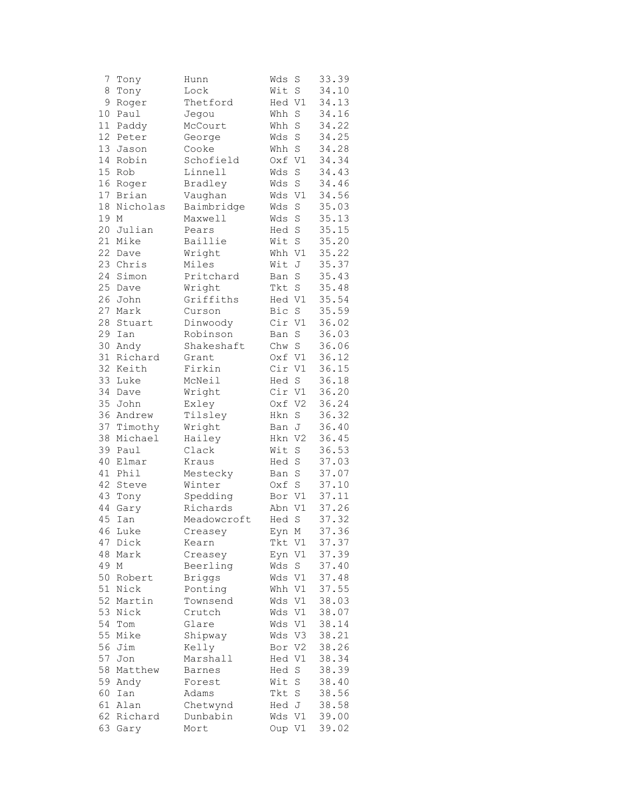| 7  | Tony     | Hunn          | Wds    | S              | 33.39 |
|----|----------|---------------|--------|----------------|-------|
| 8  | Tony     | Lock          | Wit    | $\rm S$        | 34.10 |
| 9  | Roger    | Thetford      | Hed V1 |                | 34.13 |
| 10 | Paul     | Jegou         | Whh    | $\rm S$        | 34.16 |
| 11 | Paddy    | McCourt       | Whh    | $\rm S$        | 34.22 |
| 12 | Peter    | George        | Wds    | S              | 34.25 |
| 13 | Jason    | Cooke         | Whh    | $\rm S$        | 34.28 |
| 14 | Robin    | Schofield     | Oxf    | V1             | 34.34 |
| 15 | Rob      | Linnell       | Wds    | S              | 34.43 |
| 16 | Roger    | Bradley       | Wds    | $\rm S$        | 34.46 |
| 17 | Brian    | Vaughan       | Wds    | V1             | 34.56 |
| 18 | Nicholas | Baimbridge    | Wds    | $\rm S$        | 35.03 |
| 19 | М        | Maxwell       | Wds    | $\rm S$        | 35.13 |
| 20 | Julian   | Pears         | Hed    | S              | 35.15 |
| 21 | Mike     | Baillie       | Wit    | $\rm S$        | 35.20 |
| 22 | Dave     | Wright        | Whh V1 |                | 35.22 |
| 23 | Chris    | Miles         | Wit    | J              | 35.37 |
| 24 |          | Pritchard     |        | $\rm S$        | 35.43 |
|    | Simon    |               | Ban    |                |       |
| 25 | Dave     | Wright        | Tkt    | $\rm S$        | 35.48 |
| 26 | John     | Griffiths     | Hed V1 |                | 35.54 |
| 27 | Mark     | Curson        | Bic    | $\mathbf S$    | 35.59 |
| 28 | Stuart   | Dinwoody      | Cir    | V1             | 36.02 |
| 29 | Ian      | Robinson      | Ban    | $\mathbf S$    | 36.03 |
| 30 | Andy     | Shakeshaft    | Chw    | $\mathbf S$    | 36.06 |
| 31 | Richard  | Grant         | Oxf V1 |                | 36.12 |
| 32 | Keith    | Firkin        | Cir V1 |                | 36.15 |
| 33 | Luke     | McNeil        | Hed S  |                | 36.18 |
| 34 | Dave     | Wright        | Cir V1 |                | 36.20 |
| 35 | John     | Exley         | Oxf V2 |                | 36.24 |
| 36 | Andrew   | Tilsley       | Hkn    | S              | 36.32 |
| 37 | Timothy  | Wright        | Ban    | J              | 36.40 |
| 38 | Michael  | Hailey        | Hkn    | V <sub>2</sub> | 36.45 |
| 39 | Paul     | Clack         | Wit    | $\rm S$        | 36.53 |
| 40 | Elmar    | Kraus         | Hed    | S              | 37.03 |
| 41 | Phil     | Mestecky      | Ban    | $\rm S$        | 37.07 |
| 42 | Steve    | Winter        | Oxf    | $\rm S$        | 37.10 |
| 43 | Tony     | Spedding      | Bor V1 |                | 37.11 |
| 44 | Gary     | Richards      | Abn    | V1             | 37.26 |
| 45 | Ian      | Meadowcroft   | Hed    | S              | 37.32 |
|    | 46 Luke  | Creasey       | Eyn M  |                | 37.36 |
| 47 | Dick     | Kearn         | Tkt V1 |                | 37.37 |
| 48 | Mark     | Creasey       | Eyn    | V1             | 37.39 |
| 49 | Μ        | Beerling      | Wds    | S              | 37.40 |
| 50 | Robert   | <b>Briggs</b> | Wds V1 |                | 37.48 |
| 51 | Nick     | Ponting       | Whh V1 |                | 37.55 |
| 52 | Martin   | Townsend      | Wds    | V1             | 38.03 |
| 53 | Nick     | Crutch        | Wds    | V1             | 38.07 |
| 54 | Tom      | Glare         | Wds    | V1             | 38.14 |
| 55 | Mike     | Shipway       | Wds    | V3             | 38.21 |
| 56 | Jim      | Kelly         | Bor    | V2             | 38.26 |
| 57 | Jon      | Marshall      | Hed V1 |                | 38.34 |
| 58 | Matthew  | Barnes        | Hed    | $\mathbf S$    | 38.39 |
| 59 | Andy     | Forest        | Wit    | $\rm S$        | 38.40 |
| 60 | Ian      | Adams         | Tkt    | $\rm S$        | 38.56 |
| 61 | Alan     | Chetwynd      | Hed J  |                | 38.58 |
| 62 | Richard  | Dunbabin      | Wds V1 |                | 39.00 |
| 63 |          | Mort          | Oup V1 |                | 39.02 |
|    | Gary     |               |        |                |       |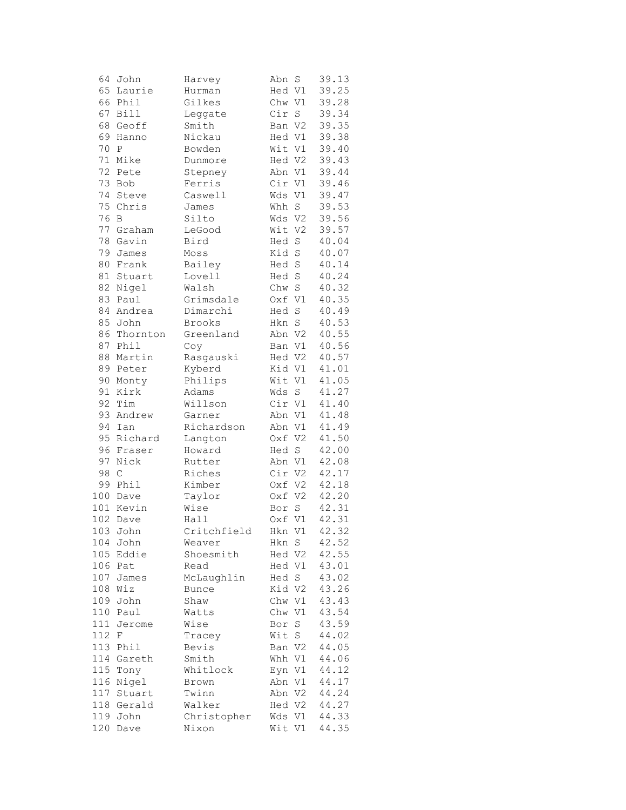| 64     | John         | Harvey       | Abn    | S           | 39.13 |
|--------|--------------|--------------|--------|-------------|-------|
| 65     | Laurie       | Hurman       | Hed V1 |             | 39.25 |
| 66     | Phil         | Gilkes       | Chw V1 |             | 39.28 |
| 67     | <b>Bill</b>  | Leggate      | Cir    | $\rm S$     | 39.34 |
| 68     | Geoff        | Smith        | Ban V2 |             | 39.35 |
| 69     | Hanno        | Nickau       | Hed V1 |             | 39.38 |
| 70     | $\, {\bf P}$ | Bowden       | Wit V1 |             | 39.40 |
| 71     | Mike         | Dunmore      | Hed V2 |             | 39.43 |
| 72     | Pete         | Stepney      | Abn V1 |             | 39.44 |
| 73     | Bob          | Ferris       | Cir V1 |             | 39.46 |
| 74     | Steve        | Caswell      | Wds V1 |             | 39.47 |
| 75     | Chris        | James        | Whh S  |             | 39.53 |
| 76     | В            | Silto        | Wds V2 |             | 39.56 |
| 77     | Graham       | LeGood       | Wit V2 |             | 39.57 |
| 78     | Gavin        | Bird         | Hed    | $\mathbf S$ | 40.04 |
| 79     | James        | Moss         | Kid    | $\rm S$     | 40.07 |
| 80     | Frank        | Bailey       | Hed S  |             | 40.14 |
| $8\,1$ | Stuart       | Lovell       | Hed S  |             | 40.24 |
| 82     | Nigel        | Walsh        | Chw S  |             | 40.32 |
| 83     | Paul         | Grimsdale    | Oxf V1 |             | 40.35 |
| 84     | Andrea       | Dimarchi     | Hed    | $\mathbf S$ | 40.49 |
| 85     | John         | Brooks       | Hkn    | $\mathbf S$ | 40.53 |
|        | Thornton     |              |        |             |       |
| 86     |              | Greenland    | Abn V2 |             | 40.55 |
| 87     | Phil         | Coy          | Ban V1 |             | 40.56 |
| 88     | Martin       | Rasgauski    | Hed V2 |             | 40.57 |
| 89     | Peter        | Kyberd       | Kid V1 |             | 41.01 |
| 90     | Monty        | Philips      | Wit V1 |             | 41.05 |
| 91     | Kirk         | Adams        | Wds    | S           | 41.27 |
| 92     | Tim          | Willson      | Cir V1 |             | 41.40 |
| 93     | Andrew       | Garner       | Abn V1 |             | 41.48 |
| 94     | Ian          | Richardson   | Abn V1 |             | 41.49 |
| 95     | Richard      | Langton      | Oxf V2 |             | 41.50 |
| 96     | Fraser       | Howard       | Hed S  |             | 42.00 |
| 97     | Nick         | Rutter       | Abn V1 |             | 42.08 |
| 98     | $\mathsf C$  | Riches       | Cir V2 |             | 42.17 |
| 99     | Phil         | Kimber       | Oxf V2 |             | 42.18 |
| 100    | Dave         | Taylor       | Oxf V2 |             | 42.20 |
|        | 101 Kevin    | Wise         | Bor    | S           | 42.31 |
| 102    | Dave         | Hall         | Oxf V1 |             | 42.31 |
|        | 103 John     | Critchfield  | Hkn V1 |             | 42.32 |
| 104    | John         | Weaver       | Hkn S  |             | 42.52 |
| 105    | Eddie        | Shoesmith    | Hed V2 |             | 42.55 |
| 106    | Pat          | Read         | Hed V1 |             | 43.01 |
| 107    | James        | McLaughlin   | Hed    | S           | 43.02 |
| 108    | Wiz          | <b>Bunce</b> | Kid V2 |             | 43.26 |
| 109    | John         | Shaw         | Chw V1 |             | 43.43 |
| 110    | Paul         | Watts        | Chw    | V1          | 43.54 |
| 111    | Jerome       | Wise         | Bor    | $\mathbf S$ | 43.59 |
| 112    | F            | Tracey       | Wit    | S           | 44.02 |
| 113    | Phil         | Bevis        | Ban V2 |             | 44.05 |
| 114    | Gareth       | Smith        | Whh V1 |             | 44.06 |
| 115    | Tony         | Whitlock     | Eyn V1 |             | 44.12 |
| 116    | Nigel        | Brown        | Abn V1 |             | 44.17 |
| 117    | Stuart       | Twinn        | Abn V2 |             | 44.24 |
|        | 118 Gerald   | Walker       | Hed V2 |             | 44.27 |
| 119    | John         | Christopher  | Wds V1 |             | 44.33 |
| 120    | Dave         | Nixon        | Wit V1 |             | 44.35 |
|        |              |              |        |             |       |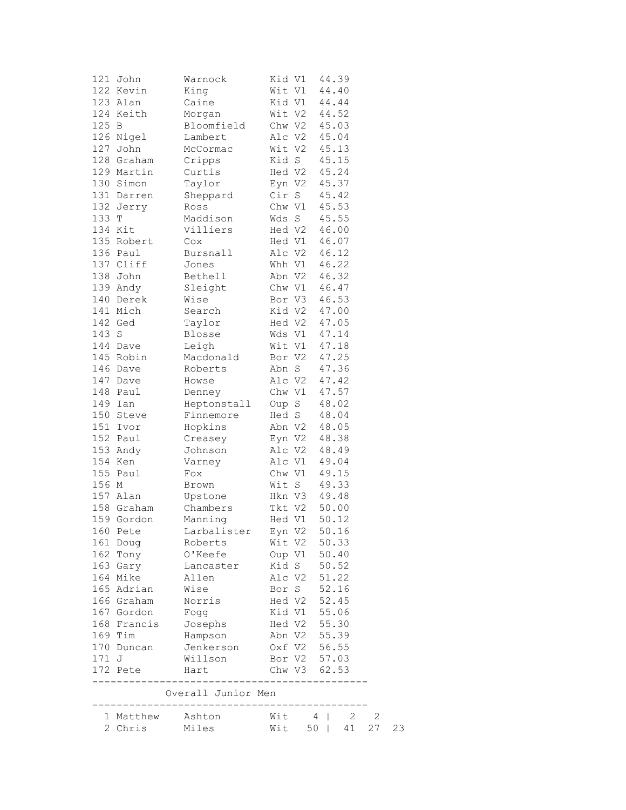|       | 121 John              | Warnock                  | Kid V1        |                  | 44.39          |    |    |    |
|-------|-----------------------|--------------------------|---------------|------------------|----------------|----|----|----|
|       | 122 Kevin             | King                     |               | Wit V1           | 44.40          |    |    |    |
|       | 123 Alan              | Caine                    |               | Kid V1           | 44.44          |    |    |    |
|       | 124 Keith             | Morgan                   |               | Wit V2           | 44.52          |    |    |    |
| 125 B |                       | Bloomfield               |               | Chw V2           | 45.03          |    |    |    |
|       | 126 Nigel             | Lambert                  |               | Alc V2           | 45.04          |    |    |    |
|       | 127 John              | McCormac                 | Wit V2        |                  | 45.13          |    |    |    |
|       | 128 Graham            | Cripps                   | Kid S         |                  | 45.15          |    |    |    |
|       | 129 Martin            | Curtis                   |               | Hed V2           | 45.24          |    |    |    |
|       | 130 Simon             | Taylor                   |               | Eyn V2           | 45.37          |    |    |    |
|       | 131 Darren            | Sheppard                 |               | Cir S            | 45.42          |    |    |    |
|       | 132 Jerry             | Ross                     |               | Chw V1           | 45.53          |    |    |    |
| 133 T | 134 Kit               | Maddison                 |               | Wds S            | 45.55          |    |    |    |
|       | 135 Robert            | Villiers                 |               | Hed V2           | 46.00          |    |    |    |
|       |                       | Cox                      |               | Hed V1<br>Alc V2 | 46.07          |    |    |    |
|       | 136 Paul<br>137 Cliff | Bursnall<br>Jones        |               | Whh V1           | 46.12<br>46.22 |    |    |    |
|       | 138 John              | Bethell                  |               | Abn V2           | 46.32          |    |    |    |
|       | 139 Andy              | Sleight                  |               | Chw V1           | 46.47          |    |    |    |
|       | 140 Derek             | Wise                     |               | Bor V3           | 46.53          |    |    |    |
|       | 141 Mich              | Search                   |               | Kid V2           | 47.00          |    |    |    |
|       | 142 Ged               | Taylor                   |               | Hed V2           | 47.05          |    |    |    |
| 143 S |                       | Blosse                   |               | Wds V1           | 47.14          |    |    |    |
|       | 144 Dave              | Leigh                    |               | Wit V1           | 47.18          |    |    |    |
|       | 145 Robin             | Macdonald                | Bor V2        |                  | 47.25          |    |    |    |
|       | 146 Dave              | Roberts                  |               | Abn S            | 47.36          |    |    |    |
|       | 147 Dave              | Howse                    |               | Alc V2           | 47.42          |    |    |    |
|       | 148 Paul              | Denney                   |               | Chw V1           | 47.57          |    |    |    |
|       | 149 Ian               | Heptonstall              |               | Oup S            | 48.02          |    |    |    |
|       | 150 Steve             | Finnemore                |               | Hed S            | 48.04          |    |    |    |
|       | 151 Ivor              | Hopkins                  |               | Abn V2           | 48.05          |    |    |    |
|       | 152 Paul              | Creasey                  |               | Eyn V2           | 48.38          |    |    |    |
|       | 153 Andy              | Johnson                  |               | Alc V2           | 48.49          |    |    |    |
|       | 154 Ken               | Varney                   | Alc V1        |                  | 49.04          |    |    |    |
| 155   | Paul                  | Fox                      | Chw V1        |                  | 49.15          |    |    |    |
| 156 M |                       | Brown                    |               | Wit S            | 49.33          |    |    |    |
|       | 157 Alan              | Upstone                  |               | Hkn V3           | 49.48          |    |    |    |
|       | 158 Graham            | Chambers                 |               | Tkt V2           | 50.00          |    |    |    |
|       | 159 Gordon            | Manning                  |               | Hed V1           | 50.12          |    |    |    |
|       | 160 Pete              | Larbalister              |               | Eyn V2           | 50.16          |    |    |    |
|       | 161 Doug              | Roberts                  |               | Wit V2 50.33     |                |    |    |    |
|       | 162 Tony              | 0'Keefe                  |               | Oup V1 50.40     |                |    |    |    |
|       | 163 Gary              | Lancaster                |               | Kid S            | 50.52          |    |    |    |
|       | 164 Mike              | Allen                    |               | Alc V2           | 51.22          |    |    |    |
|       | 165 Adrian            | Wise                     |               | Bor S            | 52.16          |    |    |    |
|       | 166 Graham            | Norris                   |               | Hed V2           | 52.45          |    |    |    |
|       | 167 Gordon            | Fogg                     |               | Kid V1           | 55.06          |    |    |    |
|       | 168 Francis           | Josephs                  |               | Hed V2 55.30     |                |    |    |    |
|       | 169 Tim               | Hampson                  |               | Abn V2 55.39     |                |    |    |    |
|       | 170 Duncan            | Jenkerson                | Oxf V2 56.55  |                  |                |    |    |    |
| 171 J |                       | Willson                  |               | Bor V2 57.03     |                |    |    |    |
|       | 172 Pete              | Hart                     |               | Chw V3 62.53     |                |    |    |    |
|       |                       | _______<br>_____________ | _____________ |                  |                |    |    |    |
|       |                       | Overall Junior Men       |               |                  |                |    |    |    |
|       | 1 Matthew Ashton      |                          |               | $W$ it 4         |                | 2  | 2  |    |
|       | 2 Chris               | Miles                    | Wit           |                  | 50             | 41 | 27 | 23 |
|       |                       |                          |               |                  |                |    |    |    |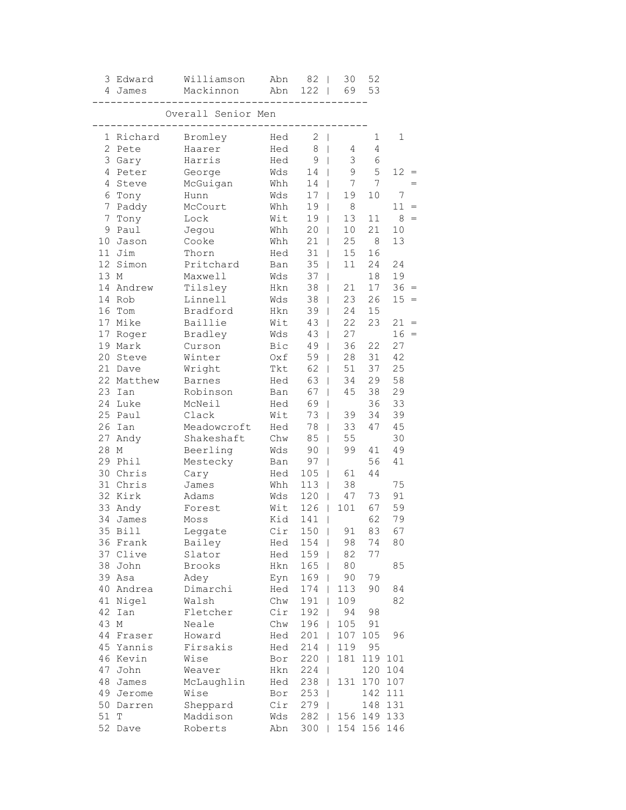|                 | 3 Edward   | Williamson         | Abn            | 82                            | 30<br>T              | 52             |         |     |
|-----------------|------------|--------------------|----------------|-------------------------------|----------------------|----------------|---------|-----|
|                 | 4 James    | Mackinnon          | Abn            | 122<br>$\Box$                 | 69                   | 53             |         |     |
|                 |            | Overall Senior Men |                |                               |                      |                |         |     |
|                 | 1 Richard  | Bromley            | Hed            | 2<br>$\overline{\phantom{0}}$ |                      | 1              | 1       |     |
| $\overline{2}$  | Pete       | Haarer             | Hed            | 8                             | 4<br>T               | 4              |         |     |
|                 | 3 Gary     | Harris             | Hed            | 9                             | 3<br>T               | 6              |         |     |
| 4               | Peter      | George             | Wds            | 14                            | 9<br>L               | 5              | 12      |     |
| 4               | Steve      | McGuigan           | Whh            | 14                            | 7<br>L               | $\overline{7}$ |         |     |
| 6               | Tony       | Hunn               | Wds            | 17                            | 19<br>L              | 10             | 7       |     |
| 7               | Paddy      | McCourt            | Whh            | 19                            | $\,8\,$<br>T         |                | 11      |     |
| 7               | Tony       | Lock               | Wit            | 19                            | 13<br>$\mathsf{I}$   | 11             | 8       |     |
| 9               | Paul       | Jegou              | Whh            | 20                            | 10<br>L              | 21             | 10      |     |
| 10 <sub>1</sub> | Jason      | Cooke              | Whh            | 21                            | 25<br>L              | 8              | 13      |     |
| 11              | Jim        | Thorn              | Hed            | 31                            | 15<br>L              | 16             |         |     |
| 12              | Simon      | Pritchard          | Ban            | 35                            | 11<br>L              | 24             | 24      |     |
| 13 M            |            | Maxwell            | Wds            | 37                            | L                    | 18             | 19      |     |
|                 | 14 Andrew  | Tilsley            | Hkn            | 38                            | 21<br>L              | 17             | $36 =$  |     |
|                 | 14 Rob     | Linnell            | Wds            | 38                            | 23<br>L              | 26             | $15 =$  |     |
|                 | 16 Tom     | Bradford           | Hkn            | 39                            | 24<br>$\overline{1}$ | 15             |         |     |
|                 | 17 Mike    | Baillie            | Wit            | 43                            | 22<br>$\overline{1}$ | 23             | 21      |     |
| 17              | Roger      | Bradley            | Wds            | 43                            | 27<br>L              |                | 16      | $=$ |
| 19              | Mark       | Curson             | Bic            | 49                            | 36<br>L              | 22             | 27      |     |
| 20              | Steve      | Winter             | Oxf            | 59                            | 28<br>T              | 31             | 42      |     |
| 21              | Dave       | Wright             | Tkt            | 62                            | 51<br>L              | 37             | 25      |     |
|                 | 22 Matthew | Barnes             | Hed            | 63                            | 34<br>L              | 29             | 58      |     |
| 23 <sup>2</sup> | Ian        | Robinson           | Ban            | 67                            | 45<br>L              | 38             | 29      |     |
|                 | 24 Luke    | McNeil             | Hed            | 69                            | L                    | 36             | 33      |     |
|                 | 25 Paul    | Clack              | Wit            | 73                            | 39<br>T              | 34             | 39      |     |
|                 | 26 Ian     | Meadowcroft        | Hed            | 78                            | 33<br>T              | 47             | 45      |     |
| 27              | Andy       | Shakeshaft         | Chw            | 85                            | 55<br>L              |                | 30      |     |
| 28              | М          | Beerling           | Wds            | 90                            | 99<br>L              | 41             | 49      |     |
| 29              | Phil       | Mestecky           | Ban            | 97                            |                      | 56             | 41      |     |
|                 | 30 Chris   | Cary               | Hed            | 105                           | 61<br>L              | 44             |         |     |
|                 | 31 Chris   | James              | $\mathtt{Whh}$ | 113                           | 38<br>T              |                | 75      |     |
|                 | 32 Kirk    | Adams              | Wds            | 120                           | 47<br>$\mathbf{I}$   | 73             | 91      |     |
|                 | 33 Andy    | Forest             | Wit            | 126<br>$\mathbb{I}$           | 101                  | 67             | 59      |     |
| 34              | James      | Moss               | Kid            | 141                           | T                    | 62             | 79      |     |
|                 | 35 Bill    | Leggate            | Cir            | $150$                         | 91                   | 83             | 67      |     |
|                 | 36 Frank   | Bailey             | Hed            | $154$                         | 98                   | 74             | 80      |     |
|                 | 37 Clive   | Slator             | Hed            | $159$                         | 82                   | 77             |         |     |
|                 | 38 John    | Brooks             | Hkn            | $165$                         | 80                   |                | 85      |     |
|                 | 39 Asa     | Adey               | Eyn            | $169$                         | 90                   | 79             |         |     |
|                 | 40 Andrea  | Dimarchi           | Hed            | 174                           | 113                  | 90             | 84      |     |
|                 | 41 Nigel   | Walsh              | Chw            | 191<br>$\Box$                 | 109                  |                | 82      |     |
|                 | 42 Ian     | Fletcher           | Cir            | 192<br>$\overline{1}$         | 94                   | 98             |         |     |
| 43 M            |            | Neale              | Chw            | 196                           | 105                  | 91             |         |     |
|                 | 44 Fraser  | Howard             | Hed            | $201$                         | 107                  | 105            | 96      |     |
|                 | 45 Yannis  | Firsakis           | Hed            | $214$                         | 119                  | 95             |         |     |
|                 | 46 Kevin   | Wise               | Bor            | $220$                         | 181                  | 119            | 101     |     |
| 47              | John       | Weaver             | Hkn            | $224$                         |                      | 120            | 104     |     |
| 48              | James      | McLaughlin         | Hed            | 238                           | 131                  | 170            | 107     |     |
|                 | 49 Jerome  | Wise               | Bor            | $253$                         |                      |                | 142 111 |     |
|                 | 50 Darren  | Sheppard           | Cir            | 279                           |                      |                | 148 131 |     |
| 51              | T          | Maddison           | Wds            | $282$                         |                      | 156 149 133    |         |     |
|                 | 52 Dave    | Roberts            | Abn            | 300                           |                      | 154 156 146    |         |     |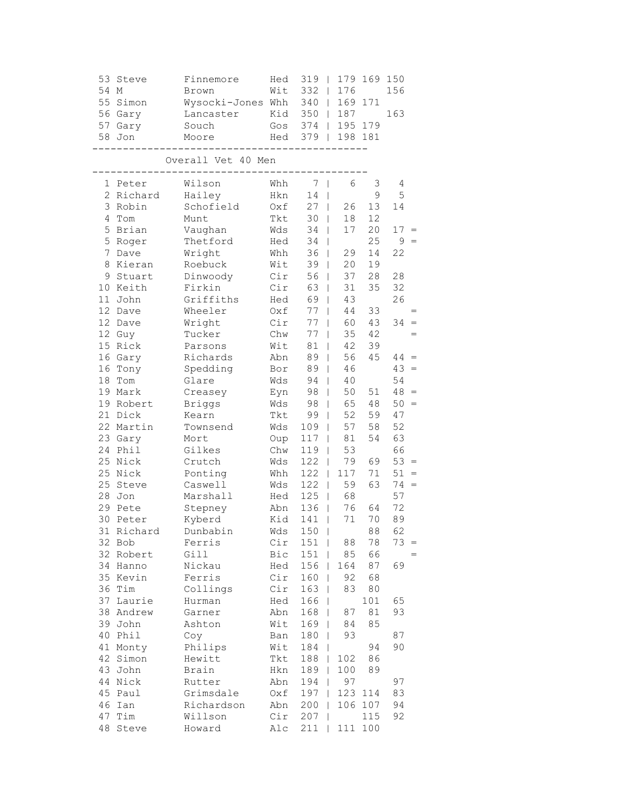| 53              | Steve      | Finnemore          | Hed | 319   |                        | 179 169 150 |        |          |
|-----------------|------------|--------------------|-----|-------|------------------------|-------------|--------|----------|
| 54              | М          | Brown              | Wit | 332   | 176<br>L               |             | 156    |          |
| 55              | Simon      | Wysocki-Jones Whh  |     | 340   | 169<br>$\mathbf{L}$    | 171         |        |          |
|                 | 56 Gary    | Lancaster          | Kid | 350   | 187<br>$\mathbf{L}$    |             | 163    |          |
|                 | 57 Gary    | Souch              | Gos |       | 374   195 179          |             |        |          |
|                 | 58 Jon     | Moore              | Hed | $379$ |                        | 198 181     |        |          |
|                 |            | Overall Vet 40 Men |     |       |                        |             |        |          |
| 1               | Peter      | Wilson             | Whh | 7     | 6<br>I                 | 3           | 4      |          |
| $\overline{2}$  | Richard    | Hailey             | Hkn | 14    |                        | 9           | 5      |          |
|                 | 3 Robin    | Schofield          | Oxf | 27    | 26<br>L                | 13          | 14     |          |
| 4               | Tom        | Munt               | Tkt | 30    | 18<br>L                | 12          |        |          |
| 5               | Brian      | Vaughan            | Wds | 34    | 17<br>$\mathbf{I}$     | 20          | $17 =$ |          |
| 5               | Roger      | Thetford           | Hed | 34    | L                      | 25          | 9      | $\equiv$ |
| 7               | Dave       | Wright             | Whh | 36    | 29<br>$\mathbf{I}$     | 14          | 22     |          |
| 8               | Kieran     | Roebuck            | Wit | 39    | 20<br>$\mathbf{I}$     | 19          |        |          |
| 9               | Stuart     | Dinwoody           | Cir | 56    | 37<br>$\mathbf{I}$     | 28          | 28     |          |
| 10 <sub>1</sub> | Keith      | Firkin             | Cir | 63    | 31<br>L                | 35          | 32     |          |
| 11              | John       | Griffiths          | Hed | 69    | 43                     |             | 26     |          |
| 12              | Dave       | Wheeler            | Oxf | 77    | $4\,4$                 | 33          |        |          |
| 12              | Dave       | Wright             | Cir | 77    | 60<br>L                | 43          | $34 =$ |          |
|                 | 12 Guy     | Tucker             | Chw | 77    | 35<br>$\mathbf{I}$     | 42          |        |          |
| 15              | Rick       | Parsons            | Wit | 81    | 42<br>L                | 39          |        |          |
| 16              | Gary       | Richards           | Abn | 89    | 56<br>L                | 45          | $44 =$ |          |
| 16              | Tony       | Spedding           | Bor | 89    | 46<br>L                |             | 43     | $=$      |
| 18              | Tom        | Glare              | Wds | 94    | 40<br>L                |             | 54     |          |
| 19              | Mark       | Creasey            | Eyn | 98    | 50<br>L                | 51          | $48 =$ |          |
| 19              | Robert     | <b>Briggs</b>      | Wds | 98    | 65                     | 48          | 50     | $=$      |
| 21              | Dick       | Kearn              | Tkt | 99    | 52<br>T                | 59          | 47     |          |
|                 | 22 Martin  | Townsend           | Wds | 109   | 57<br>L                | 58          | 52     |          |
|                 | 23 Gary    | Mort               | Oup | 117   | $8\,1$<br>$\mathbf{I}$ | 54          | 63     |          |
| 24              | Phil       | Gilkes             | Chw | 119   | 53<br>T                |             | 66     |          |
|                 | 25 Nick    | Crutch             | Wds | 122   | 79<br>T                | 69          | $53 =$ |          |
| 25              | Nick       | Ponting            | Whh | 122   | 117<br>L               | 71          | 51     | $=$      |
| 25              | Steve      | Caswell            | Wds | 122   | 59<br>L                | 63          | 74     | $=$      |
| 28              | Jon        | Marshall           | Hed | 125   | 68<br>$\mathbf{I}$     |             | 57     |          |
| 29              | Pete       | Stepney            | Abn | 136   | 76                     | 64          | 72     |          |
| 30              | Peter      | Kyberd             | Kid | 141   | $7\,1$<br>T            | 70          | 89     |          |
|                 | 31 Richard | Dunbabin           | Wds | $150$ |                        | 88          | 62     |          |
|                 | 32 Bob     | Ferris             | Cir | 151   | 88<br>T                | 78          | $73 =$ |          |
|                 | 32 Robert  | Gill               | Bic | 151   | 85<br>T                | 66          |        |          |
| 34              | Hanno      | Nickau             | Hed | 156   | 164<br>L               | 87          | 69     |          |
| 35              | Kevin      | Ferris             | Cir | 160   | 92<br>L                | 68          |        |          |
| 36              | Tim        | Collings           | Cir | 163   | 83                     | 80          |        |          |
| 37              | Laurie     | Hurman             | Hed | 166   |                        | 101         | 65     |          |
| 38              | Andrew     | Garner             | Abn | 168   | 87                     | 81          | 93     |          |
| 39              | John       | Ashton             | Wit | 169   | 84                     | 85          |        |          |
| 40              | Phil       | Coy                | Ban | 180   | 93                     |             | 87     |          |
|                 | 41 Monty   | Philips            | Wit | 184   |                        | 94          | 90     |          |
| 42              | Simon      | Hewitt             | Tkt | 188   | 102<br>L               | 86          |        |          |
| 43              | John       | Brain              | Hkn | 189   | 100<br>T               | 89          |        |          |
| 44              | Nick       | Rutter             | Abn | 194   | 97                     |             | 97     |          |
| 45              | Paul       | Grimsdale          | Oxf | 197   | 123                    | 114         | 83     |          |
| 46              | Ian        | Richardson         | Abn | 200   | 106                    | 107         | 94     |          |
| 47<br>48        | Tim        | Willson            | Cir | 207   |                        | 115         | 92     |          |
|                 | Steve      | Howard             | Alc | 211   | 111                    | 100         |        |          |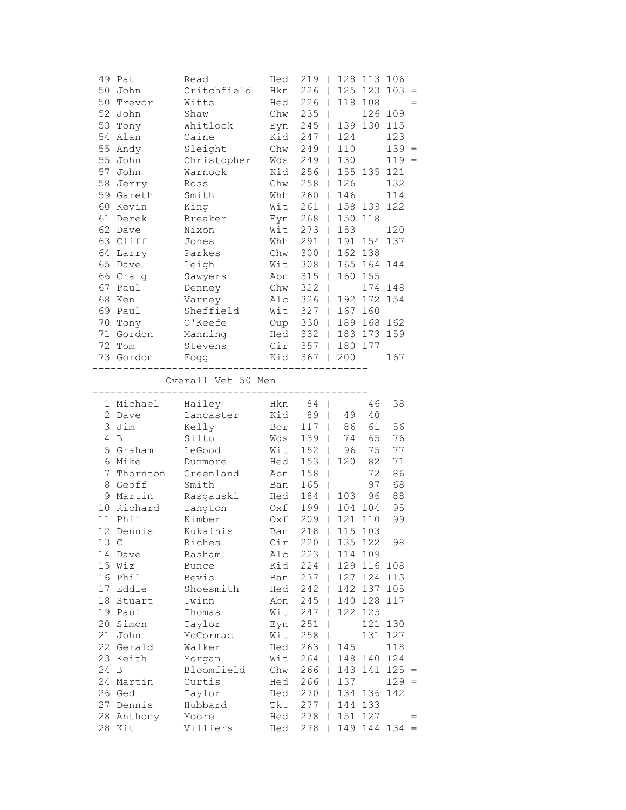|      | 49 Pat           | Read                                | Hed   | 219<br>$\mathbf{I}$ | 128 113 106                 |     |         |                                   |
|------|------------------|-------------------------------------|-------|---------------------|-----------------------------|-----|---------|-----------------------------------|
|      | 50 John          | Critchfield                         | Hkn   | 226                 | 125 123<br>$\mathbf{I}$     |     | 103     | $\hspace{0.1in} = \hspace{0.1in}$ |
|      | 50 Trevor        | Witts                               | Hed   | 226                 | 118 108                     |     |         |                                   |
|      | 52 John          | Shaw                                | Chw   | 235<br>$\mathbf{I}$ |                             |     | 126 109 |                                   |
|      | 53 Tony          | Whitlock                            |       | Eyn 245             | 139 130 115<br>$\mathbf{1}$ |     |         |                                   |
|      | 54 Alan          | Caine                               | Kid   | $247$               | 124                         |     | 123     |                                   |
|      | 55 Andy          | Sleight                             | Chw   | 249                 | 110<br>$\mathbf{L}$         |     | $139 =$ |                                   |
|      | 55 John          | Christopher                         | Wds   | 249                 | 130<br>$\Box$               |     | $119 =$ |                                   |
|      | 57 John          | Warnock                             | Kid   | 256                 | 155 135 121<br>$\Box$       |     |         |                                   |
|      | 58 Jerry         | Ross                                | Chw   | $258$               | 126                         |     | 132     |                                   |
|      | 59 Gareth        | Smith                               | Whh   | 260                 | 146                         |     | 114     |                                   |
|      | 60 Kevin         | King                                |       | Wit 261             | 158 139 122                 |     |         |                                   |
|      | 61 Derek         | Breaker                             |       | Eyn 268             | 150 118<br>$\mathbf{1}$     |     |         |                                   |
|      | 62 Dave          | Nixon                               |       | Wit 273             | 153                         |     | 120     |                                   |
|      | 63 Cliff         | Jones                               | Whh   | 291                 | 191 154 137                 |     |         |                                   |
|      | 64 Larry         | Parkes                              | Chw   | $300$               | 162 138                     |     |         |                                   |
|      | 65 Dave          | Leigh                               | Wit   | 308                 | 165 164 144<br>$\mathbf{1}$ |     |         |                                   |
|      | 66 Craig         | Sawyers                             | Abn   | 315                 | 160 155<br>$\mathbf{L}$     |     |         |                                   |
|      | 67 Paul          | Denney                              | Chw   | 322                 | $\mathbb{R}$                |     | 174 148 |                                   |
|      | 68 Ken           | Varney                              | Alc   | 326                 | 192 172 154<br>$\mathbb{L}$ |     |         |                                   |
|      | 69 Paul          | Sheffield                           | Wit   | $327$               | 167 160                     |     |         |                                   |
|      | 70 Tony          | O'Keefe                             |       | Oup 330             | 189 168 162<br>$\mathbf{1}$ |     |         |                                   |
|      | 71 Gordon        |                                     |       |                     | Hed 332   183 173           |     | 159     |                                   |
|      |                  | Manning                             |       |                     |                             |     |         |                                   |
|      | 72 Tom           | Stevens                             |       |                     | Cir 357   180 177           |     |         |                                   |
|      | 73 Gordon        | Fogg                                |       | Kid 367   200       |                             |     | 167     |                                   |
|      |                  | Overall Vet 50 Men                  |       |                     |                             |     |         |                                   |
|      | 1 Michael Hailey | ----------------------------------- |       | Hkn 84              |                             | 46  | 38      |                                   |
|      | 2 Dave           | Lancaster                           |       | Kid 89              | 49                          | 40  |         |                                   |
|      | 3 Jim            | Kelly                               | Bor   | $117$               | 86                          | 61  | 56      |                                   |
|      | 4 B              | Silto                               | Wds   | 139                 | 74                          | 65  | 76      |                                   |
|      | 5 Graham         | LeGood                              | Wit   | $152$               | 96                          | 75  | 77      |                                   |
|      | 6 Mike           | Dunmore                             | Hed   | $153$               | 120                         | 82  | 71      |                                   |
|      | 7 Thornton       | Greenland                           | Abn   | 158<br>$\perp$      |                             | 72  | 86      |                                   |
|      | 8 Geoff          | Smith                               | Ban   | 165<br>$\perp$      |                             | 97  | 68      |                                   |
|      | 9 Martin         | Rasgauski<br>-                      | Hed   | 184                 | 103<br>$\mathbf{L}$         | 96  | 88      |                                   |
|      | 10 Richard       | Langton                             | $0xf$ | 199                 | 104 104<br>$\Box$           |     | 95      |                                   |
|      | 11 Phil          | Kimber                              | Oxf   | 209                 | 121<br>$\mathbb{R}$         | 110 | 99      |                                   |
|      | 12 Dennis        | Kukainis                            | Ban   |                     | 218   115 103               |     |         |                                   |
| 13 C |                  | Riches                              | Cir   | $220$               | 135 122                     |     | 98      |                                   |
|      | 14 Dave          | Basham                              | Alc   | $223$               | 114 109                     |     |         |                                   |
|      | 15 Wiz           | <b>Bunce</b>                        | Kid   | 224                 | 129 116 108                 |     |         |                                   |
|      | 16 Phil          | Bevis                               | Ban   | 237                 | 127 124 113<br>$\mathbf{I}$ |     |         |                                   |
|      | 17 Eddie         | Shoesmith                           | Hed   | 242                 | 142 137<br>$\mathbf{I}$     |     | 105     |                                   |
|      | 18 Stuart        | Twinn                               | Abn   | 245                 | 140 128<br>$\mathbf{I}$     |     | 117     |                                   |
|      | 19 Paul          | Thomas                              | Wit   | 247<br>$\mathbf{I}$ | 122 125                     |     |         |                                   |
|      | 20 Simon         | Taylor                              | Eyn   | 251<br>T            |                             | 121 | 130     |                                   |
|      | 21 John          | McCormac                            | Wit   | 258                 | $\mathbf{I}$                | 131 | 127     |                                   |
|      | 22 Gerald        | Walker                              | Hed   | 263                 | 145<br>$\mathbf{I}$         |     | 118     |                                   |
|      | 23 Keith         | Morgan                              | Wit   | $264$               | 148                         | 140 | 124     |                                   |
| 24 B |                  | Bloomfield                          | Chw   | $266$               | 143                         | 141 | $125 =$ |                                   |
|      | 24 Martin        | Curtis                              | Hed   | 266                 | 137<br>L                    |     | $129 =$ |                                   |
|      | 26 Ged           | Taylor                              | Hed   | 270                 | 134 136 142<br>$\mathbf{I}$ |     |         |                                   |
|      | 27 Dennis        | Hubbard                             | Tkt   | 277                 | 144 133<br>$\mathbf{I}$     |     |         |                                   |
|      | 28 Anthony       | Moore                               | Hed   | 278                 | 151<br>L                    | 127 |         | $=$                               |
|      | 28 Kit           | Villiers                            | Hed   | 278                 | $149$ 144 134 =             |     |         |                                   |
|      |                  |                                     |       |                     |                             |     |         |                                   |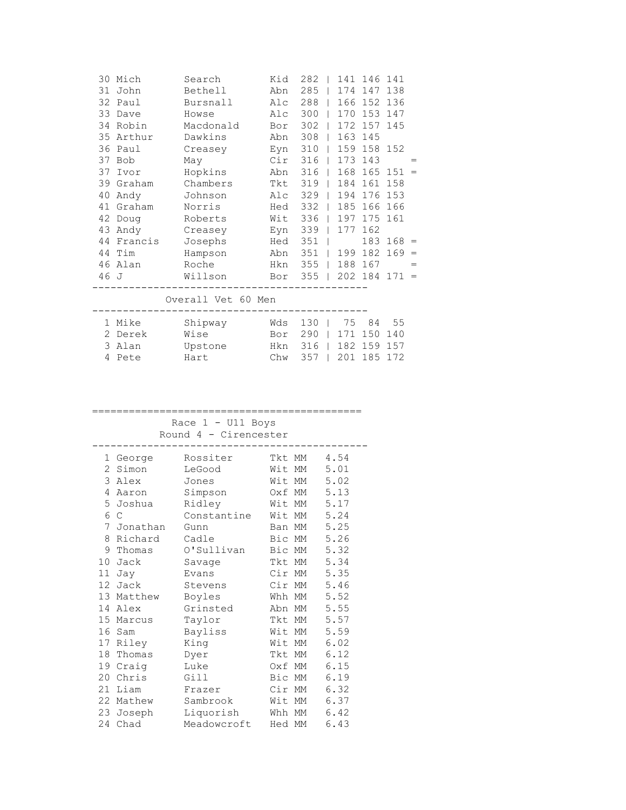| 30   | Mich       | Search    | Kid | 282 |     | 141 146 | 141 |     |
|------|------------|-----------|-----|-----|-----|---------|-----|-----|
| 31   | John       | Bethell   | Abn | 285 | 174 | 147     | 138 |     |
| 32   | Paul       | Bursnall  | Alc | 288 | 166 | 152     | 136 |     |
| 33   | Dave       | Howse     | Alc | 300 | 170 | 153     | 147 |     |
| 34   | Robin      | Macdonald | Bor | 302 | 172 | 157     | 145 |     |
| 35   | Arthur     | Dawkins   | Abn | 308 | 163 | 145     |     |     |
| 36   | Paul       | Creasey   | Eyn | 310 | 159 | 158 152 |     |     |
| 37   | <b>Bob</b> | May       | Cir | 316 | 173 | 143     |     |     |
| 37   | Ivor       | Hopkins   | Abn | 316 | 168 | 165     | 151 | $=$ |
|      | 39 Graham  | Chambers  | Tkt | 319 | 184 | 161     | 158 |     |
| 40   | Andy       | Johnson   | Alc | 329 | 194 | 176     | 153 |     |
| 41   | Graham     | Norris    | Hed | 332 | 185 | 166     | 166 |     |
| 42   | Doug       | Roberts   | Wit | 336 | 197 | 175     | 161 |     |
| 43   | Andy       | Creasey   | Eyn | 339 | 177 | 162     |     |     |
| 44   | Francis    | Josephs   | Hed | 351 |     | 183     | 168 | $=$ |
| 44   | Tim        | Hampson   | Abn | 351 | 199 | 182     | 169 | $=$ |
| 46   | Alan       | Roche     | Hkn | 355 | 188 | 167     |     | $=$ |
| 46 J |            | Willson   | Bor | 355 |     | 202 184 | 171 | $=$ |
|      |            |           |     |     |     |         |     |     |

Overall Vet 60 Men

|  | . |  |  |  |
|--|---|--|--|--|
|  |   |  |  |  |
|  |   |  |  |  |
|  |   |  |  |  |
|  |   |  |  |  |
|  |   |  |  |  |
|  |   |  |  |  |
|  |   |  |  |  |
|  |   |  |  |  |
|  |   |  |  |  |
|  |   |  |  |  |
|  |   |  |  |  |
|  |   |  |  |  |
|  |   |  |  |  |
|  |   |  |  |  |
|  |   |  |  |  |

|  | 1 Mike  | Shipway | Wds 130   75 84 55    |  |  |  |
|--|---------|---------|-----------------------|--|--|--|
|  | 2 Derek | Wise    | Bor 290   171 150 140 |  |  |  |
|  | 3 Alan  | Upstone | Hkn 316   182 159 157 |  |  |  |
|  | 4 Pete  | Hart    | Chw 357   201 185 172 |  |  |  |
|  |         |         |                       |  |  |  |

## ============================================ Race 1 - U11 Boys

Round 4 - Cirencester

| 1  | George   | Rossiter    | Tkt MM |    | 4.54 |
|----|----------|-------------|--------|----|------|
| 2  | Simon    | LeGood      | Wit    | МM | 5.01 |
| 3  | Alex     | Jones       | Wit    | МM | 5.02 |
| 4  | Aaron    | Simpson     | Oxf    | МM | 5.13 |
| 5  | Joshua   | Ridley      | Wit    | МM | 5.17 |
| 6  | C        | Constantine | Wit MM |    | 5.24 |
| 7  | Jonathan | Gunn        | Ban    | МM | 5.25 |
| 8  | Richard  | Cadle       | Bic    | МM | 5.26 |
| 9  | Thomas   | O'Sullivan  | Bic    | МM | 5.32 |
| 10 | Jack     | Savage      | Tkt MM |    | 5.34 |
| 11 | Jay      | Evans       | Cir    | МM | 5.35 |
| 12 | Jack     | Stevens     | Cir    | МM | 5.46 |
| 13 | Matthew  | Boyles      | Whh    | МM | 5.52 |
| 14 | Alex     | Grinsted    | Abn    | МM | 5.55 |
| 15 | Marcus   | Taylor      | Tkt    | МM | 5.57 |
| 16 | Sam      | Bayliss     | Wit    | МM | 5.59 |
| 17 | Riley    | King        | Wit    | МM | 6.02 |
| 18 | Thomas   | Dyer        | Tkt    | МM | 6.12 |
| 19 | Craig    | Luke        | Oxf    | МM | 6.15 |
| 20 | Chris    | Gill        | Bic    | МM | 6.19 |
| 21 | Liam     | Frazer      | Cir    | МM | 6.32 |
| 22 | Mathew   | Sambrook    | Wit    | МM | 6.37 |
| 23 | Joseph   | Liquorish   | Whh    | МM | 6.42 |
| 24 | Chad     | Meadowcroft | Hed MM |    | 6.43 |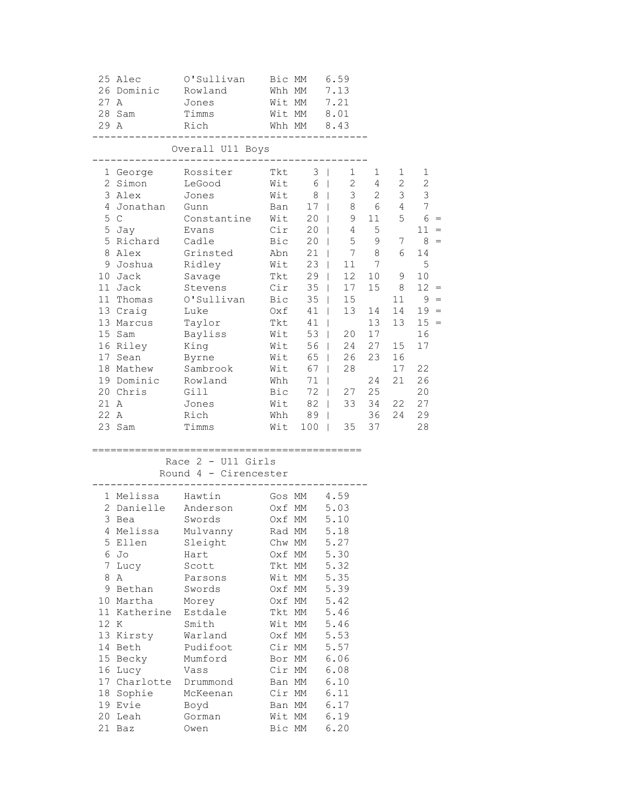| 27 A<br>29 A | 25 Alec<br>26 Dominic<br>28 Sam                                                                                                                                                                                                                         | O'Sullivan<br>Rowland<br>Jones<br>Timms<br>Rich                                                                                                                                                                                      | Bic MM<br>Whh MM<br>Wit MM<br>Wit MM                                                                                                                                                                 | Whh MM                                                                                                                                   | 6.59<br>7.13<br>7.21<br>8.01<br>8.43                                                                                                                                                                                                                                                                                                                                                                                                                                                                                                  |                                                                                                                                                |                                                                                                                                      |                                                                                                                                                                                             |
|--------------|---------------------------------------------------------------------------------------------------------------------------------------------------------------------------------------------------------------------------------------------------------|--------------------------------------------------------------------------------------------------------------------------------------------------------------------------------------------------------------------------------------|------------------------------------------------------------------------------------------------------------------------------------------------------------------------------------------------------|------------------------------------------------------------------------------------------------------------------------------------------|---------------------------------------------------------------------------------------------------------------------------------------------------------------------------------------------------------------------------------------------------------------------------------------------------------------------------------------------------------------------------------------------------------------------------------------------------------------------------------------------------------------------------------------|------------------------------------------------------------------------------------------------------------------------------------------------|--------------------------------------------------------------------------------------------------------------------------------------|---------------------------------------------------------------------------------------------------------------------------------------------------------------------------------------------|
|              |                                                                                                                                                                                                                                                         | Overall U11 Boys<br>----------------                                                                                                                                                                                                 |                                                                                                                                                                                                      |                                                                                                                                          |                                                                                                                                                                                                                                                                                                                                                                                                                                                                                                                                       |                                                                                                                                                |                                                                                                                                      |                                                                                                                                                                                             |
| 21 A<br>22 A | 1 George<br>2 Simon<br>3 Alex<br>4 Jonathan<br>5 <sup>C</sup><br>5 Jay<br>5 Richard<br>8 Alex<br>9 Joshua<br>10 Jack<br>11 Jack<br>11 Thomas<br>13 Craig<br>13 Marcus<br>15 Sam<br>16 Riley<br>17 Sean<br>18 Mathew<br>19 Dominic<br>20 Chris<br>23 Sam | Rossiter<br>LeGood<br>Jones<br>Gunn<br>Constantine<br>Evans<br>Cadle<br>Grinsted<br>Ridley<br>Savage<br>Stevens<br>O'Sullivan<br>Luke<br>Taylor<br>Bayliss<br>King<br>Byrne<br>Sambrook<br>Rowland<br>Gill<br>Jones<br>Rich<br>Timms | Tkt<br>Wit<br>Wit<br>Ban<br>Wit<br>Cir<br>Bic<br>Abn<br>Wit<br>Tkt<br>Cir<br>Bic<br>Oxf<br>Tkt<br>Wit<br>Wit<br>Wit<br>Wit<br>Whh<br>Bic<br>Wit<br>Wit                                               | 3<br>6<br>8<br>17<br>20<br>20<br>20<br>21<br>23<br>29<br>35<br>35<br>41<br>41<br>53<br>56<br>65<br>67<br>71<br>72<br>82<br>Whh 89<br>100 | $\Box$<br>1<br>$\overline{2}$<br>$\mathbb{R}$<br>3<br>$\mathbb{R}$<br>8<br>$\sim$<br>$\mathbf{L}^{\mathrm{max}}$<br>$\mathbb{R}^n$<br>$4\overline{ }$<br>$5 -$<br>$\mathbb{R}$<br>7<br>$\mathbf{L}$<br>11<br>$\mathbf{L}$<br>12 <sup>°</sup><br>$\mathbb{R}^n$<br>17<br>$\mathbb{R}$<br>15<br>$\mathbb{R}$<br>13<br>$\mathbb{R}$<br>$\mathbb{R}$<br>20<br>$\mathbb{R}$<br>24<br>$\sim 10^{-11}$<br>26<br>$\mathbf{L}$<br>28<br>$\mathbf{L}$<br>$\mathbf{I}$<br>$\mathbb{R}^n$<br>$\mathbb{R}$<br>$\mathbf{1}$<br>35<br>$\mathbb{R}^n$ | 1<br>4<br>2<br>6<br>$9$ 11<br>5<br>9<br>8<br>$7\phantom{.0}$<br>10 <sub>1</sub><br>15<br>14<br>13<br>17<br>27<br>23<br>24<br>27 25<br>36<br>37 | 1<br>$2\overline{ }$<br>3 <sup>7</sup><br>$4 -$<br>5<br>7<br>6<br>9<br>8<br>11<br>14<br>13<br>15<br>16<br>17<br>21<br>33 34 22<br>24 | 1<br>$\mathbf{2}$<br>$\mathfrak{Z}$<br>$\boldsymbol{7}$<br>$6 =$<br>$11 =$<br>$8 =$<br>14<br>5<br>10<br>$12 =$<br>$9 =$<br>$19 =$<br>$15 =$<br>16<br>17<br>22<br>26<br>20<br>27<br>29<br>28 |
|              |                                                                                                                                                                                                                                                         | Race $2 - U11$ Girls<br>Round 4 - Cirencester                                                                                                                                                                                        |                                                                                                                                                                                                      |                                                                                                                                          |                                                                                                                                                                                                                                                                                                                                                                                                                                                                                                                                       |                                                                                                                                                |                                                                                                                                      |                                                                                                                                                                                             |
| 12 K         | 1 Melissa<br>2 Danielle<br>3 Bea<br>4 Melissa<br>5 Ellen<br>6 Jo<br>7 Lucy<br>8 A<br>9 Bethan<br>10 Martha<br>11 Katherine<br>13 Kirsty<br>14 Beth<br>15 Becky<br>16 Lucy<br>17 Charlotte<br>18 Sophie<br>19 Evie<br>20 Leah<br>21 Baz                  | Hawtin<br>Anderson<br>Swords<br>Mulvanny<br>Sleight<br>Hart<br>Scott<br>Parsons<br>Swords<br>Morey<br>Estdale<br>Smith<br>Warland<br>Pudifoot<br>Mumford<br>Vass<br>Drummond<br>McKeenan<br>Boyd<br>Gorman<br>Owen                   | Gos MM<br>Oxf MM<br>Oxf MM<br>Chw MM<br>Oxf MM<br>Tkt MM<br>Wit MM<br>Oxf MM<br>Oxf MM<br>Tkt MM<br>Wit MM<br>Oxf MM<br>Cir MM<br>Bor MM<br>Cir MM<br>Ban MM<br>Cir MM<br>Ban MM<br>Wit MM<br>Bic MM | Rad MM                                                                                                                                   | 4.59<br>5.03<br>5.10<br>5.18<br>5.27<br>5.30<br>5.32<br>5.35<br>5.39<br>5.42<br>5.46<br>5.46<br>5.53<br>5.57<br>6.06<br>6.08<br>6.10<br>6.11<br>6.17<br>6.19<br>6.20                                                                                                                                                                                                                                                                                                                                                                  |                                                                                                                                                |                                                                                                                                      |                                                                                                                                                                                             |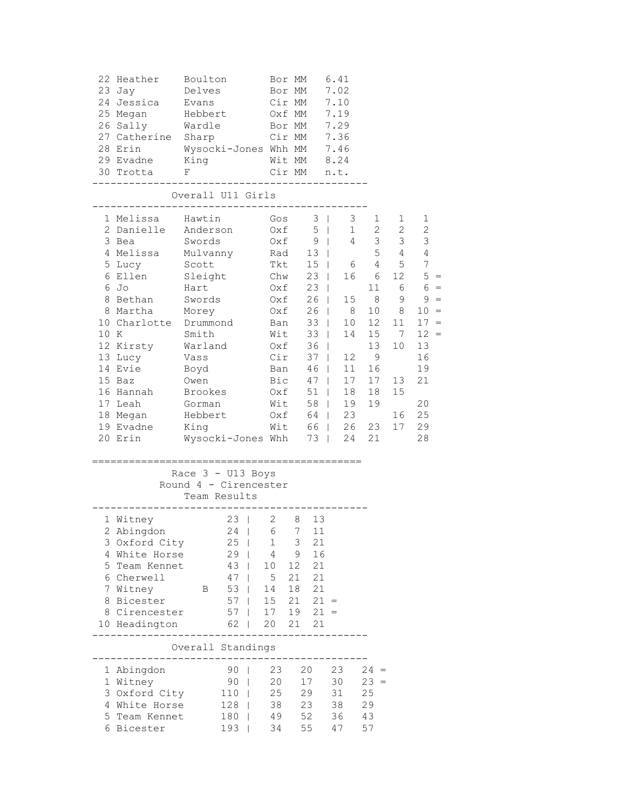|      | 22 Heather<br>23 Jay                 | Boulton<br>Delves |                       |                    | Bor MM<br>Bor MM |                 | 6.41<br>7.02 |                                                    |              |                 |       |
|------|--------------------------------------|-------------------|-----------------------|--------------------|------------------|-----------------|--------------|----------------------------------------------------|--------------|-----------------|-------|
|      | 24 Jessica                           | Evans             |                       | Cir MM             |                  |                 | 7.10         |                                                    |              |                 |       |
|      | 25 Megan Hebbert                     |                   |                       | Oxf MM             |                  |                 | 7.19         |                                                    |              |                 |       |
|      | 26 Sally Wardle                      |                   |                       |                    |                  | Bor MM 7.29     |              |                                                    |              |                 |       |
|      | 27 Catherine Sharp Cir MM 7.36       |                   |                       |                    |                  |                 |              |                                                    |              |                 |       |
|      | 28 Erin Wysocki-Jones Whh MM 7.46    |                   |                       |                    |                  |                 |              |                                                    |              |                 |       |
|      | 29 Evadne King Mit MM 8.24           |                   |                       |                    |                  |                 |              |                                                    |              |                 |       |
|      | 30 Trotta F                          |                   |                       | Cir MM n.t.        |                  |                 |              |                                                    |              |                 |       |
|      |                                      |                   | Overall U11 Girls     |                    |                  |                 |              |                                                    |              |                 |       |
|      | 1 Melissa - Hawtin                   |                   |                       | Gos $3 \mid 3$     |                  |                 |              | $1 \quad \blacksquare$                             | $\mathbf{1}$ | 1               |       |
|      | 2 Danielle Anderson                  |                   |                       |                    |                  |                 |              | 0xf 5   1 2 2                                      |              | 2               |       |
|      | 3 Bea Swords                         |                   |                       | 0xf 9   4 3 3      |                  |                 |              |                                                    |              | $\mathcal{E}$   |       |
|      | 4 Melissa Mulvanny Rad 13            |                   |                       |                    |                  |                 |              |                                                    | $5\qquad 4$  | -4              |       |
|      | 5 Lucy Scott                         |                   |                       |                    |                  |                 |              | Tkt 15   6 4 5                                     |              | $7\phantom{.0}$ |       |
|      | 6 Ellen                              | Sleight           |                       | Chw $23$           |                  |                 |              | 16 6 12                                            |              | $5 =$           |       |
|      | 6 Jo                                 | Hart              |                       | 0xf 23  <br>0xf 26 |                  |                 |              |                                                    | 11 6         | $6 =$           |       |
|      | 8 Bethan Swords                      |                   |                       |                    |                  |                 |              | 15 8                                               | 9            |                 | $9 =$ |
|      | 8 Martha                             | Morey             |                       | $0xf$              |                  | 26   8          |              |                                                    | 10 8         | $10 =$          |       |
|      | 10 Charlotte Drummond                |                   |                       | Ban                |                  | $33 \mid$       |              | 10 12                                              | 11           | $17 =$          |       |
| 10 K | Smith                                |                   |                       | Wit                |                  | $33 \mid$       |              | 14 15 7                                            |              | $12 =$          |       |
|      | 12 Kirsty Warland                    |                   |                       |                    |                  |                 |              | Oxf 36   13                                        | 10           | 13              |       |
|      | 13 Lucy Vass                         |                   |                       | $Cir$ 37           |                  |                 |              | 12 9                                               |              | 16              |       |
|      | 14 Evie                              | Boyd              |                       |                    |                  | Ban 46          |              | 11 16                                              |              | 19              |       |
|      | 15 Baz                               | Owen              |                       |                    |                  |                 |              | Bic 47   17 17<br>Oxf 51   18 18<br>Wit 58   19 19 | 13           | 21              |       |
|      | 16 Hannah                            | Brookes           |                       |                    |                  |                 |              |                                                    | 15           |                 |       |
|      | 17 Leah                              | Gorman            |                       |                    |                  |                 |              |                                                    |              | 20              |       |
|      | 18 Megan                             | Hebbert           |                       |                    |                  |                 |              | Oxf 64   23                                        |              | 16 25           |       |
|      | 19 Evadne King Mit 66   26 23        |                   |                       |                    |                  |                 |              |                                                    | 17           | 29              |       |
|      | 20 Erin Wysocki-Jones Whh 73   24 21 |                   |                       |                    |                  |                 |              |                                                    |              | 28              |       |
|      |                                      |                   |                       |                    |                  |                 |              |                                                    |              |                 |       |
|      |                                      |                   | Race $3 - U13$ Boys   |                    |                  |                 |              |                                                    |              |                 |       |
|      |                                      |                   | Round 4 - Cirencester |                    |                  |                 |              |                                                    |              |                 |       |
|      |                                      | ------------      | Team Results          |                    |                  |                 |              |                                                    |              |                 |       |
|      | 1 Witney                             |                   | 23   2 8 13           |                    |                  |                 |              |                                                    |              |                 |       |
|      | 2 Abingdon 24   6 7 11               |                   |                       |                    |                  |                 |              |                                                    |              |                 |       |
|      | 3 Oxford City                        |                   | $25 \mid$             | $\mathbf{1}$       | 3                | 21              |              |                                                    |              |                 |       |
|      | 4 White Horse                        |                   | $29$                  |                    | 49               | 16              |              |                                                    |              |                 |       |
|      | 5 Team Kennet                        |                   | 43                    | 10                 | 12               | 21              |              |                                                    |              |                 |       |
|      | 6 Cherwell                           |                   | 47                    | 5                  | 21               | 21              |              |                                                    |              |                 |       |
|      | 7 Witney                             | B                 | $53 \mid$             | 14                 | 18               | 21              |              |                                                    |              |                 |       |
|      | 8 Bicester                           |                   | $57 \mid$             | 15                 | 21               | $21 =$          |              |                                                    |              |                 |       |
|      | 8 Cirencester                        |                   | $57 \mid$             | 17                 |                  | $19 \quad 21 =$ |              |                                                    |              |                 |       |
|      | 10 Headington                        |                   | 62                    | 20                 | 21               | 21              |              |                                                    |              |                 |       |
|      |                                      |                   | Overall Standings     |                    |                  |                 |              |                                                    |              |                 |       |
|      |                                      |                   | 90                    | 23                 |                  | 20              |              | $24 =$                                             |              |                 |       |
|      | 1 Abingdon<br>1 Witney               |                   | 90 <sub>1</sub>       | 20                 |                  |                 | 23<br>30     | $23 =$                                             |              |                 |       |
|      | 3 Oxford City                        |                   | $110$                 | 25                 |                  | 17<br>29        | 31           | 25                                                 |              |                 |       |
|      | 4 White Horse                        |                   | $128$                 | 38                 |                  | 23              | 38           | 29                                                 |              |                 |       |
|      | 5 Team Kennet                        |                   | 180                   | 49                 |                  | 52              | 36           | 43                                                 |              |                 |       |
|      | 6 Bicester                           |                   | 193                   | 34                 |                  | 55              | 47           | 57                                                 |              |                 |       |
|      |                                      |                   |                       |                    |                  |                 |              |                                                    |              |                 |       |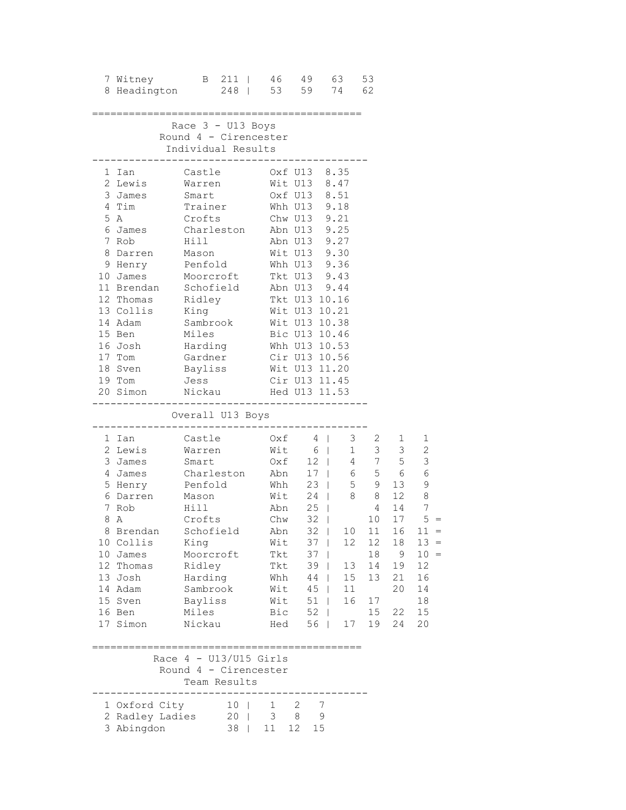| 7 Witney<br>8 Headington 248   53 59 74 62                                                                                                                                                                                                            | B 211   46 49 63                                                                                                                                                          |  |                                                                                                                       |                                                                                                              |                                                                                                                                                                                                                                                      | 53                                                                                                                                                       |                                                                           |                                                                                                                          |
|-------------------------------------------------------------------------------------------------------------------------------------------------------------------------------------------------------------------------------------------------------|---------------------------------------------------------------------------------------------------------------------------------------------------------------------------|--|-----------------------------------------------------------------------------------------------------------------------|--------------------------------------------------------------------------------------------------------------|------------------------------------------------------------------------------------------------------------------------------------------------------------------------------------------------------------------------------------------------------|----------------------------------------------------------------------------------------------------------------------------------------------------------|---------------------------------------------------------------------------|--------------------------------------------------------------------------------------------------------------------------|
| --------------                                                                                                                                                                                                                                        | Race $3 - U13$ Boys<br>Round 4 - Cirencester<br>Individual Results                                                                                                        |  |                                                                                                                       |                                                                                                              | -------------------------                                                                                                                                                                                                                            |                                                                                                                                                          |                                                                           |                                                                                                                          |
| 1 Ian<br>2 Lewis<br>3 James<br>4 Tim<br>5 A<br>6 James<br>7 Rob<br>8 Darren<br>9 Henry<br>10 James Moorcroft<br>11 Brendan Schofield<br>12 Thomas Ridley<br>13 Collis King<br>14 Adam<br>15 Ben<br>16 Josh<br>17 Tom<br>18 Sven<br>19 Tom<br>20 Simon | Castle<br>Warren<br>Smart<br>Trainer<br>Crofts<br>Charleston<br>Hill<br>-----<br>Mason<br>Penfold<br>Sambrook<br>Miles<br>Harding<br>Gardner<br>Bayliss<br>Jess<br>Nickau |  | Whh U13 9.18<br>Chw U13 9.21<br>Abn U13 9.25<br>Wit U13 9.30<br>Wit U13 10.21                                         |                                                                                                              | Oxf U13 8.35<br>Wit U13 8.47<br>Oxf U13 8.51<br>Abn U13 9.27<br>Whh U13 9.36<br>Tkt U13 9.43<br>Abn U13 9.44<br>Tkt U13 10.16<br>Wit U13 10.38<br>Bic U13 10.46<br>Whh U13 10.53<br>Cir U13 10.56<br>Wit U13 11.20<br>Cir U13 11.45<br>Hed U13 11.53 |                                                                                                                                                          |                                                                           |                                                                                                                          |
|                                                                                                                                                                                                                                                       | Overall U13 Boys<br>. _ _ _ _ _ _ _ _ _ _ _ _                                                                                                                             |  |                                                                                                                       |                                                                                                              |                                                                                                                                                                                                                                                      |                                                                                                                                                          |                                                                           |                                                                                                                          |
|                                                                                                                                                                                                                                                       |                                                                                                                                                                           |  |                                                                                                                       |                                                                                                              |                                                                                                                                                                                                                                                      |                                                                                                                                                          |                                                                           |                                                                                                                          |
| 1 Ian<br>2 Lewis<br>3 James<br>4 James<br>5 Henry Penfold<br>6 Darren<br>7 Rob<br>8 A<br>8 Brendan<br>10 Collis<br>10 James<br>12 Thomas<br>13 Josh<br>14 Adam<br>15 Sven<br>16 Ben<br>17 Simon                                                       | Castle<br>Warren<br>Smart<br>Charleston<br>Mason<br>Hill<br>Crofts<br>Schofield<br>King<br>Moorcroft<br>Ridley<br>Harding<br>Sambrook<br>Bayliss<br>Miles<br>Nickau       |  | Oxf<br>Wit 6  <br>Oxf 12  <br>Abn<br>Whh<br>Wit<br>Chw<br>Abn<br>Wit<br>Tkt<br>Tkt<br>Whh<br>Wit<br>Wit<br>Bic<br>Hed | 32<br>$32$  <br>37<br>$\mathbf{I}$<br>37<br>$\mathbf{I}$<br>39<br>44<br>45<br>51<br>52<br>$\mathbf{I}$<br>56 | $4 \mid$<br>$\begin{array}{c c}\n12 & 1 \\ 17 & \n\end{array}$<br>17   6 5 6 6<br>23   5 9 13 9<br>24   8 8 12<br>Abn 25  <br>10<br>12<br>13<br>$\mathbb{R}$<br>$\mathbb{R}$<br>15<br>11<br>$\mathbb{R}$<br>16<br>$\mathbf{1}$<br>17                 | $\begin{matrix} 3 & 2 \\ 1 & 2 \end{matrix}$<br>$\begin{array}{cccc} 1 & 3 & 3 \\ 4 & 7 & 5 \end{array}$<br>10<br>12<br>18<br>14<br>13<br>17<br>15<br>19 | $1 \quad$<br>4 14<br>17<br>11 16<br>18<br>9<br>19<br>21<br>20<br>22<br>24 | 1<br>$\sqrt{2}$<br>$\mathfrak{Z}$<br>$\,8\,$<br>7<br>5<br>$11 =$<br>$13 =$<br>$10 =$<br>12<br>16<br>14<br>18<br>15<br>20 |
|                                                                                                                                                                                                                                                       | Race $4 - U13/U15$ Girls<br>Round 4 - Cirencester                                                                                                                         |  |                                                                                                                       |                                                                                                              |                                                                                                                                                                                                                                                      |                                                                                                                                                          |                                                                           |                                                                                                                          |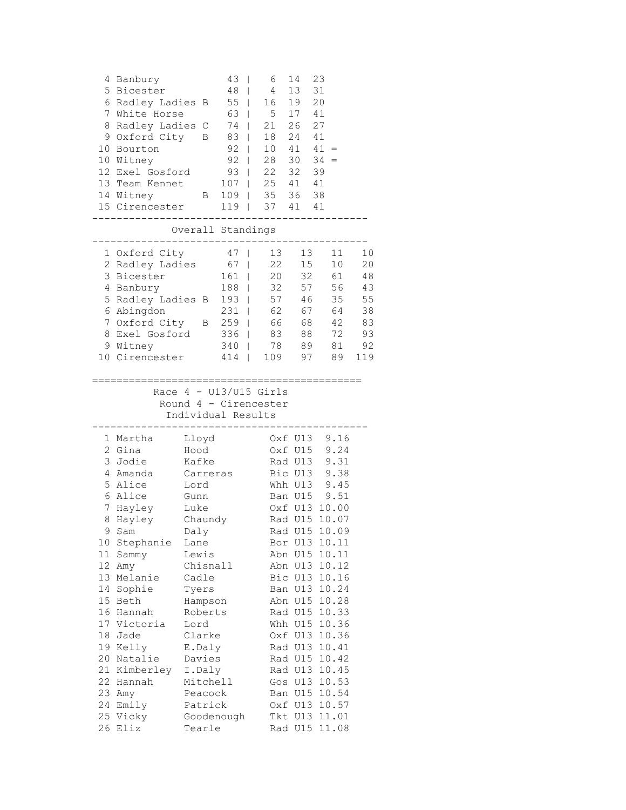| 4<br>7<br>8<br>9<br>10                                                                                                   | Banbury<br>5 Bicester<br>6 Radley Ladies<br>White Horse<br>Radley Ladies C<br>Oxford City<br>Bourton<br>10 Witney<br>12 Exel Gosford<br>13 Team Kennet<br>14 Witney<br>15 Cirencester<br>_________                                                            | В<br>B<br>$\mathbf{B}$                                                                                                                                                                                                                                       | 43<br>T<br>48<br>$\mathbf{I}$<br>$55$  <br>63<br>$\overline{1}$<br>74<br>$83$  <br>$92$  <br>$92$  <br>$93$  <br>$107$  <br>$109$  <br>$119$ | 6<br>4<br>16<br>5<br>21<br>18<br>10<br>28<br>22<br>25 41<br>35<br>37 41 | 14<br>13<br>19<br>17<br>26<br>24<br>41<br>30<br>32<br>36                                        | 23<br>31<br>20<br>41<br>27<br>41<br>$41 =$<br>$34 =$<br>39<br>41<br>38<br>41                                                                                                                                                                                                                                                                                             |                                                           |
|--------------------------------------------------------------------------------------------------------------------------|---------------------------------------------------------------------------------------------------------------------------------------------------------------------------------------------------------------------------------------------------------------|--------------------------------------------------------------------------------------------------------------------------------------------------------------------------------------------------------------------------------------------------------------|----------------------------------------------------------------------------------------------------------------------------------------------|-------------------------------------------------------------------------|-------------------------------------------------------------------------------------------------|--------------------------------------------------------------------------------------------------------------------------------------------------------------------------------------------------------------------------------------------------------------------------------------------------------------------------------------------------------------------------|-----------------------------------------------------------|
|                                                                                                                          |                                                                                                                                                                                                                                                               | Overall Standings                                                                                                                                                                                                                                            |                                                                                                                                              |                                                                         |                                                                                                 |                                                                                                                                                                                                                                                                                                                                                                          |                                                           |
| 1<br>2<br>3<br>4<br>7<br>8                                                                                               | Oxford City<br>Radley Ladies<br>Bicester<br>Banbury<br>5 Radley Ladies B<br>6 Abingdon<br>Oxford City<br>Exel Gosford<br>9 Witney<br>10 Cirencester                                                                                                           |                                                                                                                                                                                                                                                              | 47<br>67<br>161<br>T<br>188<br>T<br>193  <br>$231$  <br>B 259  <br>$336$  <br>$340$  <br>414                                                 | 13<br>22<br>20<br>32<br>57<br>62<br>66<br>83<br>78<br>109               | 13<br>15<br>32<br>57<br>46<br>67<br>68<br>88<br>89<br>97                                        | 11<br>10<br>61<br>56<br>35<br>64<br>42<br>72<br>81<br>89                                                                                                                                                                                                                                                                                                                 | 10<br>20<br>48<br>43<br>55<br>38<br>83<br>93<br>92<br>119 |
|                                                                                                                          |                                                                                                                                                                                                                                                               | Individual Results                                                                                                                                                                                                                                           |                                                                                                                                              | Race $4 - U13/U15$ Girls<br>Round 4 - Cirencester                       |                                                                                                 |                                                                                                                                                                                                                                                                                                                                                                          |                                                           |
| 1<br>2<br>3<br>4<br>5<br>6<br>7<br>8<br>10<br>11<br>12<br>13<br>14<br>15<br>16<br>18<br>20<br>21<br>22<br>23<br>24<br>26 | Martha<br>Gina<br>Jodie<br>Amanda<br>Alice<br>Alice<br>Hayley<br>Hayley<br>9 Sam<br>Stephanie<br>Sammy<br>Amy<br>Melanie<br>Sophie<br>Beth<br>Hannah<br>17 Victoria<br>Jade<br>19 Kelly<br>Natalie<br>Kimberley<br>Hannah<br>Amy<br>Emily<br>25 Vicky<br>Eliz | Lloyd<br>Hood<br>Kafke<br>Carreras<br>Lord<br>Gunn<br>Luke<br>Chaundy<br>Daly<br>Lane<br>Lewis<br>Chisnall<br>Cadle<br>Tyers<br>Hampson<br>Roberts<br>Lord<br>Clarke<br>E.Daly<br>Davies<br>I.Daly<br>Mitchell<br>Peacock<br>Patrick<br>Goodenough<br>Tearle |                                                                                                                                              |                                                                         | Bic U13<br>Rad U15<br>Whh U15<br>Oxf U13<br>Rad U13<br>Rad U15<br>Rad U13<br>Gos U13<br>Rad U15 | Oxf U13 9.16<br>Oxf U15 9.24<br>Rad U13 9.31<br>Bic U13 9.38<br>Whh U13 9.45<br>Ban U15 9.51<br>Oxf U13 10.00<br>Rad U15 10.07<br>Rad U15 10.09<br>Bor U13 10.11<br>Abn U15 10.11<br>Abn U13 10.12<br>10.16<br>Ban U13 10.24<br>Abn U15 10.28<br>10.33<br>10.36<br>10.36<br>10.41<br>10.42<br>10.45<br>10.53<br>Ban U15 10.54<br>Oxf U13 10.57<br>Tkt U13 11.01<br>11.08 |                                                           |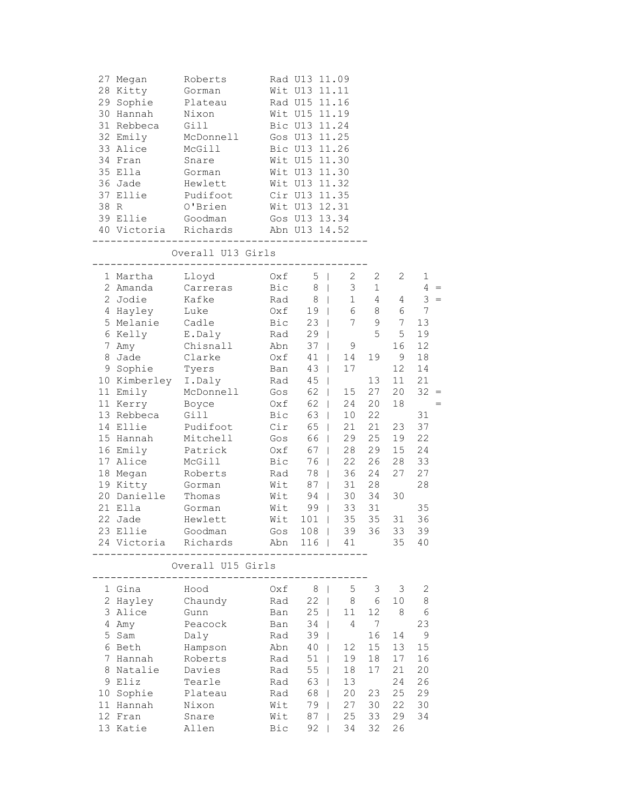| 27 Megan<br>28 Kitty<br>29 Sophie<br>30 Hannah<br>31 Rebbeca<br>32 Emily<br>33 Alice<br>34 Fran<br>35 Ella<br>36 Jade<br>37 Ellie<br>38 R<br>39 Ellie<br>40 Victoria Richards<br>------------                                                                                                            | Roberts<br>Gorman<br>Plateau<br>Nixon<br>Gill<br>McDonnell<br>McGill<br>Snare<br>Gorman<br>Hewlett<br>Pudifoot<br>O'Brien<br>Goodman<br>$- - - - -$                                                                                        |                                                                                                                                                               | Rad U13 11.09<br>Wit U13 11.11<br>Rad U15 11.16<br>Wit U15 11.19<br>Bic U13 11.24<br>Gos U13 11.25<br>Bic U13 11.26<br>Wit U15 11.30<br>Wit U13 11.30<br>Wit U13 11.32<br>Cir U13 11.35<br>Wit U13 12.31<br>Gos U13 13.34<br>Abn U13 14.52 |                                                                                                                                                                                                                                                                                                                                                                                                               |                                                                                                                                            |                                                                                                                                 |                                                                                                                                                     |
|----------------------------------------------------------------------------------------------------------------------------------------------------------------------------------------------------------------------------------------------------------------------------------------------------------|--------------------------------------------------------------------------------------------------------------------------------------------------------------------------------------------------------------------------------------------|---------------------------------------------------------------------------------------------------------------------------------------------------------------|--------------------------------------------------------------------------------------------------------------------------------------------------------------------------------------------------------------------------------------------|---------------------------------------------------------------------------------------------------------------------------------------------------------------------------------------------------------------------------------------------------------------------------------------------------------------------------------------------------------------------------------------------------------------|--------------------------------------------------------------------------------------------------------------------------------------------|---------------------------------------------------------------------------------------------------------------------------------|-----------------------------------------------------------------------------------------------------------------------------------------------------|
|                                                                                                                                                                                                                                                                                                          | Overall U13 Girls                                                                                                                                                                                                                          |                                                                                                                                                               |                                                                                                                                                                                                                                            |                                                                                                                                                                                                                                                                                                                                                                                                               |                                                                                                                                            |                                                                                                                                 |                                                                                                                                                     |
| 1 Martha<br>2 Amanda<br>2 Jodie<br>4 Hayley<br>5 Melanie<br>6 Kelly<br>7 Amy<br>8 Jade<br>9 Sophie<br>10 Kimberley I.Daly<br>11 Emily<br>11 Kerry<br>13 Rebbeca<br>14 Ellie<br>15 Hannah<br>16 Emily<br>17 Alice<br>18 Megan<br>19 Kitty<br>20 Danielle<br>21 Ella<br>22 Jade<br>23 Ellie<br>24 Victoria | Lloyd<br>Carreras<br>Kafke<br>Luke<br>Cadle<br>E.Daly<br>Chisnall<br>Clarke<br>Tyers<br>McDonnell<br>Boyce<br>Gill<br>Pudifoot<br>Mitchell<br>Patrick<br>McGill<br>Roberts<br>Gorman<br>Thomas<br>Gorman<br>Hewlett<br>Goodman<br>Richards | Oxf<br>Bic<br>Rad<br>Oxf<br>Bic<br>Rad<br>Abn<br>Oxf<br>Ban<br>Rad<br>Gos<br>Oxf<br>Bic<br>Cir<br>Gos<br>Oxf<br>Bic<br>Rad<br>Wit<br>Wit<br>Wit<br>Wit<br>Abn | 5<br>$\mathbf{I}$<br>8<br>8<br>19<br>23<br>29<br>$\mathbf{I}$<br>37<br>$\mathbf{I}$<br>41<br>43<br>45<br>$\perp$<br>62<br>62<br>63<br>65<br>66<br>67<br>$\perp$<br>76<br>78<br>87<br>94<br>99<br>101<br>$\mathbf{I}$<br>Gos 108  <br>116   | $\overline{2}$<br>3<br>$\mathbb{R}$<br>$\mathbf 1$<br>$\mathbb{R}$<br>6<br>$\mathbb{R}$<br>7<br>$\mathbb{R}$<br>9<br>14<br>$\mathbf{I}$<br>17<br>$\mathbf{L}$<br>15<br>$\mathbb{R}$<br>24<br>$\mathbb{R}$<br>$\mathbb{R}$<br>10<br>21<br>$\mathbb{R}$<br>29<br>$\mathbb{R}$<br>28<br>22<br>L<br>36<br>$\mathbf{L}$<br>31<br>$\mathbf{L}$<br>30<br>$\mathbb{R}$<br>$\mathbb{L}^+$<br>33<br>35<br>39<br>41<br>L | $\mathbf{2}$<br>$\mathbf{1}$<br>4<br>8<br>9<br>5<br>19<br>13<br>27<br>20<br>22<br>21<br>25<br>29<br>26<br>24<br>28<br>34<br>31<br>35<br>36 | $\overline{2}$<br>4<br>6<br>7<br>5<br>16<br>9<br>12<br>11<br>20<br>18<br>23<br>19<br>15<br>28<br>27<br>30<br>$31\,$<br>33<br>35 | $\mathbf{1}$<br>$4 =$<br>$3 =$<br>7<br>13<br>19<br>12<br>18<br>14<br>21<br>$32 =$<br>31<br>37<br>22<br>24<br>33<br>27<br>28<br>35<br>36<br>39<br>40 |
|                                                                                                                                                                                                                                                                                                          | Overall U15 Girls                                                                                                                                                                                                                          |                                                                                                                                                               |                                                                                                                                                                                                                                            |                                                                                                                                                                                                                                                                                                                                                                                                               |                                                                                                                                            |                                                                                                                                 |                                                                                                                                                     |
| 1 Gina<br>2 Hayley<br>3 Alice<br>4 Amy<br>5 Sam<br>6 Beth<br>7 Hannah<br>8 Natalie<br>9 Eliz<br>10 Sophie<br>11 Hannah<br>12 Fran<br>13 Katie                                                                                                                                                            | Hood<br>Chaundy<br>Gunn<br>Peacock<br>Daly<br>Hampson<br>Roberts<br>Davies<br>Tearle<br>Plateau<br>Nixon<br>Snare<br>Allen                                                                                                                 | Oxf<br>Rad<br>Ban<br>Ban<br>Rad<br>Abn<br>Rad<br>Rad<br>Rad<br>Rad<br>Wit<br>Wit<br>Bic                                                                       | 8<br>T<br>22<br>$\mathbf{I}$<br>25<br>34<br>39<br>$\mathbf{I}$<br>40<br>51<br>55<br>63<br>68<br>79<br>87<br>92                                                                                                                             | $\mathsf S$<br>8<br>11<br>$\mathbf{I}$<br>4<br>$\mathbf{I}$<br>12<br>19<br>18<br>13<br>20<br>27<br>25<br>34                                                                                                                                                                                                                                                                                                   | $\mathfrak{Z}$<br>6<br>12<br>7<br>16<br>15<br>18<br>17<br>23<br>30<br>33<br>32                                                             | 3<br>10<br>$\,8\,$<br>14<br>13<br>17<br>21<br>24<br>25<br>22<br>29<br>26                                                        | 2<br>8<br>6<br>23<br>9<br>15<br>16<br>20<br>26<br>29<br>30<br>34                                                                                    |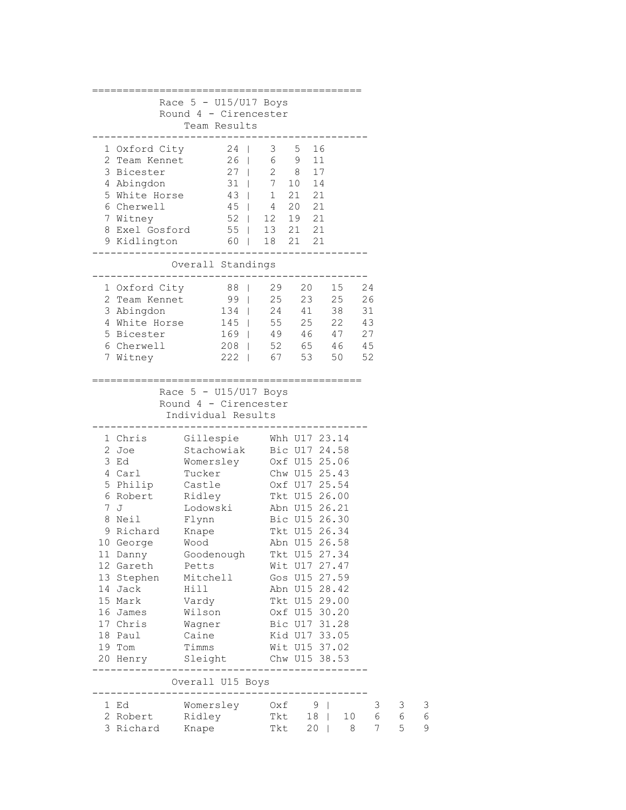| Race $5 - U15/U17$ Boys<br>Round 4 - Cirencester<br>Team Results<br>3 5 16<br>1 Oxford City 24  <br>2 Team Kennet 26   6 9 11<br>27   2 8 17<br>3 Bicester<br>31   7 10 14<br>4 Abingdon<br>$\begin{array}{c cc} 43 &   & 1 \\ 45 &   & 4 \end{array}$<br>$\begin{array}{ccc} 21 & 21 \\ 20 & 21 \end{array}$<br>5 White Horse<br>6 Cherwell<br>$52$   12 19 21<br>7 Witney<br>8 Exel Gosford 55   13 21 21<br>60   18 21 21<br>9 Kidlington<br>Overall Standings<br>29  20  15<br>24<br>1 Oxford City<br>88  <br>99  <br>25  23  25<br>24  41  38<br>26<br>2 Team Kennet<br>134  <br>31<br>3 Abingdon<br>$145$   55 25 22<br>4 White Horse<br>43<br>169   49 46 47<br>5 Bicester<br>27<br>208   52 65 46<br>45<br>6 Cherwell |                         |  |  |  | ================== |  |
|-------------------------------------------------------------------------------------------------------------------------------------------------------------------------------------------------------------------------------------------------------------------------------------------------------------------------------------------------------------------------------------------------------------------------------------------------------------------------------------------------------------------------------------------------------------------------------------------------------------------------------------------------------------------------------------------------------------------------------|-------------------------|--|--|--|--------------------|--|
|                                                                                                                                                                                                                                                                                                                                                                                                                                                                                                                                                                                                                                                                                                                               |                         |  |  |  |                    |  |
|                                                                                                                                                                                                                                                                                                                                                                                                                                                                                                                                                                                                                                                                                                                               |                         |  |  |  |                    |  |
|                                                                                                                                                                                                                                                                                                                                                                                                                                                                                                                                                                                                                                                                                                                               |                         |  |  |  |                    |  |
|                                                                                                                                                                                                                                                                                                                                                                                                                                                                                                                                                                                                                                                                                                                               |                         |  |  |  |                    |  |
|                                                                                                                                                                                                                                                                                                                                                                                                                                                                                                                                                                                                                                                                                                                               |                         |  |  |  |                    |  |
|                                                                                                                                                                                                                                                                                                                                                                                                                                                                                                                                                                                                                                                                                                                               |                         |  |  |  |                    |  |
|                                                                                                                                                                                                                                                                                                                                                                                                                                                                                                                                                                                                                                                                                                                               |                         |  |  |  |                    |  |
|                                                                                                                                                                                                                                                                                                                                                                                                                                                                                                                                                                                                                                                                                                                               |                         |  |  |  |                    |  |
|                                                                                                                                                                                                                                                                                                                                                                                                                                                                                                                                                                                                                                                                                                                               |                         |  |  |  |                    |  |
|                                                                                                                                                                                                                                                                                                                                                                                                                                                                                                                                                                                                                                                                                                                               |                         |  |  |  |                    |  |
|                                                                                                                                                                                                                                                                                                                                                                                                                                                                                                                                                                                                                                                                                                                               |                         |  |  |  |                    |  |
|                                                                                                                                                                                                                                                                                                                                                                                                                                                                                                                                                                                                                                                                                                                               |                         |  |  |  |                    |  |
|                                                                                                                                                                                                                                                                                                                                                                                                                                                                                                                                                                                                                                                                                                                               |                         |  |  |  |                    |  |
|                                                                                                                                                                                                                                                                                                                                                                                                                                                                                                                                                                                                                                                                                                                               |                         |  |  |  |                    |  |
|                                                                                                                                                                                                                                                                                                                                                                                                                                                                                                                                                                                                                                                                                                                               |                         |  |  |  |                    |  |
|                                                                                                                                                                                                                                                                                                                                                                                                                                                                                                                                                                                                                                                                                                                               |                         |  |  |  |                    |  |
|                                                                                                                                                                                                                                                                                                                                                                                                                                                                                                                                                                                                                                                                                                                               |                         |  |  |  |                    |  |
|                                                                                                                                                                                                                                                                                                                                                                                                                                                                                                                                                                                                                                                                                                                               |                         |  |  |  |                    |  |
|                                                                                                                                                                                                                                                                                                                                                                                                                                                                                                                                                                                                                                                                                                                               |                         |  |  |  |                    |  |
|                                                                                                                                                                                                                                                                                                                                                                                                                                                                                                                                                                                                                                                                                                                               |                         |  |  |  |                    |  |
| 222   67 53<br>52<br>7 Witney<br>50                                                                                                                                                                                                                                                                                                                                                                                                                                                                                                                                                                                                                                                                                           |                         |  |  |  |                    |  |
|                                                                                                                                                                                                                                                                                                                                                                                                                                                                                                                                                                                                                                                                                                                               |                         |  |  |  |                    |  |
| Race $5 - U15/U17$ Boys<br>Round 4 - Cirencester<br>Individual Results                                                                                                                                                                                                                                                                                                                                                                                                                                                                                                                                                                                                                                                        |                         |  |  |  |                    |  |
|                                                                                                                                                                                                                                                                                                                                                                                                                                                                                                                                                                                                                                                                                                                               |                         |  |  |  |                    |  |
| 1 Chris<br>Gillespie Whh U17 23.14                                                                                                                                                                                                                                                                                                                                                                                                                                                                                                                                                                                                                                                                                            |                         |  |  |  |                    |  |
| Stachowiak<br>2 Joe                                                                                                                                                                                                                                                                                                                                                                                                                                                                                                                                                                                                                                                                                                           |                         |  |  |  |                    |  |
| 3 Ed                                                                                                                                                                                                                                                                                                                                                                                                                                                                                                                                                                                                                                                                                                                          | Bic U17 24.58           |  |  |  |                    |  |
| 4 Carl<br>Tucker                                                                                                                                                                                                                                                                                                                                                                                                                                                                                                                                                                                                                                                                                                              | Womersley Oxf U15 25.06 |  |  |  |                    |  |
| 5 Philip                                                                                                                                                                                                                                                                                                                                                                                                                                                                                                                                                                                                                                                                                                                      | Chw U15 25.43           |  |  |  |                    |  |
|                                                                                                                                                                                                                                                                                                                                                                                                                                                                                                                                                                                                                                                                                                                               | Castle 0xf U17 25.54    |  |  |  |                    |  |
| 6 Robert<br>Ridley<br>Tkt U15 26.00                                                                                                                                                                                                                                                                                                                                                                                                                                                                                                                                                                                                                                                                                           |                         |  |  |  |                    |  |
| 7 J<br>Lodowski<br>Abn U15 26.21                                                                                                                                                                                                                                                                                                                                                                                                                                                                                                                                                                                                                                                                                              |                         |  |  |  |                    |  |
| 8 Neil<br>Bic U15 26.30<br>Flynn                                                                                                                                                                                                                                                                                                                                                                                                                                                                                                                                                                                                                                                                                              |                         |  |  |  |                    |  |
| Knape<br>9 Richard<br>Tkt U15 26.34                                                                                                                                                                                                                                                                                                                                                                                                                                                                                                                                                                                                                                                                                           |                         |  |  |  |                    |  |
| Abn U15 26.58<br>Wood<br>10 George                                                                                                                                                                                                                                                                                                                                                                                                                                                                                                                                                                                                                                                                                            |                         |  |  |  |                    |  |
| Tkt U15 27.34<br>11 Danny<br>Goodenough                                                                                                                                                                                                                                                                                                                                                                                                                                                                                                                                                                                                                                                                                       |                         |  |  |  |                    |  |
| 12 Gareth Petts<br>Wit U17 27.47                                                                                                                                                                                                                                                                                                                                                                                                                                                                                                                                                                                                                                                                                              |                         |  |  |  |                    |  |
| Gos U15 27.59<br>13 Stephen<br>Mitchell                                                                                                                                                                                                                                                                                                                                                                                                                                                                                                                                                                                                                                                                                       |                         |  |  |  |                    |  |
| 14 Jack<br>Abn U15 28.42<br>Hill                                                                                                                                                                                                                                                                                                                                                                                                                                                                                                                                                                                                                                                                                              |                         |  |  |  |                    |  |
| 15 Mark<br>Vardy<br>Tkt U15 29.00                                                                                                                                                                                                                                                                                                                                                                                                                                                                                                                                                                                                                                                                                             |                         |  |  |  |                    |  |
| 16 James<br>Wilson<br>Oxf U15 30.20                                                                                                                                                                                                                                                                                                                                                                                                                                                                                                                                                                                                                                                                                           |                         |  |  |  |                    |  |
| 17 Chris<br>Bic U17 31.28<br>Wagner                                                                                                                                                                                                                                                                                                                                                                                                                                                                                                                                                                                                                                                                                           |                         |  |  |  |                    |  |
| Kid U17 33.05<br>18 Paul<br>Caine                                                                                                                                                                                                                                                                                                                                                                                                                                                                                                                                                                                                                                                                                             |                         |  |  |  |                    |  |
| Wit U15 37.02<br>Timms<br>19 Tom                                                                                                                                                                                                                                                                                                                                                                                                                                                                                                                                                                                                                                                                                              |                         |  |  |  |                    |  |
| Chw U15 38.53<br>Sleight<br>20 Henry<br>---------                                                                                                                                                                                                                                                                                                                                                                                                                                                                                                                                                                                                                                                                             |                         |  |  |  |                    |  |
| ------------<br>Overall U15 Boys                                                                                                                                                                                                                                                                                                                                                                                                                                                                                                                                                                                                                                                                                              |                         |  |  |  |                    |  |
|                                                                                                                                                                                                                                                                                                                                                                                                                                                                                                                                                                                                                                                                                                                               |                         |  |  |  |                    |  |
| Womersley<br>Oxf<br>9 <sub>1</sub><br>3<br>3<br>1 Ed<br>$\sqrt{6}$<br>2 Robert<br>Ridley<br>6<br>Tkt<br>$18$  <br>10                                                                                                                                                                                                                                                                                                                                                                                                                                                                                                                                                                                                          | 3<br>6                  |  |  |  |                    |  |
|                                                                                                                                                                                                                                                                                                                                                                                                                                                                                                                                                                                                                                                                                                                               |                         |  |  |  |                    |  |
|                                                                                                                                                                                                                                                                                                                                                                                                                                                                                                                                                                                                                                                                                                                               |                         |  |  |  |                    |  |
|                                                                                                                                                                                                                                                                                                                                                                                                                                                                                                                                                                                                                                                                                                                               |                         |  |  |  |                    |  |
|                                                                                                                                                                                                                                                                                                                                                                                                                                                                                                                                                                                                                                                                                                                               |                         |  |  |  |                    |  |
|                                                                                                                                                                                                                                                                                                                                                                                                                                                                                                                                                                                                                                                                                                                               |                         |  |  |  |                    |  |
|                                                                                                                                                                                                                                                                                                                                                                                                                                                                                                                                                                                                                                                                                                                               |                         |  |  |  |                    |  |
|                                                                                                                                                                                                                                                                                                                                                                                                                                                                                                                                                                                                                                                                                                                               |                         |  |  |  |                    |  |
|                                                                                                                                                                                                                                                                                                                                                                                                                                                                                                                                                                                                                                                                                                                               |                         |  |  |  |                    |  |
|                                                                                                                                                                                                                                                                                                                                                                                                                                                                                                                                                                                                                                                                                                                               |                         |  |  |  |                    |  |
|                                                                                                                                                                                                                                                                                                                                                                                                                                                                                                                                                                                                                                                                                                                               |                         |  |  |  |                    |  |
|                                                                                                                                                                                                                                                                                                                                                                                                                                                                                                                                                                                                                                                                                                                               |                         |  |  |  |                    |  |
|                                                                                                                                                                                                                                                                                                                                                                                                                                                                                                                                                                                                                                                                                                                               |                         |  |  |  |                    |  |
|                                                                                                                                                                                                                                                                                                                                                                                                                                                                                                                                                                                                                                                                                                                               |                         |  |  |  |                    |  |
|                                                                                                                                                                                                                                                                                                                                                                                                                                                                                                                                                                                                                                                                                                                               |                         |  |  |  |                    |  |
|                                                                                                                                                                                                                                                                                                                                                                                                                                                                                                                                                                                                                                                                                                                               |                         |  |  |  |                    |  |
|                                                                                                                                                                                                                                                                                                                                                                                                                                                                                                                                                                                                                                                                                                                               |                         |  |  |  |                    |  |
|                                                                                                                                                                                                                                                                                                                                                                                                                                                                                                                                                                                                                                                                                                                               |                         |  |  |  |                    |  |
|                                                                                                                                                                                                                                                                                                                                                                                                                                                                                                                                                                                                                                                                                                                               |                         |  |  |  |                    |  |
|                                                                                                                                                                                                                                                                                                                                                                                                                                                                                                                                                                                                                                                                                                                               |                         |  |  |  |                    |  |
|                                                                                                                                                                                                                                                                                                                                                                                                                                                                                                                                                                                                                                                                                                                               |                         |  |  |  |                    |  |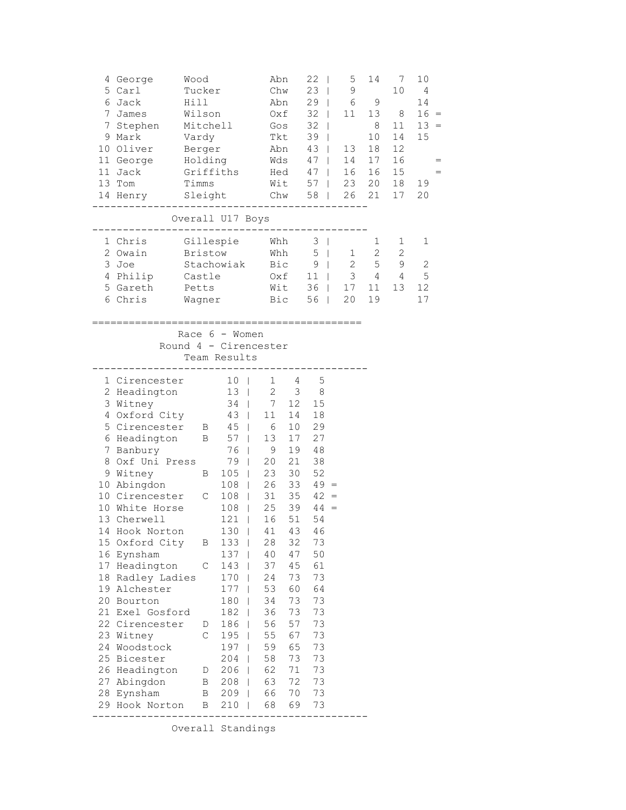| 4 George<br>5 Carl<br>6 Jack<br>$7^{\circ}$<br>James<br>7<br>Stephen<br>9 Mark<br>10 Oliver<br>11 George<br>11 Jack<br>13 Tom<br>14 Henry                                                                                                                                                                                                                                                                                                                                                 | Wood<br>Tucker<br>Hill<br>Wilson<br>Vardy<br>Berger<br>Timms | Mitchell<br>Holding<br>Griffiths<br>Sleight                                                                                                                                                                                                                                                                                |                                                                                                                                                                                                                                           | Abn<br>Chw<br>Abn<br>Oxf<br>Gos<br>Tkt<br>Abn<br>Wds<br>Hed<br>Wit<br>Chw 58<br>. _ _ _ _ _ _ _ _ _ _                                                                       | 22<br>$\blacksquare$<br>23<br>$\mathbf{I}$<br>29<br>$\mathbf{I}$<br>32<br>32<br>$\mathbf{I}$<br>39<br>43<br>47<br>47<br>57                                                           | 5<br>$\mathsf 9$<br>6<br>11<br>$\mathbf{1}$<br>$\mathbf{1}$<br>13<br>$\mathbf{I}$<br>14<br>$\mathcal{L}$<br>16<br>$\mathbb{R}^n$<br>23<br>$\mathcal{L}$<br>26<br>$\mathbb{R}^n$ | 14<br>9<br>13<br>8<br>10<br>18<br>17<br>16<br>20<br>21 | 7<br>10<br>8<br>11<br>14<br>12<br>16<br>15<br>18<br>17 | 10<br>4<br>14<br>$16 =$<br>$13 =$<br>15<br>19<br>20 |
|-------------------------------------------------------------------------------------------------------------------------------------------------------------------------------------------------------------------------------------------------------------------------------------------------------------------------------------------------------------------------------------------------------------------------------------------------------------------------------------------|--------------------------------------------------------------|----------------------------------------------------------------------------------------------------------------------------------------------------------------------------------------------------------------------------------------------------------------------------------------------------------------------------|-------------------------------------------------------------------------------------------------------------------------------------------------------------------------------------------------------------------------------------------|-----------------------------------------------------------------------------------------------------------------------------------------------------------------------------|--------------------------------------------------------------------------------------------------------------------------------------------------------------------------------------|---------------------------------------------------------------------------------------------------------------------------------------------------------------------------------|--------------------------------------------------------|--------------------------------------------------------|-----------------------------------------------------|
|                                                                                                                                                                                                                                                                                                                                                                                                                                                                                           |                                                              | Overall U17 Boys                                                                                                                                                                                                                                                                                                           |                                                                                                                                                                                                                                           |                                                                                                                                                                             |                                                                                                                                                                                      |                                                                                                                                                                                 |                                                        |                                                        |                                                     |
| 1 Chris<br>2 Owain<br>3 Joe<br>4 Philip<br>5 Gareth<br>6 Chris                                                                                                                                                                                                                                                                                                                                                                                                                            | Castle<br>Petts<br>Wagner                                    | Gillespie Whh<br><b>Bristow</b><br>Stachowiak                                                                                                                                                                                                                                                                              |                                                                                                                                                                                                                                           | Whh<br>Bic<br>Oxf<br>Wit<br>Bic                                                                                                                                             | $3 \mid$<br>5<br>9 <sub>1</sub><br>11<br>36<br>56                                                                                                                                    | 1<br>$\mathbf{1}$<br>2<br>3<br>$\mathbb{R}$<br>17<br>$\mathbf{1}$<br>20<br>$\sim 10^{-11}$                                                                                      | 1<br>2<br>$\mathsf S$<br>4<br>11<br>19                 | 1<br>2<br>9<br>4<br>13                                 | 1<br>$\sqrt{2}$<br>5<br>12<br>17                    |
|                                                                                                                                                                                                                                                                                                                                                                                                                                                                                           | Round 4 - Cirencester                                        | Race $6 -$ Women<br>Team Results                                                                                                                                                                                                                                                                                           |                                                                                                                                                                                                                                           |                                                                                                                                                                             |                                                                                                                                                                                      |                                                                                                                                                                                 |                                                        |                                                        |                                                     |
| 1 Cirencester<br>2 Headington<br>3 Witney<br>4 Oxford City<br>5 Cirencester B 45  <br>6 Headington<br>Banbury<br>7<br>8 Oxf Uni Press<br>9 Witney<br>10 Abingdon<br>10 Cirencester<br>10 White Horse<br>13 Cherwell<br>14 Hook Norton<br>15 Oxford City<br>16 Eynsham<br>17 Headington<br>18 Radley Ladies<br>19 Alchester<br>20 Bourton<br>21 Exel Gosford<br>22 Cirencester<br>23 Witney<br>24 Woodstock<br>25 Bicester<br>26 Headington<br>27 Abingdon<br>28 Eynsham<br>29 Hook Norton |                                                              | 10 <sub>1</sub><br>13 <sup>1</sup><br>34<br>43  <br>$\mathbf{B}$<br>$57$  <br>76  <br>79  <br>$105$  <br>B<br>$108$  <br>$108$  <br>$\mathbb{C}$<br>108<br>121<br>$130$  <br>133<br>B<br>137<br>С<br>143<br>170<br>177<br>180<br>182<br>186<br>D<br>C<br>195<br>197<br>204<br>206<br>D<br>208<br>В<br>B<br>209<br>210<br>В | $\mathbf{1}$<br>$\mathbf{2}$<br>$7\overline{ }$<br>11<br>6<br>13<br>9<br>20<br>23<br>26<br>31<br>25<br>$\Box$<br>$\overline{\phantom{0}}$<br>16<br>28<br>40<br>37<br>24<br>53<br>34<br>36<br>56<br>55<br>59<br>58<br>62<br>63<br>66<br>68 | 4<br>3<br>12<br>14<br>10<br>17<br>19<br>21<br>30<br>33<br>35<br>39<br>51<br>41 43<br>32<br>47<br>45<br>73<br>60<br>73<br>73<br>57<br>67<br>65<br>73<br>71<br>72<br>70<br>69 | 5<br>8<br>15<br>18<br>29<br>27<br>48<br>38<br>52<br>$49 =$<br>$42 =$<br>$44 =$<br>54<br>46<br>73<br>50<br>61<br>73<br>64<br>73<br>73<br>73<br>73<br>73<br>73<br>73<br>73<br>73<br>73 |                                                                                                                                                                                 |                                                        |                                                        |                                                     |

Overall Standings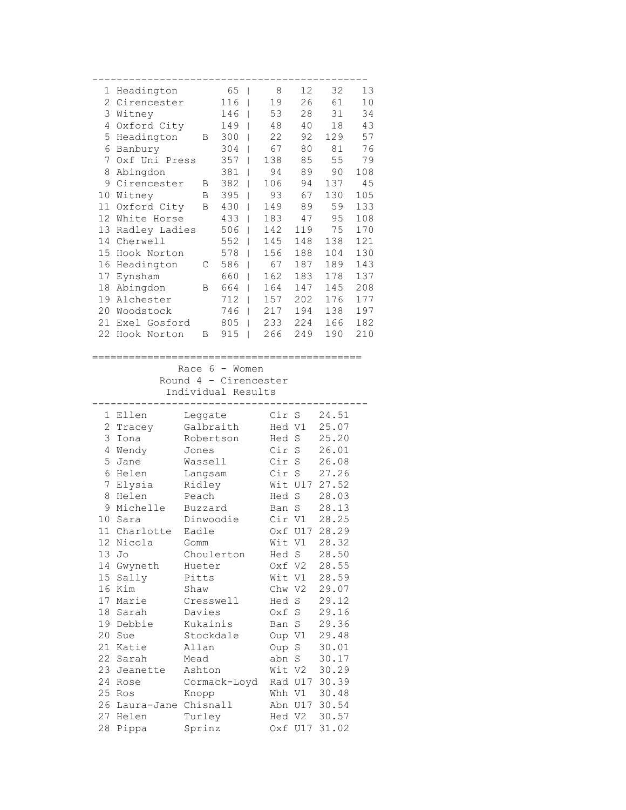| 1              | Headington            |                  | 65<br>$\overline{\phantom{0}}$ | 8                     | 12                | 32             | 13         |
|----------------|-----------------------|------------------|--------------------------------|-----------------------|-------------------|----------------|------------|
| $\overline{c}$ | Cirencester           |                  | 116                            | 19<br>I               | 26                | 61             | 10         |
| 3              | Witney                |                  | 146                            | 53<br>I               | 28                | 31             | 34         |
| 4              | Oxford City           |                  | 149                            | 48<br>I               | 40                | 18             | 43         |
| 5              | Headington            | Β                | 300                            | 22<br>I               | 92                | 129            | 57         |
| 6              | Banbury               |                  | 304                            | 67<br>ı               | 80                | 81             | 76         |
| 7              | Oxf Uni Press         |                  | 357                            | 138<br>I              | 85                | 55             | 79         |
| 8              | Abingdon              |                  | 381                            | 94<br>I               | 89                | 90             | 108        |
| 9              | Cirencester           | В                | 382                            | 106<br>I              | 94                | 137            | 45         |
| 10             | Witney                | Β                | 395                            | 93<br>I               | 67                | 130            | 105        |
| 11             | Oxford City           | В                | 430                            | 149<br>I              | 89                | 59             | 133        |
| 12             | White Horse           |                  | 433                            | 183<br>I              | 47                | 95             | 108        |
| 13             | Radley Ladies         |                  | 506                            | 142<br>ı              | 119               | 75             | 170        |
| 14             | Cherwell              |                  | 552                            | 145<br>ı              | 148               | 138            | 121        |
| 15             | Hook Norton           |                  | 578                            | 156<br>ı              | 188               | 104            | 130        |
| 16             | Headington            | С                | 586                            | 67<br>I               | 187               | 189            | 143        |
| 17             | Eynsham               |                  | 660                            | 162<br>I              | 183               | 178<br>145     | 137        |
| 18<br>19       | Abingdon<br>Alchester | В                | 664<br>712                     | 164<br>I<br>157       | 147<br>202        | 176            | 208<br>177 |
| 20             | Woodstock             |                  | 746                            | I<br>217              | 194               | 138            | 197        |
| 21             | Exel Gosford          |                  | 805                            | I<br>233              | 224               | 166            | 182        |
| 22             | Hook Norton           | Β                | 915                            | I<br>266<br>I         | 249               | 190            | 210        |
|                |                       |                  |                                |                       |                   |                |            |
|                |                       |                  |                                |                       |                   |                |            |
|                |                       |                  | Race $6 -$ Women               |                       |                   |                |            |
|                |                       |                  |                                | Round 4 - Cirencester |                   |                |            |
|                |                       |                  | Individual Results             |                       |                   |                |            |
| 1              | Ellen                 | Leggate          |                                | Cir                   | S                 | 24.51          |            |
| $\mathbf{2}$   | Tracey                |                  | Galbraith                      | Hed V1                |                   | 25.07          |            |
| 3              | Iona                  |                  | Robertson                      | Hed S                 |                   | 25.20          |            |
| 4              | Wendy                 | Jones            |                                | Cir                   | S                 | 26.01          |            |
| 5              | Jane                  | Wassell          |                                | Cir                   | S                 | 26.08          |            |
| 6              | Helen                 | Langsam          |                                | Cir                   | $\rm S$           | 27.26          |            |
| 7              | Elysia                | Ridley           |                                |                       | Wit U17           | 27.52          |            |
| 8              | Helen                 | Peach            |                                | Hed                   | $\rm S$           | 28.03          |            |
| 9              | Michelle              | Buzzard          |                                | Ban                   | S                 | 28.13          |            |
| 10             | Sara                  |                  | Dinwoodie                      | Cir V1                |                   | 28.25          |            |
|                | 11 Charlotte          | Eadle            |                                |                       | Oxf U17           | 28.29          |            |
| 12             | Nicola                | Gomm             |                                | Wit V1                |                   | 28.32          |            |
| 13             | Jo                    |                  | Choulerton                     | Hed S                 |                   | 28.50          |            |
| 14             |                       |                  |                                |                       |                   |                |            |
|                | Gwyneth               | Hueter           |                                | Oxf V2                |                   | 28.55          |            |
| 15             | Sally                 | Pitts            |                                | Wit V1                |                   | 28.59          |            |
| 16             | Kim                   | Shaw             |                                | Chw V2                |                   | 29.07          |            |
|                | 17 Marie              |                  | Cresswell                      | Hed S                 |                   | 29.12          |            |
| 18             | Sarah                 | Davies           |                                | Oxf S                 |                   | 29.16          |            |
|                | 19 Debbie             | Kukainis         |                                | Ban S                 |                   | 29.36          |            |
| 20             | Sue                   |                  | Stockdale                      | Oup V1                |                   | 29.48          |            |
| 21             | Katie                 | Allan            |                                | Oup S                 |                   | 30.01          |            |
| 22             | Sarah                 | Mead             |                                | abn S                 |                   | 30.17          |            |
|                | 23 Jeanette           | Ashton           |                                |                       | Wit V2            | 30.29          |            |
| 24             | Rose                  |                  | Cormack-Loyd                   |                       | Rad U17           | 30.39          |            |
| 25             | Ros                   | Knopp            |                                |                       | Whh V1            | 30.48          |            |
| 26             | Laura-Jane Chisnall   |                  |                                |                       | Abn U17           | 30.54          |            |
| 27<br>28       | Helen<br>Pippa        | Turley<br>Sprinz |                                |                       | Hed V2<br>Oxf U17 | 30.57<br>31.02 |            |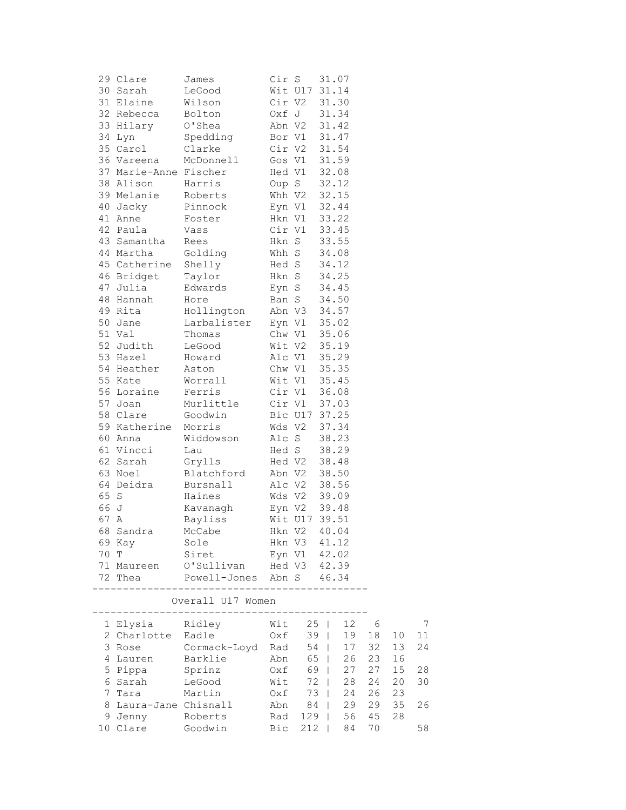| James                                                                                                                                                                                                                                                                                                                                                                                                                                                                                         |                                                                                                                                                                                                                                                                                                                                                                                                                                                                                    |                               | 31.07                                                                                                                                                          |                                                                                                                                                                                                                                                                                                                                                                                                                                                                                                                                                                                                                                                                                                      |                                                                                                                                                                                                                                                                                                                                                                                      |
|-----------------------------------------------------------------------------------------------------------------------------------------------------------------------------------------------------------------------------------------------------------------------------------------------------------------------------------------------------------------------------------------------------------------------------------------------------------------------------------------------|------------------------------------------------------------------------------------------------------------------------------------------------------------------------------------------------------------------------------------------------------------------------------------------------------------------------------------------------------------------------------------------------------------------------------------------------------------------------------------|-------------------------------|----------------------------------------------------------------------------------------------------------------------------------------------------------------|------------------------------------------------------------------------------------------------------------------------------------------------------------------------------------------------------------------------------------------------------------------------------------------------------------------------------------------------------------------------------------------------------------------------------------------------------------------------------------------------------------------------------------------------------------------------------------------------------------------------------------------------------------------------------------------------------|--------------------------------------------------------------------------------------------------------------------------------------------------------------------------------------------------------------------------------------------------------------------------------------------------------------------------------------------------------------------------------------|
| LeGood                                                                                                                                                                                                                                                                                                                                                                                                                                                                                        |                                                                                                                                                                                                                                                                                                                                                                                                                                                                                    |                               |                                                                                                                                                                |                                                                                                                                                                                                                                                                                                                                                                                                                                                                                                                                                                                                                                                                                                      |                                                                                                                                                                                                                                                                                                                                                                                      |
|                                                                                                                                                                                                                                                                                                                                                                                                                                                                                               |                                                                                                                                                                                                                                                                                                                                                                                                                                                                                    |                               |                                                                                                                                                                |                                                                                                                                                                                                                                                                                                                                                                                                                                                                                                                                                                                                                                                                                                      |                                                                                                                                                                                                                                                                                                                                                                                      |
|                                                                                                                                                                                                                                                                                                                                                                                                                                                                                               |                                                                                                                                                                                                                                                                                                                                                                                                                                                                                    |                               |                                                                                                                                                                |                                                                                                                                                                                                                                                                                                                                                                                                                                                                                                                                                                                                                                                                                                      |                                                                                                                                                                                                                                                                                                                                                                                      |
|                                                                                                                                                                                                                                                                                                                                                                                                                                                                                               |                                                                                                                                                                                                                                                                                                                                                                                                                                                                                    |                               |                                                                                                                                                                |                                                                                                                                                                                                                                                                                                                                                                                                                                                                                                                                                                                                                                                                                                      |                                                                                                                                                                                                                                                                                                                                                                                      |
|                                                                                                                                                                                                                                                                                                                                                                                                                                                                                               |                                                                                                                                                                                                                                                                                                                                                                                                                                                                                    |                               |                                                                                                                                                                |                                                                                                                                                                                                                                                                                                                                                                                                                                                                                                                                                                                                                                                                                                      |                                                                                                                                                                                                                                                                                                                                                                                      |
|                                                                                                                                                                                                                                                                                                                                                                                                                                                                                               |                                                                                                                                                                                                                                                                                                                                                                                                                                                                                    |                               |                                                                                                                                                                |                                                                                                                                                                                                                                                                                                                                                                                                                                                                                                                                                                                                                                                                                                      |                                                                                                                                                                                                                                                                                                                                                                                      |
|                                                                                                                                                                                                                                                                                                                                                                                                                                                                                               |                                                                                                                                                                                                                                                                                                                                                                                                                                                                                    |                               |                                                                                                                                                                |                                                                                                                                                                                                                                                                                                                                                                                                                                                                                                                                                                                                                                                                                                      |                                                                                                                                                                                                                                                                                                                                                                                      |
|                                                                                                                                                                                                                                                                                                                                                                                                                                                                                               |                                                                                                                                                                                                                                                                                                                                                                                                                                                                                    |                               |                                                                                                                                                                |                                                                                                                                                                                                                                                                                                                                                                                                                                                                                                                                                                                                                                                                                                      |                                                                                                                                                                                                                                                                                                                                                                                      |
|                                                                                                                                                                                                                                                                                                                                                                                                                                                                                               |                                                                                                                                                                                                                                                                                                                                                                                                                                                                                    |                               |                                                                                                                                                                |                                                                                                                                                                                                                                                                                                                                                                                                                                                                                                                                                                                                                                                                                                      |                                                                                                                                                                                                                                                                                                                                                                                      |
|                                                                                                                                                                                                                                                                                                                                                                                                                                                                                               |                                                                                                                                                                                                                                                                                                                                                                                                                                                                                    |                               |                                                                                                                                                                |                                                                                                                                                                                                                                                                                                                                                                                                                                                                                                                                                                                                                                                                                                      |                                                                                                                                                                                                                                                                                                                                                                                      |
|                                                                                                                                                                                                                                                                                                                                                                                                                                                                                               |                                                                                                                                                                                                                                                                                                                                                                                                                                                                                    |                               |                                                                                                                                                                |                                                                                                                                                                                                                                                                                                                                                                                                                                                                                                                                                                                                                                                                                                      |                                                                                                                                                                                                                                                                                                                                                                                      |
|                                                                                                                                                                                                                                                                                                                                                                                                                                                                                               |                                                                                                                                                                                                                                                                                                                                                                                                                                                                                    |                               |                                                                                                                                                                |                                                                                                                                                                                                                                                                                                                                                                                                                                                                                                                                                                                                                                                                                                      |                                                                                                                                                                                                                                                                                                                                                                                      |
|                                                                                                                                                                                                                                                                                                                                                                                                                                                                                               |                                                                                                                                                                                                                                                                                                                                                                                                                                                                                    |                               |                                                                                                                                                                |                                                                                                                                                                                                                                                                                                                                                                                                                                                                                                                                                                                                                                                                                                      |                                                                                                                                                                                                                                                                                                                                                                                      |
|                                                                                                                                                                                                                                                                                                                                                                                                                                                                                               |                                                                                                                                                                                                                                                                                                                                                                                                                                                                                    |                               |                                                                                                                                                                |                                                                                                                                                                                                                                                                                                                                                                                                                                                                                                                                                                                                                                                                                                      |                                                                                                                                                                                                                                                                                                                                                                                      |
|                                                                                                                                                                                                                                                                                                                                                                                                                                                                                               |                                                                                                                                                                                                                                                                                                                                                                                                                                                                                    |                               |                                                                                                                                                                |                                                                                                                                                                                                                                                                                                                                                                                                                                                                                                                                                                                                                                                                                                      |                                                                                                                                                                                                                                                                                                                                                                                      |
|                                                                                                                                                                                                                                                                                                                                                                                                                                                                                               |                                                                                                                                                                                                                                                                                                                                                                                                                                                                                    |                               |                                                                                                                                                                |                                                                                                                                                                                                                                                                                                                                                                                                                                                                                                                                                                                                                                                                                                      |                                                                                                                                                                                                                                                                                                                                                                                      |
|                                                                                                                                                                                                                                                                                                                                                                                                                                                                                               |                                                                                                                                                                                                                                                                                                                                                                                                                                                                                    |                               |                                                                                                                                                                |                                                                                                                                                                                                                                                                                                                                                                                                                                                                                                                                                                                                                                                                                                      |                                                                                                                                                                                                                                                                                                                                                                                      |
|                                                                                                                                                                                                                                                                                                                                                                                                                                                                                               |                                                                                                                                                                                                                                                                                                                                                                                                                                                                                    |                               |                                                                                                                                                                |                                                                                                                                                                                                                                                                                                                                                                                                                                                                                                                                                                                                                                                                                                      |                                                                                                                                                                                                                                                                                                                                                                                      |
|                                                                                                                                                                                                                                                                                                                                                                                                                                                                                               |                                                                                                                                                                                                                                                                                                                                                                                                                                                                                    |                               |                                                                                                                                                                |                                                                                                                                                                                                                                                                                                                                                                                                                                                                                                                                                                                                                                                                                                      |                                                                                                                                                                                                                                                                                                                                                                                      |
|                                                                                                                                                                                                                                                                                                                                                                                                                                                                                               |                                                                                                                                                                                                                                                                                                                                                                                                                                                                                    |                               |                                                                                                                                                                |                                                                                                                                                                                                                                                                                                                                                                                                                                                                                                                                                                                                                                                                                                      |                                                                                                                                                                                                                                                                                                                                                                                      |
|                                                                                                                                                                                                                                                                                                                                                                                                                                                                                               |                                                                                                                                                                                                                                                                                                                                                                                                                                                                                    |                               |                                                                                                                                                                |                                                                                                                                                                                                                                                                                                                                                                                                                                                                                                                                                                                                                                                                                                      |                                                                                                                                                                                                                                                                                                                                                                                      |
|                                                                                                                                                                                                                                                                                                                                                                                                                                                                                               |                                                                                                                                                                                                                                                                                                                                                                                                                                                                                    |                               |                                                                                                                                                                |                                                                                                                                                                                                                                                                                                                                                                                                                                                                                                                                                                                                                                                                                                      |                                                                                                                                                                                                                                                                                                                                                                                      |
|                                                                                                                                                                                                                                                                                                                                                                                                                                                                                               |                                                                                                                                                                                                                                                                                                                                                                                                                                                                                    |                               |                                                                                                                                                                |                                                                                                                                                                                                                                                                                                                                                                                                                                                                                                                                                                                                                                                                                                      |                                                                                                                                                                                                                                                                                                                                                                                      |
|                                                                                                                                                                                                                                                                                                                                                                                                                                                                                               |                                                                                                                                                                                                                                                                                                                                                                                                                                                                                    |                               |                                                                                                                                                                |                                                                                                                                                                                                                                                                                                                                                                                                                                                                                                                                                                                                                                                                                                      |                                                                                                                                                                                                                                                                                                                                                                                      |
|                                                                                                                                                                                                                                                                                                                                                                                                                                                                                               |                                                                                                                                                                                                                                                                                                                                                                                                                                                                                    |                               |                                                                                                                                                                |                                                                                                                                                                                                                                                                                                                                                                                                                                                                                                                                                                                                                                                                                                      |                                                                                                                                                                                                                                                                                                                                                                                      |
|                                                                                                                                                                                                                                                                                                                                                                                                                                                                                               |                                                                                                                                                                                                                                                                                                                                                                                                                                                                                    |                               |                                                                                                                                                                |                                                                                                                                                                                                                                                                                                                                                                                                                                                                                                                                                                                                                                                                                                      |                                                                                                                                                                                                                                                                                                                                                                                      |
|                                                                                                                                                                                                                                                                                                                                                                                                                                                                                               |                                                                                                                                                                                                                                                                                                                                                                                                                                                                                    |                               |                                                                                                                                                                |                                                                                                                                                                                                                                                                                                                                                                                                                                                                                                                                                                                                                                                                                                      |                                                                                                                                                                                                                                                                                                                                                                                      |
|                                                                                                                                                                                                                                                                                                                                                                                                                                                                                               |                                                                                                                                                                                                                                                                                                                                                                                                                                                                                    |                               |                                                                                                                                                                |                                                                                                                                                                                                                                                                                                                                                                                                                                                                                                                                                                                                                                                                                                      |                                                                                                                                                                                                                                                                                                                                                                                      |
|                                                                                                                                                                                                                                                                                                                                                                                                                                                                                               |                                                                                                                                                                                                                                                                                                                                                                                                                                                                                    |                               |                                                                                                                                                                |                                                                                                                                                                                                                                                                                                                                                                                                                                                                                                                                                                                                                                                                                                      |                                                                                                                                                                                                                                                                                                                                                                                      |
|                                                                                                                                                                                                                                                                                                                                                                                                                                                                                               |                                                                                                                                                                                                                                                                                                                                                                                                                                                                                    |                               |                                                                                                                                                                |                                                                                                                                                                                                                                                                                                                                                                                                                                                                                                                                                                                                                                                                                                      |                                                                                                                                                                                                                                                                                                                                                                                      |
|                                                                                                                                                                                                                                                                                                                                                                                                                                                                                               |                                                                                                                                                                                                                                                                                                                                                                                                                                                                                    |                               |                                                                                                                                                                |                                                                                                                                                                                                                                                                                                                                                                                                                                                                                                                                                                                                                                                                                                      |                                                                                                                                                                                                                                                                                                                                                                                      |
|                                                                                                                                                                                                                                                                                                                                                                                                                                                                                               |                                                                                                                                                                                                                                                                                                                                                                                                                                                                                    |                               |                                                                                                                                                                |                                                                                                                                                                                                                                                                                                                                                                                                                                                                                                                                                                                                                                                                                                      |                                                                                                                                                                                                                                                                                                                                                                                      |
|                                                                                                                                                                                                                                                                                                                                                                                                                                                                                               |                                                                                                                                                                                                                                                                                                                                                                                                                                                                                    |                               |                                                                                                                                                                |                                                                                                                                                                                                                                                                                                                                                                                                                                                                                                                                                                                                                                                                                                      |                                                                                                                                                                                                                                                                                                                                                                                      |
|                                                                                                                                                                                                                                                                                                                                                                                                                                                                                               |                                                                                                                                                                                                                                                                                                                                                                                                                                                                                    |                               |                                                                                                                                                                |                                                                                                                                                                                                                                                                                                                                                                                                                                                                                                                                                                                                                                                                                                      |                                                                                                                                                                                                                                                                                                                                                                                      |
|                                                                                                                                                                                                                                                                                                                                                                                                                                                                                               |                                                                                                                                                                                                                                                                                                                                                                                                                                                                                    |                               |                                                                                                                                                                |                                                                                                                                                                                                                                                                                                                                                                                                                                                                                                                                                                                                                                                                                                      |                                                                                                                                                                                                                                                                                                                                                                                      |
|                                                                                                                                                                                                                                                                                                                                                                                                                                                                                               |                                                                                                                                                                                                                                                                                                                                                                                                                                                                                    |                               |                                                                                                                                                                |                                                                                                                                                                                                                                                                                                                                                                                                                                                                                                                                                                                                                                                                                                      |                                                                                                                                                                                                                                                                                                                                                                                      |
|                                                                                                                                                                                                                                                                                                                                                                                                                                                                                               |                                                                                                                                                                                                                                                                                                                                                                                                                                                                                    |                               |                                                                                                                                                                |                                                                                                                                                                                                                                                                                                                                                                                                                                                                                                                                                                                                                                                                                                      |                                                                                                                                                                                                                                                                                                                                                                                      |
|                                                                                                                                                                                                                                                                                                                                                                                                                                                                                               |                                                                                                                                                                                                                                                                                                                                                                                                                                                                                    |                               |                                                                                                                                                                |                                                                                                                                                                                                                                                                                                                                                                                                                                                                                                                                                                                                                                                                                                      |                                                                                                                                                                                                                                                                                                                                                                                      |
|                                                                                                                                                                                                                                                                                                                                                                                                                                                                                               |                                                                                                                                                                                                                                                                                                                                                                                                                                                                                    |                               |                                                                                                                                                                |                                                                                                                                                                                                                                                                                                                                                                                                                                                                                                                                                                                                                                                                                                      |                                                                                                                                                                                                                                                                                                                                                                                      |
|                                                                                                                                                                                                                                                                                                                                                                                                                                                                                               |                                                                                                                                                                                                                                                                                                                                                                                                                                                                                    |                               |                                                                                                                                                                |                                                                                                                                                                                                                                                                                                                                                                                                                                                                                                                                                                                                                                                                                                      |                                                                                                                                                                                                                                                                                                                                                                                      |
| Sole                                                                                                                                                                                                                                                                                                                                                                                                                                                                                          |                                                                                                                                                                                                                                                                                                                                                                                                                                                                                    |                               |                                                                                                                                                                |                                                                                                                                                                                                                                                                                                                                                                                                                                                                                                                                                                                                                                                                                                      |                                                                                                                                                                                                                                                                                                                                                                                      |
|                                                                                                                                                                                                                                                                                                                                                                                                                                                                                               |                                                                                                                                                                                                                                                                                                                                                                                                                                                                                    |                               |                                                                                                                                                                |                                                                                                                                                                                                                                                                                                                                                                                                                                                                                                                                                                                                                                                                                                      |                                                                                                                                                                                                                                                                                                                                                                                      |
|                                                                                                                                                                                                                                                                                                                                                                                                                                                                                               |                                                                                                                                                                                                                                                                                                                                                                                                                                                                                    |                               |                                                                                                                                                                |                                                                                                                                                                                                                                                                                                                                                                                                                                                                                                                                                                                                                                                                                                      |                                                                                                                                                                                                                                                                                                                                                                                      |
|                                                                                                                                                                                                                                                                                                                                                                                                                                                                                               |                                                                                                                                                                                                                                                                                                                                                                                                                                                                                    |                               |                                                                                                                                                                |                                                                                                                                                                                                                                                                                                                                                                                                                                                                                                                                                                                                                                                                                                      |                                                                                                                                                                                                                                                                                                                                                                                      |
|                                                                                                                                                                                                                                                                                                                                                                                                                                                                                               |                                                                                                                                                                                                                                                                                                                                                                                                                                                                                    |                               |                                                                                                                                                                |                                                                                                                                                                                                                                                                                                                                                                                                                                                                                                                                                                                                                                                                                                      |                                                                                                                                                                                                                                                                                                                                                                                      |
|                                                                                                                                                                                                                                                                                                                                                                                                                                                                                               |                                                                                                                                                                                                                                                                                                                                                                                                                                                                                    |                               |                                                                                                                                                                |                                                                                                                                                                                                                                                                                                                                                                                                                                                                                                                                                                                                                                                                                                      |                                                                                                                                                                                                                                                                                                                                                                                      |
|                                                                                                                                                                                                                                                                                                                                                                                                                                                                                               |                                                                                                                                                                                                                                                                                                                                                                                                                                                                                    |                               |                                                                                                                                                                |                                                                                                                                                                                                                                                                                                                                                                                                                                                                                                                                                                                                                                                                                                      |                                                                                                                                                                                                                                                                                                                                                                                      |
| 29 Clare<br>30 Sarah<br>31 Elaine<br>32 Rebecca<br>33 Hilary<br>34 Lyn<br>35 Carol<br>36 Vareena<br>38 Alison<br>39 Melanie<br>40 Jacky<br>41 Anne<br>42 Paula<br>43 Samantha<br>44 Martha<br>46 Bridget<br>47 Julia<br>48 Hannah<br>49 Rita<br>50 Jane<br>51 Val<br>52 Judith<br>53 Hazel<br>54 Heather<br>55 Kate<br>56 Loraine<br>57 Joan<br>58 Clare<br>60 Anna<br>61 Vincci<br>62 Sarah<br>63 Noel<br>64 Deidra<br>$\mathbf S$<br>66 J<br>67 A<br>68 Sandra<br>69 Kay<br>70 T<br>72 Thea | Wilson<br>Bolton<br>O'Shea<br>Spedding<br>Clarke<br>McDonnell<br>37 Marie-Anne Fischer<br>Harris<br>Roberts<br>Pinnock<br>Foster<br>Vass<br>Rees<br>Golding<br>45 Catherine<br>Shelly<br>Taylor<br>Edwards<br>Hore<br>Hollington<br>Thomas<br>LeGood<br>Howard<br>Aston<br>Worrall<br>Ferris<br>Murlittle<br>Goodwin<br>59 Katherine<br>Morris<br>Widdowson<br>Lau<br>Grylls<br>Blatchford<br>Bursnall<br>Haines<br>Kavanagh<br>Bayliss<br>McCabe<br>Siret<br>--------<br>-------- | ________<br>Overall U17 Women | Cir S<br>Cir V2<br>Oxf J<br>Bor V1<br>Cir V2<br>Gos V1<br>Hed V1<br>Oup S<br>Hed S<br>Hkn S<br>Eyn S<br>Ban S<br>Wds V2<br>Alc S<br>Abn V2<br>Alc V2<br>Wds V2 | Wit U17 31.14<br>31.30<br>31.34<br>Abn V2<br>31.42<br>31.47<br>31.54<br>31.59<br>32.08<br>32.12<br>$Whh$ $V2$<br>32.15<br>Eyn V1<br>32.44<br>Hkn V1<br>33.22<br>Cir V1<br>33.45<br>Hkn S<br>33.55<br>Whh S<br>34.08<br>34.12<br>34.25<br>34.45<br>34.50<br>Abn V3<br>34.57<br>Larbalister Eyn V1<br>35.02<br>Chw V1<br>35.06<br>Wit V2 35.19<br>Alc V1 35.29<br>35.35<br>Chw V1<br>Wit V1<br>35.45<br>Cir V1<br>36.08<br>Cir V1<br>37.03<br>Bic U17 37.25<br>37.34<br>38.23<br>38.29<br>Hed S<br>Hed V2<br>38.48<br>38.50<br>38.56<br>39.09<br>Eyn V2<br>39.48<br>Wit U17 39.51<br>Hkn V2<br>40.04<br>Hkn V3 41.12<br>Eyn V1 42.02<br>71 Maureen O'Sullivan Hed V3 42.39<br>Powell-Jones Abn S 46.34 | $\overline{1}$ $\overline{1}$ $\overline{1}$ $\overline{1}$ $\overline{1}$ $\overline{1}$ $\overline{1}$ $\overline{1}$ $\overline{1}$ $\overline{1}$ $\overline{1}$ $\overline{1}$ $\overline{1}$ $\overline{1}$ $\overline{1}$ $\overline{1}$ $\overline{1}$ $\overline{1}$ $\overline{1}$ $\overline{1}$ $\overline{1}$ $\overline{1}$ $\overline{1}$ $\overline{1}$ $\overline{$ |

|   | 1 Elysia     | Ridley       | Wit | 25  | 12 | 6  |    |    |
|---|--------------|--------------|-----|-----|----|----|----|----|
|   | 2 Charlotte  | Eadle        | Oxf | 39  | 19 | 18 | 10 | 11 |
|   | 3 Rose       | Cormack-Loyd | Rad | 54  | 17 | 32 | 13 | 24 |
|   | 4 Lauren     | Barklie      | Abn | 65  | 26 | 23 | 16 |    |
|   | 5 Pippa      | Sprinz       | Oxf | 69  | 27 | 27 | 15 | 28 |
|   | 6 Sarah      | LeGood       | Wit | 72  | 28 | 24 | 20 | 30 |
|   | Tara         | Martin       | Oxf | 73  | 24 | 26 | 23 |    |
|   | 8 Laura-Jane | Chisnall     | Abn | 84  | 29 | 29 | 35 | 26 |
| 9 | Jenny        | Roberts      | Rad | 129 | 56 | 45 | 28 |    |
|   | Clare        | Goodwin      | Bic | 212 | 84 | 70 |    | 58 |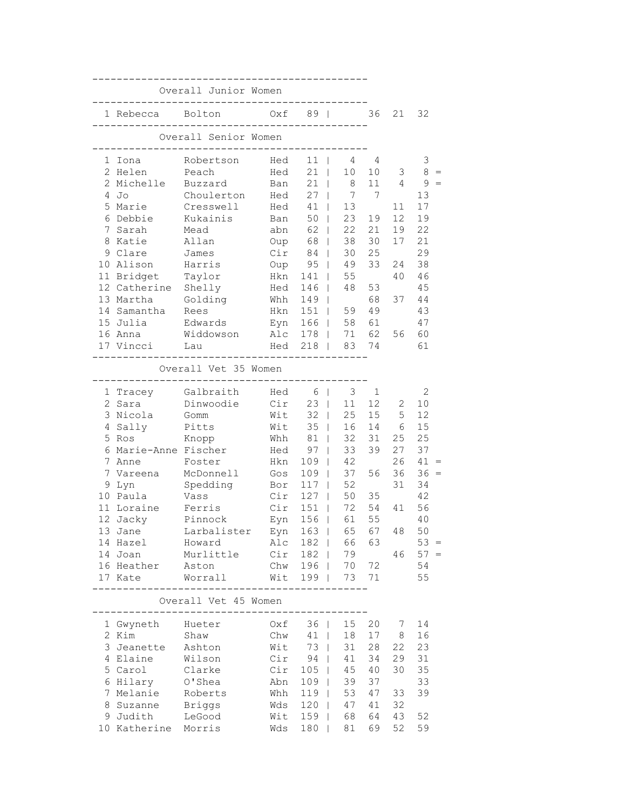|                                                                                                                                                                                                        | Overall Junior Women                                                                                                                                                      |                                                             |                                                                                                                                               |                                                                                                                                                                                                                                                       |                                                                    |                                                                |                                                                                                               |
|--------------------------------------------------------------------------------------------------------------------------------------------------------------------------------------------------------|---------------------------------------------------------------------------------------------------------------------------------------------------------------------------|-------------------------------------------------------------|-----------------------------------------------------------------------------------------------------------------------------------------------|-------------------------------------------------------------------------------------------------------------------------------------------------------------------------------------------------------------------------------------------------------|--------------------------------------------------------------------|----------------------------------------------------------------|---------------------------------------------------------------------------------------------------------------|
| 1 Rebecca Bolton                                                                                                                                                                                       |                                                                                                                                                                           | $Oxf = 89$                                                  |                                                                                                                                               |                                                                                                                                                                                                                                                       | 36                                                                 | 21                                                             | 32                                                                                                            |
|                                                                                                                                                                                                        | Overall Senior Women                                                                                                                                                      |                                                             |                                                                                                                                               |                                                                                                                                                                                                                                                       |                                                                    |                                                                |                                                                                                               |
| 1 Iona<br>2 Helen<br>2 Michelle<br>$4$ Jo<br>5 Marie                                                                                                                                                   | Robertson<br>Peach<br>Buzzard<br>Choulerton<br>Cresswell                                                                                                                  | Hed<br>Hed<br>Ban<br>Hed<br>Hed                             | $11$  <br>21<br>21<br>$27 \mid$<br>41                                                                                                         | 4<br>10<br>$\sim$<br>8 <sup>8</sup><br>7 7<br>13 <sup>°</sup>                                                                                                                                                                                         | 4<br>10<br>11                                                      | 3<br>4<br>11                                                   | 3<br>$\,8\,$<br>9<br>13<br>17                                                                                 |
| 6 Debbie<br>7 Sarah<br>8 Katie<br>9 Clare<br>10 Alison<br>11 Bridget                                                                                                                                   | Kukainis<br>Mead<br>Allan<br>James<br>Harris<br>Taylor                                                                                                                    | Ban<br>abn<br>Oup<br>Cir<br>Oup<br>Hkn                      | 50<br>62<br>68<br>84<br>95<br>141                                                                                                             | 23<br>$\mathbb{R}^n$<br>22<br>$\mathbb{R}^n$<br>38<br>$\mathbb{R}$<br>30<br>$\mathbb{R}$<br>49<br>$\mathbb{R}$<br>55<br>$\mathbb{R}$                                                                                                                  | 19<br>21<br>30<br>25<br>33                                         | 12<br>19<br>17<br>24<br>40                                     | 19<br>22<br>21<br>29<br>38<br>46                                                                              |
| 12 Catherine Shelly<br>13 Martha<br>14 Samantha<br>15 Julia<br>16 Anna<br>17 Vincci                                                                                                                    | Golding<br>Rees<br>Edwards<br>Widdowson<br>Lau                                                                                                                            | Hed                                                         | 146<br>Whh 149<br>Hkn 151  <br>Eyn 166  <br>Alc 178  <br>Hed 218                                                                              | 48<br>$\mathbb{R}$<br>$\mathbf{L}$<br>59<br>58<br>71<br>83 74                                                                                                                                                                                         | 53<br>68<br>49<br>61<br>62                                         | 37<br>56                                                       | 45<br>44<br>43<br>47<br>60<br>61                                                                              |
|                                                                                                                                                                                                        | Overall Vet 35 Women                                                                                                                                                      |                                                             |                                                                                                                                               |                                                                                                                                                                                                                                                       |                                                                    |                                                                |                                                                                                               |
| 2 Sara<br>3 Nicola<br>4 Sally<br>5 Ros<br>6 Marie-Anne Fischer<br>7 Anne<br>7 Vareena<br>9 Lyn<br>10 Paula<br>11 Loraine<br>12 Jacky<br>13 Jane<br>14 Hazel Howard<br>14 Joan<br>16 Heather<br>17 Kate | 1 Tracey Galbraith<br>Dinwoodie<br>Gomm<br>Pitts<br>Knopp<br>Foster<br>McDonnell<br>Spedding<br>Vass<br>Ferris<br>Pinnock<br>Larbalister<br>Murlittle<br>Aston<br>Worrall | Hed<br>Cir<br>Wit<br>Wit<br>Hed<br>Hkn<br>Gos<br>Bor<br>Cir | 6  <br>$23 \mid$<br>32<br>35<br>Whh 81<br>97<br>109<br>109<br>$117$  <br>127  <br>$Cir$ 151<br>Eyn 156  <br>Alc 182  <br>Cir 182  <br>Wit 199 | 3<br>11<br>25<br>$\mathbb{R}$<br>16<br>$\mathbb{R}^n$<br>32<br>$\sim 10^{-11}$<br>33<br>$\mathbb{R}^n$<br>42<br>$\mathbb{R}$<br>37<br>$\mathbf{1}$<br>52<br>50<br>72<br>$\mathbb{R}$<br>61<br>Eyn 163   65 67<br>66<br>79<br>Chw 196   70 72<br>73 71 | $\mathbf{1}$<br>12<br>15<br>31<br>39<br>56<br>35<br>54<br>55<br>63 | 2<br>5<br>14 6<br>25<br>27<br>26<br>36<br>31<br>41<br>48<br>46 | 2<br>10<br>12<br>15<br>25<br>37<br>41<br>$36 =$<br>34<br>42<br>56<br>40<br>50<br>$53 =$<br>$57 =$<br>54<br>55 |
|                                                                                                                                                                                                        | Overall Vet 45 Women<br>--------------------                                                                                                                              |                                                             |                                                                                                                                               |                                                                                                                                                                                                                                                       |                                                                    |                                                                |                                                                                                               |
| 1 Gwyneth Hueter<br>2 Kim<br>3 Jeanette<br>4 Elaine<br>5 Carol<br>6 Hilary<br>7 Melanie<br>8 Suzanne<br>9 Judith<br>10 Katherine Morris                                                                | Shaw<br>Ashton<br>Wilson<br>Clarke<br>O'Shea<br>Roberts<br>Briggs<br>LeGood                                                                                               | Oxf<br>Chw<br>Wit<br>Abn<br>Whh<br>Wds<br>Wit<br>Wds        | 36  <br>$41$  <br>73<br>$Cir$ 94<br>$Cir$ 105  <br>109  <br>$119$  <br>$120$  <br>159  <br>180                                                | 15<br>18<br>31<br>$\mathbb{R}$<br>41<br>$\mathbf{L}$<br>45<br>39<br>53<br>47<br>68<br>81<br>$\sim 10^{-1}$                                                                                                                                            | 20<br>17<br>28<br>34<br>40<br>37<br>47<br>41<br>64<br>69           | 7<br>8<br>22<br>29<br>30<br>33<br>32<br>43<br>52               | 14<br>16<br>23<br>31<br>35<br>33<br>39<br>52<br>59                                                            |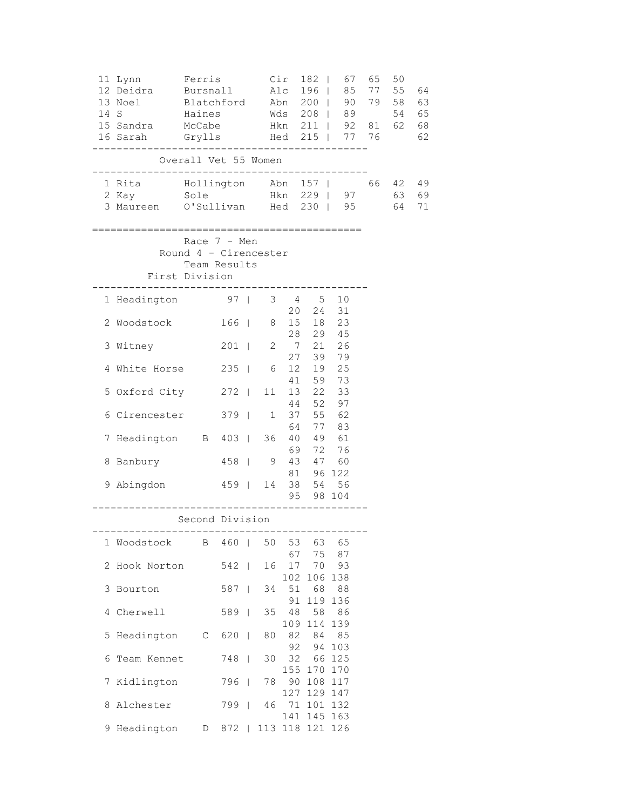|   | 11 Lynn<br>12 Deidra<br>13 Noel<br>14 S<br>15 Sandra McCabe<br>16 Sarah | Ferris<br>Bursnall 196   85 77 55<br>Blatchford Abn 200   90 79 58<br>Haines Mds 208   89 54<br>Grylls Hed 215 |       |              |    |                  | Cir 182                              | 67<br>85<br>90<br>Hkn 211   92 81 62 | 65<br>77 76 | 50                | 64<br>63<br>65<br>68<br>62 |
|---|-------------------------------------------------------------------------|----------------------------------------------------------------------------------------------------------------|-------|--------------|----|------------------|--------------------------------------|--------------------------------------|-------------|-------------------|----------------------------|
|   | ----------------------------------                                      | Overall Vet 55 Women                                                                                           |       |              |    |                  |                                      |                                      |             |                   |                            |
|   |                                                                         |                                                                                                                |       |              |    |                  |                                      |                                      |             | 66 42<br>63<br>64 | -49<br>69<br>71            |
|   |                                                                         | Race 7 - Men<br>Round 4 - Cirencester<br>Team Results<br>First Division                                        |       |              |    |                  |                                      | =============================        |             |                   |                            |
|   | 1 Headington 97   3 4 5 10                                              |                                                                                                                |       |              |    |                  |                                      |                                      |             |                   |                            |
|   | 2 Woodstock                                                             |                                                                                                                | 166   |              |    |                  | 20  24  31<br>8 15 18 23<br>28 29 45 |                                      |             |                   |                            |
|   | 3 Witney                                                                |                                                                                                                | $201$ |              |    |                  | 2 7 21 26                            |                                      |             |                   |                            |
|   | 4 White Horse 235                                                       |                                                                                                                |       |              | 6  |                  | 27 39 79<br>12  19  25               |                                      |             |                   |                            |
|   | 5 Oxford City 272                                                       |                                                                                                                |       |              | 11 |                  | 41 59 73<br>13  22  33               |                                      |             |                   |                            |
|   | 6 Cirencester 379                                                       |                                                                                                                |       |              | 1  |                  | 44 52 97<br>37 55 62<br>64 77 83     |                                      |             |                   |                            |
|   | 7 Headington B 403   36                                                 |                                                                                                                |       |              |    |                  | 40  49  61                           |                                      |             |                   |                            |
|   | 8 Banbury                                                               | 458   9                                                                                                        |       |              |    |                  | 69 72 76<br>43 47 60                 |                                      |             |                   |                            |
|   | 9 Abingdon                                                              | 459   14 38 54 56                                                                                              |       |              |    |                  | 81 96 122<br>95 98 104               |                                      |             |                   |                            |
|   |                                                                         | Second Division                                                                                                |       |              |    |                  |                                      |                                      |             |                   |                            |
|   | 1 Woodstock                                                             | . _ _ _ _ _ _ _ _ _ _ _ _ _ _ _ _ _ _<br>Β                                                                     | $460$ |              | 50 | 53               | -----------<br>63                    | 65                                   |             |                   |                            |
| 2 | Hook Norton                                                             |                                                                                                                | $542$ |              | 16 | 67<br>17         | 75<br>70                             | 87<br>93                             |             |                   |                            |
| 3 | Bourton                                                                 |                                                                                                                | 587   | $\mathbf{I}$ | 34 | 102<br>51        | 106<br>68                            | 138<br>88                            |             |                   |                            |
| 4 | Cherwell                                                                |                                                                                                                | 589   | - 1          | 35 | 91<br>48         | 119<br>58                            | 136<br>86                            |             |                   |                            |
| 5 | Headington                                                              | C                                                                                                              | 620   | $\mathbf{I}$ | 80 | 109<br>82<br>92  | 114<br>84<br>94                      | 139<br>85<br>103                     |             |                   |                            |
| 6 | Team Kennet                                                             |                                                                                                                | 748   | $\mathbf{I}$ | 30 | 32<br>155        | 66<br>170                            | 125<br>170                           |             |                   |                            |
| 7 | Kidlington                                                              |                                                                                                                | 796   | $\Box$       | 78 | 90               | 108                                  | 117                                  |             |                   |                            |
| 8 | Alchester                                                               |                                                                                                                | 799   |              | 46 | 127<br>71<br>141 | 129 147                              | 101 132<br>145 163                   |             |                   |                            |
|   | 9 Headington                                                            | D                                                                                                              | 872   |              |    |                  | 113 118 121                          | 126                                  |             |                   |                            |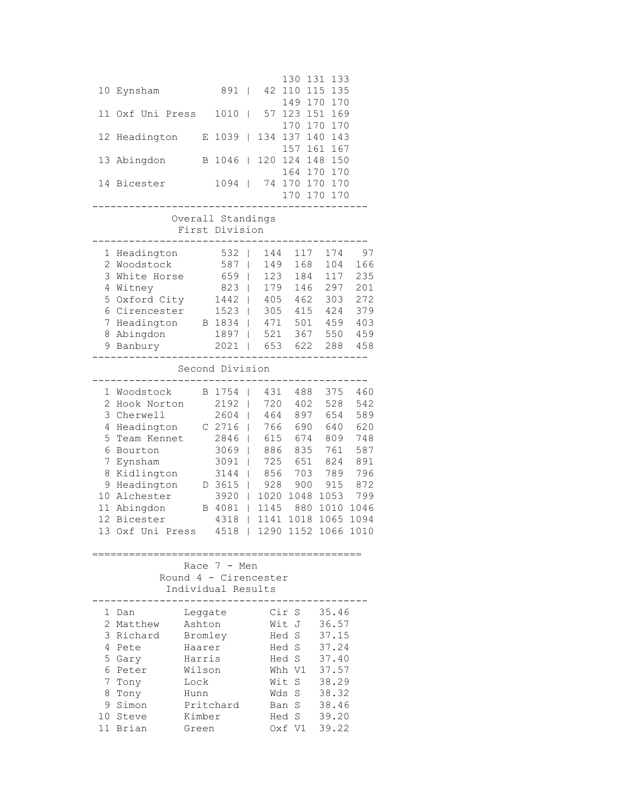|              |                  |         |                       |              |      | 130      | 131<br>133 |      |
|--------------|------------------|---------|-----------------------|--------------|------|----------|------------|------|
| 10           | Eynsham          |         | 891                   | T            | 42   | 110      | 115<br>135 |      |
|              |                  |         |                       |              |      | 149      | 170<br>170 |      |
| 11           | Oxf Uni Press    |         | 1010                  | I            | 57   | 123      | 151<br>169 |      |
|              |                  |         |                       |              |      | 170      | 170<br>170 |      |
| 12           | Headington       | Е       | 1039                  | T            | 134  | 137      | 140<br>143 |      |
|              |                  |         |                       |              |      | 157      | 161<br>167 |      |
| 13           | Abingdon         | Β       | 1046                  | L            | 120  | 124      | 150<br>148 |      |
|              |                  |         |                       |              |      | 164 170  | 170        |      |
|              | 14 Bicester      |         | 1094                  | T            | 74   | 170 170  | 170        |      |
|              |                  |         |                       |              |      | 170 170  | 170        |      |
|              |                  |         |                       |              |      |          |            |      |
|              |                  |         | Overall Standings     |              |      |          |            |      |
|              |                  |         | First Division        |              |      |          |            |      |
|              |                  |         |                       |              |      |          |            |      |
| 1            | Headington       |         | 532                   |              | 144  | 117      | 174        | 97   |
| $\mathbf{2}$ | Woodstock        |         | 587                   | I            | 149  | 168      | 104        | 166  |
| 3            | White Horse      |         | 659                   | I            | 123  | 184      | 117        | 235  |
| 4            | Witney           |         | 823                   | I            | 179  | 146      | 297        | 201  |
| 5            | Oxford City      |         | 1442                  | I            | 405  | 462      | 303        | 272  |
| 6            | Cirencester      |         | 1523                  | I            | 305  | 415      | 424        | 379  |
| 7            | Headington       |         | B 1834                | I            | 471  | 501      | 459        | 403  |
| 8            | Abingdon         |         | 1897                  |              | 521  | 367      | 550        | 459  |
| 9            | Banbury          |         | 2021                  | I            | 653  | 622      | 288        | 458  |
|              |                  |         |                       |              |      |          |            |      |
|              |                  |         | Second Division       |              |      |          |            |      |
|              |                  |         |                       |              |      |          |            |      |
| 1            | Woodstock        |         | B 1754                | I            | 431  | 488      | 375        | 460  |
| $\mathbf{2}$ | Hook Norton      |         | 2192                  | I            | 720  | 402      | 528        | 542  |
| 3            | Cherwell         |         | 2604                  | T            | 464  | 897      | 654        | 589  |
| 4            | Headington       |         | C 2716                |              | 766  | 690      | 640        | 620  |
| 5            | Team Kennet      |         | 2846                  |              | 615  | 674      | 809        | 748  |
| 6            | Bourton          |         | 3069                  |              | 886  | 835      | 761        | 587  |
| 7            | Eynsham          |         | 3091                  | I            | 725  | 651      | 824        | 891  |
| 8            | Kidlington       |         | 3144                  | I            | 856  | 703      | 789        | 796  |
| 9            | Headington       |         | D 3615                | I            | 928  | 900      | 915        | 872  |
| 10           | Alchester        |         | 3920                  | I            | 1020 | 1048     | 1053       | 799  |
| 11           | Abingdon         | B       | 4081                  | T            | 1145 | 880      | 1010       | 1046 |
| 12           | Bicester         |         | 4318                  | T            | 1141 | 1018     | 1065       | 1094 |
|              | 13 Oxf Uni Press |         | 4518                  | $\mathbf{I}$ | 1290 | 1152     | 1066       | 1010 |
|              |                  |         |                       |              |      |          |            |      |
|              |                  |         |                       |              |      |          |            |      |
|              |                  |         | Race $7 - Men$        |              |      |          |            |      |
|              |                  |         | Round 4 - Cirencester |              |      |          |            |      |
|              |                  |         | Individual Results    |              |      |          |            |      |
|              |                  |         |                       |              |      |          |            |      |
| 1            | Dan              | Leggate |                       |              |      | Cir<br>S | 35.46      |      |
| 2            | Matthew          | Ashton  |                       |              |      | Wit<br>J | 36.57      |      |
| 3            | Richard          | Bromley |                       |              |      | S<br>Hed | 37.15      |      |
| 4            | Pete             | Haarer  |                       |              |      | Hed S    | 37.24      |      |
| 5            | Gary             | Harris  |                       |              |      | Hed S    | 37.40      |      |
| 6            | Peter            | Wilson  |                       |              |      | Whh V1   | 37.57      |      |
| 7            | Tony             | Lock    |                       |              |      | S<br>Wit | 38.29      |      |
| 8            | Tony             | Hunn    |                       |              |      | S<br>Wds | 38.32      |      |
| 9            | Simon            |         | Pritchard             |              |      | S<br>Ban | 38.46      |      |
| 10           | Steve            | Kimber  |                       |              |      | S<br>Hed | 39.20      |      |
|              |                  |         |                       |              |      |          |            |      |
|              | 11 Brian         | Green   |                       |              |      | Oxf Vl   | 39.22      |      |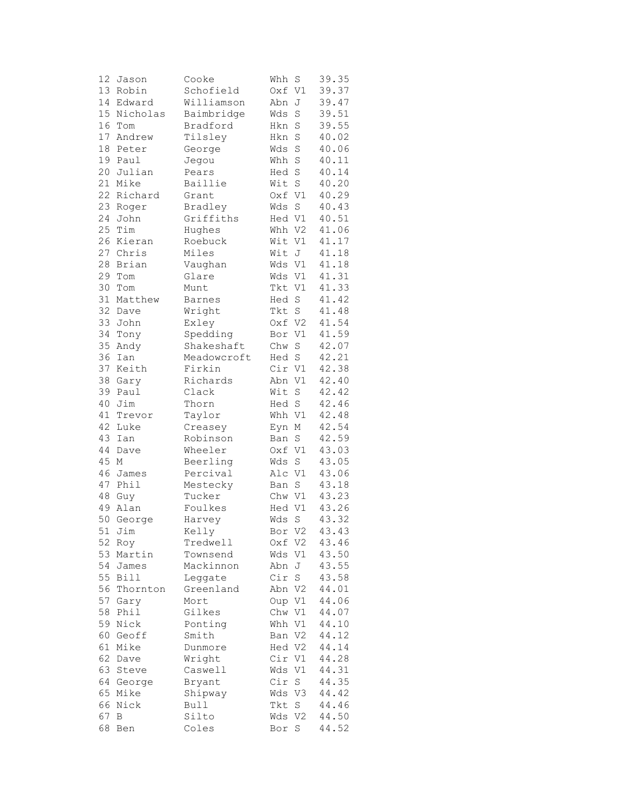| 12              | Jason       | Cooke         | Whh    | S              | 39.35 |
|-----------------|-------------|---------------|--------|----------------|-------|
|                 | 13 Robin    | Schofield     | Oxf    | V1             | 39.37 |
| 14              | Edward      | Williamson    | Abn    | J              | 39.47 |
| 15 <sub>1</sub> | Nicholas    | Baimbridge    | Wds    | S              | 39.51 |
| 16              | Tom         | Bradford      | Hkn    | $\rm S$        | 39.55 |
| 17              | Andrew      | Tilsley       | Hkn    | $\rm S$        | 40.02 |
|                 |             |               |        |                |       |
| 18              | Peter       | George        | Wds    | S              | 40.06 |
| 19              | Paul        | Jegou         | Whh    | $\rm S$        | 40.11 |
| 20              | Julian      | Pears         | Hed    | $\rm S$        | 40.14 |
| 21              | Mike        | Baillie       | Wit    | $\mathbf S$    | 40.20 |
| 22              | Richard     | Grant         | Oxf V1 |                | 40.29 |
| 23              | Roger       | Bradley       | Wds    | $\rm S$        | 40.43 |
| 24              | John        | Griffiths     | Hed V1 |                | 40.51 |
| 25              | Tim         | Hughes        | Whh V2 |                | 41.06 |
| 26              | Kieran      | Roebuck       | Wit    | V1             | 41.17 |
| 27              | Chris       | Miles         | Wit    | J              | 41.18 |
| 28              | Brian       | Vaughan       | Wds V1 |                | 41.18 |
| 29              | Tom         | Glare         | Wds    | V1             | 41.31 |
| 30              | Tom         | Munt          | Tkt V1 |                | 41.33 |
|                 |             |               |        |                |       |
| 31              | Matthew     | <b>Barnes</b> | Hed    | $\mathbf S$    | 41.42 |
| 32              | Dave        | Wright        | Tkt    | S              | 41.48 |
| 33              | John        | Exley         | Oxf    | V <sub>2</sub> | 41.54 |
| 34              | Tony        | Spedding      | Bor    | V1             | 41.59 |
| 35              | Andy        | Shakeshaft    | Chw    | $\rm S$        | 42.07 |
| 36              | Ian         | Meadowcroft   | Hed    | $\rm S$        | 42.21 |
| 37              | Keith       | Firkin        | Cir V1 |                | 42.38 |
| 38              | Gary        | Richards      | Abn    | V1             | 42.40 |
| 39              | Paul        | Clack         | Wit    | $\rm S$        | 42.42 |
| 40              | Jim         | Thorn         | Hed S  |                | 42.46 |
| 41              | Trevor      | Taylor        | Whh V1 |                | 42.48 |
| 42              | Luke        | Creasey       | Eyn    | М              | 42.54 |
| 43              | Ian         | Robinson      | Ban    | $\mathbf S$    | 42.59 |
| 44              | Dave        | Wheeler       | Oxf    | V1             | 43.03 |
| 45              | М           | Beerling      | Wds    | S              | 43.05 |
| 46              | James       | Percival      | Alc V1 |                | 43.06 |
|                 |             |               |        |                | 43.18 |
| 47              | Phil        | Mestecky      | Ban    | S              |       |
| 48              | Guy         | Tucker        | Chw V1 |                | 43.23 |
| 49              | Alan        | Foulkes       | Hed V1 |                | 43.26 |
| 50              | George      | Harvey        | Wds    | $\rm S$        | 43.32 |
|                 | 51 Jim      | Kelly         | Bor V2 |                | 43.43 |
| 52              | Roy         | Tredwell      | Oxf    | V <sub>2</sub> | 43.46 |
| 53              | Martin      | Townsend      | Wds    | V1             | 43.50 |
| 54              | James       | Mackinnon     | Abn    | J              | 43.55 |
| 55              | <b>Bill</b> | Leggate       | Cir    | $\rm S$        | 43.58 |
| 56              | Thornton    | Greenland     | Abn V2 |                | 44.01 |
| 57              | Gary        | Mort          | Oup V1 |                | 44.06 |
| 58              | Phil        | Gilkes        | Chw    | V1             | 44.07 |
| 59              | Nick        | Ponting       | Whh    | V1             | 44.10 |
| 60              | Geoff       | Smith         | Ban    | V2             | 44.12 |
| 61              | Mike        | Dunmore       | Hed V2 |                | 44.14 |
| 62              |             | Wright        | Cir    |                | 44.28 |
|                 | Dave        |               |        | V1             |       |
| 63              | Steve       | Caswell       | Wds    | V1             | 44.31 |
| 64              | George      | Bryant        | Cir    | S              | 44.35 |
| 65              | Mike        | Shipway       | Wds    | V3             | 44.42 |
| 66              | Nick        | Bull          | Tkt    | S              | 44.46 |
| 67              | В           | Silto         | Wds    | V <sub>2</sub> | 44.50 |
| 68              | Ben         | Coles         | Bor S  |                | 44.52 |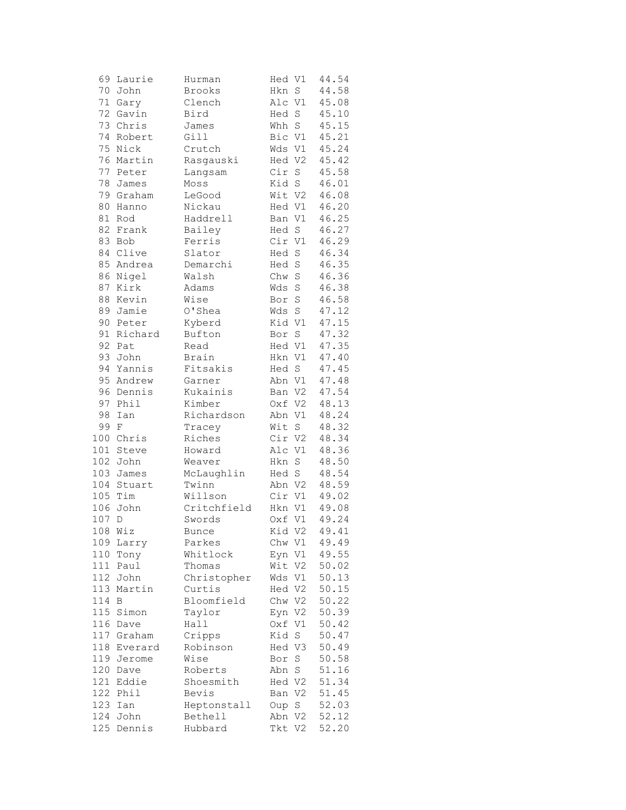| 69     | Laurie  | Hurman      | Hed V1 |                | 44.54 |
|--------|---------|-------------|--------|----------------|-------|
| 70     | John    | Brooks      | Hkn    | $\mathbf S$    | 44.58 |
| $7\,1$ | Gary    | Clench      | Alc V1 |                | 45.08 |
| 72     | Gavin   | Bird        | Hed S  |                | 45.10 |
| 73     | Chris   | James       | Whh S  |                | 45.15 |
| 74     | Robert  | Gill        | Bic V1 |                | 45.21 |
| 75     | Nick    | Crutch      | Wds V1 |                | 45.24 |
| 76     | Martin  | Rasgauski   | Hed V2 |                | 45.42 |
| 77     | Peter   | Langsam     | Cir    | $\mathbf S$    | 45.58 |
| 78     | James   | Moss        | Kid S  |                | 46.01 |
| 79     | Graham  | LeGood      | Wit V2 |                | 46.08 |
| 80     | Hanno   | Nickau      | Hed V1 |                | 46.20 |
| $8\,1$ | Rod     | Haddrell    | Ban V1 |                | 46.25 |
| 82     | Frank   | Bailey      | Hed S  |                | 46.27 |
| 83     | Bob     | Ferris      | Cir V1 |                | 46.29 |
| 84     | Clive   | Slator      | Hed S  |                | 46.34 |
| 85     | Andrea  | Demarchi    | Hed    | $\rm S$        | 46.35 |
| 86     | Nigel   | Walsh       | Chw S  |                | 46.36 |
| 87     | Kirk    | Adams       | Wds    | $\rm S$        | 46.38 |
| 88     | Kevin   | Wise        | Bor    | $\rm S$        | 46.58 |
| 89     |         |             |        |                | 47.12 |
| 90     | Jamie   | O'Shea      | Wds    | $\mathbf S$    |       |
|        | Peter   | Kyberd      | Kid V1 |                | 47.15 |
| 91     | Richard | Bufton      | Bor    | $\mathbf S$    | 47.32 |
| 92     | Pat     | Read        | Hed V1 |                | 47.35 |
| 93     | John    | Brain       | Hkn V1 |                | 47.40 |
| 94     | Yannis  | Fitsakis    | Hed S  |                | 47.45 |
| 95     | Andrew  | Garner      | Abn V1 |                | 47.48 |
| 96     | Dennis  | Kukainis    | Ban V2 |                | 47.54 |
| 97     | Phil    | Kimber      | Oxf V2 |                | 48.13 |
| 98     | Ian     | Richardson  | Abn V1 |                | 48.24 |
| 99     | F       | Tracey      | Wit    | S              | 48.32 |
| 100    | Chris   | Riches      | Cir V2 |                | 48.34 |
| 101    | Steve   | Howard      | Alc V1 |                | 48.36 |
| 102    | John    | Weaver      | Hkn    | $\rm S$        | 48.50 |
| 103    | James   | McLaughlin  | Hed S  |                | 48.54 |
| 104    | Stuart  | Twinn       | Abn V2 |                | 48.59 |
|        | 105 Tim | Willson     | Cir V1 |                | 49.02 |
| 106    | John    | Critchfield | Hkn V1 |                | 49.08 |
| 107    | D       | Swords      | Oxf V1 |                | 49.24 |
| 108    | Wiz     | Bunce       | Kid V2 |                | 49.41 |
| 109    | Larry   | Parkes      | Chw V1 |                | 49.49 |
| 110    | Tony    | Whitlock    | Eyn V1 |                | 49.55 |
| 111    | Paul    | Thomas      | Wit    | V2             | 50.02 |
| 112    | John    | Christopher | Wds V1 |                | 50.13 |
| 113    | Martin  | Curtis      | Hed V2 |                | 50.15 |
| 114    | Β       | Bloomfield  | Chw V2 |                | 50.22 |
| 115    | Simon   | Taylor      | Eyn    | V <sub>2</sub> | 50.39 |
| 116    | Dave    | Hall        | Oxf    | V1             | 50.42 |
| 117    | Graham  | Cripps      | Kid    | $\mathbf S$    | 50.47 |
| 118    | Everard | Robinson    | Hed V3 |                | 50.49 |
| 119    | Jerome  | Wise        | Bor    | S              | 50.58 |
| 120    | Dave    | Roberts     | Abn    | $\mathbf S$    | 51.16 |
| 121    | Eddie   | Shoesmith   | Hed V2 |                | 51.34 |
| 122    | Phil    | Bevis       | Ban V2 |                | 51.45 |
| 123    | Ian     | Heptonstall | Oup    | S              | 52.03 |
| 124    | John    | Bethell     | Abn V2 |                | 52.12 |
| 125    | Dennis  | Hubbard     | Tkt V2 |                | 52.20 |
|        |         |             |        |                |       |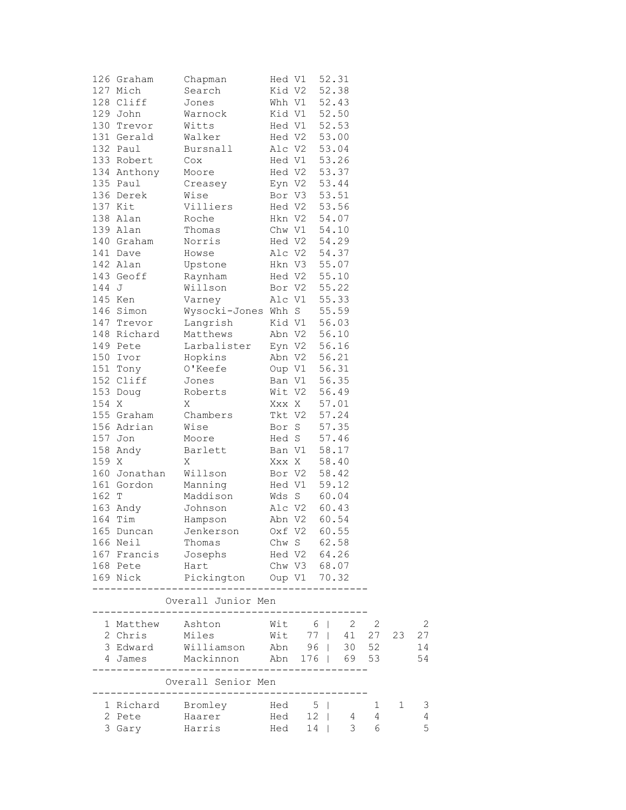|       | 126 Graham            | Chapman                                                             | Hed V1       |              |       | 52.31 |                            |              |    |
|-------|-----------------------|---------------------------------------------------------------------|--------------|--------------|-------|-------|----------------------------|--------------|----|
|       | 127 Mich              | Search                                                              |              | Kid V2       |       | 52.38 |                            |              |    |
|       | 128 Cliff             | Jones                                                               |              | Whh V1       |       | 52.43 |                            |              |    |
|       | 129 John              | Warnock                                                             |              | Kid V1 52.50 |       |       |                            |              |    |
|       | 130 Trevor            | Witts                                                               |              | Hed V1 52.53 |       |       |                            |              |    |
|       | 131 Gerald            | Walker                                                              |              | Hed V2 53.00 |       |       |                            |              |    |
|       | 132 Paul              | Bursnall                                                            |              | Alc V2       |       | 53.04 |                            |              |    |
|       | 133 Robert            | Cox                                                                 |              | Hed V1 53.26 |       |       |                            |              |    |
|       | 134 Anthony           | Moore                                                               |              | Hed V2 53.37 |       |       |                            |              |    |
|       | 135 Paul              | Creasey                                                             |              | Eyn V2 53.44 |       |       |                            |              |    |
|       | 136 Derek             | Wise                                                                |              | Bor V3       |       | 53.51 |                            |              |    |
|       | 137 Kit               | Villiers                                                            |              | Hed V2 53.56 |       |       |                            |              |    |
|       | 138 Alan              | Roche                                                               |              | Hkn V2 54.07 |       |       |                            |              |    |
|       | 139 Alan              | Thomas                                                              |              | Chw V1 54.10 |       |       |                            |              |    |
|       | 140 Graham            | Norris                                                              |              | Hed V2 54.29 |       |       |                            |              |    |
|       | 141 Dave              | Howse                                                               |              | Alc V2       |       | 54.37 |                            |              |    |
|       | 142 Alan              |                                                                     |              | Hkn V3 55.07 |       |       |                            |              |    |
|       |                       | Upstone<br>Raynham                                                  |              |              |       |       |                            |              |    |
|       | 143 Geoff             |                                                                     |              | Hed V2 55.10 |       |       |                            |              |    |
| 144 J |                       | Willson                                                             |              | Bor V2       |       | 55.22 |                            |              |    |
|       | 145 Ken               | Varney                                                              |              | Alc V1       |       | 55.33 |                            |              |    |
|       | 146 Simon             | Wysocki-Jones Whh S                                                 |              |              |       | 55.59 |                            |              |    |
|       | 147 Trevor            | Langrish                                                            |              | Kid V1 56.03 |       |       |                            |              |    |
|       | 148 Richard           | Matthews                                                            |              | Abn V2       |       | 56.10 |                            |              |    |
|       | 149 Pete              | Larbalister                                                         |              | Eyn V2 56.16 |       |       |                            |              |    |
|       | 150 Ivor              | Hopkins                                                             |              | Abn V2       |       | 56.21 |                            |              |    |
|       | 151 Tony              | O'Keefe                                                             |              | Oup V1 56.31 |       |       |                            |              |    |
|       | 152 Cliff             | Jones                                                               |              | Ban V1       |       | 56.35 |                            |              |    |
|       | 153 Doug              | Roberts                                                             |              | Wit V2       |       | 56.49 |                            |              |    |
| 154 X |                       | Χ                                                                   |              | Xxx X        |       | 57.01 |                            |              |    |
|       | 155 Graham            | Chambers                                                            |              | Tkt V2       |       | 57.24 |                            |              |    |
|       | 156 Adrian            | Wise                                                                |              | Bor S        |       | 57.35 |                            |              |    |
|       | 157 Jon               | Moore                                                               |              | Hed S        |       | 57.46 |                            |              |    |
|       | 158 Andy              | Barlett                                                             |              | Ban V1       |       | 58.17 |                            |              |    |
| 159 X |                       | Χ                                                                   | Xxx X        |              |       | 58.40 |                            |              |    |
|       | 160 Jonathan          | Willson                                                             |              | Bor V2       |       | 58.42 |                            |              |    |
|       | 161 Gordon            | Manning                                                             | Hed V1       |              |       | 59.12 |                            |              |    |
| 162 T |                       | Maddison                                                            |              | Wds S        |       | 60.04 |                            |              |    |
|       | 163 Andy              | Johnson                                                             |              | Alc V2       | 60.43 |       |                            |              |    |
|       | 164 Tim               | Hampson                                                             |              | Abn V2       |       | 60.54 |                            |              |    |
|       | 165 Duncan            | Jenkerson                                                           |              | Oxf V2 60.55 |       |       |                            |              |    |
|       | 166 Neil <sub>.</sub> | Thomas                                                              | Chw S 62.58  |              |       |       |                            |              |    |
|       |                       | 167 Francis Josephs Hed V2 64.26                                    |              |              |       |       |                            |              |    |
|       | 168 Pete              | Hart                                                                | Chw V3 68.07 |              |       |       |                            |              |    |
|       | 169 Nick              | Pickington Oup V1 70.32                                             |              |              |       |       |                            |              |    |
|       |                       | -----------------------                                             |              |              |       |       |                            |              |    |
|       |                       | Overall Junior Men                                                  |              |              |       |       |                            |              |    |
|       |                       | ------------------------------                                      |              |              |       |       |                            |              |    |
|       |                       | 1 Matthew Ashton Mit 6   2 2                                        |              |              |       |       |                            |              | 2  |
|       |                       | 2 Chris Miles Mit 77   41 27 23 27                                  |              |              |       |       |                            |              |    |
|       |                       | 3 Edward Williamson Abn 96   30 52                                  |              |              |       |       |                            |              | 14 |
|       |                       | 4 James Mackinnon Abn 176   69 53<br>------------------------------ |              |              |       |       |                            |              | 54 |
|       |                       | Overall Senior Men                                                  |              |              |       |       |                            |              |    |
|       |                       | ____________________________________                                |              |              |       |       |                            |              |    |
|       | 2 Pete                | 1 Richard Bromley Hed 5  <br>Hed 12                                 |              |              |       |       | $\mathbf{1}$<br>$4\quad 4$ | $\mathbf{1}$ | 3  |
|       |                       | Haarer                                                              |              |              |       |       |                            |              | 4  |
|       |                       | 3 Gary Harris Hed 14                                                |              |              |       |       | $3\qquad 6$                |              | 5  |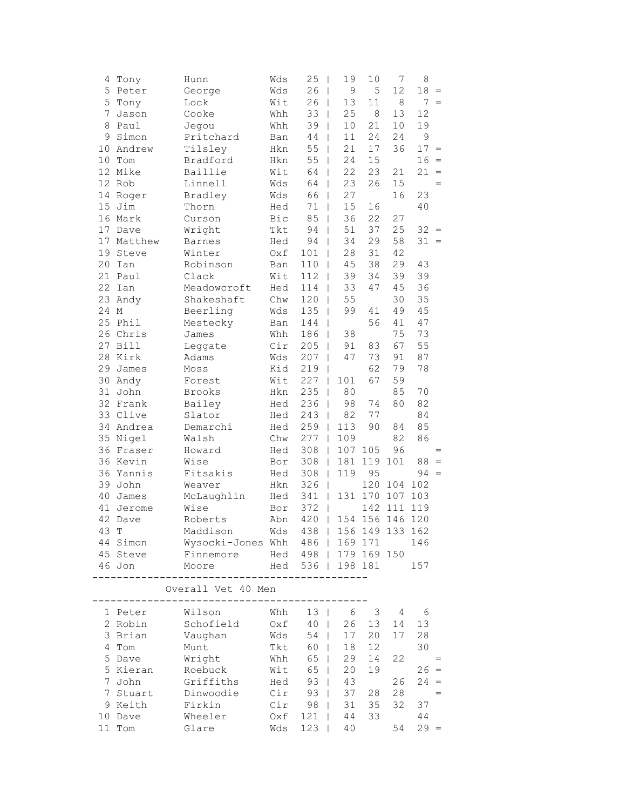| 4  | Tony                      | Hunn                            | Wds        | 25<br>- 1                       | 19            | 10     | 7               | 8          |                                   |
|----|---------------------------|---------------------------------|------------|---------------------------------|---------------|--------|-----------------|------------|-----------------------------------|
| 5  | Peter                     | George                          | Wds        | 26<br>$\overline{\phantom{a}}$  | $\mathcal{G}$ | 5      | 12              | 18         | $\, =$                            |
| 5  | Tony                      | Lock                            | Wit        | 26<br>$\overline{\phantom{a}}$  | 13            | $11\,$ | $\,8\,$         |            | $7 =$                             |
| 7  | Jason                     | Cooke                           | Whh        | 33<br>I                         | 25            | 8      | 13              | 12         |                                   |
| 8  | Paul                      | Jegou                           | Whh        | 39                              | 10            | 21     | 10              | 19         |                                   |
| 9  | Simon                     | Pritchard                       | Ban        | 44                              | 11            | 24     | 24              | 9          |                                   |
| 10 | Andrew                    | Tilsley                         | Hkn        | 55                              | 21            | 17     | 36              | 17         | $\hspace{0.1cm} = \hspace{0.1cm}$ |
| 10 | Tom                       | Bradford                        | Hkn        | 55                              | 24            | 15     |                 | 16         | $\,=\,$                           |
| 12 | Mike                      | Baillie                         | Wit        | 64<br>I                         | 22            | 23     | 21              | 21         | $\hspace{1.6cm} = \hspace{1.6cm}$ |
| 12 | Rob                       | Linnell                         | Wds        | 64<br>$\overline{\phantom{a}}$  | 23            | 26     | 15              |            | $=$                               |
|    | 14 Roger                  | Bradley                         | Wds        | 66<br>$\overline{1}$            | 27            |        | 16              | 23         |                                   |
| 15 | Jim                       | Thorn                           | Hed        | 71<br>I                         | 15            | 16     |                 | 40         |                                   |
|    | 16 Mark                   | Curson                          | Bic        | 85                              | 36            | 22     | 27              |            |                                   |
| 17 | Dave                      | Wright                          | Tkt        | 94                              | 51            | 37     | 25              | 32         | $\hspace{0.1cm} = \hspace{0.1cm}$ |
| 17 | Matthew                   | Barnes                          | Hed        | 94                              | 34            | 29     | 58              | 31         | $=$                               |
| 19 | Steve                     | Winter                          | Oxf        | 101                             | 28            | 31     | 42              |            |                                   |
| 20 | Ian                       | Robinson                        | Ban        | 110                             | 45            | 38     | 29              | 43         |                                   |
| 21 | Paul                      | Clack                           | Wit        | 112<br>I                        | 39            | 34     | 39              | 39         |                                   |
| 22 | Ian                       | Meadowcroft                     | Hed        | 114<br>$\overline{\phantom{a}}$ | 33            | 47     | 45              | 36         |                                   |
| 23 | Andy                      | Shakeshaft                      | Chw        | 120<br>$\overline{\phantom{a}}$ | 55            |        | 30              | 35         |                                   |
| 24 | $\mathop{\rm M}\nolimits$ | Beerling                        | Wds        | 135                             | 99            | 41     | 49              | 45         |                                   |
| 25 | Phil                      | Mestecky                        | Ban        | 144                             |               | 56     | 41              | 47         |                                   |
| 26 | Chris                     | James                           | Whh        | 186                             | 38            |        | 75              | 73         |                                   |
| 27 | <b>Bill</b>               | Leggate                         | Cir        | 205                             | 91            | 83     | 67              | 55         |                                   |
| 28 | Kirk                      | Adams                           | Wds        | 207                             | 47            | 73     | 91              | 87         |                                   |
| 29 | James                     | Moss                            | Kid        | 219                             |               | 62     | 79              | 78         |                                   |
| 30 | Andy                      | Forest                          | Wit        | 227<br>$\overline{1}$           | 101           | 67     | 59              |            |                                   |
| 31 | John                      | Brooks                          | Hkn        | 235<br>$\overline{\phantom{a}}$ | 80            |        | 85              | 70         |                                   |
| 32 | Frank                     | Bailey                          | Hed        | 236<br>$\overline{1}$           | 98            | 74     | 80              | 82         |                                   |
| 33 | Clive                     | Slator                          | Hed        | 243<br>T                        | 82            | 77     |                 | 84         |                                   |
| 34 | Andrea                    | Demarchi                        | Hed        | 259                             | 113           | 90     | 84              | 85         |                                   |
| 35 | Nigel                     | Walsh                           | Chw        | 277                             | 109           |        | 82              | 86         |                                   |
| 36 | Fraser                    | Howard                          | Hed        | 308                             | 107           | 105    | 96              |            | $=$                               |
|    | 36 Kevin                  | Wise                            | Bor        | 308                             | 181           | 119    | 101             | 88         | $\,=\,$                           |
| 36 | Yannis                    | Fitsakis                        | Hed        | 308<br>$\overline{\phantom{a}}$ | 119           | 95     |                 | $94 =$     |                                   |
| 39 | John                      | Weaver                          | Hkn        | 326<br>$\overline{\phantom{a}}$ |               | 120    | 104             | 102        |                                   |
| 40 | James                     | McLaughlin                      | Hed        | 341<br>$\Box$                   | 131           | 170    | 107             | 103        |                                   |
| 41 | Jerome                    | Wise                            | Bor        | 372<br>$\overline{1}$           |               | 142    | 111             | 119        |                                   |
| 42 | Dave                      | Roberts                         | Abn        | 420<br>$\overline{\phantom{a}}$ | 154           | 156    | 146             | 120        |                                   |
| 43 | T                         | Maddison                        | Wds        | 438                             |               |        | 156 149 133 162 |            |                                   |
|    | 44 Simon                  | Wysocki-Jones Whh 486   169 171 |            |                                 |               |        |                 | 146        |                                   |
|    | 45 Steve                  | Finnemore                       |            | Hed 498   179 169 150           |               |        |                 |            |                                   |
|    | 46 Jon                    | Moore                           |            | Hed 536   198 181               |               |        |                 | 157        |                                   |
|    |                           |                                 | ---------- |                                 |               |        |                 |            |                                   |
|    |                           | Overall Vet 40 Men              |            |                                 |               |        |                 |            |                                   |
|    | 1 Peter                   | Wilson                          | Whh        | $13 \mid$                       | - 6           |        | $3 \quad 4$     | 6          |                                   |
|    | 2 Robin                   | Schofield                       | Oxf        | $40$                            | 26            | 13     | 14              | 13         |                                   |
|    | 3 Brian                   | Vaughan                         | Wds        | $54$                            | 17            | 20     | 17              | 28         |                                   |
|    | 4 Tom                     | Munt                            | Tkt        | 60                              | 18            | 12     |                 | 30         |                                   |
|    | 5 Dave                    | Wright                          | Whh        | 65                              | 29            | 14     | 22              |            | $=$                               |
|    | 5 Kieran                  | Roebuck                         | Wit        | 65                              | 20            | 19     |                 | $26 =$     |                                   |
|    | 7 John                    | Griffiths                       | Hed        | $93 \mid$                       | 43            |        | 26              | $24 =$     |                                   |
|    | 7 Stuart                  | Dinwoodie                       | Cir        | 93                              | 37            | 28     | 28              | $\sim$ $=$ |                                   |
|    | 9 Keith                   | Firkin                          | Cir        | 98                              | 31            | 35     | 32              | 37         |                                   |
|    | 10 Dave                   | Wheeler                         | Oxf        | $121$                           | 44            | 33     |                 | 44         |                                   |
|    | 11 Tom                    | Glare                           | Wds        | $123$                           | 40            |        | 54              | $29 =$     |                                   |
|    |                           |                                 |            |                                 |               |        |                 |            |                                   |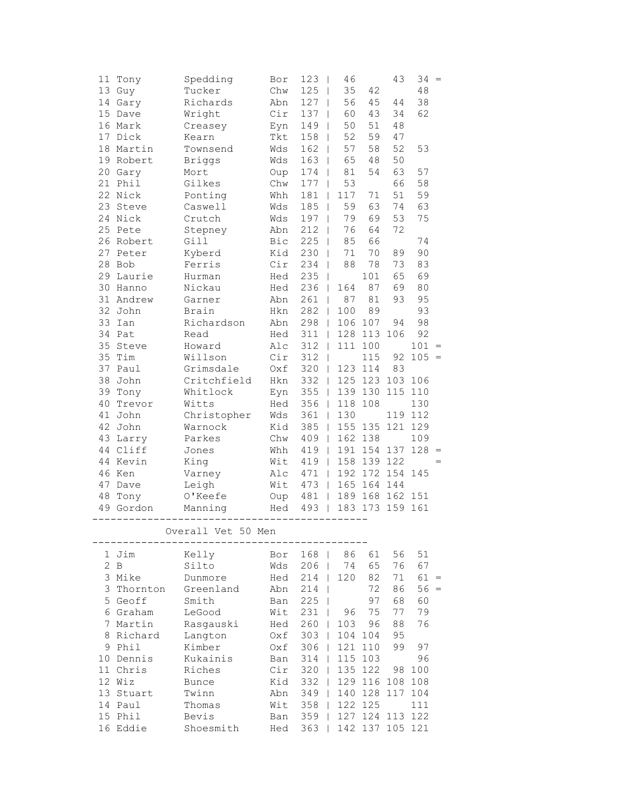| 11 | Tony        | Spedding           | Bor        | 123                             | 46                              |         | 43      | 34     | $=$               |
|----|-------------|--------------------|------------|---------------------------------|---------------------------------|---------|---------|--------|-------------------|
|    | 13 Guy      | Tucker             | Chw        | 125                             | 35<br>$\overline{\phantom{a}}$  | 42      |         | 48     |                   |
| 14 | Gary        | Richards           | Abn        | 127                             | 56<br>T                         | 45      | 44      | 38     |                   |
| 15 | Dave        | Wright             | Cir        | 137                             | 60<br>I                         | 43      | 34      | 62     |                   |
| 16 | Mark        | Creasey            | Eyn        | 149                             | 50                              | 51      | 48      |        |                   |
| 17 | Dick        | Kearn              | <b>Tkt</b> | 158                             | 52                              | 59      | 47      |        |                   |
| 18 | Martin      | Townsend           | Wds        | 162                             | 57                              | 58      | 52      | 53     |                   |
|    | 19 Robert   | <b>Briggs</b>      | Wds        | 163<br>$\overline{\phantom{a}}$ | 65                              | 48      | 50      |        |                   |
| 20 | Gary        | Mort               | Oup        | 174<br>$\overline{\phantom{a}}$ | 81                              | 54      | 63      | 57     |                   |
| 21 | Phil        | Gilkes             | Chw        | 177                             | 53<br>$\overline{\phantom{a}}$  |         | 66      | 58     |                   |
|    | 22 Nick     | Ponting            | Whh        | 181                             | 117<br>$\overline{1}$           | $7\,1$  | 51      | 59     |                   |
| 23 | Steve       | Caswell            | Wds        | 185                             | 59<br>$\overline{1}$            | 63      | 74      | 63     |                   |
| 24 | Nick        | Crutch             | Wds        | 197                             | 79                              | 69      | 53      | 75     |                   |
| 25 | Pete        | Stepney            | Abn        | 212                             | 76                              | 64      | 72      |        |                   |
| 26 | Robert      | Gill               | Bic        | 225                             | 85                              | 66      |         | 74     |                   |
| 27 | Peter       | Kyberd             | Kid        | 230                             | 71                              | 70      | 89      | 90     |                   |
| 28 | Bob         | Ferris             | Cir        | 234                             | 88<br>I                         | 78      | 73      | 83     |                   |
| 29 | Laurie      | Hurman             | Hed        | 235<br>$\overline{\phantom{a}}$ |                                 | 101     | 65      | 69     |                   |
| 30 | Hanno       | Nickau             | Hed        | 236<br>$\overline{\phantom{a}}$ | 164                             | 87      | 69      | 80     |                   |
| 31 | Andrew      | Garner             | Abn        | 261                             | 87<br>$\overline{\phantom{a}}$  | 81      | 93      | 95     |                   |
| 32 | John        | Brain              | Hkn        | 282                             | 100<br>$\mathbf{I}$             | 89      |         | 93     |                   |
| 33 | Ian         | Richardson         | Abn        | 298                             | 106<br>$\overline{\phantom{a}}$ | 107     | 94      | 98     |                   |
| 34 | Pat         | Read               | Hed        | 311                             | 128                             | 113     | 106     | 92     |                   |
| 35 | Steve       | Howard             | Alc        | 312                             | 111                             | 100     |         | 101    | $=$               |
| 35 | Tim         | Willson            | Cir        | 312                             |                                 | 115     | 92      | 105    | $\qquad \qquad =$ |
| 37 | Paul        | Grimsdale          | Oxf        | 320                             | 123<br>$\mathbf{I}$             | 114     | 83      |        |                   |
| 38 | John        | Critchfield        | Hkn        | 332                             | $\overline{\phantom{a}}$        | 125 123 | 103     | 106    |                   |
| 39 | Tony        | Whitlock           | Eyn        | 355<br>$\overline{\phantom{a}}$ |                                 | 139 130 | 115     | 110    |                   |
| 40 | Trevor      | Witts              | Hed        | 356<br>$\mathbf{I}$             | 118                             | 108     |         | 130    |                   |
| 41 | John        | Christopher        | Wds        | 361                             | 130<br>T                        |         | 119     | 112    |                   |
| 42 | John        | Warnock            | Kid        | 385                             | 155<br>T                        | 135     | 121     | 129    |                   |
| 43 | Larry       | Parkes             | Chw        | 409                             | 162                             | 138     |         | 109    |                   |
| 44 | Cliff       | Jones              | Whh        | 419                             | 191                             | 154     | 137     | 128    | $\equiv$          |
| 44 | Kevin       | King               | Wit        | 419<br>$\mathbf{I}$             | 158                             | 139     | 122     |        | $=$               |
| 46 | Ken         | Varney             | Alc        | 471                             | $\mathbf{I}$                    | 192 172 | 154     | 145    |                   |
| 47 | Dave        | Leigh              | Wit        | 473<br>$\overline{\phantom{a}}$ | 165                             | 164     | 144     |        |                   |
| 48 | Tony        | O'Keefe            | Oup        | 481                             | $\overline{\phantom{a}}$        | 189 168 | 162     | 151    |                   |
|    | 49 Gordon   | Manning            | Hed        | 493<br>$\overline{\phantom{a}}$ |                                 | 183 173 | 159     | 161    |                   |
|    |             | Overall Vet 50 Men |            |                                 |                                 |         |         |        |                   |
|    | 1 Jim       | Kelly              | Bor        | 168                             | 86                              | 61      | 56      | 51     |                   |
| 2  | $\mathbf B$ | Silto              | Wds        | 206                             | 74                              | 65      | 76      | 67     |                   |
|    | 3 Mike      | Dunmore            | Hed        | 214                             | 120                             | 82      | 71      | $61 =$ |                   |
|    | 3 Thornton  | Greenland          | Abn        | 214                             | I                               | 72      | 86      | $56 =$ |                   |
|    | 5 Geoff     | Smith              | Ban        | 225<br>-1                       |                                 | 97      | 68      | 60     |                   |
|    | 6 Graham    | LeGood             | Wit        | 231                             | 96<br>T                         | 75      | 77      | 79     |                   |
| 7  | Martin      | Rasgauski          | Hed        | 260                             | 103                             | 96      | 88      | 76     |                   |
| 8  | Richard     | Langton            | Oxf        | 303                             | 104                             | 104     | 95      |        |                   |
| 9  | Phil        | Kimber             | Oxf        | 306                             | 121                             | 110     | 99      | 97     |                   |
| 10 | Dennis      | Kukainis           | Ban        | 314                             | 115                             | 103     |         | 96     |                   |
|    | 11 Chris    | Riches             | Cir        | 320                             | 135                             | 122     | 98      | 100    |                   |
|    | 12 Wiz      | <b>Bunce</b>       | Kid        | 332                             | 129                             | 116     | 108     | 108    |                   |
|    | 13 Stuart   | Twinn              | Abn        | 349                             | 140                             | 128     | 117     | 104    |                   |
|    | 14 Paul     | Thomas             | Wit        | 358                             | 122                             | 125     |         | 111    |                   |
| 15 | Phil        | Bevis              | Ban        | 359                             | 127                             | 124     | 113     | 122    |                   |
|    | 16 Eddie    | Shoesmith          | Hed        | 363                             |                                 | 142 137 | 105 121 |        |                   |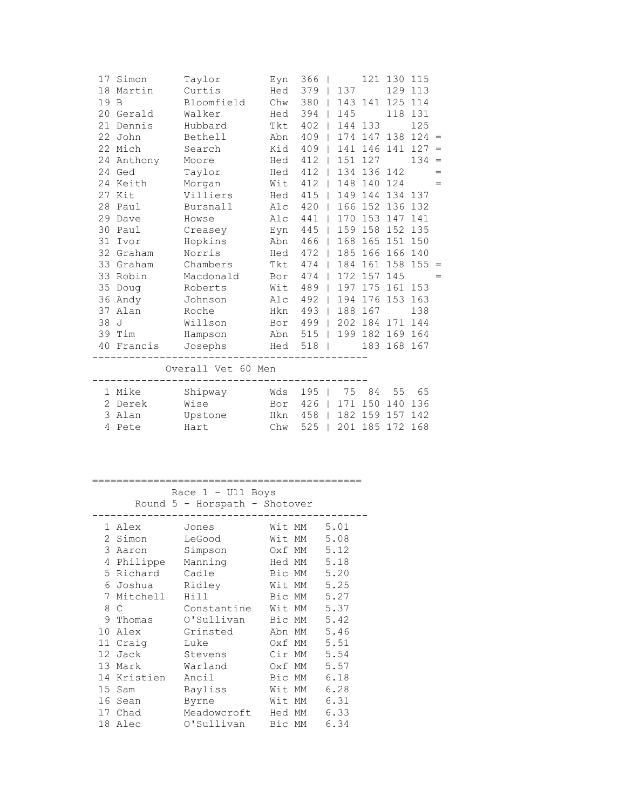| 17 | Simon          | Taylor     | Eyn | 366 |              |     | 121     | 130     | 115 |     |
|----|----------------|------------|-----|-----|--------------|-----|---------|---------|-----|-----|
| 18 | Martin         | Curtis     | Hed | 379 |              | 137 |         | 129     | 113 |     |
| 19 | B              | Bloomfield | Chw | 380 | $\Box$       |     | 143 141 | 125     | 114 |     |
| 20 | Gerald         | Walker     | Hed | 394 |              | 145 |         | 118     | 131 |     |
| 21 | Dennis         | Hubbard    | Tkt | 402 | $\Box$       | 144 | 133     |         | 125 |     |
| 22 | John           | Bethell    | Abn | 409 | $\Box$       | 174 | 147     | 138     | 124 | $=$ |
|    | 22 Mich        | Search     | Kid | 409 | $\Box$       | 141 | 146     | 141     | 127 | $=$ |
| 24 | Anthony        | Moore      | Hed | 412 | $\Box$       | 151 | 127     |         | 134 | $=$ |
| 24 | Ged            | Taylor     | Hed | 412 | $\Box$       | 134 | 136 142 |         |     | $=$ |
| 24 | Keith          | Morgan     | Wit | 412 | $\Box$       | 148 | 140     | 124     |     | $=$ |
|    | 27 Kit         | Villiers   | Hed | 415 | $\Box$       | 149 | 144     | 134 137 |     |     |
| 28 | Paul           | Bursnall   | Alc | 420 | $\mathbb{R}$ | 166 | 152     | 136     | 132 |     |
| 29 | Dave           | Howse      | Alc | 441 | - 1          | 170 | 153     | 147     | 141 |     |
| 30 | Paul           | Creasey    | Eyn | 445 | $\Box$       | 159 | 158     | 152     | 135 |     |
| 31 | Ivor           | Hopkins    | Abn | 466 | $\Box$       | 168 |         | 165 151 | 150 |     |
|    | 32 Graham      | Norris     | Hed | 472 | $\Box$       | 185 | 166     | 166     | 140 |     |
|    | 33 Graham      | Chambers   | Tkt | 474 | - 1          | 184 | 161 158 |         | 155 | $=$ |
| 33 | Robin          | Macdonald  | Bor | 474 | - 1          | 172 | 157     | 145     |     | $=$ |
| 35 | Doug           | Roberts    | Wit | 489 | $\Box$       | 197 | 175     | 161     | 153 |     |
| 36 | Andy           | Johnson    | Alc | 492 | $\Box$       | 194 | 176     | 153     | 163 |     |
| 37 | Alan           | Roche      | Hkn | 493 | $\perp$      | 188 | 167     |         | 138 |     |
| 38 | $\overline{J}$ | Willson    | Bor | 499 |              | 202 | 184     | 171     | 144 |     |
| 39 | Tim            | Hampson    | Abn | 515 | $\Box$       | 199 | 182     | 169     | 164 |     |
| 40 | Francis        | Josephs    | Hed | 518 |              |     | 183     | 168     | 167 |     |
|    |                |            |     |     |              |     |         |         |     |     |

Overall Vet 60 Men

| 1 Mike  | Shipway | Wds 195   75 84 55 65     |  |  |  |
|---------|---------|---------------------------|--|--|--|
| 2 Derek | Wise    | Bor 426   171 150 140 136 |  |  |  |
| 3 Alan  | Upstone | Hkn 458   182 159 157 142 |  |  |  |
| 4 Pete  | Hart    | Chw 525   201 185 172 168 |  |  |  |

## ============================================

## Race 1 - U11 Boys

Round 5 - Horspath - Shotover

| 1. | Alex      | Jones       | Wit MM | 5.01 |
|----|-----------|-------------|--------|------|
| 2  | Simon     | LeGood      | Wit MM | 5.08 |
| 3  | Aaron     | Simpson     | Oxf MM | 5.12 |
| 4  | Philippe  | Manning     | Hed MM | 5.18 |
|    | 5 Richard | Cadle       | Bic MM | 5.20 |
| 6  | Joshua    | Ridley      | Wit MM | 5.25 |
| 7  | Mitchell  | Hill        | Bic MM | 5.27 |
| 8  | C         | Constantine | Wit MM | 5.37 |
| 9  | Thomas    | O'Sullivan  | Bic MM | 5.42 |
| 10 | Alex      | Grinsted    | Abn MM | 5.46 |
| 11 | Craig     | Luke        | Oxf MM | 5.51 |
| 12 | Jack      | Stevens     | Cir MM | 5.54 |
| 13 | Mark      | Warland     | Oxf MM | 5.57 |
| 14 | Kristien  | Ancil       | Bic MM | 6.18 |
| 15 | Sam       | Bayliss     | Wit MM | 6.28 |
| 16 | Sean      | Byrne       | Wit MM | 6.31 |
| 17 | Chad      | Meadowcroft | Hed MM | 6.33 |
| 18 | Alec      | O'Sullivan  | Bic MM | 6.34 |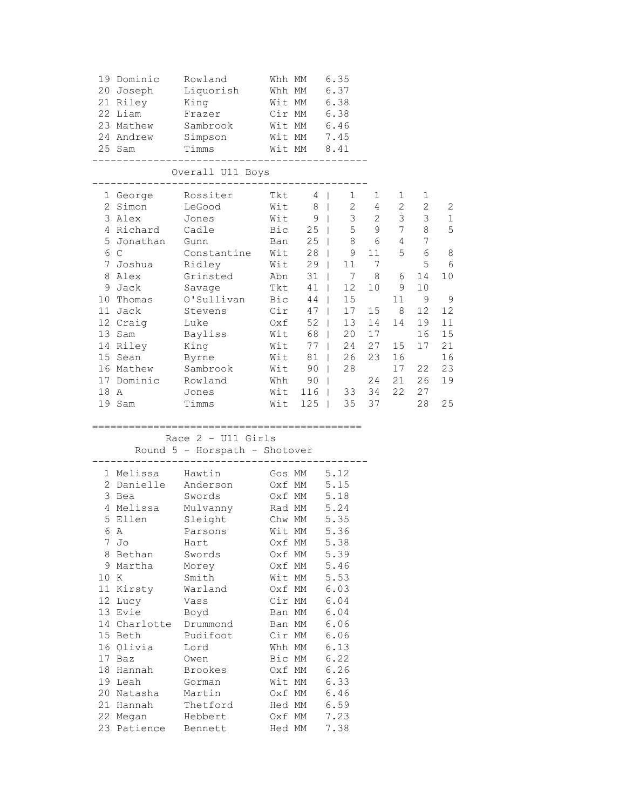|      | 19 Dominic Rowland<br>22 Liam<br>23 Mathew<br>24 Andrew<br>25 Sam                                                                                                                                                                                          | 20 Joseph Liquorish<br>21 Riley King<br>Frazer<br>Sambrook<br>Simpson<br>Timms                                                                                                                                                                                        | Whh MM 6.35<br>Whh MM 6.37<br>Wit MM 6.38<br>Cir MM 6.38<br>Wit MM 6.46<br>Wit MM 7.45<br>Wit MM 8.41                                                                                                                         |                                                                                                                                              |                                                   |                                                                                                                                                     |                                                                                                                                      |                                                                                                                   |
|------|------------------------------------------------------------------------------------------------------------------------------------------------------------------------------------------------------------------------------------------------------------|-----------------------------------------------------------------------------------------------------------------------------------------------------------------------------------------------------------------------------------------------------------------------|-------------------------------------------------------------------------------------------------------------------------------------------------------------------------------------------------------------------------------|----------------------------------------------------------------------------------------------------------------------------------------------|---------------------------------------------------|-----------------------------------------------------------------------------------------------------------------------------------------------------|--------------------------------------------------------------------------------------------------------------------------------------|-------------------------------------------------------------------------------------------------------------------|
|      | ---------                                                                                                                                                                                                                                                  | Overall U11 Boys                                                                                                                                                                                                                                                      |                                                                                                                                                                                                                               |                                                                                                                                              |                                                   |                                                                                                                                                     |                                                                                                                                      |                                                                                                                   |
|      | 2 Simon<br>3 Alex<br>4 Richard Cadle<br>5 Jonathan Gunn<br>6 C<br>7 Joshua<br>8 Alex<br>9 Jack<br>10 Thomas<br>11 Jack<br>12 Craig<br>13 Sam<br>14 Riley<br>15 Sean<br>16 Mathew<br>17 Dominic Rowland<br>18 A<br>19 Sam                                   | 1 George Rossiter<br>LeGood<br>Jones Wit 9   3 2<br>Cadle Bic 25   5 9<br>Gunn Ban 25   8 6<br>Constantine Wit 28   9 11<br>Ridley<br>Grinsted Abn 31  <br>Savage<br>O'Sullivan Bic 44  <br>Stevens<br>Luke<br>Bayliss<br>King<br>Byrne<br>Sambrook<br>Jones<br>Timms | Tkt 4<br>$Wit$ 8  <br>Wit 29   11 7<br>Tkt 41  <br>$Cir$ 47  <br>Oxf 52  <br>Wit 68  <br>Wit 77  <br>Wit 81  <br>Wit 90  <br>Whh 90  <br>Wit 116   33 34<br>Wit 125   35 37                                                   | $1 \quad \blacksquare$<br>12<br>15<br>17<br>13<br>20<br>24<br>26<br>28                                                                       | 1<br>$2 \t 4$<br>15<br>14<br>17<br>27<br>23<br>24 | $1 \quad$<br>$2\overline{ }$<br>$\overline{3}$<br>7<br>$4\overline{ }$<br>7 8 6<br>10 9<br>11<br>8 <sup>8</sup><br>14<br>15<br>16<br>17<br>21<br>22 | 1<br>$\sqrt{2}$<br>$\mathcal{S}$<br>8<br>7<br>5 6<br>5<br>14<br>10<br>9<br>12 <sup>°</sup><br>19<br>16<br>17<br>22<br>26<br>27<br>28 | $\mathbf{2}$<br>$\mathbf 1$<br>5<br>-8<br>- 6<br>10<br>$^{\circ}$<br>12<br>11<br>15<br>21<br>16<br>23<br>19<br>25 |
|      |                                                                                                                                                                                                                                                            | Race $2 - U11$ Girls<br>Round 5 - Horspath - Shotover                                                                                                                                                                                                                 | =======================                                                                                                                                                                                                       |                                                                                                                                              |                                                   |                                                                                                                                                     |                                                                                                                                      |                                                                                                                   |
| 10 K | 1 Melissa Hawtin<br>2 Danielle Anderson<br>3 Bea<br>6 A<br>7 Jo<br>8 Bethan<br>9 Martha<br>11 Kirsty<br>12 Lucy<br>13 Evie<br>14 Charlotte<br>15 Beth<br>16 Olivia<br>17 Baz<br>18 Hannah<br>19 Leah<br>20 Natasha<br>21 Hannah<br>22 Megan<br>23 Patience | Swords<br>4 Melissa Mulvanny Rad MM 5.24<br>5 Ellen Sleight Chw MM 5.35<br>Parsons<br>Hart<br>Swords<br>Morey<br>Smith<br>Warland<br>Vass<br>Boyd<br>Drummond<br>Pudifoot<br>Lord<br>Owen<br><b>Brookes</b><br>Gorman<br>Martin<br>Thetford<br>Hebbert<br>Bennett     | Gos MM 5.12<br>Oxf MM 5.15<br>Oxf MM 5.18<br>Wit MM<br>Oxf MM<br>Oxf MM<br>Oxf MM<br>Wit MM<br>Oxf MM<br>Cir MM<br>Ban MM<br>Ban MM<br>Cir MM<br>Whh MM<br>Bic MM<br>Oxf MM<br>Wit MM<br>Oxf MM<br>Hed MM<br>Oxf MM<br>Hed MM | 5.36<br>5.38<br>5.39<br>5.46<br>5.53<br>6.03<br>6.04<br>6.04<br>6.06<br>6.06<br>6.13<br>6.22<br>6.26<br>6.33<br>6.46<br>6.59<br>7.23<br>7.38 |                                                   |                                                                                                                                                     |                                                                                                                                      |                                                                                                                   |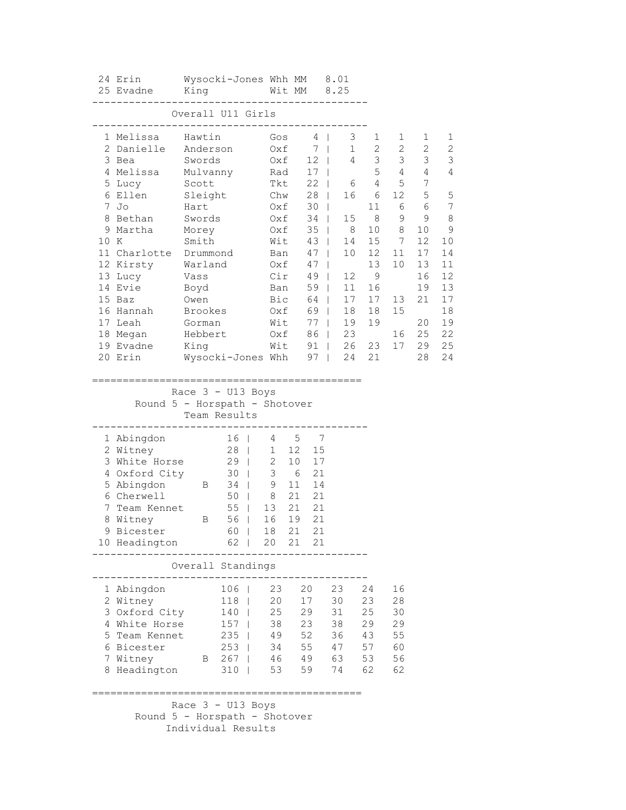|      | 24 Erin<br>25 Evadne King Mit MM 8.25  |              | Wysocki-Jones Whh MM 8.01            |       |    |       |                                                           |                                             |                 |                   |                     |  |
|------|----------------------------------------|--------------|--------------------------------------|-------|----|-------|-----------------------------------------------------------|---------------------------------------------|-----------------|-------------------|---------------------|--|
|      |                                        |              | Overall U11 Girls                    |       |    |       | -------------------                                       |                                             |                 |                   |                     |  |
|      |                                        |              |                                      |       |    |       |                                                           |                                             |                 |                   |                     |  |
|      | 1 Melissa - Hawtin                     |              |                                      |       |    |       | Gos 4   3 1 1                                             |                                             |                 | 1<br>2            | 1<br>$\overline{c}$ |  |
|      | 2 Danielle Anderson 0xf 7              |              |                                      |       |    |       |                                                           | $\begin{array}{cccc} 1 & 2 & 2 \end{array}$ |                 |                   | 3                   |  |
|      | 3 Bea Swords 0xf 12   4 3 3 3          |              |                                      |       |    |       |                                                           | $5\quad 4\quad 4$                           |                 |                   | 4                   |  |
|      | 4 Melissa Mulvanny Rad 17  <br>5 Lucy  |              |                                      |       |    |       |                                                           |                                             |                 |                   |                     |  |
|      | 6 Ellen                                |              |                                      |       |    |       |                                                           |                                             |                 |                   | 5                   |  |
|      | $7$ Jo                                 |              | Scott<br>Sleight<br>Hart             |       |    |       | Tkt 22   6 4 5 7<br>Chw 28   16 6 12 5<br>Oxf 30   11 6 6 |                                             |                 |                   | 7                   |  |
|      | 8 Bethan Swords 0xf 34   15 8 9 9      |              |                                      |       |    |       |                                                           |                                             |                 |                   | -8                  |  |
|      | 9 Martha Morey 0xf                     |              |                                      |       |    |       | 35   8 10 8                                               |                                             |                 | 10 9              |                     |  |
| 10 K |                                        |              | Smith Mit 43   14 15 7               |       |    |       |                                                           |                                             |                 | 12                | 10                  |  |
|      | 11 Charlotte Drummond Ban 47   10 12   |              |                                      |       |    |       |                                                           |                                             | 11              | 17                | 14                  |  |
|      | 12 Kirsty Warland Oxf 47               |              |                                      |       |    |       |                                                           | 13                                          | 10 <sub>1</sub> | 13                | 11                  |  |
|      | 13 Lucy Vass                           |              |                                      |       |    |       | Cir 49   12 9                                             |                                             |                 | 16                | 12                  |  |
|      | 14 Evie                                | Boyd<br>Owen |                                      |       |    |       | Ban 59   11 16<br>Bic 64   17 17 13                       |                                             |                 | 19                | 13                  |  |
|      | 15 Baz<br>16 Hannah Brookes            |              |                                      |       |    |       |                                                           |                                             | 13              | 21                | 17                  |  |
|      | 17 Leah Gorman                         |              |                                      | Wit   |    |       | Oxf 69   18 18                                            |                                             | 15              |                   | 18                  |  |
|      | 18 Megan Hebbert 0xf 86   23           |              |                                      |       |    |       | 77   19 19                                                |                                             |                 | 20 19<br>16 25 22 |                     |  |
|      | 19 Evadne King Mit 91   26 23 17 29 25 |              |                                      |       |    |       |                                                           |                                             |                 |                   |                     |  |
|      | 20 Erin                                |              | Wysocki-Jones Whh    97     24   21  |       |    |       |                                                           |                                             |                 | 28                | 24                  |  |
|      |                                        |              |                                      |       |    |       |                                                           |                                             |                 |                   |                     |  |
|      |                                        |              |                                      |       |    |       | ======================                                    |                                             |                 |                   |                     |  |
|      |                                        |              | Race $3 - U13$ Boys                  |       |    |       |                                                           |                                             |                 |                   |                     |  |
|      | Round 5 - Horspath - Shotover          |              |                                      |       |    |       |                                                           |                                             |                 |                   |                     |  |
|      |                                        |              | Team Results<br>-------------------- |       |    |       |                                                           |                                             |                 |                   |                     |  |
|      | 1 Abingdon 16   4 5 7                  |              |                                      |       |    |       |                                                           |                                             |                 |                   |                     |  |
|      | 2 Witney 28   1 12 15                  |              |                                      |       |    |       |                                                           |                                             |                 |                   |                     |  |
|      | 3 White Horse 29   2 10 17             |              |                                      |       |    |       |                                                           |                                             |                 |                   |                     |  |
|      | 4 Oxford City 30   3 6 21              |              |                                      |       |    |       |                                                           |                                             |                 |                   |                     |  |
|      | 5 Abingdon B 34   9 11 14              |              |                                      |       |    |       |                                                           |                                             |                 |                   |                     |  |
|      | 6 Cherwell                             |              | 50   8 21                            |       |    | 21    |                                                           |                                             |                 |                   |                     |  |
|      | 7 Team Kennet<br>8 Witney<br>B 56      |              |                                      | 13 21 |    | 21    |                                                           |                                             |                 |                   |                     |  |
|      |                                        |              |                                      | 16 19 |    | 21    |                                                           |                                             |                 |                   |                     |  |
|      | 9 Bicester 60   18 21                  |              |                                      |       |    | 21    |                                                           |                                             |                 |                   |                     |  |
|      | 10 Headington                          |              | 62                                   | 20    | 21 | 21    |                                                           |                                             |                 |                   |                     |  |
|      |                                        |              | Overall Standings                    |       |    |       |                                                           |                                             |                 |                   |                     |  |
|      |                                        |              |                                      |       |    |       |                                                           |                                             |                 |                   |                     |  |
|      | 1 Abingdon                             |              | $106$                                | 23    |    | 20    | 23                                                        | 24                                          | 16              |                   |                     |  |
|      | 2 Witney                               |              | 118                                  | 20    |    | 17    | 30                                                        | 23                                          | 28              |                   |                     |  |
|      | 3 Oxford City                          |              | $140$                                | 25    |    | 29    | 31                                                        | 25                                          | 30              |                   |                     |  |
|      | 4 White Horse                          |              | $157$                                | 38    |    | 23    | 38                                                        | 29                                          | 29              |                   |                     |  |
|      | 5 Team Kennet                          |              | $235$                                |       |    | 49 52 | 36                                                        | 43                                          | 55              |                   |                     |  |
|      | 6 Bicester                             |              | 253                                  |       |    | 34 55 | 47                                                        | 57                                          | 60              |                   |                     |  |
|      | 7 Witney                               |              | B 267                                |       |    | 46 49 | 63                                                        | 53                                          | 56              |                   |                     |  |
|      | 8 Headington                           |              | $310$                                | 53    |    | 59    | 74                                                        | 62                                          | 62              |                   |                     |  |
|      |                                        |              |                                      |       |    |       |                                                           |                                             |                 |                   |                     |  |
|      |                                        |              | Race $3 - U13$ Boys                  |       |    |       |                                                           |                                             |                 |                   |                     |  |
|      |                                        |              | Round 5 - Horspath - Shotover        |       |    |       |                                                           |                                             |                 |                   |                     |  |
|      |                                        |              | Individual Results                   |       |    |       |                                                           |                                             |                 |                   |                     |  |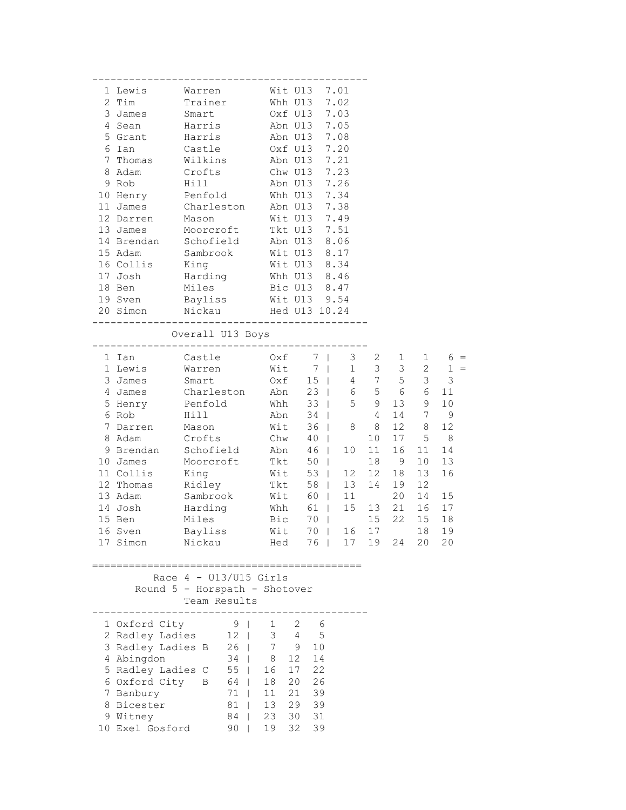| 1 Lewis                           | Warren Wit U13 7.01                                                                               |                        |                       |                                              |                 |    |                 |                   |
|-----------------------------------|---------------------------------------------------------------------------------------------------|------------------------|-----------------------|----------------------------------------------|-----------------|----|-----------------|-------------------|
| 2 Tim                             | Trainer                                                                                           |                        | Whh U13 7.02          |                                              |                 |    |                 |                   |
| 3 James Smart                     |                                                                                                   |                        | Oxf U13 7.03          |                                              |                 |    |                 |                   |
| 4 Sean                            | Harris                                                                                            |                        | Abn U13 7.05          |                                              |                 |    |                 |                   |
| 5 Grant                           | Harris                                                                                            |                        | Abn U13 7.08          |                                              |                 |    |                 |                   |
| 6 Ian                             | Castle                                                                                            |                        | Oxf U13 7.20          |                                              |                 |    |                 |                   |
| 7 Thomas                          | Wilkins                                                                                           |                        |                       | Abn U13 7.21                                 |                 |    |                 |                   |
| 8 Adam                            |                                                                                                   |                        | Chw U13 7.23          |                                              |                 |    |                 |                   |
| 9 Rob                             | Crofts<br>Hill                                                                                    |                        |                       | $\frac{C_{11W}}{D_{12}C_{13}}$ 7.26          |                 |    |                 |                   |
| 10 Henry Penfold Whh U13 7.34     |                                                                                                   |                        |                       |                                              |                 |    |                 |                   |
| 11 James Charleston Abn U13 7.38  |                                                                                                   |                        |                       |                                              |                 |    |                 |                   |
| 12 Darren Mason                   |                                                                                                   |                        | Wit U13 7.49          |                                              |                 |    |                 |                   |
| 13 James Moorcroft Tkt U13 7.51   |                                                                                                   |                        |                       |                                              |                 |    |                 |                   |
| 14 Brendan Schofield Abn U13 8.06 |                                                                                                   |                        |                       |                                              |                 |    |                 |                   |
| 15 Adam                           |                                                                                                   |                        |                       |                                              |                 |    |                 |                   |
| 16 Collis                         | Sambrook Wit U13 8.17                                                                             |                        |                       |                                              |                 |    |                 |                   |
| 17 Josh                           |                                                                                                   |                        |                       |                                              |                 |    |                 |                   |
|                                   | King<br>Harding<br>Miles                                                                          |                        |                       | Wit U13 8.34<br>Whh U13 8.46<br>Bic U13 8.47 |                 |    |                 |                   |
| 18 Ben                            | Bayliss Wit U13 9.54                                                                              |                        |                       |                                              |                 |    |                 |                   |
| 19 Sven                           |                                                                                                   |                        |                       |                                              |                 |    |                 |                   |
| 20 Simon Nickau Hed U13 10.24     | -----------------------------                                                                     |                        |                       |                                              |                 |    |                 |                   |
|                                   | Overall U13 Boys                                                                                  |                        |                       |                                              |                 |    |                 |                   |
|                                   |                                                                                                   |                        |                       |                                              |                 |    |                 |                   |
| 1 Ian                             | Castle 0xf 7   3 2 1<br>Warren Wit 7   1 3 3<br>Smart 0xf 15   4 7 5<br>Charleston Abn 23   6 5 6 |                        |                       |                                              |                 |    |                 | $1 6 =$           |
| 1 Lewis                           |                                                                                                   |                        |                       |                                              |                 |    |                 | $2 \t 1 =$<br>3 3 |
| 3 James                           |                                                                                                   |                        |                       |                                              |                 |    | $\mathcal{S}$   | $\mathfrak{Z}$    |
| 4 James                           |                                                                                                   |                        |                       |                                              |                 |    | 6               | 11                |
| 5 Henry Penfold                   |                                                                                                   |                        |                       | $\frac{1}{2}$ $\frac{1}{33}$   5 9           |                 |    | $13 \qquad 9$   | 10                |
| 6 Rob                             | Hill                                                                                              | Abn 34                 |                       |                                              | $4\overline{ }$ |    | 14 7            | $\overline{9}$    |
| 7 Darren Mason                    |                                                                                                   | Wit                    |                       | 36   8 8                                     |                 |    | 12 8            | 12                |
| 8 Adam Crofts                     |                                                                                                   |                        | Chw $40$              |                                              | 10 <sup>1</sup> | 17 | 5               | 8 <sup>8</sup>    |
| 9 Brendan Schofield Abn 46        |                                                                                                   |                        |                       | 10                                           | 11              | 16 | 11              | 14                |
| 10 James                          | Moorcroft                                                                                         |                        | Tkt 50                |                                              | 18              | 9  | 10 <sub>o</sub> | 13                |
| 11 Collis                         | King                                                                                              |                        |                       | 12                                           | 12              | 18 | 13              | 16                |
| 12 Thomas                         |                                                                                                   |                        |                       | Wit 53   12<br>Tkt 58   13                   | 14              | 19 | 12              |                   |
| 13 Adam                           | Ridley<br>Sambrook                                                                                |                        |                       | $Wit$ 60   11                                |                 | 20 | 14              | 15                |
| 14 Josh                           | Harding                                                                                           |                        | Whh $61$              |                                              | 15 13 21        |    | 16              | 17                |
| 15 Ben                            | Miles                                                                                             |                        | Bic 70                |                                              | 15              | 22 | 15              | 18                |
| 16 Sven                           | Bayliss                                                                                           |                        | Wit 70                |                                              | 16 17           |    | 18              | 19                |
| 17 Simon                          | Nickau                                                                                            | Hed                    |                       | 76                                           | 17 19           | 24 | 20              | 20                |
|                                   |                                                                                                   |                        |                       |                                              |                 |    |                 |                   |
|                                   | Race $4 - U13/U15$ Girls<br>Round 5 - Horspath - Shotover<br>Team Results<br>-------              |                        |                       |                                              |                 |    |                 |                   |
| 1 Oxford City                     | 9 <sub>1</sub>                                                                                    | $1 \quad \blacksquare$ | 2<br>- 6              |                                              |                 |    |                 |                   |
| 2 Radley Ladies 12                |                                                                                                   |                        | $3 \qquad 4 \qquad 5$ |                                              |                 |    |                 |                   |
| 3 Radley Ladies B 26   7 9        |                                                                                                   |                        | 10                    |                                              |                 |    |                 |                   |
| 4 Abingdon                        |                                                                                                   | $34 \mid 8$            | 12<br>14              |                                              |                 |    |                 |                   |
| 5 Radley Ladies C 55   16         |                                                                                                   |                        | 17 22                 |                                              |                 |    |                 |                   |
| 6 Oxford City B 64                |                                                                                                   | 18                     | 20 26                 |                                              |                 |    |                 |                   |
| 7 Banbury                         | $71$                                                                                              | $11$                   | 21 39                 |                                              |                 |    |                 |                   |
| 8 Bicester                        | 81                                                                                                | 13                     | 29 39                 |                                              |                 |    |                 |                   |
| 9 Witney                          | 84                                                                                                | 23                     | 30<br>31              |                                              |                 |    |                 |                   |
| 10 Exel Gosford                   | $90$                                                                                              | 19                     | 32<br>39              |                                              |                 |    |                 |                   |
|                                   |                                                                                                   |                        |                       |                                              |                 |    |                 |                   |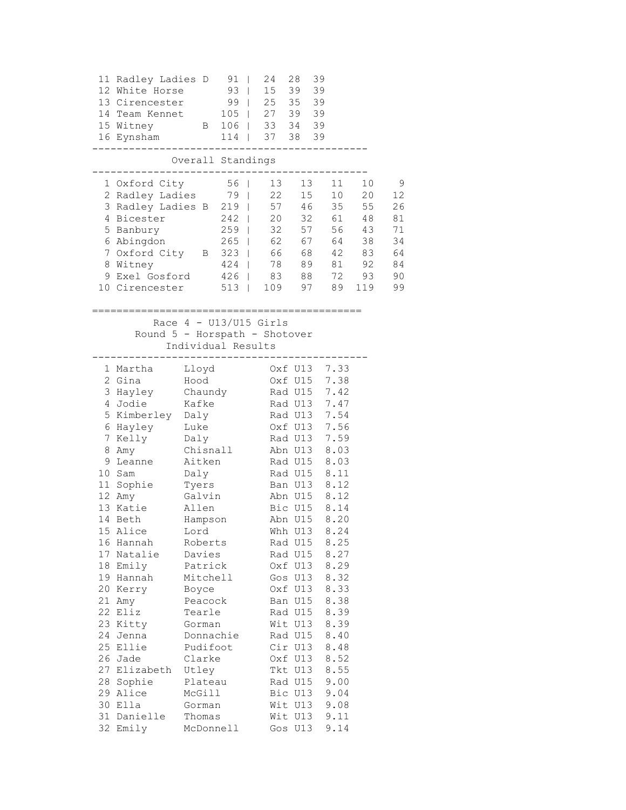| 11 Radley Ladies D 91  <br>12 White Horse<br>13 Cirencester<br>99   25 35 39<br>14 Team Kennet<br>15 Witney<br>16 Eynsham<br>114   37 38 39                                                                                                                                                                                                                                                                                                                                    | $105$   27 39 39<br>-------------------------------                                                                                                                                                                                         | 24 28                           | 39                                                                                                                                                                                                                                                                                                                                                                |                                                                                                                                      |                                                                      |
|--------------------------------------------------------------------------------------------------------------------------------------------------------------------------------------------------------------------------------------------------------------------------------------------------------------------------------------------------------------------------------------------------------------------------------------------------------------------------------|---------------------------------------------------------------------------------------------------------------------------------------------------------------------------------------------------------------------------------------------|---------------------------------|-------------------------------------------------------------------------------------------------------------------------------------------------------------------------------------------------------------------------------------------------------------------------------------------------------------------------------------------------------------------|--------------------------------------------------------------------------------------------------------------------------------------|----------------------------------------------------------------------|
|                                                                                                                                                                                                                                                                                                                                                                                                                                                                                | Overall Standings                                                                                                                                                                                                                           |                                 |                                                                                                                                                                                                                                                                                                                                                                   |                                                                                                                                      |                                                                      |
| 1 Oxford City<br>2 Radley Ladies 79   22 15 10 20<br>3 Radley Ladies B 219   57 46 35 55<br>4 Bicester 242   20 32 61 48<br>5 Banbury 259   32 57 56 43<br>6 Abingdon 265   62 67 64 38<br>7 Oxford City B 323   66 68 42 83<br>8 Witney<br>9 Exel Gosford 426   83 88 72 93<br>10 Cirencester 513   109 97 89 119                                                                                                                                                             | ---------------                                                                                                                                                                                                                             | 56   13 13<br>424   78 89 81 92 |                                                                                                                                                                                                                                                                                                                                                                   | 11 10                                                                                                                                | $\overline{9}$<br>12<br>26<br>81<br>71<br>34<br>64<br>84<br>90<br>99 |
|                                                                                                                                                                                                                                                                                                                                                                                                                                                                                | Race $4 - U13/U15$ Girls<br>Round 5 - Horspath - Shotover<br>Individual Results<br>--------------------------------                                                                                                                         |                                 |                                                                                                                                                                                                                                                                                                                                                                   |                                                                                                                                      |                                                                      |
| 1 Martha Lloyd<br>2 Gina Hood<br>3 Hayley Chaundy Rad U15 7.42<br>4 Jodie<br>5 Kimberley Daly<br>6 Hayley – Luke<br>7 Kelly – Daly<br>8 Amy<br>9 Leanne Aitken Rad U15 8.03<br>10 Sam<br>11 Sophie Tyers<br>12 Amy<br>13 Katie<br>14 Beth<br>15 Alice<br>16 Hannah<br>17 Natalie<br>18 Emily<br>19 Hannah<br>20 Kerry<br>21 Amy<br>22 Eliz<br>23 Kitty<br>24 Jenna<br>25 Ellie<br>26 Jade<br>27 Elizabeth Utley<br>28 Sophie<br>29 Alice<br>30 Ella<br>31 Danielle<br>32 Emily | Chisnall Abn U13<br>Daly<br>Galvin<br>Allen<br>Hampson<br>Lord<br>Roberts<br>Davies<br>Patrick<br>Mitchell<br>Boyce<br>Peacock<br>Tearle<br>Gorman<br>Donnachie<br>Pudifoot<br>Clarke<br>Plateau<br>McGill<br>Gorman<br>Thomas<br>McDonnell | Oxf U13 7.33<br>Rad U13         | Oxf U15 7.38<br>Rad U13 7.47<br>Rad U13 7.54<br>Oxf U13 7.56<br>Rad U15 8.11<br>Ban U13 8.12<br>Abn U15 8.12<br>Bic U15 8.14<br>Abn U15 8.20<br>Whh U13 8.24<br>Rad U15<br>Rad U15<br>Oxf U13<br>Gos U13<br>Oxf U13<br>Ban U15<br>Rad U15<br>Wit U13<br>Rad U15<br>Cir U13<br>Oxf U13<br>Tkt U13<br>Rad U15<br>Bic U13<br>Wit U13 9.08<br>Wit U13 9.11<br>Gos U13 | 7.59<br>8.03<br>8.25<br>8.27<br>8.29<br>8.32<br>8.33<br>8.38<br>8.39<br>8.39<br>8.40<br>8.48<br>8.52<br>8.55<br>9.00<br>9.04<br>9.14 |                                                                      |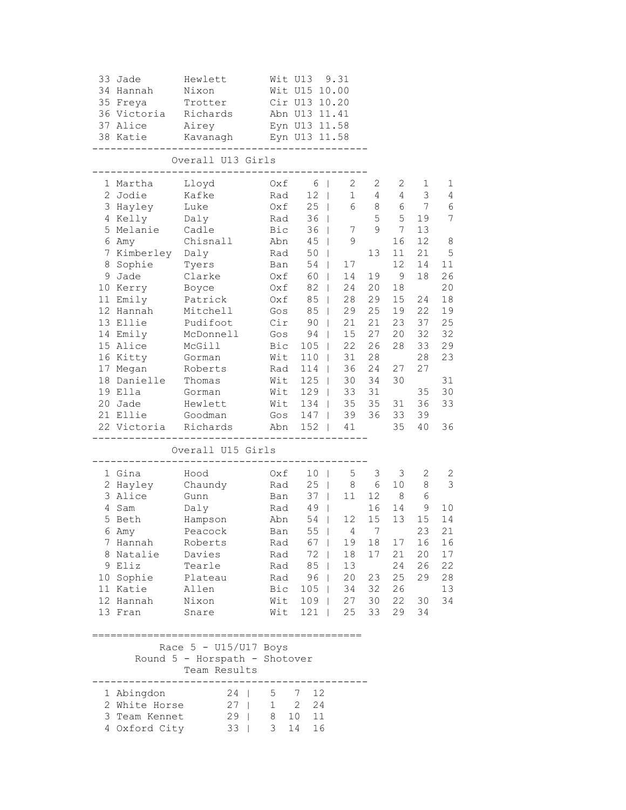| 33 Jade<br>34 Hannah<br>35 Freya<br>36 Victoria<br>37 Alice<br>38 Katie                                                                                                                                                                                      | Hewlett<br>Nixon<br>Trotter<br>Richards<br>Airey<br>Kavanagh<br>__________                                                                                                                               | Eyn U13 11.58                                                                                                                | Wit U13 9.31<br>Wit U15 10.00<br>Cir U13 10.20<br>Abn U13 11.41<br>Eyn U13 11.58                                                                                                                                             |                                                                                                                                                                                                               |                                                                                                           |                                                                                                            |                                                                                                             |                                                                                                                              |  |  |  |  |
|--------------------------------------------------------------------------------------------------------------------------------------------------------------------------------------------------------------------------------------------------------------|----------------------------------------------------------------------------------------------------------------------------------------------------------------------------------------------------------|------------------------------------------------------------------------------------------------------------------------------|------------------------------------------------------------------------------------------------------------------------------------------------------------------------------------------------------------------------------|---------------------------------------------------------------------------------------------------------------------------------------------------------------------------------------------------------------|-----------------------------------------------------------------------------------------------------------|------------------------------------------------------------------------------------------------------------|-------------------------------------------------------------------------------------------------------------|------------------------------------------------------------------------------------------------------------------------------|--|--|--|--|
|                                                                                                                                                                                                                                                              | Overall U13 Girls<br>______________                                                                                                                                                                      |                                                                                                                              |                                                                                                                                                                                                                              |                                                                                                                                                                                                               |                                                                                                           |                                                                                                            |                                                                                                             |                                                                                                                              |  |  |  |  |
| 1 Martha<br>2 Jodie<br>3 Hayley<br>4 Kelly<br>5 Melanie<br>6 Amy<br>7 Kimberley Daly<br>8 Sophie<br>9 Jade<br>10 Kerry<br>11 Emily<br>12 Hannah<br>13 Ellie<br>14 Emily<br>15 Alice<br>16 Kitty<br>17 Megan<br>18 Danielle<br>19 Ella<br>20 Jade<br>21 Ellie | Lloyd<br>Kafke<br>Luke<br>Daly<br>Cadle<br>Chisnall<br>Tyers<br>Clarke<br>Boyce<br>Patrick<br>Mitchell<br>Pudifoot<br>McDonnell<br>McGill<br>Gorman<br>Roberts<br>Thomas<br>Gorman<br>Hewlett<br>Goodman | Oxf<br>Rad<br>$0xf$<br>Rad<br>Bic<br>Abn<br>Rad<br>Ban<br>Oxf<br>Oxf<br>Gos<br>Cir<br>Gos<br>Bic<br>Wit<br>Rad<br>Wit<br>Wit | 6<br>$\blacksquare$<br>12<br>$\Box$<br>$25 \mid$<br>36<br>$36$  <br>$45 \mid$<br>50<br>$\Box$<br>54  <br>Oxf 60<br>82<br>85<br>85<br>90<br>$94$  <br>$105$  <br>$110$  <br>114<br>$125$  <br>$129$  <br>Wit 134  <br>Gos 147 | $\mathbf{2}$<br>$\mathbf{1}$<br>6<br>7<br>$\mathsf 9$<br>17<br>14<br>$\mathbf{1}$<br>24<br>$\Box$<br>28<br>$\Box$<br>29<br>$\mathbb{R}$<br>21<br>$\mathbb{R}$<br>15<br>22<br>31<br>36<br>30<br>33<br>35<br>39 | 2<br>4<br>8<br>5<br>9<br>13<br>19<br>20<br>29<br>25<br>21<br>27<br>26<br>28<br>24<br>34<br>31<br>35<br>36 | 2<br>4<br>6<br>5<br>7<br>16<br>11<br>12<br>- 9<br>18<br>15<br>19<br>23<br>20<br>28<br>27<br>30<br>31<br>33 | 1<br>3<br>7<br>19<br>13<br>12<br>21<br>14<br>18<br>24<br>22<br>37<br>32<br>33<br>28<br>27<br>35<br>36<br>39 | 1<br>$\overline{4}$<br>6<br>$\overline{7}$<br>8<br>5<br>11<br>26<br>20<br>18<br>19<br>25<br>32<br>29<br>23<br>31<br>30<br>33 |  |  |  |  |
| 22 Victoria Richards<br>-------------                                                                                                                                                                                                                        | ___________                                                                                                                                                                                              |                                                                                                                              | Abn 152   41<br>----------------                                                                                                                                                                                             |                                                                                                                                                                                                               |                                                                                                           | 35                                                                                                         | 40                                                                                                          | 36                                                                                                                           |  |  |  |  |
|                                                                                                                                                                                                                                                              | Overall U15 Girls                                                                                                                                                                                        |                                                                                                                              |                                                                                                                                                                                                                              |                                                                                                                                                                                                               |                                                                                                           |                                                                                                            |                                                                                                             |                                                                                                                              |  |  |  |  |
| 1 Gina<br>2 Hayley<br>3 Alice<br>4 Sam<br>5 Beth<br>6 Amy<br>7 Hannah<br>8 Natalie Davies<br>9 Eliz<br>11 Katie Allen<br>12 Hannah Nixon<br>13 Fran                                                                                                          | Hood<br>Chaundy<br>Gunn<br>Daly<br>Hampson<br>Peacock<br>Roberts<br>Tearle<br>10 Sophie Plateau Rad 96  <br>Snare                                                                                        | Oxf<br>Rad 49<br>Abn<br>Rad 85  <br>Bic 105   34 32 26                                                                       | 10 <sub>1</sub><br>Rad 25  <br>Ban 37  <br>$\Box$<br>54<br>Ban 55  <br>Rad 67  <br>Rad 72  <br>Wit 109   27 30<br>Wit 121   25                                                                                               | 5<br>8<br>11<br>12<br>$\mathbb{R}$<br>19<br>18<br>13<br>20                                                                                                                                                    | 3<br>6<br>12<br>16<br>15<br>4 7<br>17<br>33                                                               | 3<br>10<br>8 <sup>8</sup><br>14<br>13<br>18 17<br>21<br>24<br>23 25<br>22<br>29                            | 2<br>8<br>6<br>9<br>15<br>23<br>16<br>20<br>26<br>29<br>30<br>34                                            | 2<br>3<br>10<br>14<br>21<br>16<br>17<br>22<br>28<br>13<br>34                                                                 |  |  |  |  |
|                                                                                                                                                                                                                                                              | Race $5 - U15/U17$ Boys<br>Round 5 - Horspath - Shotover<br>Team Results                                                                                                                                 |                                                                                                                              |                                                                                                                                                                                                                              |                                                                                                                                                                                                               |                                                                                                           |                                                                                                            |                                                                                                             |                                                                                                                              |  |  |  |  |
| 1 Abingdon<br>2 White Horse                                                                                                                                                                                                                                  | 24   5 7<br>$27$   1 2<br>3 Team Kennet 29   8 10 11<br>4 Oxford City 33   3 14                                                                                                                          |                                                                                                                              | 12<br>24<br>16                                                                                                                                                                                                               |                                                                                                                                                                                                               |                                                                                                           |                                                                                                            |                                                                                                             |                                                                                                                              |  |  |  |  |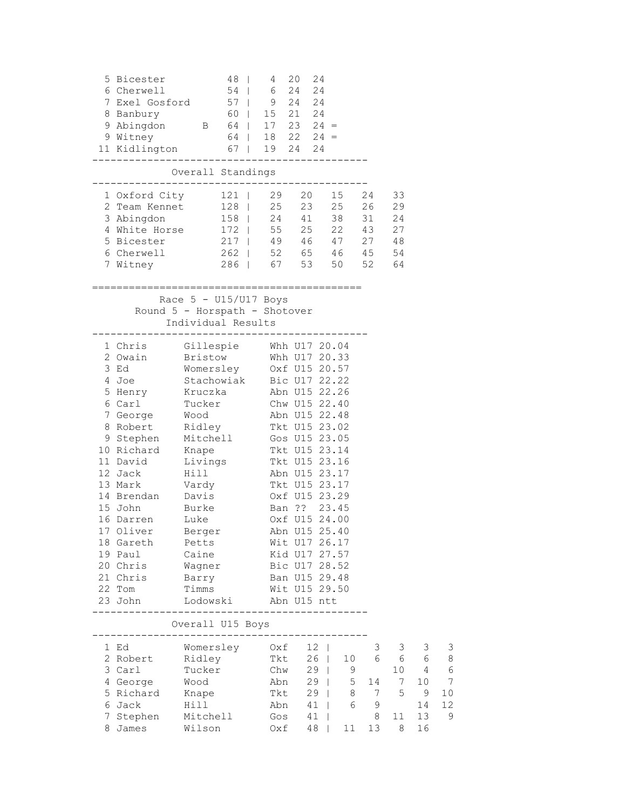| 5 Bicester<br>6 Cherwell<br>7 Exel Gosford 57   9 24 24<br>8 Banbury 60   15 21 24<br>9 Abingdon B 64   17 23 24 =<br>9 Witney<br>11 Kidlington 67   19 24 24 | 54<br>$64$   18 22 24 =                                                                                          | 48               | 4<br>6 24                      | 20 | 24<br>24      |                     |                |                 |                |               |
|---------------------------------------------------------------------------------------------------------------------------------------------------------------|------------------------------------------------------------------------------------------------------------------|------------------|--------------------------------|----|---------------|---------------------|----------------|-----------------|----------------|---------------|
|                                                                                                                                                               | Overall Standings                                                                                                |                  |                                |    |               |                     |                |                 |                |               |
|                                                                                                                                                               |                                                                                                                  |                  |                                |    |               |                     |                |                 |                |               |
| 1 Oxford City 121   29 20 15 24                                                                                                                               |                                                                                                                  |                  |                                |    |               |                     |                | 33              |                |               |
| 2 Team Kennet 128   25 23 25 26 29                                                                                                                            | 158   24 41 38 31 24                                                                                             |                  |                                |    |               |                     |                |                 |                |               |
| 3 Abingdon<br>4 White Horse 172   55 25 22 43 27                                                                                                              |                                                                                                                  |                  |                                |    |               |                     |                |                 |                |               |
| 5 Bicester 217   49 46 47 27 48                                                                                                                               |                                                                                                                  |                  |                                |    |               |                     |                |                 |                |               |
| 6 Cherwell                                                                                                                                                    | 262   52 65 46 45 54                                                                                             |                  |                                |    |               |                     |                |                 |                |               |
| 7 Witney                                                                                                                                                      | 286   67 53 50 52 64                                                                                             |                  |                                |    |               |                     |                |                 |                |               |
|                                                                                                                                                               |                                                                                                                  |                  |                                |    |               |                     |                |                 |                |               |
|                                                                                                                                                               | Race $5 - U15/U17$ Boys<br>Round 5 - Horspath - Shotover<br>Individual Results<br>------------------------------ |                  |                                |    |               | =================== |                |                 |                |               |
| 1 Chris Gillespie Whh U17 20.04                                                                                                                               |                                                                                                                  |                  |                                |    |               |                     |                |                 |                |               |
| 2 Owain                                                                                                                                                       | Bristow Whh U17 20.33                                                                                            |                  |                                |    |               |                     |                |                 |                |               |
| 3 Ed                                                                                                                                                          | Womersley 0xf U15 20.57<br>Stachowiak Bic U17 22.22<br>Kruczka Abn U15 22.26<br>Tucker Chw U15 22.40             |                  |                                |    |               |                     |                |                 |                |               |
| 4 Joe                                                                                                                                                         |                                                                                                                  |                  |                                |    |               |                     |                |                 |                |               |
| 5 Henry Bruchbald<br>5 Henry Kruczka<br>6 Carl Tucker                                                                                                         |                                                                                                                  |                  |                                |    |               |                     |                |                 |                |               |
|                                                                                                                                                               |                                                                                                                  |                  |                                |    |               |                     |                |                 |                |               |
| 7 George Wood                                                                                                                                                 |                                                                                                                  | Abn U15 22.48    |                                |    |               |                     |                |                 |                |               |
| 8 Robert Ridley Tkt U15 23.02                                                                                                                                 |                                                                                                                  |                  |                                |    |               |                     |                |                 |                |               |
| 9 Stephen                                                                                                                                                     | Mitchell Gos U15 23.05                                                                                           |                  |                                |    |               |                     |                |                 |                |               |
| 10 Richard<br>11 David                                                                                                                                        | Knape                                                                                                            | Tkt U15 23.14    |                                |    |               |                     |                |                 |                |               |
| 12 Jack                                                                                                                                                       | Livings<br>Hill                                                                                                  |                  | Tkt U15 23.16<br>Abn U15 23.17 |    |               |                     |                |                 |                |               |
| 13 Mark                                                                                                                                                       | Vardy                                                                                                            |                  |                                |    | Tkt U15 23.17 |                     |                |                 |                |               |
| 14 Brendan Davis                                                                                                                                              |                                                                                                                  |                  |                                |    | Oxf U15 23.29 |                     |                |                 |                |               |
| 15 John                                                                                                                                                       | Burke                                                                                                            |                  |                                |    | Ban ?? 23.45  |                     |                |                 |                |               |
| 16 Darren Luke                                                                                                                                                |                                                                                                                  |                  |                                |    | Oxf U15 24.00 |                     |                |                 |                |               |
| 17 Oliver                                                                                                                                                     | Berger                                                                                                           |                  |                                |    | Abn U15 25.40 |                     |                |                 |                |               |
| 18 Gareth                                                                                                                                                     | Petts                                                                                                            |                  |                                |    | Wit U17 26.17 |                     |                |                 |                |               |
| 19 Paul                                                                                                                                                       | Caine                                                                                                            |                  |                                |    | Kid U17 27.57 |                     |                |                 |                |               |
| 20 Chris                                                                                                                                                      | Wagner                                                                                                           |                  |                                |    | Bic U17 28.52 |                     |                |                 |                |               |
| 21 Chris                                                                                                                                                      | Barry                                                                                                            |                  | Ban U15 29.48                  |    |               |                     |                |                 |                |               |
| 22 Tom                                                                                                                                                        | Timms                                                                                                            |                  | Wit U15 29.50                  |    |               |                     |                |                 |                |               |
| 23 John                                                                                                                                                       | Lodowski                                                                                                         | ________________ | Abn U15 ntt                    |    |               |                     |                |                 |                |               |
|                                                                                                                                                               | Overall U15 Boys<br>----------------                                                                             |                  |                                |    |               |                     |                |                 |                |               |
| 1 Ed                                                                                                                                                          | Womersley                                                                                                        |                  | Oxf                            |    | $12 \mid$     |                     | 3              | 3               | 3              | 3             |
| 2 Robert                                                                                                                                                      | Ridley                                                                                                           |                  | Tkt                            |    | $26$          |                     | 10 6           | 6               | - 6            | 8             |
| 3 Carl                                                                                                                                                        | Tucker                                                                                                           |                  |                                |    | $Chw$ 29      | 9                   |                | 10              | $\overline{4}$ | 6             |
| 4 George                                                                                                                                                      | Wood                                                                                                             |                  | Abn                            |    | $29$          | 5 <sup>5</sup>      | 14             | $7\overline{ }$ | 10             | 7             |
| 5 Richard                                                                                                                                                     | Knape                                                                                                            |                  | Tkt                            |    | $29$          | 8                   | $\overline{7}$ | 5               | 9              | 10            |
| 6 Jack                                                                                                                                                        | Hill                                                                                                             |                  | Abn                            |    | $41$          | 6                   | 9              |                 | 14             | 12            |
| 7 Stephen                                                                                                                                                     | Mitchell                                                                                                         |                  | Gos                            |    | 41            |                     | 8              | 11              | 13             | $\mathcal{G}$ |
| 8 James                                                                                                                                                       | Wilson                                                                                                           |                  | Oxf                            |    | 48            | 11                  | 13             | 8               | 16             |               |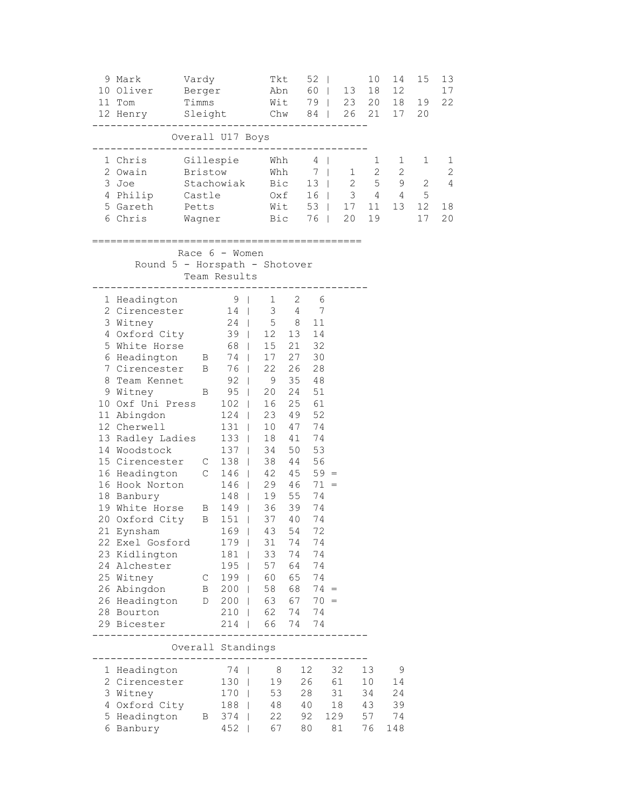| 9 Mark<br>10 Oliver<br>11 Tom<br>12 Henry Sleight Chw 84   26 21                                                                                                                                                                                                                                                                                                                                                                                                                                                                                                 | Vardy<br>Berger<br>Timms       |                                                                                     | Tkt                                                                                                                                                                                                                                                                                                                                            |                                                                                                                                                                 | $52 \mid$                                                                                                                                            | Abn 60   13<br>Wit 79   23 20 18      | 10<br>18                         | 14<br>12<br>17                   | 15<br>19<br>20 | 13<br>17<br>22                                  |
|------------------------------------------------------------------------------------------------------------------------------------------------------------------------------------------------------------------------------------------------------------------------------------------------------------------------------------------------------------------------------------------------------------------------------------------------------------------------------------------------------------------------------------------------------------------|--------------------------------|-------------------------------------------------------------------------------------|------------------------------------------------------------------------------------------------------------------------------------------------------------------------------------------------------------------------------------------------------------------------------------------------------------------------------------------------|-----------------------------------------------------------------------------------------------------------------------------------------------------------------|------------------------------------------------------------------------------------------------------------------------------------------------------|---------------------------------------|----------------------------------|----------------------------------|----------------|-------------------------------------------------|
|                                                                                                                                                                                                                                                                                                                                                                                                                                                                                                                                                                  | Overall U17 Boys               |                                                                                     |                                                                                                                                                                                                                                                                                                                                                |                                                                                                                                                                 |                                                                                                                                                      |                                       |                                  |                                  |                |                                                 |
| 1 Chris<br>2 Owain<br>3 Joe<br>4 Philip<br>5 Gareth<br>6 Chris                                                                                                                                                                                                                                                                                                                                                                                                                                                                                                   | Bristow                        |                                                                                     | Gillespie Whh<br>Bristow Whh 7   1 2 2<br>Stachowiak Bic 13   2 5 9 2<br>Castle 0xf 16   3 4 4 5<br>Petts Wit 53   17 11 13 12<br>Wagner Bic 76   20 19                                                                                                                                                                                        |                                                                                                                                                                 | $4 \mid$                                                                                                                                             |                                       | $\mathbf{1}$                     | 1                                | 1<br>17        | 1<br>$\mathbf{2}$<br>$\overline{4}$<br>18<br>20 |
| ========<br>Round 5 - Horspath - Shotover                                                                                                                                                                                                                                                                                                                                                                                                                                                                                                                        | Race 6 - Women<br>Team Results | ----------                                                                          | ;==================                                                                                                                                                                                                                                                                                                                            |                                                                                                                                                                 |                                                                                                                                                      |                                       |                                  |                                  |                |                                                 |
| 1 Headington<br>2 Cirencester<br>3 Witney<br>4 Oxford City 39   12 13<br>5 White Horse 68<br>6 Headington B 74  <br>7 Cirencester B 76  <br>8 Team Kennet<br>9 Witney B<br>10 Oxf Uni Press 102<br>11 Abingdon<br>12 Cherwell<br>13 Radley Ladies 133  <br>14 Woodstock<br>15 Cirencester C 138  <br>16 Headington C 146<br>16 Hook Norton 146<br>18 Banbury 148  <br>19 White Horse B 149  <br>20 Oxford City B 151<br>21 Eynsham<br>22 Exel Gosford<br>23 Kidlington<br>24 Alchester<br>25 Witney<br>26 Abingdon<br>26 Headington<br>28 Bourton<br>29 Bicester | 92<br>$\mathbb{C}$<br>B<br>D   | 95<br>124<br>131<br>$137$  <br>179<br>181<br>195<br>199<br>200<br>200<br>210<br>214 | 9   1 2 6<br>$14$   3 $4$ 7<br>24   5 8<br>$\mathbb{R}^n$<br>22 26<br>$\begin{array}{ccc} & 9 & 35 \end{array}$<br>$\frac{1}{1}$<br>16 25<br>$\mathbf{L}$<br>$\pm$ 10 $\pm$<br>$1 42 45 59 =$<br>$\mathbf{L}^{\mathbf{r}}$<br>$\mathbf{T}^{\mathrm{eff}}$<br>37 40<br>169   43<br>31<br>$\mathbf{I}$<br>33<br>57<br>60<br>58<br>63<br>62<br>66 | 15 21<br>17 27<br>20 24<br>23 49<br>10 47<br>18 41<br>34 50<br>38 44 56<br>$29 46 71 =$<br>19 55<br>36 39<br>54<br>74<br>74<br>64<br>65<br>68<br>67<br>74<br>74 | 11<br>14<br>32<br>30<br>28<br>48<br>51<br>61<br>52<br>74<br>74<br>53<br>74<br>74<br>74<br>72<br>74<br>74<br>74<br>74<br>$74 =$<br>$70 =$<br>74<br>74 |                                       |                                  |                                  |                |                                                 |
|                                                                                                                                                                                                                                                                                                                                                                                                                                                                                                                                                                  | Overall Standings              | .                                                                                   |                                                                                                                                                                                                                                                                                                                                                |                                                                                                                                                                 |                                                                                                                                                      |                                       |                                  |                                  |                |                                                 |
| 1 Headington<br>2 Cirencester<br>3 Witney<br>4 Oxford City<br>5 Headington<br>6 Banbury                                                                                                                                                                                                                                                                                                                                                                                                                                                                          | B                              | 74<br>130<br>170<br>188<br>374<br>452                                               | 8<br>19<br>53<br>48<br>22<br>67                                                                                                                                                                                                                                                                                                                |                                                                                                                                                                 | 12<br>26<br>28<br>40<br>92<br>80                                                                                                                     | 32<br>61<br>31<br>18<br>129<br>$8\,1$ | 13<br>10<br>34<br>43<br>57<br>76 | 9<br>14<br>24<br>39<br>74<br>148 |                |                                                 |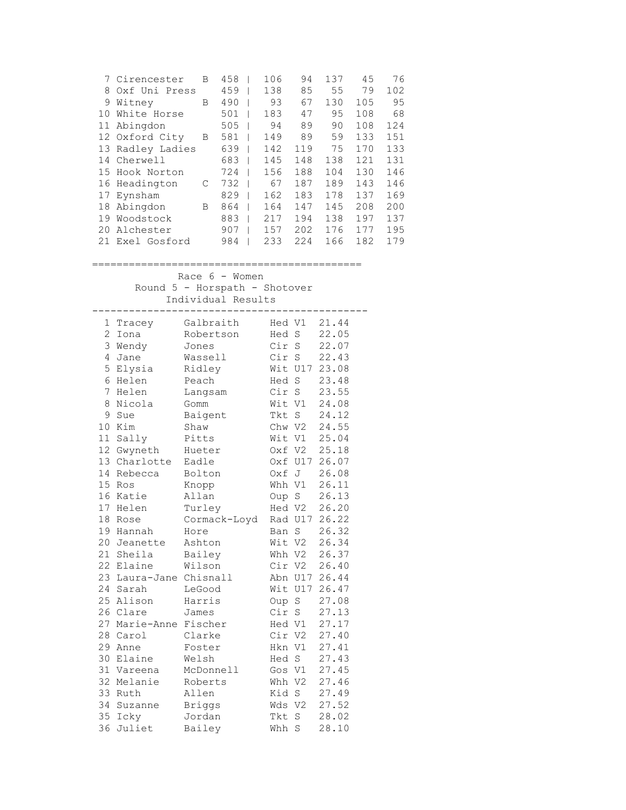|    | 7 Cirencester  | В | 458 | 106 | 94  | 137 | 45  | 76  |
|----|----------------|---|-----|-----|-----|-----|-----|-----|
| 8  | Oxf Uni Press  |   | 459 | 138 | 85  | 55  | 79  | 102 |
| 9  | Witney         | B | 490 | 93  | 67  | 130 | 105 | 95  |
| 10 | White Horse    |   | 501 | 183 | 47  | 95  | 108 | 68  |
| 11 | Abingdon       |   | 505 | 94  | 89  | 90  | 108 | 124 |
|    | 12 Oxford City | В | 581 | 149 | 89  | 59  | 133 | 151 |
| 13 | Radley Ladies  |   | 639 | 142 | 119 | 75  | 170 | 133 |
| 14 | Cherwell       |   | 683 | 145 | 148 | 138 | 121 | 131 |
| 15 | Hook Norton    |   | 724 | 156 | 188 | 104 | 130 | 146 |
|    | 16 Headington  | C | 732 | 67  | 187 | 189 | 143 | 146 |
| 17 | Eynsham        |   | 829 | 162 | 183 | 178 | 137 | 169 |
| 18 | Abingdon       | В | 864 | 164 | 147 | 145 | 208 | 200 |
| 19 | Woodstock      |   | 883 | 217 | 194 | 138 | 197 | 137 |
| 20 | Alchester      |   | 907 | 157 | 202 | 176 | 177 | 195 |
| 21 | Exel Gosford   |   | 984 | 233 | 224 | 166 | 182 | 179 |
|    |                |   |     |     |     |     |     |     |

## ============================================

Race 6 - Women

Round 5 - Horspath - Shotover

Individual Results

| 1            | Tracey                 | Galbraith     |        | Hed V1  | 21.44         |
|--------------|------------------------|---------------|--------|---------|---------------|
| $\mathbf{2}$ | Iona                   | Robertson     | Hed S  |         | 22.05         |
| 3            | Wendy                  | Jones         | Cir S  |         | 22.07         |
| 4            | Jane                   | Wassell       | Cir    | S       | 22.43         |
| 5            | Elysia                 | Ridley        |        | Wit U17 | 23.08         |
| 6            | Helen                  | Peach         | Hed S  |         | 23.48         |
| 7            | Helen                  | Langsam       | Cir S  |         | 23.55         |
| 8            | Nicola                 | Gomm          | Wit V1 |         | 24.08         |
| 9            | Sue                    | Baigent       | Tkt S  |         | 24.12         |
| 10           | Kim                    | Shaw          |        | Chw V2  | 24.55         |
| 11           | Sally                  | Pitts         |        | Wit V1  | 25.04         |
| 12           | Gwyneth                | Hueter        |        | Oxf V2  | 25.18         |
| 13           | Charlotte              | Eadle         |        | Oxf U17 | 26.07         |
| 14           | Rebecca                | Bolton        | Oxf J  |         | 26.08         |
| 15           | Ros                    | Knopp         |        | Whh V1  | 26.11         |
| 16           | Katie                  | Allan         |        | Oup S   | 26.13         |
| 17           | Helen                  | Turley        |        |         | Hed V2 26.20  |
| 18           | Rose                   | Cormack-Loyd  |        |         | Rad U17 26.22 |
| 19           | Hannah                 | Hore          |        | Ban S   | 26.32         |
| 20           | Jeanette               | Ashton        |        | Wit V2  | 26.34         |
|              | 21 Sheila              | Bailey        |        |         | Whh V2 26.37  |
|              | 22 Elaine              | Wilson        |        |         | Cir V2 26.40  |
|              | 23 Laura-Jane Chisnall |               |        |         | Abn U17 26.44 |
|              | 24 Sarah               | LeGood        |        |         | Wit U17 26.47 |
|              | 25 Alison              | Harris        | Oup S  |         | 27.08         |
|              | 26 Clare               | James         | Cir S  |         | 27.13         |
|              | 27 Marie-Anne Fischer  |               |        | Hed V1  | 27.17         |
|              | 28 Carol               | Clarke        |        | Cir V2  | 27.40         |
| 29           | Anne                   | Foster        | Hkn V1 |         | 27.41         |
| 30           | Elaine                 | Welsh         | Hed S  |         | 27.43         |
| 31           | Vareena                | McDonnell     | Gos V1 |         | 27.45         |
|              | 32 Melanie             | Roberts       | Whh V2 |         | 27.46         |
|              | 33 Ruth                | Allen         | Kid S  |         | 27.49         |
| 34           | Suzanne                | <b>Briggs</b> | Wds V2 |         | 27.52         |
| 35           | Icky                   | Jordan        | Tkt    | $\rm S$ | 28.02         |
| 36           | Juliet                 | Bailey        | Whh    | S       | 28.10         |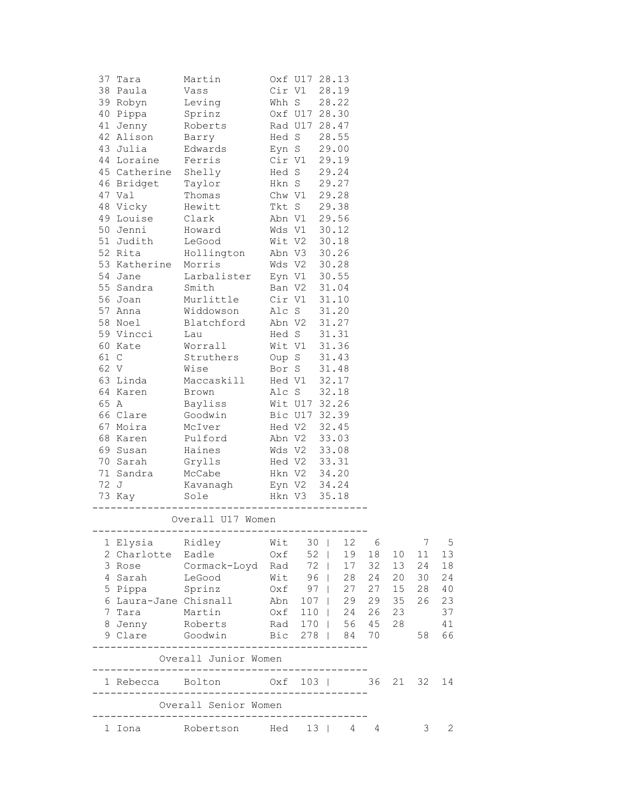|      | 37 Tara                              | Martin                                            |              | Oxf U17 28.13                |    |              |     |       |       |             |
|------|--------------------------------------|---------------------------------------------------|--------------|------------------------------|----|--------------|-----|-------|-------|-------------|
|      | 38 Paula<br>39 Robyn                 | Vass                                              |              | Cir V1<br>Whh S 28.22        |    | 28.19        |     |       |       |             |
|      | 40 Pippa                             | Leving<br>Sprinz                                  |              | Oxf U17 28.30                |    |              |     |       |       |             |
|      | 41 Jenny                             | Roberts                                           |              | Rad U17 28.47                |    |              |     |       |       |             |
|      | 42 Alison                            | Barry                                             |              | Hed S                        |    | 28.55        |     |       |       |             |
|      | 43 Julia                             | Edwards                                           |              |                              |    |              |     |       |       |             |
|      | 44 Loraine                           | Ferris                                            |              | Eyn S 29.00<br>Cir V1 29.19  |    |              |     |       |       |             |
|      | 45 Catherine                         | Shelly                                            |              | Hed S                        |    | 29.24        |     |       |       |             |
|      | 46 Bridget                           | Taylor                                            |              | Hkn S                        |    | 29.27        |     |       |       |             |
|      | 47 Val                               | Thomas                                            |              | Chw V1 29.28                 |    |              |     |       |       |             |
|      | 48 Vicky                             | Hewitt                                            |              | Tkt S 29.38                  |    |              |     |       |       |             |
|      | 49 Louise                            | Clark                                             |              | Abn V1 29.56                 |    |              |     |       |       |             |
|      | 50 Jenni                             | Howard                                            |              | Wds V1 30.12                 |    |              |     |       |       |             |
|      | 51 Judith                            | LeGood                                            |              | Wit V2 30.18                 |    |              |     |       |       |             |
|      | 52 Rita                              | Hollington                                        |              | Abn V3 30.26                 |    |              |     |       |       |             |
|      | 53 Katherine Morris                  |                                                   |              | Wds V2 30.28                 |    |              |     |       |       |             |
|      | 54 Jane                              | Larbalister                                       |              | Eyn V1 30.55                 |    |              |     |       |       |             |
|      | 55 Sandra                            | Smith                                             |              | Ban V2 31.04                 |    |              |     |       |       |             |
|      | 56 Joan                              | Murlittle                                         |              | Cir V1 31.10                 |    |              |     |       |       |             |
|      | 57 Anna                              | Widdowson                                         |              | Alc S 31.20                  |    |              |     |       |       |             |
|      | 58 Noel                              | Blatchford                                        |              | Abn V2 31.27                 |    |              |     |       |       |             |
|      | 59 Vincci                            | Lau                                               |              | Hed S                        |    | 31.31        |     |       |       |             |
|      | 60 Kate                              | Worrall                                           |              | Wit V1                       |    | 31.36        |     |       |       |             |
| 61 C |                                      | Struthers                                         |              | Oup S                        |    | 31.43        |     |       |       |             |
| 62 V |                                      | Wise                                              |              | Bor S                        |    | 31.48        |     |       |       |             |
|      | 63 Linda                             | Maccaskill                                        |              | Hed V1 32.17                 |    |              |     |       |       |             |
|      | 64 Karen                             | Brown                                             |              | Alc S                        |    | 32.18        |     |       |       |             |
| 65 A |                                      | Bayliss                                           |              | Wit U17 32.26                |    |              |     |       |       |             |
|      | 66 Clare                             | Goodwin                                           |              | Bic U17 32.39                |    |              |     |       |       |             |
|      | 67 Moira                             | McIver                                            |              | Hed V2 32.45                 |    |              |     |       |       |             |
|      | 68 Karen                             | Pulford                                           |              | Abn V2 33.03                 |    |              |     |       |       |             |
|      | 69 Susan                             | Haines                                            |              |                              |    |              |     |       |       |             |
|      | 70 Sarah                             | Grylls                                            |              | Wds V2 33.08<br>Hed V2 33.31 |    |              |     |       |       |             |
|      | 71 Sandra                            | McCabe                                            | Hkn V2 34.20 |                              |    |              |     |       |       |             |
|      | 72 J                                 | Kavanagh                                          |              | Eyn V2 34.24                 |    |              |     |       |       |             |
|      | 73 Kay                               | Sole                                              |              | Hkn V3                       |    | 35.18        |     |       |       |             |
|      |                                      | Overall U17 Women                                 |              |                              |    |              |     |       |       |             |
|      |                                      |                                                   | Wit          |                              |    | 30   12 6    |     |       | 7     | $5^{\circ}$ |
|      | 1 Elysia Ridley<br>2 Charlotte Eadle |                                                   | Oxf          |                              | 52 | 19           | 18  | 10    | 11    | 13          |
|      | 3 Rose                               | Cormack-Loyd Rad                                  |              | 72                           |    | 17           | 32  | 13    | 24    | 18          |
| 4    | Sarah                                | LeGood                                            | Wit 96       |                              |    | 28           | 24  | 20    | 30    | 24          |
| 5    | Pippa                                | Sprinz                                            | Oxf 97       |                              |    | 27           | 27  | 15    | 28    | 40          |
| 6    | Laura-Jane Chisnall                  |                                                   | Abn          |                              |    | $107$   29   | 29  | 35    | 26    | 23          |
| 7    | Tara                                 | Martin                                            | Oxf          |                              |    | 110   24     | 26  | 23    |       | 37          |
| 8    | Jenny Roberts                        |                                                   |              |                              |    | Rad 170   56 | 45  | 28    |       | 41          |
|      | 9 Clare Goodwin                      |                                                   | Bic 278      |                              |    | 84           | 70  |       | 58    | 66          |
|      | . _ _ _ _ _ _ _ .                    | Overall Junior Women                              |              |                              |    |              |     |       |       |             |
|      |                                      | 1 Rebecca Bolton 0xf 103                          |              |                              |    |              |     | 36 21 | 32 14 |             |
|      |                                      | _________________________<br>Overall Senior Women |              |                              |    |              |     |       |       |             |
|      |                                      | __________________________                        |              |                              |    |              |     |       |       |             |
|      | 1 Iona                               | Robertson Hed 13                                  |              |                              |    | 4            | - 4 |       | 3     | 2           |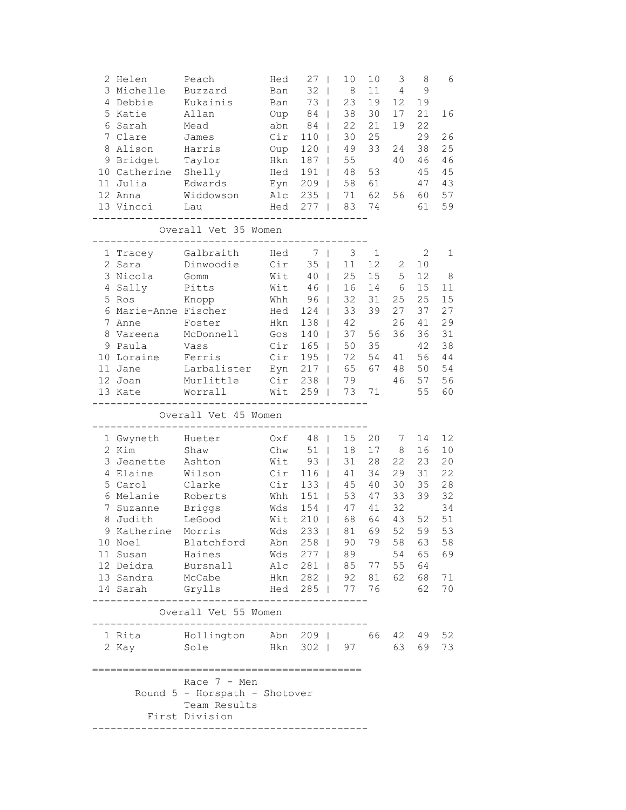|   | 2 Helen<br>3 Michelle<br>4 Debbie<br>5 Katie<br>6 Sarah<br>7 Clare<br>8 Alison<br>9 Bridget<br>10 Catherine<br>11 Julia<br>12 Anna<br>13 Vincci<br>---------- | Peach<br>Buzzard<br>Kukainis<br>Allan<br>Mead<br>James<br>Harris<br>Taylor<br>Shelly<br>Edwards<br>Widdowson<br>Lau                                                                                                           | Hed<br>Ban<br>Ban<br>Oup<br>abn<br>Cir<br>Oup<br>Hkn<br>Hed<br>Eyn<br>Alc<br>Hed        | 27<br>$\Box$<br>32<br>$\Box$<br>73<br>$\overline{\phantom{0}}$<br>84<br>$\overline{\phantom{0}}$<br>84<br>$\overline{\phantom{0}}$<br>110<br>$\mathbf{I}$<br>$120$  <br>187<br>$\Box$<br>191<br>$\Box$<br>$209$  <br>235<br>$\Box$<br>$277$  <br>----- | 10<br>8<br>23<br>38<br>22<br>30<br>49<br>55<br>48<br>58<br>71<br>83       | 10<br>11<br>19<br>30<br>21<br>25<br>33<br>53<br>61<br>62<br>74           | 3<br>$\overline{4}$<br>12<br>17<br>19<br>24<br>40<br>56 | 8<br>$\mathcal{G}$<br>19<br>21<br>22<br>29<br>38<br>46<br>45<br>47<br>60<br>61 | 6<br>16<br>26<br>25<br>46<br>45<br>43<br>57<br>59                  |
|---|---------------------------------------------------------------------------------------------------------------------------------------------------------------|-------------------------------------------------------------------------------------------------------------------------------------------------------------------------------------------------------------------------------|-----------------------------------------------------------------------------------------|--------------------------------------------------------------------------------------------------------------------------------------------------------------------------------------------------------------------------------------------------------|---------------------------------------------------------------------------|--------------------------------------------------------------------------|---------------------------------------------------------|--------------------------------------------------------------------------------|--------------------------------------------------------------------|
|   |                                                                                                                                                               | Overall Vet 35 Women                                                                                                                                                                                                          |                                                                                         |                                                                                                                                                                                                                                                        |                                                                           |                                                                          |                                                         |                                                                                |                                                                    |
| 8 | 1 Tracey<br>2 Sara<br>3 Nicola<br>4 Sally<br>5 Ros<br>6 Marie-Anne Fischer<br>7 Anne<br>Vareena<br>9 Paula<br>10 Loraine<br>11 Jane<br>12 Joan<br>13 Kate     | Galbraith<br>Dinwoodie<br>Gomm<br>Pitts<br>Knopp<br>Foster<br>McDonnell<br>Vass<br>Ferris<br>Larbalister<br>Murlittle<br>Worrall                                                                                              | Hed<br>Cir<br>Wit<br>Wit<br>Whh<br>Hed<br>Hkn<br>Gos<br>Cir<br>Cir<br>Eyn<br>Cir<br>Wit | 7<br>35<br>$\Box$<br>40<br>$\mathbf{I}$<br>46<br>$\mathbf{I}$<br>$96$  <br>124<br>$138$  <br>140<br>$165$  <br>$195$  <br>$217$  <br>$238$  <br>259<br>$\Box$                                                                                          | 3<br>11<br>25<br>16<br>32<br>33<br>42<br>37<br>50<br>72<br>65<br>79<br>73 | $\mathbf{1}$<br>12<br>15<br>14<br>31<br>39<br>56<br>35<br>54<br>67<br>71 | 2<br>5<br>6<br>25<br>27<br>26<br>36<br>41<br>48<br>46   | 2<br>10<br>12<br>15<br>25<br>37<br>41<br>36<br>42<br>56<br>50<br>57<br>55      | 1<br>8<br>11<br>15<br>27<br>29<br>31<br>38<br>44<br>54<br>56<br>60 |
|   |                                                                                                                                                               | Overall Vet 45 Women                                                                                                                                                                                                          |                                                                                         |                                                                                                                                                                                                                                                        |                                                                           |                                                                          |                                                         |                                                                                |                                                                    |
|   | 1 Gwyneth<br>2 Kim<br>3 Jeanette<br>4 Elaine<br>5 Carol<br>6 Melanie<br>7 Suzanne<br>8 Judith<br>9 Katherine Morris                                           | Hueter<br>Shaw<br>Ashton<br>Wilson<br>Clarke<br>Roberts<br>Briggs<br>LeGood                                                                                                                                                   | Oxf<br>Chw<br>Wit<br>Cir<br>Cir<br>Whh<br>Wds<br>Wit                                    | 48<br>$\Box$<br>51<br>$\Box$<br>$93$  <br>$116$  <br>133<br>151<br>$\mathbf{I}$<br>154<br>$\Box$<br>210<br>$\overline{\phantom{a}}$                                                                                                                    | 15<br>18<br>31<br>41<br>45<br>53<br>47<br>68<br>Wds 233   81 69           | 20<br>17<br>28<br>34<br>40<br>47<br>41<br>64                             | 7<br>8<br>22<br>29<br>30<br>33<br>32<br>43<br>52        | 14<br>16<br>23<br>31<br>35<br>39<br>52<br>59<br>79 58 63 58                    | 12<br>10<br>20<br>22<br>28<br>32<br>34<br>51<br>53                 |
|   | 10 Noel<br>11 Susan Haines<br>13 Sandra McCabe                                                                                                                | Blatchford Abn 258   90<br>12 Deidra Bursnall Alc 281   85 77 55 64<br>14 Sarah Grylls Hed 285   77 76<br>$    -$<br>Overall Vet 55 Women<br>-------------------------------------<br>1 Rita Mollington Abn 209   66 42 49 52 |                                                                                         |                                                                                                                                                                                                                                                        | Wds 277   89 54 65 69<br>Hkn 282   92 81 62                               |                                                                          |                                                         | 68 71<br>62                                                                    | 70                                                                 |
|   | 2 Kay Sole                                                                                                                                                    | Hkn 302   97 63                                                                                                                                                                                                               |                                                                                         |                                                                                                                                                                                                                                                        |                                                                           |                                                                          |                                                         | 69 73                                                                          |                                                                    |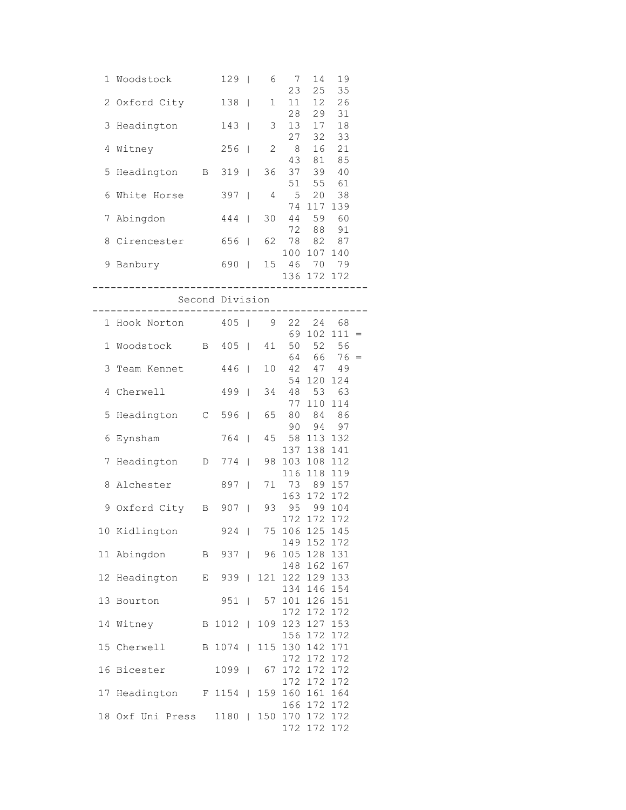| 1 Woodstock 129   6 7                  |                        |    |                    | 14                                | 19             |  |
|----------------------------------------|------------------------|----|--------------------|-----------------------------------|----------------|--|
| 2 Oxford City 138                      |                        |    | 23<br>$1 \quad 11$ | 25                                | 35<br>12 26    |  |
|                                        |                        |    | 28                 |                                   | 29 31          |  |
| 3 Headington 143   3 13                |                        |    | 27                 |                                   | 17 18<br>32 33 |  |
| 4 Witney 256   2 8                     |                        |    |                    |                                   | 16 21          |  |
| 5 Headington B 319                     |                        |    | 43<br>36 37        | 81                                | 85<br>39 40    |  |
|                                        |                        |    | 51                 |                                   | 55 61          |  |
| 6 White Horse 397   4 5                |                        |    |                    | 74 117 139                        | 20 38          |  |
| 7 Abingdon 444                         |                        |    | 30 44              |                                   | 59 60          |  |
|                                        |                        |    |                    | 72 88 91                          |                |  |
| 8 Cirencester 656   62 78 82 87        |                        |    |                    | 100 107 140                       |                |  |
| 9 Banbury 690   15 46                  |                        |    |                    |                                   | 70 79          |  |
|                                        |                        |    |                    | 136 172 172<br>------------------ |                |  |
| Second Division                        |                        |    |                    |                                   |                |  |
| 1 Hook Norton 405   9 22 24 68         |                        |    |                    |                                   |                |  |
|                                        |                        |    |                    | 69 102 111 =                      |                |  |
| 1 Woodstock B 405                      |                        |    |                    | 41 50 52 56<br>$64 66 76 =$       |                |  |
| 3 Team Kennet 446                      |                        |    |                    | 10 42 47 49                       |                |  |
|                                        |                        |    |                    | 54 120 124                        |                |  |
| 4 Cherwell 499                         |                        |    |                    | 34 48 53 63<br>77 110 114         |                |  |
| 5 Headington C 596                     |                        | 65 |                    | 80 84 86                          |                |  |
| 6 Eynsham                              | 764                    |    |                    | 90 94 97<br>45 58 113 132         |                |  |
|                                        |                        |    |                    | 137 138 141                       |                |  |
| 7 Headington D 774                     |                        |    |                    | 98 103 108 112                    |                |  |
| 8 Alchester 897                        |                        |    |                    | 116 118 119<br>71 73 89 157       |                |  |
|                                        |                        |    |                    | 163 172 172                       |                |  |
| 9 Oxford City B 907   93 95 99 104     |                        |    |                    | 172 172 172                       |                |  |
| 10 Kidlington 924                      |                        |    |                    | 75 106 125 145                    |                |  |
|                                        |                        |    |                    | 149 152 172                       |                |  |
| 11 Abingdon B 937                      |                        |    |                    | 96 105 128 131<br>148 162 167     |                |  |
| 12 Headington E 939                    |                        |    |                    | 121 122 129 133                   |                |  |
| 13 Bourton                             | $951$                  |    |                    | 134 146 154<br>57 101 126 151     |                |  |
|                                        |                        |    |                    | 172 172 172                       |                |  |
| 14 Witney                              | B 1012                 |    |                    | 109 123 127 153                   |                |  |
| 15 Cherwell B 1074                     |                        |    |                    | 156 172 172<br>115 130 142 171    |                |  |
|                                        |                        |    |                    | 172 172 172                       |                |  |
| 16 Bicester                            | 1099                   |    |                    | 67 172 172 172<br>172 172 172     |                |  |
| 17 Headington F 1154   159 160 161 164 |                        |    |                    |                                   |                |  |
|                                        |                        |    |                    | 166 172 172                       |                |  |
| 18 Oxf Uni Press                       | 1180   150 170 172 172 |    |                    | 172 172 172                       |                |  |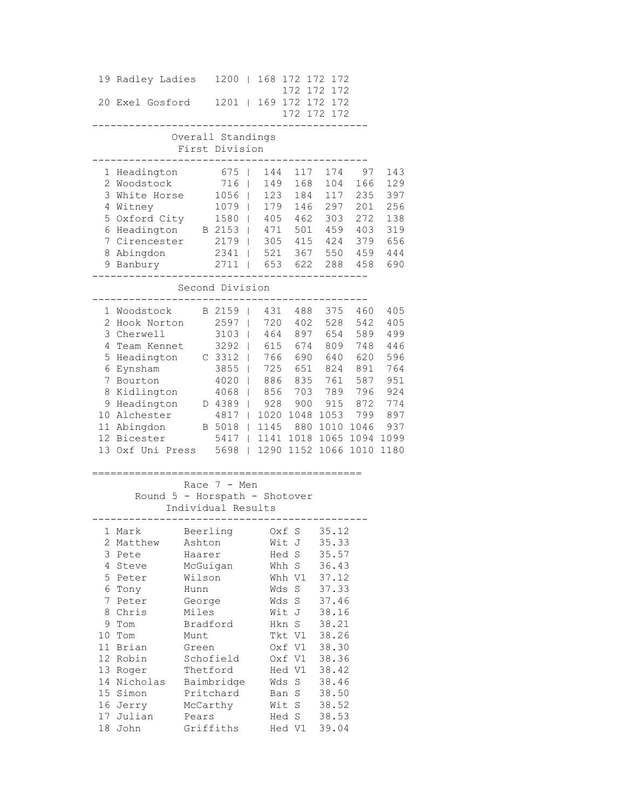|                           | 19 Radley Ladies              |          | 1200                                | $\mathbf{1}$                             | 168        | 172 172          |            | 172                                          |            |            |
|---------------------------|-------------------------------|----------|-------------------------------------|------------------------------------------|------------|------------------|------------|----------------------------------------------|------------|------------|
|                           | 20 Exel Gosford               |          | 1201                                | $\Box$                                   |            | 172              |            | 172<br>172<br>169 172 172 172<br>172 172 172 |            |            |
|                           |                               |          | Overall Standings<br>First Division |                                          |            |                  |            |                                              |            |            |
| $\mathbf{1}$              | Headington                    |          | 675                                 | T                                        | 144        |                  | 117        | 174                                          | 97         | 143        |
| 3                         | 2 Woodstock<br>White Horse    |          | 716                                 | $\mathsf{I}$                             | 149<br>123 |                  | 168        | 104<br>117                                   | 166<br>235 | 129        |
|                           | 4 Witney                      |          | 1056<br>1079                        | $\overline{\phantom{a}}$<br>$\mathsf{I}$ | 179        |                  | 184<br>146 | 297                                          | 201        | 397<br>256 |
| 5                         | Oxford City                   |          | 1580                                |                                          | 405        | 462              |            | 303                                          | 272        | 138        |
| 6                         | Headington                    |          | B 2153                              |                                          |            | 471 501          |            | 459                                          | 403        | 319        |
| 7                         | Cirencester                   |          | $2179$                              |                                          |            | 305 415          |            | 424                                          | 379        | 656        |
|                           | 8 Abingdon                    |          | $2341$                              |                                          |            | 521 367          |            | 550                                          | 459        | 444        |
|                           | 9 Banbury                     |          | 2711                                | $\mathbf{I}$                             |            | 653 622          |            | 288                                          | 458        | 690        |
|                           |                               |          | Second Division                     |                                          |            |                  |            |                                              |            |            |
|                           | 1 Woodstock                   |          | B 2159                              |                                          | 431        |                  | 488        | 375                                          | 460        | 405        |
| $\mathbf{2}^{\mathsf{I}}$ | Hook Norton                   |          | 2597                                | I                                        | 720        |                  | 402        | 528                                          | 542        | 405        |
| 3                         | Cherwell                      |          | 3103                                | $\mathbf{I}$                             | 464        | 897              |            | 654                                          | 589        | 499        |
| 4                         | Team Kennet                   |          | 3292                                | $\mathbf{I}$                             |            | 615 674          |            | 809                                          | 748        | 446        |
| 5                         | Headington                    |          | C 3312                              | $\mathbf{I}$                             |            | 766 690          |            | 640                                          | 620        | 596        |
| 6                         | Eynsham                       |          | 3855                                |                                          | 725        | 651              |            | 824                                          | 891        | 764        |
| 7                         | Bourton                       |          | 4020                                | $\mathbf{I}$                             | 886        | 835              |            | 761                                          | 587        | 951        |
| 8                         | Kidlington                    |          | 4068                                | $\mathbf{I}$                             | 856        |                  | 703        | 789                                          | 796        | 924        |
|                           | 9 Headington                  |          | D 4389                              | $\mathbf{I}$                             | 928        |                  | 900        | 915                                          | 872        | 774        |
|                           | 10 Alchester                  |          | 4817                                | $\mathbf{I}$                             | 1020       | 1048             |            | 1053                                         | 799        | 897        |
|                           | 11 Abingdon                   |          | B 5018                              | $\mathbb{R}$                             | 1145       |                  |            | 880 1010                                     | 1046       | 937        |
|                           | 12 Bicester                   |          | 5417                                |                                          |            |                  |            | 1141 1018 1065                               | 1094       | 1099       |
|                           | 13 Oxf Uni Press              |          | 5698                                | $\mathbf{L}$                             |            |                  |            | 1290 1152 1066                               | 1010       | 1180       |
|                           |                               |          | Race $7 - Men$                      |                                          |            |                  |            |                                              |            |            |
|                           | Round 5 - Horspath - Shotover |          |                                     |                                          |            |                  |            |                                              |            |            |
|                           |                               |          | Individual Results                  |                                          |            |                  |            |                                              |            |            |
|                           | 1 Mark                        |          | Beerling Oxf S                      |                                          |            |                  |            | 35.12                                        |            |            |
|                           | 2 Matthew                     | Ashton   |                                     |                                          |            | Wit J            |            | 35.33                                        |            |            |
| 3                         | Pete                          | Haarer   |                                     |                                          |            | Hed S            |            | 35.57                                        |            |            |
| 4                         | Steve                         | McGuigan |                                     |                                          |            | Whh S            |            | 36.43                                        |            |            |
|                           | 5 Peter                       | Wilson   |                                     |                                          |            | Whh V1           |            | 37.12                                        |            |            |
|                           | 6 Tony                        | Hunn     |                                     |                                          |            | Wds S            |            | 37.33                                        |            |            |
| 7                         | Peter                         | George   |                                     |                                          |            | Wds S            |            | 37.46                                        |            |            |
|                           | 8 Chris                       | Miles    |                                     |                                          |            | Wit J            |            | 38.16                                        |            |            |
| 9.                        | Tom                           | Bradford |                                     |                                          |            | Hkn S            |            | 38.21                                        |            |            |
| 10                        | Tom                           | Munt     |                                     |                                          |            | Tkt V1           |            | 38.26                                        |            |            |
|                           | 11 Brian<br>12 Robin          | Green    | Schofield                           |                                          |            | Oxf V1<br>Oxf V1 |            | 38.30<br>38.36                               |            |            |
|                           | 13 Roger                      | Thetford |                                     |                                          |            | Hed V1           |            | 38.42                                        |            |            |
|                           | 14 Nicholas                   |          | Baimbridge                          |                                          |            | Wds S            |            | 38.46                                        |            |            |
|                           | 15 Simon                      |          | Pritchard                           |                                          |            | Ban S            |            | 38.50                                        |            |            |
|                           | 16 Jerry                      | McCarthy |                                     |                                          |            | Wit S            |            | 38.52                                        |            |            |
|                           | 17 Julian                     | Pears    |                                     |                                          |            | Hed S            |            | 38.53                                        |            |            |
|                           | 18 John                       |          | Griffiths                           |                                          |            | Hed V1           |            | 39.04                                        |            |            |
|                           |                               |          |                                     |                                          |            |                  |            |                                              |            |            |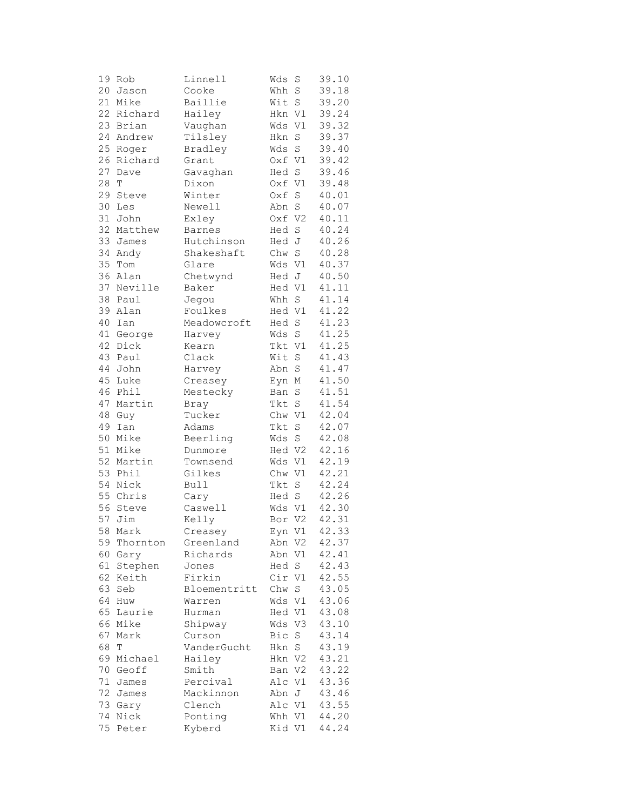| 19 | Rob         | Linnell          | Wds    | S           | 39.10 |
|----|-------------|------------------|--------|-------------|-------|
|    | 20 Jason    | Cooke            | Whh    | $\mathbf S$ | 39.18 |
| 21 | Mike        | Baillie          | Wit    | S           | 39.20 |
| 22 | Richard     | Hailey           | Hkn V1 |             | 39.24 |
| 23 | Brian       | Vaughan          | Wds    | V1          | 39.32 |
| 24 | Andrew      | Tilsley          | Hkn    | $\mathbf S$ | 39.37 |
| 25 | Roger       | Bradley          | Wds    | S           | 39.40 |
| 26 | Richard     | Grant            | Oxf V1 |             | 39.42 |
| 27 | Dave        | Gavaghan         | Hed    | $\rm S$     | 39.46 |
| 28 | $\mathbb T$ | Dixon            | Oxf V1 |             | 39.48 |
| 29 | Steve       | Winter           | Oxf    | $\rm S$     | 40.01 |
| 30 | Les         | Newell           | Abn    | S           | 40.07 |
| 31 | John        | Exley            | Oxf V2 |             | 40.11 |
| 32 | Matthew     | Barnes           | Hed S  |             | 40.24 |
| 33 | James       | Hutchinson       | Hed    | J           | 40.26 |
| 34 | Andy        | Shakeshaft       | Chw    | S           | 40.28 |
| 35 | Tom         | Glare            | Wds V1 |             | 40.37 |
| 36 | Alan        | Chetwynd         | Hed J  |             | 40.50 |
| 37 | Neville     | Baker            | Hed V1 |             | 41.11 |
| 38 | Paul        |                  | Whh    | $\mathbf S$ | 41.14 |
| 39 | Alan        | Jegou<br>Foulkes | Hed V1 |             | 41.22 |
| 40 |             |                  |        |             | 41.23 |
|    | Ian         | Meadowcroft      | Hed    | $\mathbf S$ |       |
| 41 | George      | Harvey           | Wds    | S           | 41.25 |
| 42 | Dick        | Kearn            | Tkt    | V1          | 41.25 |
| 43 | Paul        | Clack            | Wit    | $\mathbf S$ | 41.43 |
| 44 | John        | Harvey           | Abn    | $\rm S$     | 41.47 |
| 45 | Luke        | Creasey          | Eyn M  |             | 41.50 |
| 46 | Phil        | Mestecky         | Ban    | $\mathbf S$ | 41.51 |
| 47 | Martin      | Bray             | Tkt    | $\mathbf S$ | 41.54 |
| 48 | Guy         | Tucker           | Chw V1 |             | 42.04 |
| 49 | Ian         | Adams            | Tkt    | $\mathbf S$ | 42.07 |
| 50 | Mike        | Beerling         | Wds    | $\rm S$     | 42.08 |
| 51 | Mike        | Dunmore          | Hed V2 |             | 42.16 |
| 52 | Martin      | Townsend         | Wds    | V1          | 42.19 |
|    | 53 Phil     | Gilkes           | Chw V1 |             | 42.21 |
|    | 54 Nick     | Bull             | Tkt    | $\rm S$     | 42.24 |
|    | 55 Chris    | Cary             | Hed S  |             | 42.26 |
| 56 | Steve       | Caswell          | Wds V1 |             | 42.30 |
| 57 | Jim         | Kelly            | Bor V2 |             | 42.31 |
|    | 58 Mark     | Creasey          | Eyn V1 |             | 42.33 |
| 59 | Thornton    | Greenland        | Abn V2 |             | 42.37 |
| 60 | Gary        | Richards         | Abn    | V1          | 42.41 |
| 61 | Stephen     | Jones            | Hed    | S           | 42.43 |
| 62 | Keith       | Firkin           | Cir V1 |             | 42.55 |
| 63 | Seb         | Bloementritt     | Chw    | S           | 43.05 |
| 64 | Huw         | Warren           | Wds V1 |             | 43.06 |
| 65 | Laurie      | Hurman           | Hed V1 |             | 43.08 |
| 66 | Mike        | Shipway          | Wds    | V3          | 43.10 |
| 67 | Mark        | Curson           | Bic    | S           | 43.14 |
| 68 | $\mathbb T$ | VanderGucht      | Hkn    | $\mathbf S$ | 43.19 |
| 69 | Michael     | Hailey           | Hkn V2 |             | 43.21 |
| 70 | Geoff       | Smith            | Ban V2 |             | 43.22 |
| 71 | James       | Percival         | Alc V1 |             | 43.36 |
| 72 | James       | Mackinnon        | Abn    | J           | 43.46 |
| 73 | Gary        | Clench           | Alc V1 |             | 43.55 |
| 74 | Nick        | Ponting          | Whh V1 |             | 44.20 |
| 75 | Peter       | Kyberd           | Kid V1 |             | 44.24 |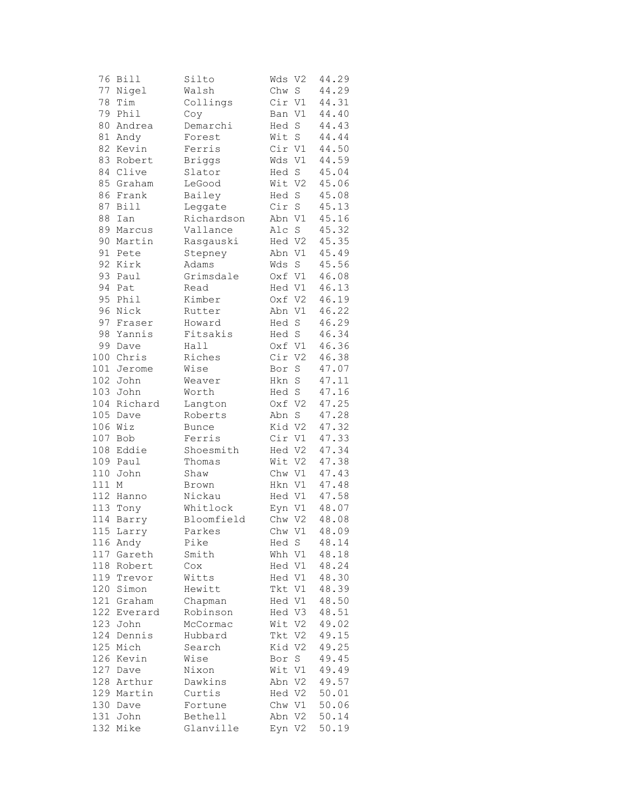| 76  | <b>Bill</b> | Silto        | Wds    | V <sub>2</sub>     | 44.29 |
|-----|-------------|--------------|--------|--------------------|-------|
| 77  | Nigel       | Walsh        | Chw    | $\operatorname{S}$ | 44.29 |
| 78  | Tim         | Collings     | Cir V1 |                    | 44.31 |
| 79  | Phil        | Coy          | Ban V1 |                    | 44.40 |
| 80  | Andrea      | Demarchi     | Hed    | $\mathbf S$        | 44.43 |
| 81  | Andy        | Forest       | Wit    | $\mathbf S$        | 44.44 |
| 82  | Kevin       | Ferris       | Cir V1 |                    | 44.50 |
| 83  | Robert      | Briggs       | Wds V1 |                    | 44.59 |
|     | 84 Clive    | Slator       | Hed S  |                    | 45.04 |
| 85  | Graham      | LeGood       | Wit V2 |                    | 45.06 |
| 86  | Frank       | Bailey       | Hed S  |                    | 45.08 |
| 87  | Bill        | Leggate      | Cir S  |                    | 45.13 |
| 88  | Ian         | Richardson   | Abn V1 |                    | 45.16 |
| 89  | Marcus      | Vallance     | Alc S  |                    | 45.32 |
| 90  |             |              |        |                    | 45.35 |
| 91  | Martin      | Rasgauski    | Hed V2 |                    | 45.49 |
| 92  | Pete        | Stepney      | Abn V1 |                    |       |
|     | Kirk        | Adams        | Wds    | S                  | 45.56 |
| 93  | Paul        | Grimsdale    | Oxf V1 |                    | 46.08 |
| 94  | Pat         | Read         | Hed V1 |                    | 46.13 |
| 95  | Phil        | Kimber       | Oxf V2 |                    | 46.19 |
| 96  | Nick        | Rutter       | Abn V1 |                    | 46.22 |
| 97  | Fraser      | Howard       | Hed    | $\mathbf S$        | 46.29 |
| 98  | Yannis      | Fitsakis     | Hed S  |                    | 46.34 |
| 99  | Dave        | Hall         | Oxf V1 |                    | 46.36 |
| 100 | Chris       | Riches       | Cir V2 |                    | 46.38 |
| 101 | Jerome      | Wise         | Bor    | $\rm S$            | 47.07 |
|     | 102 John    | Weaver       | Hkn S  |                    | 47.11 |
|     | 103 John    | Worth        | Hed S  |                    | 47.16 |
|     | 104 Richard | Langton      | Oxf V2 |                    | 47.25 |
| 105 | Dave        | Roberts      | Abn    | $\rm S$            | 47.28 |
| 106 | Wiz         | <b>Bunce</b> | Kid V2 |                    | 47.32 |
| 107 | Bob         | Ferris       | Cir V1 |                    | 47.33 |
| 108 | Eddie       | Shoesmith    | Hed V2 |                    | 47.34 |
| 109 | Paul        | Thomas       | Wit V2 |                    | 47.38 |
| 110 | John        | Shaw         | Chw V1 |                    | 47.43 |
| 111 | $\mathbb M$ | Brown        | Hkn V1 |                    | 47.48 |
|     | 112 Hanno   | Nickau       | Hed V1 |                    | 47.58 |
|     | 113 Tony    | Whitlock     | Eyn V1 |                    | 48.07 |
| 114 | Barry       | Bloomfield   | Chw V2 |                    | 48.08 |
|     | 115 Larry   | Parkes       |        | Chw V1             | 48.09 |
| 116 | Andy        | Pike         | Hed S  |                    | 48.14 |
| 117 | Gareth      | Smith        | Whh V1 |                    | 48.18 |
| 118 | Robert      | Cox          | Hed V1 |                    | 48.24 |
|     | 119 Trevor  |              | Hed V1 |                    | 48.30 |
|     | Simon       | Witts        |        |                    |       |
| 120 |             | Hewitt       | Tkt V1 |                    | 48.39 |
| 121 | Graham      | Chapman      | Hed V1 |                    | 48.50 |
| 122 | Everard     | Robinson     | Hed V3 |                    | 48.51 |
| 123 | John        | McCormac     | Wit V2 |                    | 49.02 |
| 124 | Dennis      | Hubbard      | Tkt V2 |                    | 49.15 |
| 125 | Mich        | Search       | Kid V2 |                    | 49.25 |
| 126 | Kevin       | Wise         | Bor    | S                  | 49.45 |
|     | 127 Dave    | Nixon        | Wit V1 |                    | 49.49 |
|     | 128 Arthur  | Dawkins      | Abn V2 |                    | 49.57 |
|     | 129 Martin  | Curtis       | Hed V2 |                    | 50.01 |
|     | 130 Dave    | Fortune      | Chw V1 |                    | 50.06 |
| 131 | John        | Bethell      | Abn    | V2                 | 50.14 |
| 132 | Mike        | Glanville    | Eyn V2 |                    | 50.19 |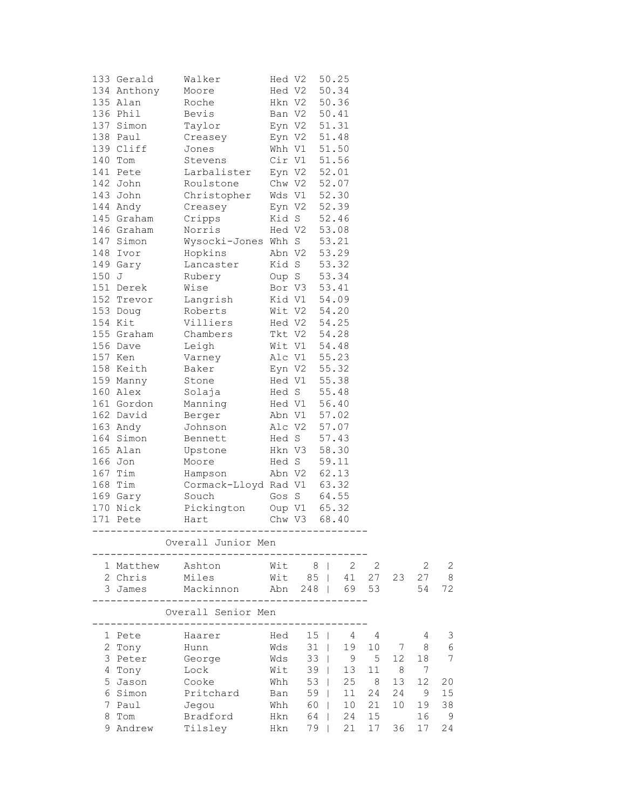|       | 133 Gerald  | Walker                    | Hed V2 |                              |        | 50.25             |                |    |    |    |  |
|-------|-------------|---------------------------|--------|------------------------------|--------|-------------------|----------------|----|----|----|--|
|       | 134 Anthony | Moore                     |        | Hed V2                       |        | 50.34             |                |    |    |    |  |
|       | 135 Alan    | Roche                     |        | Hkn V2 50.36                 |        |                   |                |    |    |    |  |
|       | 136 Phil    | Bevis                     |        | Ban V2 50.41                 |        |                   |                |    |    |    |  |
|       | 137 Simon   | Taylor                    |        | Eyn V2 51.31                 |        |                   |                |    |    |    |  |
|       | 138 Paul    | Creasey                   |        | Eyn V2 51.48                 |        |                   |                |    |    |    |  |
|       | 139 Cliff   | Jones                     |        | Whh V1 51.50                 |        |                   |                |    |    |    |  |
|       | 140 Tom     | Stevens                   |        | Cir V1 51.56                 |        |                   |                |    |    |    |  |
|       | 141 Pete    | Larbalister               |        |                              |        |                   |                |    |    |    |  |
|       | 142 John    | Roulstone                 |        | Eyn V2 52.01<br>Chw V2 52.07 |        |                   |                |    |    |    |  |
|       | 143 John    | Christopher               |        | Wds V1 52.30                 |        |                   |                |    |    |    |  |
|       | 144 Andy    | Creasey                   |        | Eyn V2 52.39                 |        |                   |                |    |    |    |  |
|       | 145 Graham  | Cripps                    |        | Kid S 52.46                  |        |                   |                |    |    |    |  |
|       | 146 Graham  | Norris                    |        | Hed V2 53.08                 |        |                   |                |    |    |    |  |
|       | 147 Simon   | Wysocki-Jones Whh S 53.21 |        |                              |        |                   |                |    |    |    |  |
|       | 148 Ivor    | Hopkins                   | Abn V2 |                              |        | 53.29             |                |    |    |    |  |
|       | 149 Gary    | Lancaster                 |        |                              |        | 53.32             |                |    |    |    |  |
| 150 J |             | Rubery                    |        | Kid S<br>Oup S               |        | 53.34             |                |    |    |    |  |
|       |             | Wise                      |        |                              |        |                   |                |    |    |    |  |
|       | 151 Derek   |                           |        | Bor V3 53.41<br>Kid V1 54.09 |        |                   |                |    |    |    |  |
|       | 152 Trevor  | Langrish                  |        | Wit V2 54.20                 |        |                   |                |    |    |    |  |
|       | 153 Doug    | Roberts                   |        | Hed V2 54.25                 |        |                   |                |    |    |    |  |
|       | 154 Kit     | Villiers                  |        |                              |        |                   |                |    |    |    |  |
|       | 155 Graham  | Chambers                  |        | Tkt V2 54.28                 |        |                   |                |    |    |    |  |
|       | 156 Dave    | Leigh                     |        | Wit V1 54.48                 |        |                   |                |    |    |    |  |
|       | 157 Ken     | Varney                    |        | Alc V1 55.23                 |        |                   |                |    |    |    |  |
|       | 158 Keith   | Baker                     |        | Eyn V2 55.32                 |        |                   |                |    |    |    |  |
|       | 159 Manny   | Stone                     |        | Hed V1 55.38                 |        |                   |                |    |    |    |  |
|       | 160 Alex    | Solaja                    |        | Hed S 55.48                  |        |                   |                |    |    |    |  |
|       | 161 Gordon  | Manning                   |        | Hed V1 56.40                 |        |                   |                |    |    |    |  |
|       | 162 David   | Berger                    |        | Abn V1 57.02                 |        |                   |                |    |    |    |  |
|       | 163 Andy    | Johnson                   |        | Alc V2 57.07                 |        |                   |                |    |    |    |  |
|       | 164 Simon   | Bennett                   |        | Hed S 57.43                  |        |                   |                |    |    |    |  |
|       | 165 Alan    | Upstone                   |        | Hkn V3                       |        | 58.30             |                |    |    |    |  |
|       | 166 Jon     | Moore                     |        | Hed S                        |        | 59.11             |                |    |    |    |  |
|       | 167 Tim     | Hampson                   |        | Abn V2 62.13                 |        |                   |                |    |    |    |  |
|       | 168 Tim     | Cormack-Lloyd Rad V1      |        |                              |        | 63.32             |                |    |    |    |  |
|       | 169 Gary    | Souch                     |        | Gos S 64.55                  |        |                   |                |    |    |    |  |
|       | 170 Nick    | Pickington                |        | Oup V1 65.32                 |        |                   |                |    |    |    |  |
|       | 171 Pete    | Hart                      | Chw V3 |                              |        | 68.40             |                |    |    |    |  |
|       |             | ----------                |        |                              |        | ----------------- |                |    |    |    |  |
|       |             | Overall Junior Men        |        |                              |        |                   |                |    |    |    |  |
|       | 1 Matthew   | Ashton                    | Wit    | 8 <sup>1</sup>               |        | - 2               | $\overline{2}$ |    | 2  | 2  |  |
|       | 2 Chris     | Miles                     | Wit    |                              | 85     | 41                | 27             | 23 | 27 | 8  |  |
|       | 3 James     | Mackinnon                 | Abn    | 248                          |        | 69                | 53             |    | 54 | 72 |  |
|       |             | Overall Senior Men        |        |                              |        |                   |                |    |    |    |  |
|       | 1 Pete      | Haarer                    | Hed    | 15                           |        | 4                 | 4              |    | 4  | З  |  |
|       | 2 Tony      | Hunn                      | Wds    | 31                           |        | 19                | 10             | 7  | 8  | 6  |  |
|       | 3 Peter     | George                    | Wds    | 33                           |        | 9                 | 5              | 12 | 18 | 7  |  |
|       | 4 Tony      | Lock                      | Wit    | 39                           | $\Box$ | 13                | 11             | 8  | 7  |    |  |
|       | 5 Jason     | Cooke                     | Whh    | 53                           | $\Box$ | 25                | 8              | 13 | 12 | 20 |  |
|       | 6 Simon     | Pritchard                 | Ban    | 59                           | $\Box$ | 11                | 24             | 24 | 9  | 15 |  |
|       | 7 Paul      |                           | Whh    | 60                           |        | 10                | 21             | 10 | 19 | 38 |  |
|       | 8 Tom       | Jegou<br>Bradford         | Hkn    | 64                           |        | 24                | 15             |    | 16 | 9  |  |
|       | 9 Andrew    | Tilsley                   | Hkn    | 79                           |        | 21                | 17             | 36 | 17 | 24 |  |
|       |             |                           |        |                              |        |                   |                |    |    |    |  |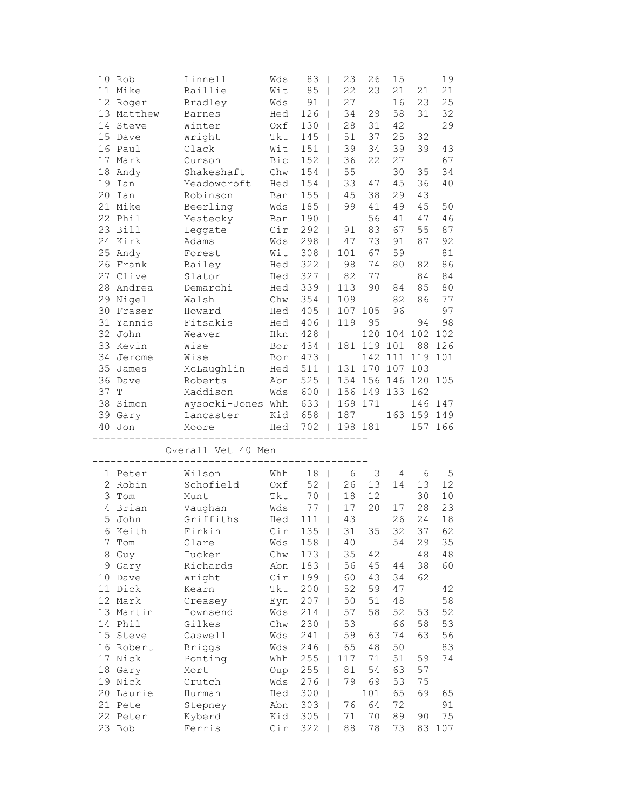|      | 10 Rob             | Linnell            | Wds        | 83                              | 23<br>$\mathbf{I}$             | 26          | 15              |             | 19        |
|------|--------------------|--------------------|------------|---------------------------------|--------------------------------|-------------|-----------------|-------------|-----------|
|      | 11 Mike            | Baillie            | Wit        | 85                              | 22<br>$\perp$                  | 23          | 21              | 21          | 21        |
|      | 12 Roger           | Bradley            | Wds        | 91                              | 27<br>$\overline{\phantom{0}}$ |             | 16              | 23          | 25        |
|      | 13 Matthew         | Barnes             | Hed        | 126                             | 34<br>$\overline{1}$           | 29          | 58              | 31          | 32        |
|      | 14 Steve           | Winter             | Oxf        | 130                             | 28<br>$\mathbf{I}$             | 31          | 42              |             | 29        |
|      | 15 Dave            | Wright             | Tkt        | 145                             | 51<br>$\Box$                   | 37          | 25              | 32          |           |
|      | 16 Paul            | Clack              | Wit        | 151                             | 39<br>$\Box$                   | 34          | 39              | 39          | 43        |
|      | 17 Mark            | Curson             | Bic        | 152                             | 36<br>$\mathbf{I}$             | 22          | 27              |             | 67        |
|      |                    |                    |            | 154                             | 55                             |             | 30              |             | 34        |
|      | 18 Andy            | Shakeshaft         | Chw        |                                 | $\mathbf{I}$                   |             |                 | 35          |           |
|      | 19 Ian             | Meadowcroft        | Hed        | 154                             | 33<br>$\mathbf{I}$             | 47          | 45              | 36          | 40        |
|      | 20 Ian             | Robinson           | Ban        | 155                             | 45<br>$\perp$                  | 38          | 29              | 43          |           |
|      | 21 Mike            | Beerling           | Wds        | 185                             | 99<br>$\mathbf{I}$             | 41          | 49              | 45          | 50        |
|      | 22 Phil            | Mestecky           | Ban        | 190                             | $\Box$                         | 56          | 41              | 47          | 46        |
|      | 23 Bill            | Leggate            | Cir        | 292                             | 91<br>$\Box$                   | 83          | 67              | 55          | 87        |
|      | 24 Kirk            | Adams              | Wds        | 298                             | 47<br>$\mathbf{I}$             | 73          | 91              | 87          | 92        |
|      | 25 Andy            | Forest             | Wit        | 308                             | 101<br>$\perp$                 | 67          | 59              |             | 81        |
|      | 26 Frank           | Bailey             | Hed        | 322                             | 98<br>$\mathbf{I}$             | 74          | 80              | 82          | 86        |
|      | 27 Clive           | Slator             | Hed        | 327                             | 82                             | 77          |                 | 84          | 84        |
|      | 28 Andrea          | Demarchi           | Hed        | 339                             | 113<br>$\mathbf{I}$            | 90          | 84              | 85          | 80        |
|      | 29 Nigel           |                    |            | 354                             | 109<br>$\Box$                  |             | 82              | 86          | 77        |
|      |                    | Walsh              | Chw        |                                 |                                |             |                 |             |           |
|      | 30 Fraser          | Howard             | Hed        | 405                             | 107<br>$\Box$                  | 105         | 96              |             | 97        |
|      | 31 Yannis          | Fitsakis           | Hed        | 406<br>$\overline{\phantom{0}}$ | 119                            | 95          |                 | 94          | 98        |
|      | 32 John            | Weaver             | Hkn        | 428<br>$\Box$                   |                                |             | 120 104 102 102 |             |           |
|      | 33 Kevin           | Wise               | Bor        | 434                             | $\Box$                         | 181 119     | 101             |             | 88 126    |
|      | 34 Jerome          | Wise               | Bor        | 473<br>- 1                      |                                | 142         | 111             | 119         | 101       |
|      | 35 James           | McLaughlin         | Hed        | 511                             | $\Box$                         | 131 170     | 107             | 103         |           |
|      | 36 Dave            | Roberts            | Abn        | 525                             | $\mathbb{R}$                   | 154 156 146 |                 | 120         | 105       |
| 37 T |                    | Maddison           | Wds        | 600                             | $\mathbb{R}$                   | 156 149 133 |                 | 162         |           |
|      | 38 Simon           | Wysocki-Jones Whh  |            | 633                             | $\mathbb{R}$                   | 169 171     |                 |             | 146 147   |
|      | 39 Gary            | Lancaster          | Kid        | 658                             | 187<br>$\mathbb{R}$            |             |                 | 163 159 149 |           |
|      |                    |                    |            |                                 |                                |             |                 |             |           |
|      |                    |                    |            |                                 |                                |             |                 |             |           |
|      | 40 Jon             | Moore              | Hed        |                                 | 702   198 181                  |             |                 |             | 157 166   |
|      |                    |                    |            |                                 |                                |             |                 |             |           |
|      |                    | Overall Vet 40 Men |            |                                 |                                |             |                 |             |           |
|      |                    |                    |            |                                 |                                |             |                 |             |           |
|      | 1 Peter            | Wilson             | Whh        | 18<br>$\overline{\phantom{a}}$  | 6                              | 3           | 4               | 6           | 5         |
|      | 2 Robin            | Schofield          | Oxf        | 52                              | 26<br>$\Box$                   | 13          | 14              | 13          | 12        |
|      | 3 Tom              | Munt               | Tkt        | 70                              | 18<br>$\perp$                  | 12          |                 | 30          | 10        |
|      | 4 Brian            | Vaughan            | Wds        | 77                              | 17<br>$\mathbf{I}$             | 20          | 17              | 28          | 23        |
|      | 5 John             | Griffiths          | Hed        | 111                             | $\overline{\phantom{a}}$<br>43 |             | 26              | 24          | 18        |
|      | 6 Keith            | Firkin             |            | $Cir$ 135                       |                                | 35          | 32              | 37          |           |
| 7    |                    |                    |            |                                 | 31<br>$\mathbf{I}$             |             | 54              |             | 62        |
|      | Tom                | Glare              | Wds        | 158                             | 40                             |             |                 | 29          | 35        |
| 8    | Guy                | Tucker             | Chw        | 173                             | 35                             | 42          |                 | 48          | 48        |
| 9    | Gary               | Richards           | Abn        | 183                             | 56                             | 45          | 44              | 38          | 60        |
| 10   | Dave               | Wright             | Cir        | 199                             | 60                             | 43          | 34              | 62          |           |
|      | 11 Dick            | Kearn              | Tkt        | 200                             | 52                             | 59          | 47              |             | 42        |
|      | 12 Mark            | Creasey            | Eyn        | 207                             | 50                             | 51          | 48              |             | 58        |
|      | 13 Martin          | Townsend           | Wds        | 214                             | 57                             | 58          | 52              | 53          | 52        |
|      | 14 Phil            | Gilkes             | Chw        | 230                             | 53                             |             | 66              | 58          | 53        |
|      | 15 Steve           | Caswell            | Wds        | 241                             | 59                             | 63          | 74              | 63          | 56        |
|      | 16 Robert          | <b>Briggs</b>      | Wds        | 246                             | 65                             | 48          | 50              |             | 83        |
|      | 17 Nick            | Ponting            | Whh        | 255                             | 117                            | 71          | 51              | 59          | 74        |
|      | 18 Gary            | Mort               | Oup        |                                 | 81                             | 54          | 63              | 57          |           |
|      |                    |                    |            | 255                             | 79                             |             |                 |             |           |
|      | 19 Nick            | Crutch             | Wds        | 276                             |                                | 69          | 53              | 75          |           |
|      | 20 Laurie          | Hurman             | Hed        | 300                             |                                | 101         | 65              | 69          | 65        |
|      | 21 Pete            | Stepney            | Abn        | 303                             | 76                             | 64          | 72              |             | 91        |
|      | 22 Peter<br>23 Bob | Kyberd<br>Ferris   | Kid<br>Cir | 305<br>322                      | 71<br>88                       | 70<br>78    | 89<br>73        | 90<br>83    | 75<br>107 |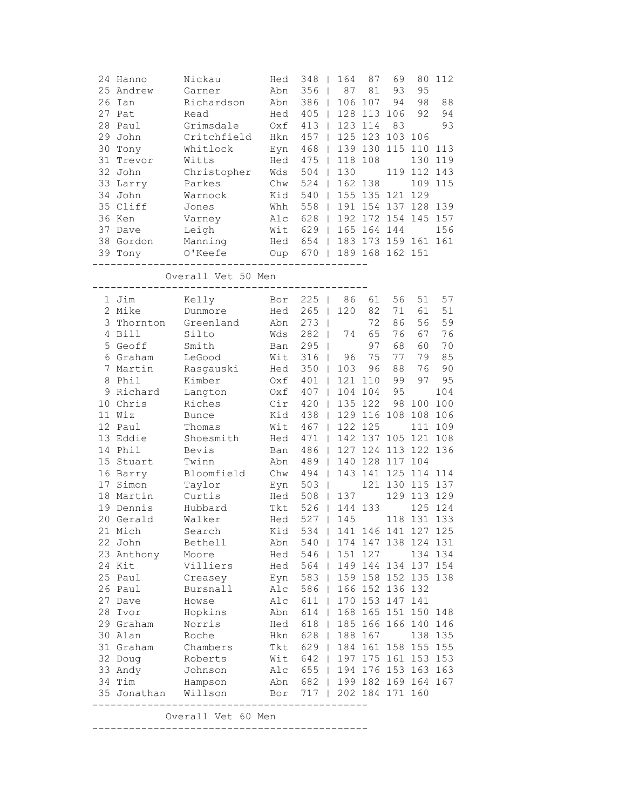| 24 Hanno<br>25<br>Andrew<br>26<br>Ian<br>27<br>Pat<br>28<br>Paul<br>29<br>John<br>30<br>Tony<br>31<br>Trevor<br>32<br>John<br>33<br>Larry<br>34<br>John<br>35 Cliff<br>36 Ken<br>37 Dave<br>38 Gordon<br>39 Tony | Nickau<br>Garner<br>Richardson<br>Read<br>Grimsdale<br>Critchfield<br>Whitlock<br>Witts<br>Christopher<br>Parkes<br>Warnock<br>Jones<br>Varney<br>Leigh<br>Manning<br>O'Keefe | Hed<br>Abn<br>Abn<br>Hed<br>Oxf<br>Hkn<br>Eyn<br>Hed<br>Wds<br>Chw<br>Kid<br>Whh<br>Alc<br>Wit<br>Hed<br>Oup | 348<br>356<br>$\mathbf{I}$<br>386<br>$\mathbf{I}$<br>405<br>$\mathbb{I}$<br>413<br>$\mathbf{I}$<br>457<br>$\mathsf{I}$<br>468<br>$\mathbf{I}$<br>475<br>$\mathbf{I}$<br>504<br>$\mathbf{I}$<br>524<br>540<br>$\mathbf{I}$<br>558<br>$\mathbf{I}$<br>628<br>$\mathbf{I}$<br>629<br>$\mathbb{R}$<br>654<br>670<br>$\Box$ | 164<br>87<br>106<br>128<br>123<br>125<br>139<br>118<br>130<br>162<br>155<br>191<br>192<br>$\mathbf{L}$ | 87<br>81<br>107<br>113<br>114<br>123<br>130<br>108<br>138<br>135 121<br>165 164 144<br>183 173 159 161<br>189 168 162 151 | 69<br>93<br>94<br>106<br>83<br>103<br>115<br>119<br>154 137<br>172 154 | 80<br>95<br>98<br>92<br>106<br>110<br>130<br>112<br>109<br>129<br>128<br>145 | 112<br>88<br>94<br>93<br>113<br>119<br>143<br>115<br>139<br>157<br>156<br>161 |
|------------------------------------------------------------------------------------------------------------------------------------------------------------------------------------------------------------------|-------------------------------------------------------------------------------------------------------------------------------------------------------------------------------|--------------------------------------------------------------------------------------------------------------|------------------------------------------------------------------------------------------------------------------------------------------------------------------------------------------------------------------------------------------------------------------------------------------------------------------------|--------------------------------------------------------------------------------------------------------|---------------------------------------------------------------------------------------------------------------------------|------------------------------------------------------------------------|------------------------------------------------------------------------------|-------------------------------------------------------------------------------|
|                                                                                                                                                                                                                  | Overall Vet 50 Men                                                                                                                                                            |                                                                                                              |                                                                                                                                                                                                                                                                                                                        |                                                                                                        |                                                                                                                           |                                                                        |                                                                              |                                                                               |
| 1 Jim                                                                                                                                                                                                            | Kelly                                                                                                                                                                         | Bor                                                                                                          | 225<br>$\mathbf{I}$                                                                                                                                                                                                                                                                                                    | 86                                                                                                     | 61                                                                                                                        | 56                                                                     | 51                                                                           | 57                                                                            |
| 2 Mike                                                                                                                                                                                                           | Dunmore                                                                                                                                                                       | Hed                                                                                                          | 265<br>$\mathbf{I}$                                                                                                                                                                                                                                                                                                    | 120                                                                                                    | 82                                                                                                                        | 71                                                                     | 61                                                                           | 51                                                                            |
| 3<br>Thornton                                                                                                                                                                                                    | Greenland                                                                                                                                                                     | Abn                                                                                                          | 273<br>$\overline{\phantom{a}}$                                                                                                                                                                                                                                                                                        |                                                                                                        | 72                                                                                                                        | 86                                                                     | 56                                                                           | 59                                                                            |
| 4 Bill<br>5<br>Geoff                                                                                                                                                                                             | Silto<br>Smith                                                                                                                                                                | Wds                                                                                                          | 282<br>$\mathbf{I}$<br>295                                                                                                                                                                                                                                                                                             | 74                                                                                                     | 65<br>97                                                                                                                  | 76<br>68                                                               | 67<br>60                                                                     | 76<br>70                                                                      |
| 6 Graham                                                                                                                                                                                                         | LeGood                                                                                                                                                                        | Ban<br>Wit                                                                                                   | $\overline{\phantom{a}}$<br>316<br>$\mathbf{I}$                                                                                                                                                                                                                                                                        | 96                                                                                                     | 75                                                                                                                        | 77                                                                     | 79                                                                           | 85                                                                            |
| 7<br>Martin                                                                                                                                                                                                      | Rasgauski                                                                                                                                                                     | Hed                                                                                                          | 350<br>T                                                                                                                                                                                                                                                                                                               | 103                                                                                                    | 96                                                                                                                        | 88                                                                     | 76                                                                           | 90                                                                            |
| Phil<br>8                                                                                                                                                                                                        | Kimber                                                                                                                                                                        | Oxf                                                                                                          | 401<br>T                                                                                                                                                                                                                                                                                                               | 121                                                                                                    | 110                                                                                                                       | 99                                                                     | 97                                                                           | 95                                                                            |
| Richard<br>9                                                                                                                                                                                                     | Langton                                                                                                                                                                       | Oxf                                                                                                          | 407                                                                                                                                                                                                                                                                                                                    | 104                                                                                                    | 104                                                                                                                       | 95                                                                     |                                                                              | 104                                                                           |
| 10 Chris                                                                                                                                                                                                         | Riches                                                                                                                                                                        | Cir                                                                                                          | 420                                                                                                                                                                                                                                                                                                                    | 135                                                                                                    | 122                                                                                                                       | 98                                                                     | 100                                                                          | 100                                                                           |
| 11 Wiz                                                                                                                                                                                                           | <b>Bunce</b>                                                                                                                                                                  | Kid                                                                                                          | 438<br>$\mathbf{I}$                                                                                                                                                                                                                                                                                                    | 129                                                                                                    | 116                                                                                                                       | 108                                                                    | 108                                                                          | 106                                                                           |
| 12 Paul                                                                                                                                                                                                          | Thomas                                                                                                                                                                        | Wit                                                                                                          | 467<br>$\mathbf{I}$                                                                                                                                                                                                                                                                                                    | 122                                                                                                    | 125                                                                                                                       |                                                                        | 111                                                                          | 109                                                                           |
| 13 Eddie                                                                                                                                                                                                         | Shoesmith                                                                                                                                                                     | Hed                                                                                                          | 471<br>$\mathsf{I}$                                                                                                                                                                                                                                                                                                    | 142                                                                                                    | 137                                                                                                                       | 105                                                                    | 121                                                                          | 108                                                                           |
| 14<br>Phil                                                                                                                                                                                                       | Bevis                                                                                                                                                                         | Ban                                                                                                          | 486<br>$\mathbf{I}$                                                                                                                                                                                                                                                                                                    | 127                                                                                                    | 124                                                                                                                       | 113                                                                    | 122                                                                          | 136                                                                           |
| 15<br>Stuart                                                                                                                                                                                                     | Twinn                                                                                                                                                                         | Abn                                                                                                          | 489                                                                                                                                                                                                                                                                                                                    | 140<br>$\mathbf{L}$                                                                                    | 128                                                                                                                       | 117                                                                    | 104                                                                          |                                                                               |
| 16 Barry                                                                                                                                                                                                         | Bloomfield                                                                                                                                                                    | Chw                                                                                                          | 494<br>$\mathbf{I}$                                                                                                                                                                                                                                                                                                    | 143                                                                                                    | 141                                                                                                                       | 125                                                                    | 114                                                                          | 114                                                                           |
| 17<br>Simon                                                                                                                                                                                                      | Taylor                                                                                                                                                                        | Eyn                                                                                                          | 503<br>$\mathbf{I}$                                                                                                                                                                                                                                                                                                    |                                                                                                        | 121                                                                                                                       | 130                                                                    | 115                                                                          | 137                                                                           |
| 18<br>Martin                                                                                                                                                                                                     | Curtis                                                                                                                                                                        | Hed                                                                                                          | 508<br>$\mathbf{I}$                                                                                                                                                                                                                                                                                                    | 137                                                                                                    |                                                                                                                           | 129                                                                    | 113                                                                          | 129                                                                           |
| 19<br>Dennis                                                                                                                                                                                                     | Hubbard                                                                                                                                                                       | Tkt                                                                                                          | 526                                                                                                                                                                                                                                                                                                                    | 144                                                                                                    | 133                                                                                                                       |                                                                        | 125                                                                          | 124                                                                           |
| 20 Gerald                                                                                                                                                                                                        | Walker                                                                                                                                                                        | Hed                                                                                                          | 527<br>$\mathbf{I}$                                                                                                                                                                                                                                                                                                    | 145                                                                                                    |                                                                                                                           | 118                                                                    | 131                                                                          | 133                                                                           |
| 21 Mich                                                                                                                                                                                                          | Search                                                                                                                                                                        | Kid                                                                                                          | 534   141 146 141 127 125                                                                                                                                                                                                                                                                                              |                                                                                                        |                                                                                                                           |                                                                        |                                                                              |                                                                               |
| 22 John                                                                                                                                                                                                          | Bethell                                                                                                                                                                       | Abn                                                                                                          | 540                                                                                                                                                                                                                                                                                                                    |                                                                                                        | 174 147 138 124 131                                                                                                       |                                                                        |                                                                              |                                                                               |
| 23 Anthony                                                                                                                                                                                                       | Moore                                                                                                                                                                         | Hed                                                                                                          | 546   151 127                                                                                                                                                                                                                                                                                                          |                                                                                                        |                                                                                                                           |                                                                        |                                                                              | 134 134                                                                       |
| 24 Kit                                                                                                                                                                                                           | Villiers                                                                                                                                                                      |                                                                                                              | Hed 564   149 144 134 137 154                                                                                                                                                                                                                                                                                          |                                                                                                        |                                                                                                                           |                                                                        |                                                                              |                                                                               |
| 25 Paul                                                                                                                                                                                                          | Creasey                                                                                                                                                                       |                                                                                                              | Eyn 583   159 158 152 135 138                                                                                                                                                                                                                                                                                          |                                                                                                        |                                                                                                                           |                                                                        |                                                                              |                                                                               |
| 26 Paul<br>27 Dave                                                                                                                                                                                               | Bursnall<br>Howse                                                                                                                                                             |                                                                                                              | Alc 586   166 152 136 132<br>Alc 611                                                                                                                                                                                                                                                                                   | 170 153 147                                                                                            |                                                                                                                           |                                                                        | 141                                                                          |                                                                               |
| 28 Ivor                                                                                                                                                                                                          | Hopkins                                                                                                                                                                       | Abn                                                                                                          | 614                                                                                                                                                                                                                                                                                                                    |                                                                                                        | 168 165 151 150 148                                                                                                       |                                                                        |                                                                              |                                                                               |
| 29 Graham                                                                                                                                                                                                        | Norris                                                                                                                                                                        | Hed                                                                                                          | 618<br>$\mathbb{R}$                                                                                                                                                                                                                                                                                                    |                                                                                                        | 185 166 166 140 146                                                                                                       |                                                                        |                                                                              |                                                                               |
| 30 Alan                                                                                                                                                                                                          | Roche                                                                                                                                                                         | Hkn                                                                                                          | 628<br>$\mathbb{R}$                                                                                                                                                                                                                                                                                                    |                                                                                                        | 188 167                                                                                                                   |                                                                        |                                                                              | 138 135                                                                       |
| 31 Graham                                                                                                                                                                                                        | Chambers                                                                                                                                                                      | Tkt                                                                                                          |                                                                                                                                                                                                                                                                                                                        | 629   184 161 158 155 155                                                                              |                                                                                                                           |                                                                        |                                                                              |                                                                               |
| 32 Doug                                                                                                                                                                                                          | Roberts                                                                                                                                                                       |                                                                                                              | Wit 642   197 175 161                                                                                                                                                                                                                                                                                                  |                                                                                                        |                                                                                                                           |                                                                        |                                                                              | 153 153                                                                       |
| 33 Andy                                                                                                                                                                                                          | Johnson                                                                                                                                                                       |                                                                                                              | Alc 655   194 176 153 163 163                                                                                                                                                                                                                                                                                          |                                                                                                        |                                                                                                                           |                                                                        |                                                                              |                                                                               |
| 34 Tim                                                                                                                                                                                                           | Hampson                                                                                                                                                                       |                                                                                                              | Abn 682   199 182 169 164 167                                                                                                                                                                                                                                                                                          |                                                                                                        |                                                                                                                           |                                                                        |                                                                              |                                                                               |
| 35 Jonathan Willson                                                                                                                                                                                              |                                                                                                                                                                               |                                                                                                              | Bor 717                                                                                                                                                                                                                                                                                                                |                                                                                                        | 202 184 171 160                                                                                                           |                                                                        |                                                                              |                                                                               |

Overall Vet 60 Men

---------------------------------------------